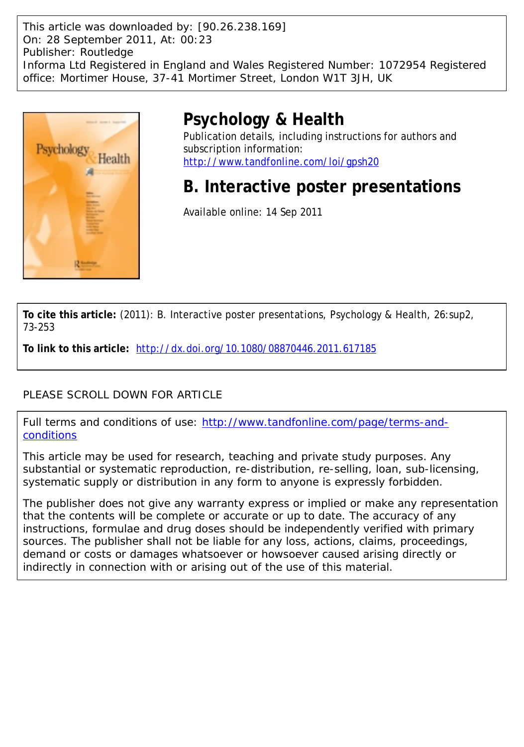This article was downloaded by: [90.26.238.169] On: 28 September 2011, At: 00:23 Publisher: Routledge Informa Ltd Registered in England and Wales Registered Number: 1072954 Registered office: Mortimer House, 37-41 Mortimer Street, London W1T 3JH, UK



# **Psychology & Health**

Publication details, including instructions for authors and subscription information: <http://www.tandfonline.com/loi/gpsh20>

**B. Interactive poster presentations**

Available online: 14 Sep 2011

**To cite this article:** (2011): B. Interactive poster presentations, Psychology & Health, 26:sup2, 73-253

**To link to this article:** <http://dx.doi.org/10.1080/08870446.2011.617185>

# PLEASE SCROLL DOWN FOR ARTICLE

Full terms and conditions of use: [http://www.tandfonline.com/page/terms-and](http://www.tandfonline.com/page/terms-and-conditions)[conditions](http://www.tandfonline.com/page/terms-and-conditions)

This article may be used for research, teaching and private study purposes. Any substantial or systematic reproduction, re-distribution, re-selling, loan, sub-licensing, systematic supply or distribution in any form to anyone is expressly forbidden.

The publisher does not give any warranty express or implied or make any representation that the contents will be complete or accurate or up to date. The accuracy of any instructions, formulae and drug doses should be independently verified with primary sources. The publisher shall not be liable for any loss, actions, claims, proceedings, demand or costs or damages whatsoever or howsoever caused arising directly or indirectly in connection with or arising out of the use of this material.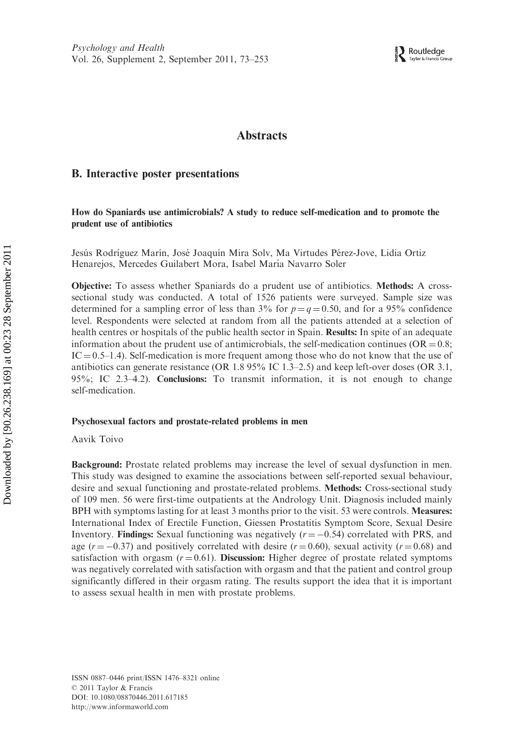### B. Interactive poster presentations

### How do Spaniards use antimicrobials? A study to reduce self-medication and to promote the prudent use of antibiotics

Jesús Rodríguez Marín, José Joaquín Mira Solv, Ma Virtudes Pérez-Jove, Lidia Ortiz Henarejos, Mercedes Guilabert Mora, Isabel María Navarro Soler

Objective: To assess whether Spaniards do a prudent use of antibiotics. Methods: A crosssectional study was conducted. A total of 1526 patients were surveyed. Sample size was determined for a sampling error of less than 3% for  $p = q = 0.50$ , and for a 95% confidence level. Respondents were selected at random from all the patients attended at a selection of health centres or hospitals of the public health sector in Spain. Results: In spite of an adequate information about the prudent use of antimicrobials, the self-medication continues ( $OR = 0.8$ ;  $IC = 0.5–1.4$ ). Self-medication is more frequent among those who do not know that the use of antibiotics can generate resistance (OR 1.8 95% IC 1.3–2.5) and keep left-over doses (OR 3.1, 95%; IC 2.3–4.2). Conclusions: To transmit information, it is not enough to change self-medication.

#### Psychosexual factors and prostate-related problems in men

Aavik Toivo

Background: Prostate related problems may increase the level of sexual dysfunction in men. This study was designed to examine the associations between self-reported sexual behaviour, desire and sexual functioning and prostate-related problems. Methods: Cross-sectional study of 109 men. 56 were first-time outpatients at the Andrology Unit. Diagnosis included mainly BPH with symptoms lasting for at least 3 months prior to the visit. 53 were controls. Measures: International Index of Erectile Function, Giessen Prostatitis Symptom Score, Sexual Desire Inventory. Findings: Sexual functioning was negatively  $(r = -0.54)$  correlated with PRS, and age  $(r = -0.37)$  and positively correlated with desire  $(r = 0.60)$ , sexual activity  $(r = 0.68)$  and satisfaction with orgasm  $(r = 0.61)$ . Discussion: Higher degree of prostate related symptoms was negatively correlated with satisfaction with orgasm and that the patient and control group significantly differed in their orgasm rating. The results support the idea that it is important to assess sexual health in men with prostate problems.

ISSN 0887–0446 print/ISSN 1476–8321 online © 2011 Taylor & Francis DOI: 10.1080/08870446.2011.617185 http://www.informaworld.com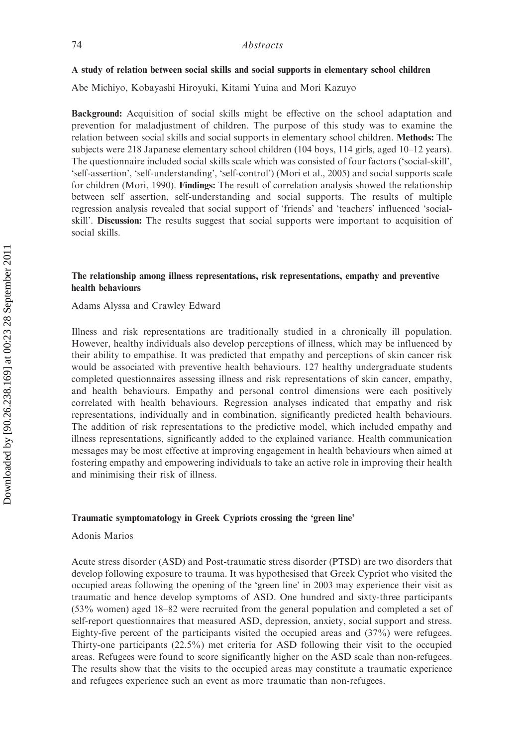### A study of relation between social skills and social supports in elementary school children

Abe Michiyo, Kobayashi Hiroyuki, Kitami Yuina and Mori Kazuyo

Background: Acquisition of social skills might be effective on the school adaptation and prevention for maladjustment of children. The purpose of this study was to examine the relation between social skills and social supports in elementary school children. Methods: The subjects were 218 Japanese elementary school children (104 boys, 114 girls, aged 10–12 years). The questionnaire included social skills scale which was consisted of four factors ('social-skill', 'self-assertion', 'self-understanding', 'self-control') (Mori et al., 2005) and social supports scale for children (Mori, 1990). Findings: The result of correlation analysis showed the relationship between self assertion, self-understanding and social supports. The results of multiple regression analysis revealed that social support of 'friends' and 'teachers' influenced 'socialskill'. Discussion: The results suggest that social supports were important to acquisition of social skills.

### The relationship among illness representations, risk representations, empathy and preventive health behaviours

Adams Alyssa and Crawley Edward

Illness and risk representations are traditionally studied in a chronically ill population. However, healthy individuals also develop perceptions of illness, which may be influenced by their ability to empathise. It was predicted that empathy and perceptions of skin cancer risk would be associated with preventive health behaviours. 127 healthy undergraduate students completed questionnaires assessing illness and risk representations of skin cancer, empathy, and health behaviours. Empathy and personal control dimensions were each positively correlated with health behaviours. Regression analyses indicated that empathy and risk representations, individually and in combination, significantly predicted health behaviours. The addition of risk representations to the predictive model, which included empathy and illness representations, significantly added to the explained variance. Health communication messages may be most effective at improving engagement in health behaviours when aimed at fostering empathy and empowering individuals to take an active role in improving their health and minimising their risk of illness.

#### Traumatic symptomatology in Greek Cypriots crossing the 'green line'

#### Adonis Marios

Acute stress disorder (ASD) and Post-traumatic stress disorder (PTSD) are two disorders that develop following exposure to trauma. It was hypothesised that Greek Cypriot who visited the occupied areas following the opening of the 'green line' in 2003 may experience their visit as traumatic and hence develop symptoms of ASD. One hundred and sixty-three participants (53% women) aged 18–82 were recruited from the general population and completed a set of self-report questionnaires that measured ASD, depression, anxiety, social support and stress. Eighty-five percent of the participants visited the occupied areas and (37%) were refugees. Thirty-one participants (22.5%) met criteria for ASD following their visit to the occupied areas. Refugees were found to score significantly higher on the ASD scale than non-refugees. The results show that the visits to the occupied areas may constitute a traumatic experience and refugees experience such an event as more traumatic than non-refugees.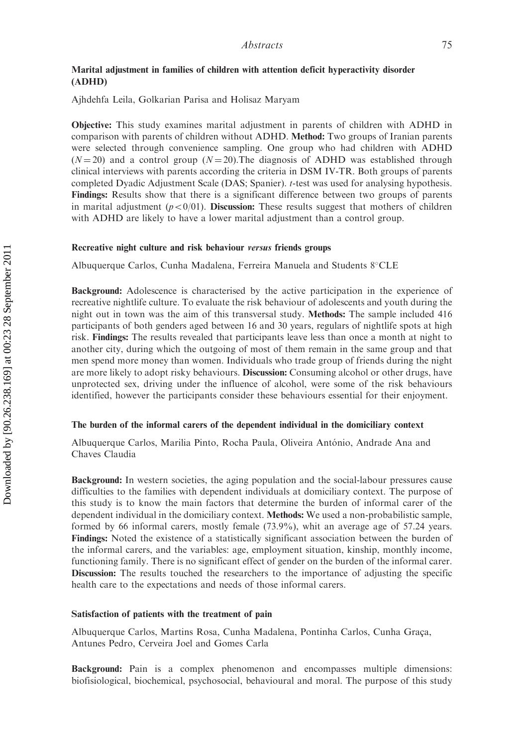### Marital adjustment in families of children with attention deficit hyperactivity disorder (ADHD)

Ajhdehfa Leila, Golkarian Parisa and Holisaz Maryam

Objective: This study examines marital adjustment in parents of children with ADHD in comparison with parents of children without ADHD. Method: Two groups of Iranian parents were selected through convenience sampling. One group who had children with ADHD  $(N = 20)$  and a control group  $(N = 20)$ . The diagnosis of ADHD was established through clinical interviews with parents according the criteria in DSM IV-TR. Both groups of parents completed Dyadic Adjustment Scale (DAS; Spanier). t-test was used for analysing hypothesis. Findings: Results show that there is a significant difference between two groups of parents in marital adjustment ( $p<0/01$ ). Discussion: These results suggest that mothers of children with ADHD are likely to have a lower marital adjustment than a control group.

#### Recreative night culture and risk behaviour versus friends groups

Albuquerque Carlos, Cunha Madalena, Ferreira Manuela and Students 8°CLE

Background: Adolescence is characterised by the active participation in the experience of recreative nightlife culture. To evaluate the risk behaviour of adolescents and youth during the night out in town was the aim of this transversal study. Methods: The sample included 416 participants of both genders aged between 16 and 30 years, regulars of nightlife spots at high risk. Findings: The results revealed that participants leave less than once a month at night to another city, during which the outgoing of most of them remain in the same group and that men spend more money than women. Individuals who trade group of friends during the night are more likely to adopt risky behaviours. Discussion: Consuming alcohol or other drugs, have unprotected sex, driving under the influence of alcohol, were some of the risk behaviours identified, however the participants consider these behaviours essential for their enjoyment.

#### The burden of the informal carers of the dependent individual in the domiciliary context

Albuquerque Carlos, Marilia Pinto, Rocha Paula, Oliveira António, Andrade Ana and Chaves Claudia

Background: In western societies, the aging population and the social-labour pressures cause difficulties to the families with dependent individuals at domiciliary context. The purpose of this study is to know the main factors that determine the burden of informal carer of the dependent individual in the domiciliary context. Methods: We used a non-probabilistic sample, formed by 66 informal carers, mostly female (73.9%), whit an average age of 57.24 years. Findings: Noted the existence of a statistically significant association between the burden of the informal carers, and the variables: age, employment situation, kinship, monthly income, functioning family. There is no significant effect of gender on the burden of the informal carer. Discussion: The results touched the researchers to the importance of adjusting the specific health care to the expectations and needs of those informal carers.

### Satisfaction of patients with the treatment of pain

Albuquerque Carlos, Martins Rosa, Cunha Madalena, Pontinha Carlos, Cunha Graça, Antunes Pedro, Cerveira Joel and Gomes Carla

Background: Pain is a complex phenomenon and encompasses multiple dimensions: biofisiological, biochemical, psychosocial, behavioural and moral. The purpose of this study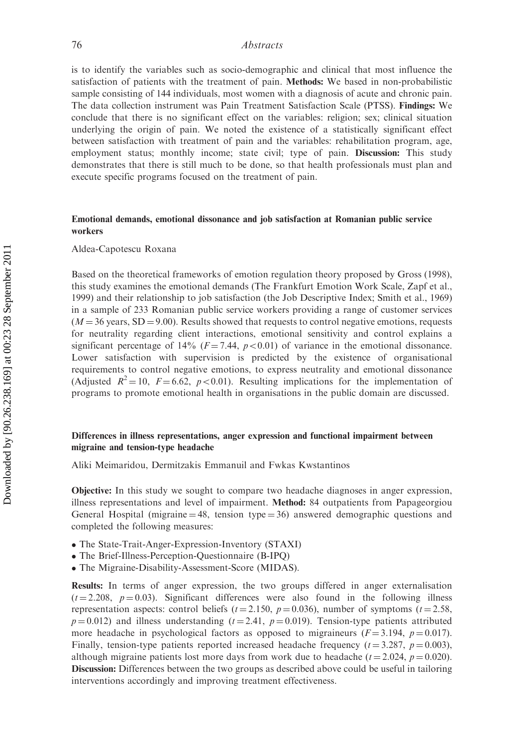is to identify the variables such as socio-demographic and clinical that most influence the satisfaction of patients with the treatment of pain. Methods: We based in non-probabilistic sample consisting of 144 individuals, most women with a diagnosis of acute and chronic pain. The data collection instrument was Pain Treatment Satisfaction Scale (PTSS). Findings: We conclude that there is no significant effect on the variables: religion; sex; clinical situation underlying the origin of pain. We noted the existence of a statistically significant effect between satisfaction with treatment of pain and the variables: rehabilitation program, age, employment status; monthly income; state civil; type of pain. Discussion: This study demonstrates that there is still much to be done, so that health professionals must plan and execute specific programs focused on the treatment of pain.

### Emotional demands, emotional dissonance and job satisfaction at Romanian public service workers

Aldea-Capotescu Roxana

Based on the theoretical frameworks of emotion regulation theory proposed by Gross (1998), this study examines the emotional demands (The Frankfurt Emotion Work Scale, Zapf et al., 1999) and their relationship to job satisfaction (the Job Descriptive Index; Smith et al., 1969) in a sample of 233 Romanian public service workers providing a range of customer services  $(M = 36$  years, SD = 9.00). Results showed that requests to control negative emotions, requests for neutrality regarding client interactions, emotional sensitivity and control explains a significant percentage of 14% ( $F = 7.44$ ,  $p < 0.01$ ) of variance in the emotional dissonance. Lower satisfaction with supervision is predicted by the existence of organisational requirements to control negative emotions, to express neutrality and emotional dissonance (Adjusted  $R^2 = 10$ ,  $F = 6.62$ ,  $p < 0.01$ ). Resulting implications for the implementation of programs to promote emotional health in organisations in the public domain are discussed.

### Differences in illness representations, anger expression and functional impairment between migraine and tension-type headache

Aliki Meimaridou, Dermitzakis Emmanuil and Fwkas Kwstantinos

Objective: In this study we sought to compare two headache diagnoses in anger expression, illness representations and level of impairment. Method: 84 outpatients from Papageorgiou General Hospital (migraine  $=$  48, tension type  $=$  36) answered demographic questions and completed the following measures:

- The State-Trait-Anger-Expression-Inventory (STAXI)
- The Brief-Illness-Perception-Questionnaire (B-IPQ)
- The Migraine-Disability-Assessment-Score (MIDAS).

Results: In terms of anger expression, the two groups differed in anger externalisation  $(t = 2.208, p = 0.03)$ . Significant differences were also found in the following illness representation aspects: control beliefs ( $t = 2.150$ ,  $p = 0.036$ ), number of symptoms ( $t = 2.58$ ,  $p = 0.012$ ) and illness understanding (t = 2.41,  $p = 0.019$ ). Tension-type patients attributed more headache in psychological factors as opposed to migraineurs ( $F = 3.194$ ,  $p = 0.017$ ). Finally, tension-type patients reported increased headache frequency ( $t = 3.287$ ,  $p = 0.003$ ), although migraine patients lost more days from work due to headache ( $t = 2.024$ ,  $p = 0.020$ ). Discussion: Differences between the two groups as described above could be useful in tailoring interventions accordingly and improving treatment effectiveness.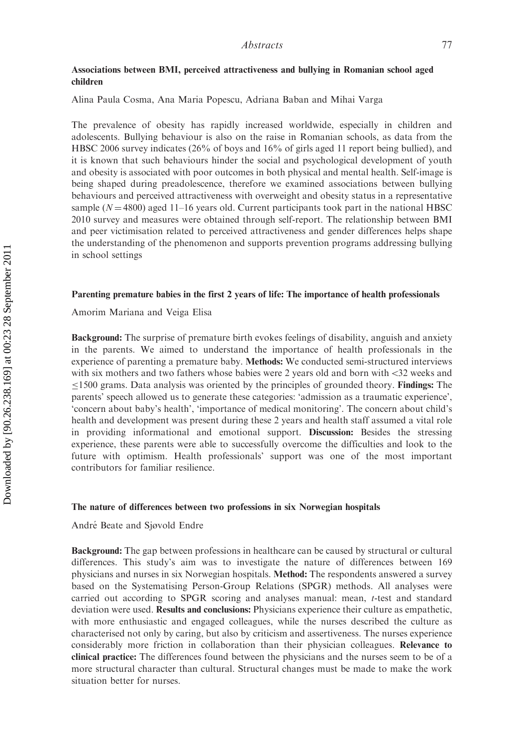### Associations between BMI, perceived attractiveness and bullying in Romanian school aged children

Alina Paula Cosma, Ana Maria Popescu, Adriana Baban and Mihai Varga

The prevalence of obesity has rapidly increased worldwide, especially in children and adolescents. Bullying behaviour is also on the raise in Romanian schools, as data from the HBSC 2006 survey indicates (26% of boys and 16% of girls aged 11 report being bullied), and it is known that such behaviours hinder the social and psychological development of youth and obesity is associated with poor outcomes in both physical and mental health. Self-image is being shaped during preadolescence, therefore we examined associations between bullying behaviours and perceived attractiveness with overweight and obesity status in a representative sample ( $N = 4800$ ) aged 11–16 years old. Current participants took part in the national HBSC 2010 survey and measures were obtained through self-report. The relationship between BMI and peer victimisation related to perceived attractiveness and gender differences helps shape the understanding of the phenomenon and supports prevention programs addressing bullying in school settings

### Parenting premature babies in the first 2 years of life: The importance of health professionals

Amorim Mariana and Veiga Elisa

Background: The surprise of premature birth evokes feelings of disability, anguish and anxiety in the parents. We aimed to understand the importance of health professionals in the experience of parenting a premature baby. Methods: We conducted semi-structured interviews with six mothers and two fathers whose babies were 2 years old and born with  $\lt 32$  weeks and 1500 grams. Data analysis was oriented by the principles of grounded theory. Findings: The parents' speech allowed us to generate these categories: 'admission as a traumatic experience', 'concern about baby's health', 'importance of medical monitoring'. The concern about child's health and development was present during these 2 years and health staff assumed a vital role in providing informational and emotional support. Discussion: Besides the stressing experience, these parents were able to successfully overcome the difficulties and look to the future with optimism. Health professionals' support was one of the most important contributors for familiar resilience.

### The nature of differences between two professions in six Norwegian hospitals

André Beate and Sjøvold Endre

Background: The gap between professions in healthcare can be caused by structural or cultural differences. This study's aim was to investigate the nature of differences between 169 physicians and nurses in six Norwegian hospitals. Method: The respondents answered a survey based on the Systematising Person-Group Relations (SPGR) methods. All analyses were carried out according to SPGR scoring and analyses manual: mean, t-test and standard deviation were used. Results and conclusions: Physicians experience their culture as empathetic, with more enthusiastic and engaged colleagues, while the nurses described the culture as characterised not only by caring, but also by criticism and assertiveness. The nurses experience considerably more friction in collaboration than their physician colleagues. Relevance to clinical practice: The differences found between the physicians and the nurses seem to be of a more structural character than cultural. Structural changes must be made to make the work situation better for nurses.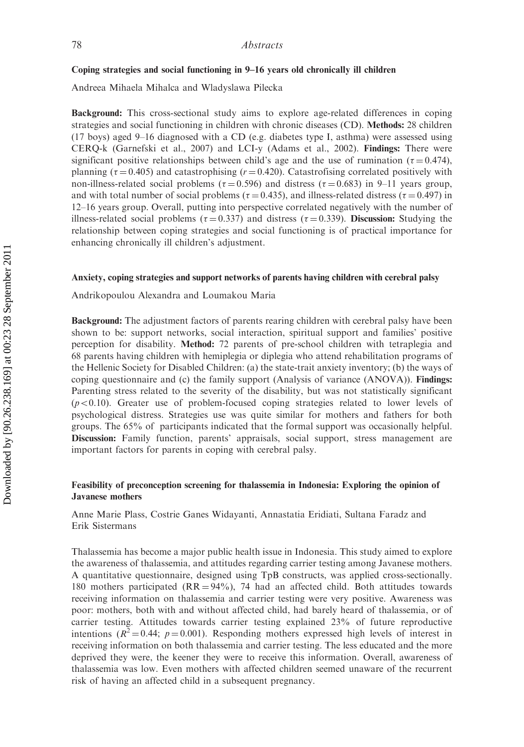### Coping strategies and social functioning in 9–16 years old chronically ill children

Andreea Mihaela Mihalca and Wladyslawa Pilecka

Background: This cross-sectional study aims to explore age-related differences in coping strategies and social functioning in children with chronic diseases (CD). Methods: 28 children (17 boys) aged 9–16 diagnosed with a CD (e.g. diabetes type I, asthma) were assessed using CERQ-k (Garnefski et al., 2007) and LCI-y (Adams et al., 2002). Findings: There were significant positive relationships between child's age and the use of rumination  $(\tau = 0.474)$ , planning ( $\tau$  = 0.405) and catastrophising ( $r$  = 0.420). Catastrofising correlated positively with non-illness-related social problems ( $\tau$  = 0.596) and distress ( $\tau$  = 0.683) in 9–11 years group, and with total number of social problems ( $\tau = 0.435$ ), and illness-related distress ( $\tau = 0.497$ ) in 12–16 years group. Overall, putting into perspective correlated negatively with the number of illness-related social problems ( $\tau$  = 0.337) and distress ( $\tau$  = 0.339). Discussion: Studying the relationship between coping strategies and social functioning is of practical importance for enhancing chronically ill children's adjustment.

#### Anxiety, coping strategies and support networks of parents having children with cerebral palsy

Andrikopoulou Alexandra and Loumakou Maria

Background: The adjustment factors of parents rearing children with cerebral palsy have been shown to be: support networks, social interaction, spiritual support and families' positive perception for disability. Method: 72 parents of pre-school children with tetraplegia and 68 parents having children with hemiplegia or diplegia who attend rehabilitation programs of the Hellenic Society for Disabled Children: (a) the state-trait anxiety inventory; (b) the ways of coping questionnaire and (c) the family support (Analysis of variance (ANOVA)). Findings: Parenting stress related to the severity of the disability, but was not statistically significant  $(p<0.10)$ . Greater use of problem-focused coping strategies related to lower levels of psychological distress. Strategies use was quite similar for mothers and fathers for both groups. The 65% of participants indicated that the formal support was occasionally helpful. Discussion: Family function, parents' appraisals, social support, stress management are important factors for parents in coping with cerebral palsy.

### Feasibility of preconception screening for thalassemia in Indonesia: Exploring the opinion of Javanese mothers

Anne Marie Plass, Costrie Ganes Widayanti, Annastatia Eridiati, Sultana Faradz and Erik Sistermans

Thalassemia has become a major public health issue in Indonesia. This study aimed to explore the awareness of thalassemia, and attitudes regarding carrier testing among Javanese mothers. A quantitative questionnaire, designed using TpB constructs, was applied cross-sectionally. 180 mothers participated  $(RR = 94\%)$ , 74 had an affected child. Both attitudes towards receiving information on thalassemia and carrier testing were very positive. Awareness was poor: mothers, both with and without affected child, had barely heard of thalassemia, or of carrier testing. Attitudes towards carrier testing explained 23% of future reproductive intentions ( $R^2 = 0.44$ ;  $p = 0.001$ ). Responding mothers expressed high levels of interest in receiving information on both thalassemia and carrier testing. The less educated and the more deprived they were, the keener they were to receive this information. Overall, awareness of thalassemia was low. Even mothers with affected children seemed unaware of the recurrent risk of having an affected child in a subsequent pregnancy.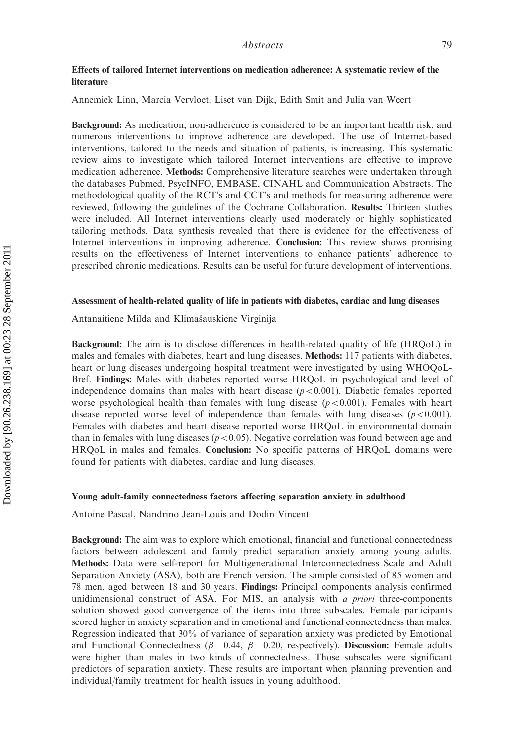### Effects of tailored Internet interventions on medication adherence: A systematic review of the literature

Annemiek Linn, Marcia Vervloet, Liset van Dijk, Edith Smit and Julia van Weert

Background: As medication, non-adherence is considered to be an important health risk, and numerous interventions to improve adherence are developed. The use of Internet-based interventions, tailored to the needs and situation of patients, is increasing. This systematic review aims to investigate which tailored Internet interventions are effective to improve medication adherence. Methods: Comprehensive literature searches were undertaken through the databases Pubmed, PsycINFO, EMBASE, CINAHL and Communication Abstracts. The methodological quality of the RCT's and CCT's and methods for measuring adherence were reviewed, following the guidelines of the Cochrane Collaboration. Results: Thirteen studies were included. All Internet interventions clearly used moderately or highly sophisticated tailoring methods. Data synthesis revealed that there is evidence for the effectiveness of Internet interventions in improving adherence. Conclusion: This review shows promising results on the effectiveness of Internet interventions to enhance patients' adherence to prescribed chronic medications. Results can be useful for future development of interventions.

#### Assessment of health-related quality of life in patients with diabetes, cardiac and lung diseases

Antanaitiene Milda and Klimašauskiene Virginija

Background: The aim is to disclose differences in health-related quality of life (HRQoL) in males and females with diabetes, heart and lung diseases. Methods: 117 patients with diabetes, heart or lung diseases undergoing hospital treatment were investigated by using WHOQoL-Bref. Findings: Males with diabetes reported worse HRQoL in psychological and level of independence domains than males with heart disease  $(p<0.001)$ . Diabetic females reported worse psychological health than females with lung disease ( $p<0.001$ ). Females with heart disease reported worse level of independence than females with lung diseases ( $p < 0.001$ ). Females with diabetes and heart disease reported worse HRQoL in environmental domain than in females with lung diseases ( $p<0.05$ ). Negative correlation was found between age and HRQoL in males and females. Conclusion: No specific patterns of HRQoL domains were found for patients with diabetes, cardiac and lung diseases.

#### Young adult-family connectedness factors affecting separation anxiety in adulthood

Antoine Pascal, Nandrino Jean-Louis and Dodin Vincent

Background: The aim was to explore which emotional, financial and functional connectedness factors between adolescent and family predict separation anxiety among young adults. Methods: Data were self-report for Multigenerational Interconnectedness Scale and Adult Separation Anxiety (ASA), both are French version. The sample consisted of 85 women and 78 men, aged between 18 and 30 years. Findings: Principal components analysis confirmed unidimensional construct of ASA. For MIS, an analysis with  $a$  priori three-components solution showed good convergence of the items into three subscales. Female participants scored higher in anxiety separation and in emotional and functional connectedness than males. Regression indicated that 30% of variance of separation anxiety was predicted by Emotional and Functional Connectedness ( $\beta = 0.44$ ,  $\beta = 0.20$ , respectively). Discussion: Female adults were higher than males in two kinds of connectedness. Those subscales were significant predictors of separation anxiety. These results are important when planning prevention and individual/family treatment for health issues in young adulthood.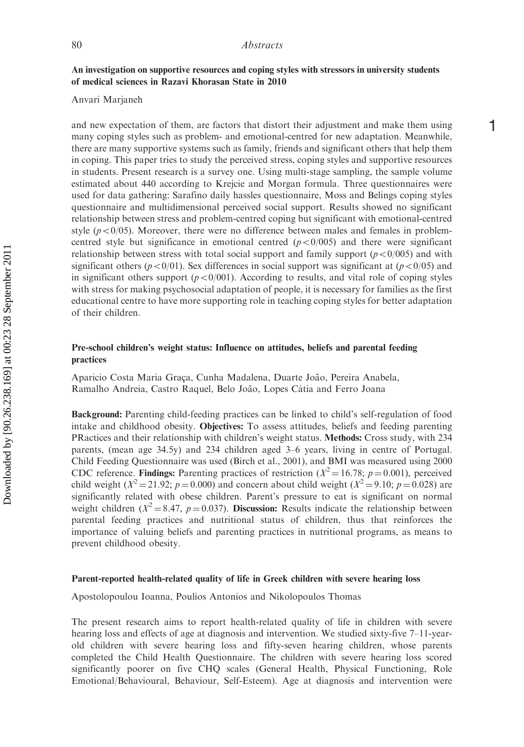### An investigation on supportive resources and coping styles with stressors in university students of medical sciences in Razavi Khorasan State in 2010

1

#### Anvari Marjaneh

and new expectation of them, are factors that distort their adjustment and make them using many coping styles such as problem- and emotional-centred for new adaptation. Meanwhile, there are many supportive systems such as family, friends and significant others that help them in coping. This paper tries to study the perceived stress, coping styles and supportive resources in students. Present research is a survey one. Using multi-stage sampling, the sample volume estimated about 440 according to Krejcie and Morgan formula. Three questionnaires were used for data gathering: Sarafino daily hassles questionnaire, Moss and Belings coping styles questionnaire and multidimensional perceived social support. Results showed no significant relationship between stress and problem-centred coping but significant with emotional-centred style ( $p<0/05$ ). Moreover, there were no difference between males and females in problemcentred style but significance in emotional centred ( $p<0/005$ ) and there were significant relationship between stress with total social support and family support  $(p<0/005)$  and with significant others ( $p<0/01$ ). Sex differences in social support was significant at ( $p<0/05$ ) and in significant others support ( $p<0/001$ ). According to results, and vital role of coping styles with stress for making psychosocial adaptation of people, it is necessary for families as the first educational centre to have more supporting role in teaching coping styles for better adaptation of their children.

### Pre-school children's weight status: Influence on attitudes, beliefs and parental feeding practices

Aparicio Costa Maria Graça, Cunha Madalena, Duarte João, Pereira Anabela, Ramalho Andreia, Castro Raquel, Belo João, Lopes Cátia and Ferro Joana

Background: Parenting child-feeding practices can be linked to child's self-regulation of food intake and childhood obesity. Objectives: To assess attitudes, beliefs and feeding parenting PRactices and their relationship with children's weight status. Methods: Cross study, with 234 parents, (mean age 34.5y) and 234 children aged 3–6 years, living in centre of Portugal. Child Feeding Questionnaire was used (Birch et al., 2001), and BMI was measured using 2000 CDC reference. Findings: Parenting practices of restriction ( $X^2 = 16.78$ ;  $p = 0.001$ ), perceived child weight ( $X^2 = 21.92$ ;  $p = 0.000$ ) and concern about child weight ( $X^2 = 9.10$ ;  $p = 0.028$ ) are significantly related with obese children. Parent's pressure to eat is significant on normal weight children ( $X^2 = 8.47$ ,  $p = 0.037$ ). Discussion: Results indicate the relationship between parental feeding practices and nutritional status of children, thus that reinforces the importance of valuing beliefs and parenting practices in nutritional programs, as means to prevent childhood obesity.

#### Parent-reported health-related quality of life in Greek children with severe hearing loss

Apostolopoulou Ioanna, Poulios Antonios and Nikolopoulos Thomas

The present research aims to report health-related quality of life in children with severe hearing loss and effects of age at diagnosis and intervention. We studied sixty-five 7–11-yearold children with severe hearing loss and fifty-seven hearing children, whose parents completed the Child Health Questionnaire. The children with severe hearing loss scored significantly poorer on five CHQ scales (General Health, Physical Functioning, Role Emotional/Behavioural, Behaviour, Self-Esteem). Age at diagnosis and intervention were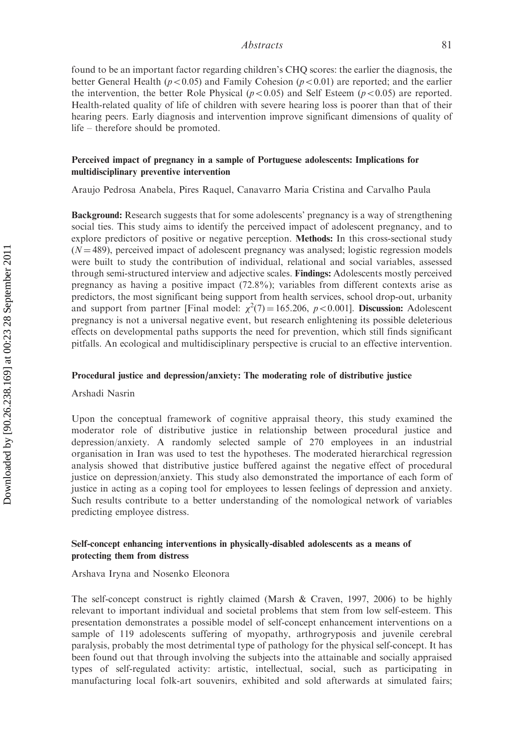found to be an important factor regarding children's CHQ scores: the earlier the diagnosis, the better General Health ( $p<0.05$ ) and Family Cohesion ( $p<0.01$ ) are reported; and the earlier the intervention, the better Role Physical ( $p<0.05$ ) and Self Esteem ( $p<0.05$ ) are reported. Health-related quality of life of children with severe hearing loss is poorer than that of their hearing peers. Early diagnosis and intervention improve significant dimensions of quality of life – therefore should be promoted.

### Perceived impact of pregnancy in a sample of Portuguese adolescents: Implications for multidisciplinary preventive intervention

Araujo Pedrosa Anabela, Pires Raquel, Canavarro Maria Cristina and Carvalho Paula

Background: Research suggests that for some adolescents' pregnancy is a way of strengthening social ties. This study aims to identify the perceived impact of adolescent pregnancy, and to explore predictors of positive or negative perception. Methods: In this cross-sectional study  $(N = 489)$ , perceived impact of adolescent pregnancy was analysed; logistic regression models were built to study the contribution of individual, relational and social variables, assessed through semi-structured interview and adjective scales. Findings: Adolescents mostly perceived pregnancy as having a positive impact (72.8%); variables from different contexts arise as predictors, the most significant being support from health services, school drop-out, urbanity and support from partner [Final model:  $\chi^2(7) = 165.206$ ,  $p < 0.001$ ]. Discussion: Adolescent pregnancy is not a universal negative event, but research enlightening its possible deleterious effects on developmental paths supports the need for prevention, which still finds significant pitfalls. An ecological and multidisciplinary perspective is crucial to an effective intervention.

#### Procedural justice and depression/anxiety: The moderating role of distributive justice

### Arshadi Nasrin

Upon the conceptual framework of cognitive appraisal theory, this study examined the moderator role of distributive justice in relationship between procedural justice and depression/anxiety. A randomly selected sample of 270 employees in an industrial organisation in Iran was used to test the hypotheses. The moderated hierarchical regression analysis showed that distributive justice buffered against the negative effect of procedural justice on depression/anxiety. This study also demonstrated the importance of each form of justice in acting as a coping tool for employees to lessen feelings of depression and anxiety. Such results contribute to a better understanding of the nomological network of variables predicting employee distress.

### Self-concept enhancing interventions in physically-disabled adolescents as a means of protecting them from distress

#### Arshava Iryna and Nosenko Eleonora

The self-concept construct is rightly claimed (Marsh & Craven, 1997, 2006) to be highly relevant to important individual and societal problems that stem from low self-esteem. This presentation demonstrates a possible model of self-concept enhancement interventions on a sample of 119 adolescents suffering of myopathy, arthrogryposis and juvenile cerebral paralysis, probably the most detrimental type of pathology for the physical self-concept. It has been found out that through involving the subjects into the attainable and socially appraised types of self-regulated activity: artistic, intellectual, social, such as participating in manufacturing local folk-art souvenirs, exhibited and sold afterwards at simulated fairs;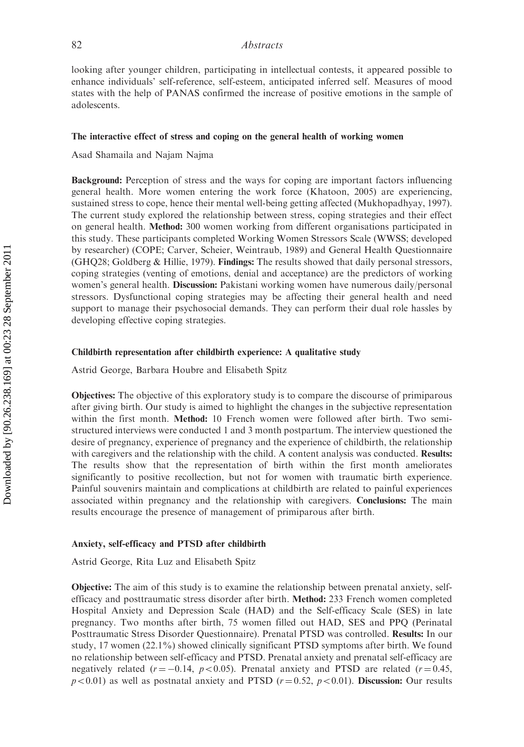looking after younger children, participating in intellectual contests, it appeared possible to enhance individuals' self-reference, self-esteem, anticipated inferred self. Measures of mood states with the help of PANAS confirmed the increase of positive emotions in the sample of adolescents.

#### The interactive effect of stress and coping on the general health of working women

Asad Shamaila and Najam Najma

Background: Perception of stress and the ways for coping are important factors influencing general health. More women entering the work force (Khatoon, 2005) are experiencing, sustained stress to cope, hence their mental well-being getting affected (Mukhopadhyay, 1997). The current study explored the relationship between stress, coping strategies and their effect on general health. Method: 300 women working from different organisations participated in this study. These participants completed Working Women Stressors Scale (WWSS; developed by researcher) (COPE; Carver, Scheier, Weintraub, 1989) and General Health Questionnaire (GHQ28; Goldberg & Hillie, 1979). Findings: The results showed that daily personal stressors, coping strategies (venting of emotions, denial and acceptance) are the predictors of working women's general health. Discussion: Pakistani working women have numerous daily/personal stressors. Dysfunctional coping strategies may be affecting their general health and need support to manage their psychosocial demands. They can perform their dual role hassles by developing effective coping strategies.

### Childbirth representation after childbirth experience: A qualitative study

Astrid George, Barbara Houbre and Elisabeth Spitz

Objectives: The objective of this exploratory study is to compare the discourse of primiparous after giving birth. Our study is aimed to highlight the changes in the subjective representation within the first month. **Method:** 10 French women were followed after birth. Two semistructured interviews were conducted 1 and 3 month postpartum. The interview questioned the desire of pregnancy, experience of pregnancy and the experience of childbirth, the relationship with caregivers and the relationship with the child. A content analysis was conducted. **Results:** The results show that the representation of birth within the first month ameliorates significantly to positive recollection, but not for women with traumatic birth experience. Painful souvenirs maintain and complications at childbirth are related to painful experiences associated within pregnancy and the relationship with caregivers. Conclusions: The main results encourage the presence of management of primiparous after birth.

#### Anxiety, self-efficacy and PTSD after childbirth

Astrid George, Rita Luz and Elisabeth Spitz

Objective: The aim of this study is to examine the relationship between prenatal anxiety, selfefficacy and posttraumatic stress disorder after birth. Method: 233 French women completed Hospital Anxiety and Depression Scale (HAD) and the Self-efficacy Scale (SES) in late pregnancy. Two months after birth, 75 women filled out HAD, SES and PPQ (Perinatal Posttraumatic Stress Disorder Questionnaire). Prenatal PTSD was controlled. Results: In our study, 17 women (22.1%) showed clinically significant PTSD symptoms after birth. We found no relationship between self-efficacy and PTSD. Prenatal anxiety and prenatal self-efficacy are negatively related ( $r = -0.14$ ,  $p < 0.05$ ). Prenatal anxiety and PTSD are related ( $r = 0.45$ ,  $p<0.01$ ) as well as postnatal anxiety and PTSD ( $r = 0.52$ ,  $p<0.01$ ). Discussion: Our results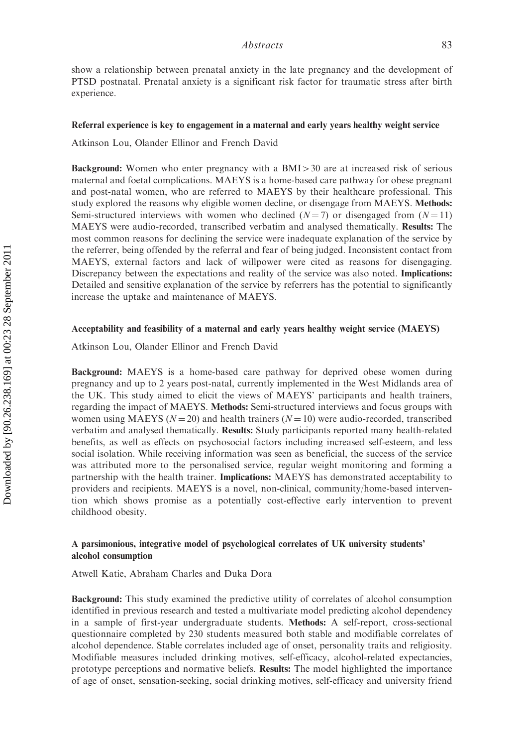show a relationship between prenatal anxiety in the late pregnancy and the development of PTSD postnatal. Prenatal anxiety is a significant risk factor for traumatic stress after birth experience.

#### Referral experience is key to engagement in a maternal and early years healthy weight service

Atkinson Lou, Olander Ellinor and French David

**Background:** Women who enter pregnancy with a  $BMI > 30$  are at increased risk of serious maternal and foetal complications. MAEYS is a home-based care pathway for obese pregnant and post-natal women, who are referred to MAEYS by their healthcare professional. This study explored the reasons why eligible women decline, or disengage from MAEYS. Methods: Semi-structured interviews with women who declined  $(N=7)$  or disengaged from  $(N=11)$ MAEYS were audio-recorded, transcribed verbatim and analysed thematically. Results: The most common reasons for declining the service were inadequate explanation of the service by the referrer, being offended by the referral and fear of being judged. Inconsistent contact from MAEYS, external factors and lack of willpower were cited as reasons for disengaging. Discrepancy between the expectations and reality of the service was also noted. Implications: Detailed and sensitive explanation of the service by referrers has the potential to significantly increase the uptake and maintenance of MAEYS.

#### Acceptability and feasibility of a maternal and early years healthy weight service (MAEYS)

Atkinson Lou, Olander Ellinor and French David

Background: MAEYS is a home-based care pathway for deprived obese women during pregnancy and up to 2 years post-natal, currently implemented in the West Midlands area of the UK. This study aimed to elicit the views of MAEYS' participants and health trainers, regarding the impact of MAEYS. Methods: Semi-structured interviews and focus groups with women using MAEYS ( $N = 20$ ) and health trainers ( $N = 10$ ) were audio-recorded, transcribed verbatim and analysed thematically. Results: Study participants reported many health-related benefits, as well as effects on psychosocial factors including increased self-esteem, and less social isolation. While receiving information was seen as beneficial, the success of the service was attributed more to the personalised service, regular weight monitoring and forming a partnership with the health trainer. Implications: MAEYS has demonstrated acceptability to providers and recipients. MAEYS is a novel, non-clinical, community/home-based intervention which shows promise as a potentially cost-effective early intervention to prevent childhood obesity.

### A parsimonious, integrative model of psychological correlates of UK university students' alcohol consumption

Atwell Katie, Abraham Charles and Duka Dora

Background: This study examined the predictive utility of correlates of alcohol consumption identified in previous research and tested a multivariate model predicting alcohol dependency in a sample of first-year undergraduate students. Methods: A self-report, cross-sectional questionnaire completed by 230 students measured both stable and modifiable correlates of alcohol dependence. Stable correlates included age of onset, personality traits and religiosity. Modifiable measures included drinking motives, self-efficacy, alcohol-related expectancies, prototype perceptions and normative beliefs. Results: The model highlighted the importance of age of onset, sensation-seeking, social drinking motives, self-efficacy and university friend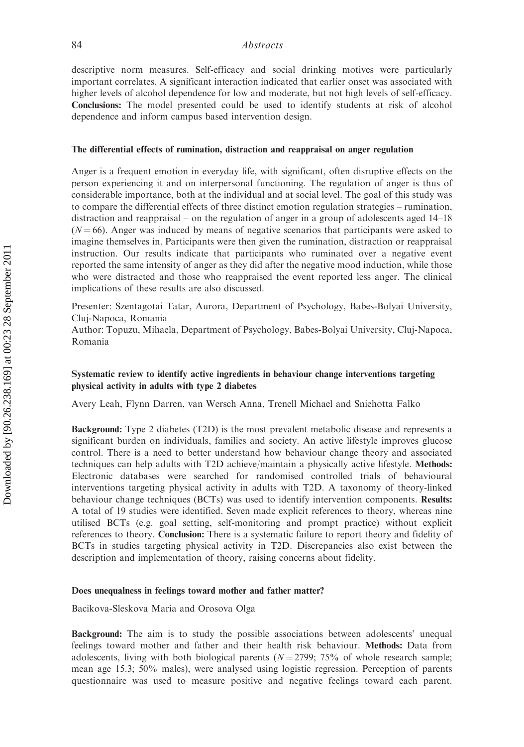descriptive norm measures. Self-efficacy and social drinking motives were particularly important correlates. A significant interaction indicated that earlier onset was associated with higher levels of alcohol dependence for low and moderate, but not high levels of self-efficacy. Conclusions: The model presented could be used to identify students at risk of alcohol dependence and inform campus based intervention design.

#### The differential effects of rumination, distraction and reappraisal on anger regulation

Anger is a frequent emotion in everyday life, with significant, often disruptive effects on the person experiencing it and on interpersonal functioning. The regulation of anger is thus of considerable importance, both at the individual and at social level. The goal of this study was to compare the differential effects of three distinct emotion regulation strategies – rumination, distraction and reappraisal – on the regulation of anger in a group of adolescents aged 14–18  $(N = 66)$ . Anger was induced by means of negative scenarios that participants were asked to imagine themselves in. Participants were then given the rumination, distraction or reappraisal instruction. Our results indicate that participants who ruminated over a negative event reported the same intensity of anger as they did after the negative mood induction, while those who were distracted and those who reappraised the event reported less anger. The clinical implications of these results are also discussed.

Presenter: Szentagotai Tatar, Aurora, Department of Psychology, Babes-Bolyai University, Cluj-Napoca, Romania

Author: Topuzu, Mihaela, Department of Psychology, Babes-Bolyai University, Cluj-Napoca, Romania

### Systematic review to identify active ingredients in behaviour change interventions targeting physical activity in adults with type 2 diabetes

Avery Leah, Flynn Darren, van Wersch Anna, Trenell Michael and Sniehotta Falko

Background: Type 2 diabetes (T2D) is the most prevalent metabolic disease and represents a significant burden on individuals, families and society. An active lifestyle improves glucose control. There is a need to better understand how behaviour change theory and associated techniques can help adults with T2D achieve/maintain a physically active lifestyle. Methods: Electronic databases were searched for randomised controlled trials of behavioural interventions targeting physical activity in adults with T2D. A taxonomy of theory-linked behaviour change techniques (BCTs) was used to identify intervention components. Results: A total of 19 studies were identified. Seven made explicit references to theory, whereas nine utilised BCTs (e.g. goal setting, self-monitoring and prompt practice) without explicit references to theory. Conclusion: There is a systematic failure to report theory and fidelity of BCTs in studies targeting physical activity in T2D. Discrepancies also exist between the description and implementation of theory, raising concerns about fidelity.

#### Does unequalness in feelings toward mother and father matter?

Bacikova-Sleskova Maria and Orosova Olga

Background: The aim is to study the possible associations between adolescents' unequal feelings toward mother and father and their health risk behaviour. Methods: Data from adolescents, living with both biological parents  $(N = 2799; 75\%$  of whole research sample; mean age 15.3; 50% males), were analysed using logistic regression. Perception of parents questionnaire was used to measure positive and negative feelings toward each parent.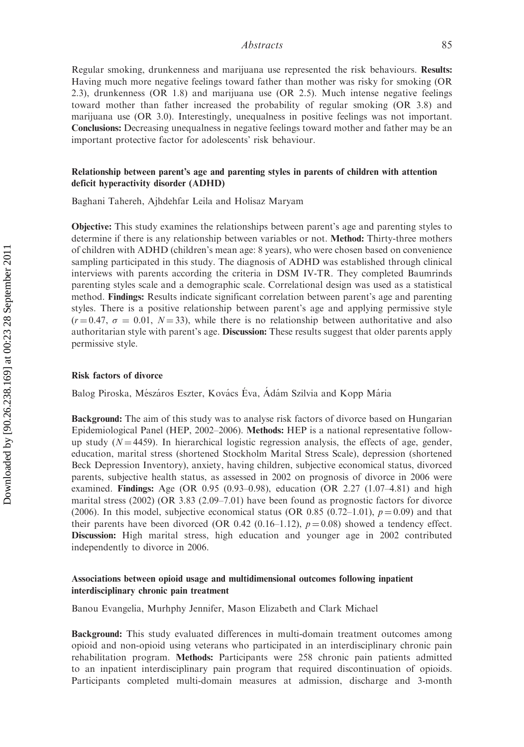Regular smoking, drunkenness and marijuana use represented the risk behaviours. Results: Having much more negative feelings toward father than mother was risky for smoking (OR 2.3), drunkenness (OR 1.8) and marijuana use (OR 2.5). Much intense negative feelings toward mother than father increased the probability of regular smoking (OR 3.8) and marijuana use (OR 3.0). Interestingly, unequalness in positive feelings was not important. Conclusions: Decreasing unequalness in negative feelings toward mother and father may be an important protective factor for adolescents' risk behaviour.

### Relationship between parent's age and parenting styles in parents of children with attention deficit hyperactivity disorder (ADHD)

Baghani Tahereh, Ajhdehfar Leila and Holisaz Maryam

Objective: This study examines the relationships between parent's age and parenting styles to determine if there is any relationship between variables or not. Method: Thirty-three mothers of children with ADHD (children's mean age: 8 years), who were chosen based on convenience sampling participated in this study. The diagnosis of ADHD was established through clinical interviews with parents according the criteria in DSM IV-TR. They completed Baumrinds parenting styles scale and a demographic scale. Correlational design was used as a statistical method. Findings: Results indicate significant correlation between parent's age and parenting styles. There is a positive relationship between parent's age and applying permissive style  $(r=0.47, \sigma=0.01, N=33)$ , while there is no relationship between authoritative and also authoritarian style with parent's age. Discussion: These results suggest that older parents apply permissive style.

#### Risk factors of divorce

Balog Piroska, Mészáros Eszter, Kovács Éva, Ádám Szilvia and Kopp Mária

Background: The aim of this study was to analyse risk factors of divorce based on Hungarian Epidemiological Panel (HEP, 2002–2006). Methods: HEP is a national representative followup study  $(N = 4459)$ . In hierarchical logistic regression analysis, the effects of age, gender, education, marital stress (shortened Stockholm Marital Stress Scale), depression (shortened Beck Depression Inventory), anxiety, having children, subjective economical status, divorced parents, subjective health status, as assessed in 2002 on prognosis of divorce in 2006 were examined. Findings: Age (OR 0.95 (0.93–0.98), education (OR 2.27 (1.07–4.81) and high marital stress (2002) (OR 3.83 (2.09–7.01) have been found as prognostic factors for divorce (2006). In this model, subjective economical status (OR 0.85 (0.72–1.01),  $p = 0.09$ ) and that their parents have been divorced (OR 0.42 (0.16–1.12),  $p = 0.08$ ) showed a tendency effect. Discussion: High marital stress, high education and younger age in 2002 contributed independently to divorce in 2006.

### Associations between opioid usage and multidimensional outcomes following inpatient interdisciplinary chronic pain treatment

Banou Evangelia, Murhphy Jennifer, Mason Elizabeth and Clark Michael

Background: This study evaluated differences in multi-domain treatment outcomes among opioid and non-opioid using veterans who participated in an interdisciplinary chronic pain rehabilitation program. Methods: Participants were 258 chronic pain patients admitted to an inpatient interdisciplinary pain program that required discontinuation of opioids. Participants completed multi-domain measures at admission, discharge and 3-month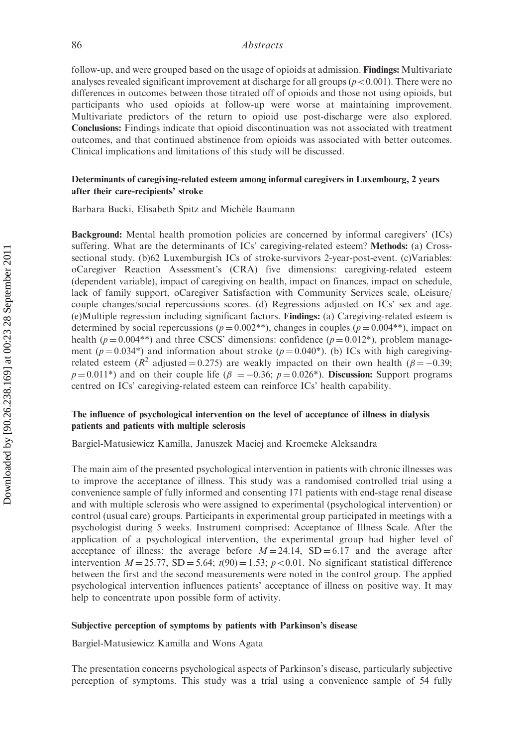follow-up, and were grouped based on the usage of opioids at admission. Findings: Multivariate analyses revealed significant improvement at discharge for all groups ( $p<0.001$ ). There were no differences in outcomes between those titrated off of opioids and those not using opioids, but participants who used opioids at follow-up were worse at maintaining improvement. Multivariate predictors of the return to opioid use post-discharge were also explored. Conclusions: Findings indicate that opioid discontinuation was not associated with treatment outcomes, and that continued abstinence from opioids was associated with better outcomes. Clinical implications and limitations of this study will be discussed.

### Determinants of caregiving-related esteem among informal caregivers in Luxembourg, 2 years after their care-recipients' stroke

Barbara Bucki, Elisabeth Spitz and Michèle Baumann

Background: Mental health promotion policies are concerned by informal caregivers' (ICs) suffering. What are the determinants of ICs' caregiving-related esteem? Methods: (a) Crosssectional study. (b)62 Luxemburgish ICs of stroke-survivors 2-year-post-event. (c)Variables: oCaregiver Reaction Assessment's (CRA) five dimensions: caregiving-related esteem (dependent variable), impact of caregiving on health, impact on finances, impact on schedule, lack of family support, oCaregiver Satisfaction with Community Services scale, oLeisure/ couple changes/social repercussions scores. (d) Regressions adjusted on ICs' sex and age. (e)Multiple regression including significant factors. Findings: (a) Caregiving-related esteem is determined by social repercussions ( $p = 0.002$ \*\*), changes in couples ( $p = 0.004$ \*\*), impact on health ( $p = 0.004**$ ) and three CSCS' dimensions: confidence ( $p = 0.012*$ ), problem management ( $p = 0.034^*$ ) and information about stroke ( $p = 0.040^*$ ). (b) ICs with high caregivingrelated esteem ( $R^2$  adjusted = 0.275) are weakly impacted on their own health ( $\beta$  = -0.39;  $p = 0.011^*$ ) and on their couple life ( $\beta = -0.36$ ;  $p = 0.026^*$ ). Discussion: Support programs centred on ICs' caregiving-related esteem can reinforce ICs' health capability.

### The influence of psychological intervention on the level of acceptance of illness in dialysis patients and patients with multiple sclerosis

Bargiel-Matusiewicz Kamilla, Januszek Maciej and Kroemeke Aleksandra

The main aim of the presented psychological intervention in patients with chronic illnesses was to improve the acceptance of illness. This study was a randomised controlled trial using a convenience sample of fully informed and consenting 171 patients with end-stage renal disease and with multiple sclerosis who were assigned to experimental (psychological intervention) or control (usual care) groups. Participants in experimental group participated in meetings with a psychologist during 5 weeks. Instrument comprised: Acceptance of Illness Scale. After the application of a psychological intervention, the experimental group had higher level of acceptance of illness: the average before  $M = 24.14$ , SD = 6.17 and the average after intervention  $M = 25.77$ , SD = 5.64;  $t(90) = 1.53$ ;  $p < 0.01$ . No significant statistical difference between the first and the second measurements were noted in the control group. The applied psychological intervention influences patients' acceptance of illness on positive way. It may help to concentrate upon possible form of activity.

#### Subjective perception of symptoms by patients with Parkinson's disease

Bargiel-Matusiewicz Kamilla and Wons Agata

The presentation concerns psychological aspects of Parkinson's disease, particularly subjective perception of symptoms. This study was a trial using a convenience sample of 54 fully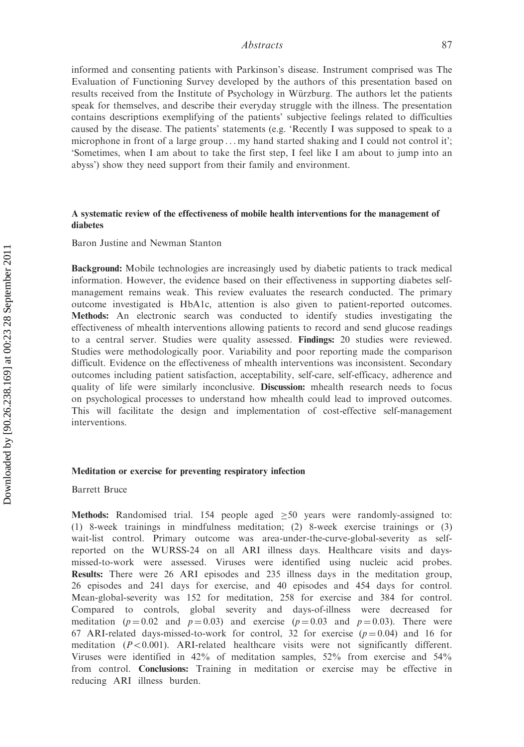informed and consenting patients with Parkinson's disease. Instrument comprised was The Evaluation of Functioning Survey developed by the authors of this presentation based on results received from the Institute of Psychology in Wu¨rzburg. The authors let the patients speak for themselves, and describe their everyday struggle with the illness. The presentation contains descriptions exemplifying of the patients' subjective feelings related to difficulties caused by the disease. The patients' statements (e.g. 'Recently I was supposed to speak to a microphone in front of a large group ... my hand started shaking and I could not control it'; 'Sometimes, when I am about to take the first step, I feel like I am about to jump into an abyss') show they need support from their family and environment.

### A systematic review of the effectiveness of mobile health interventions for the management of diabetes

Baron Justine and Newman Stanton

Background: Mobile technologies are increasingly used by diabetic patients to track medical information. However, the evidence based on their effectiveness in supporting diabetes selfmanagement remains weak. This review evaluates the research conducted. The primary outcome investigated is HbA1c, attention is also given to patient-reported outcomes. Methods: An electronic search was conducted to identify studies investigating the effectiveness of mhealth interventions allowing patients to record and send glucose readings to a central server. Studies were quality assessed. Findings: 20 studies were reviewed. Studies were methodologically poor. Variability and poor reporting made the comparison difficult. Evidence on the effectiveness of mhealth interventions was inconsistent. Secondary outcomes including patient satisfaction, acceptability, self-care, self-efficacy, adherence and quality of life were similarly inconclusive. Discussion: mhealth research needs to focus on psychological processes to understand how mhealth could lead to improved outcomes. This will facilitate the design and implementation of cost-effective self-management interventions.

#### Meditation or exercise for preventing respiratory infection

#### Barrett Bruce

**Methods:** Randomised trial. 154 people aged  $> 50$  years were randomly-assigned to: (1) 8-week trainings in mindfulness meditation; (2) 8-week exercise trainings or (3) wait-list control. Primary outcome was area-under-the-curve-global-severity as selfreported on the WURSS-24 on all ARI illness days. Healthcare visits and daysmissed-to-work were assessed. Viruses were identified using nucleic acid probes. Results: There were 26 ARI episodes and 235 illness days in the meditation group, 26 episodes and 241 days for exercise, and 40 episodes and 454 days for control. Mean-global-severity was 152 for meditation, 258 for exercise and 384 for control. Compared to controls, global severity and days-of-illness were decreased meditation ( $p = 0.02$  and  $p = 0.03$ ) and exercise ( $p = 0.03$  and  $p = 0.03$ ). There were 67 ARI-related days-missed-to-work for control, 32 for exercise  $(p=0.04)$  and 16 for meditation  $(P<0.001)$ . ARI-related healthcare visits were not significantly different. Viruses were identified in 42% of meditation samples, 52% from exercise and 54% from control. Conclusions: Training in meditation or exercise may be effective in reducing ARI illness burden.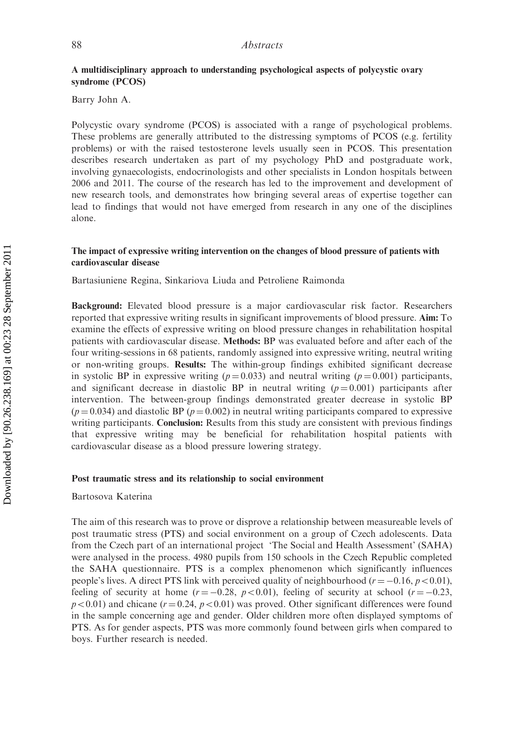### A multidisciplinary approach to understanding psychological aspects of polycystic ovary syndrome (PCOS)

Barry John A.

Polycystic ovary syndrome (PCOS) is associated with a range of psychological problems. These problems are generally attributed to the distressing symptoms of PCOS (e.g. fertility problems) or with the raised testosterone levels usually seen in PCOS. This presentation describes research undertaken as part of my psychology PhD and postgraduate work, involving gynaecologists, endocrinologists and other specialists in London hospitals between 2006 and 2011. The course of the research has led to the improvement and development of new research tools, and demonstrates how bringing several areas of expertise together can lead to findings that would not have emerged from research in any one of the disciplines alone.

### The impact of expressive writing intervention on the changes of blood pressure of patients with cardiovascular disease

Bartasiuniene Regina, Sinkariova Liuda and Petroliene Raimonda

Background: Elevated blood pressure is a major cardiovascular risk factor. Researchers reported that expressive writing results in significant improvements of blood pressure. Aim: To examine the effects of expressive writing on blood pressure changes in rehabilitation hospital patients with cardiovascular disease. Methods: BP was evaluated before and after each of the four writing-sessions in 68 patients, randomly assigned into expressive writing, neutral writing or non-writing groups. Results: The within-group findings exhibited significant decrease in systolic BP in expressive writing ( $p = 0.033$ ) and neutral writing ( $p = 0.001$ ) participants, and significant decrease in diastolic BP in neutral writing  $(p=0.001)$  participants after intervention. The between-group findings demonstrated greater decrease in systolic BP  $(p = 0.034)$  and diastolic BP ( $p = 0.002$ ) in neutral writing participants compared to expressive writing participants. Conclusion: Results from this study are consistent with previous findings that expressive writing may be beneficial for rehabilitation hospital patients with cardiovascular disease as a blood pressure lowering strategy.

#### Post traumatic stress and its relationship to social environment

#### Bartosova Katerina

The aim of this research was to prove or disprove a relationship between measureable levels of post traumatic stress (PTS) and social environment on a group of Czech adolescents. Data from the Czech part of an international project 'The Social and Health Assessment' (SAHA) were analysed in the process. 4980 pupils from 150 schools in the Czech Republic completed the SAHA questionnaire. PTS is a complex phenomenon which significantly influences people's lives. A direct PTS link with perceived quality of neighbourhood ( $r = -0.16$ ,  $p < 0.01$ ), feeling of security at home  $(r = -0.28, p < 0.01)$ , feeling of security at school  $(r = -0.23, p < 0.01)$  $p<0.01$ ) and chicane (r = 0.24,  $p<0.01$ ) was proved. Other significant differences were found in the sample concerning age and gender. Older children more often displayed symptoms of PTS. As for gender aspects, PTS was more commonly found between girls when compared to boys. Further research is needed.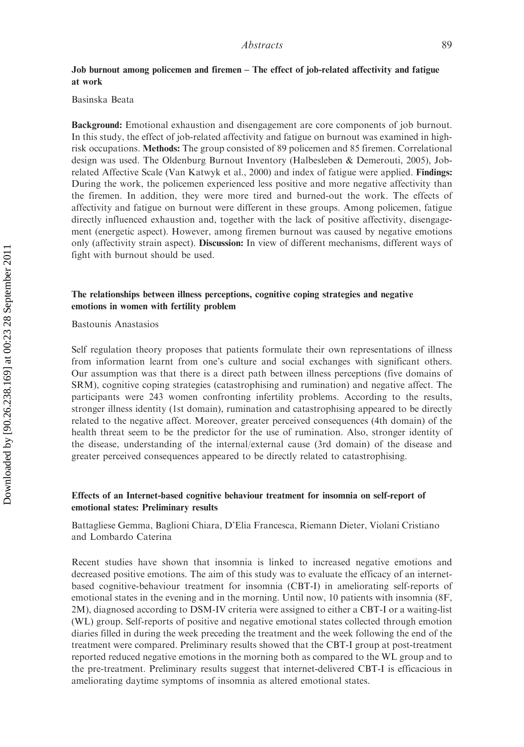### Job burnout among policemen and firemen – The effect of job-related affectivity and fatigue at work

#### Basinska Beata

Background: Emotional exhaustion and disengagement are core components of job burnout. In this study, the effect of job-related affectivity and fatigue on burnout was examined in highrisk occupations. Methods: The group consisted of 89 policemen and 85 firemen. Correlational design was used. The Oldenburg Burnout Inventory (Halbesleben & Demerouti, 2005), Jobrelated Affective Scale (Van Katwyk et al., 2000) and index of fatigue were applied. Findings: During the work, the policemen experienced less positive and more negative affectivity than the firemen. In addition, they were more tired and burned-out the work. The effects of affectivity and fatigue on burnout were different in these groups. Among policemen, fatigue directly influenced exhaustion and, together with the lack of positive affectivity, disengagement (energetic aspect). However, among firemen burnout was caused by negative emotions only (affectivity strain aspect). Discussion: In view of different mechanisms, different ways of fight with burnout should be used.

### The relationships between illness perceptions, cognitive coping strategies and negative emotions in women with fertility problem

### Bastounis Anastasios

Self regulation theory proposes that patients formulate their own representations of illness from information learnt from one's culture and social exchanges with significant others. Our assumption was that there is a direct path between illness perceptions (five domains of SRM), cognitive coping strategies (catastrophising and rumination) and negative affect. The participants were 243 women confronting infertility problems. According to the results, stronger illness identity (1st domain), rumination and catastrophising appeared to be directly related to the negative affect. Moreover, greater perceived consequences (4th domain) of the health threat seem to be the predictor for the use of rumination. Also, stronger identity of the disease, understanding of the internal/external cause (3rd domain) of the disease and greater perceived consequences appeared to be directly related to catastrophising.

### Effects of an Internet-based cognitive behaviour treatment for insomnia on self-report of emotional states: Preliminary results

Battagliese Gemma, Baglioni Chiara, D'Elia Francesca, Riemann Dieter, Violani Cristiano and Lombardo Caterina

Recent studies have shown that insomnia is linked to increased negative emotions and decreased positive emotions. The aim of this study was to evaluate the efficacy of an internetbased cognitive-behaviour treatment for insomnia (CBT-I) in ameliorating self-reports of emotional states in the evening and in the morning. Until now, 10 patients with insomnia (8F, 2M), diagnosed according to DSM-IV criteria were assigned to either a CBT-I or a waiting-list (WL) group. Self-reports of positive and negative emotional states collected through emotion diaries filled in during the week preceding the treatment and the week following the end of the treatment were compared. Preliminary results showed that the CBT-I group at post-treatment reported reduced negative emotions in the morning both as compared to the WL group and to the pre-treatment. Preliminary results suggest that internet-delivered CBT-I is efficacious in ameliorating daytime symptoms of insomnia as altered emotional states.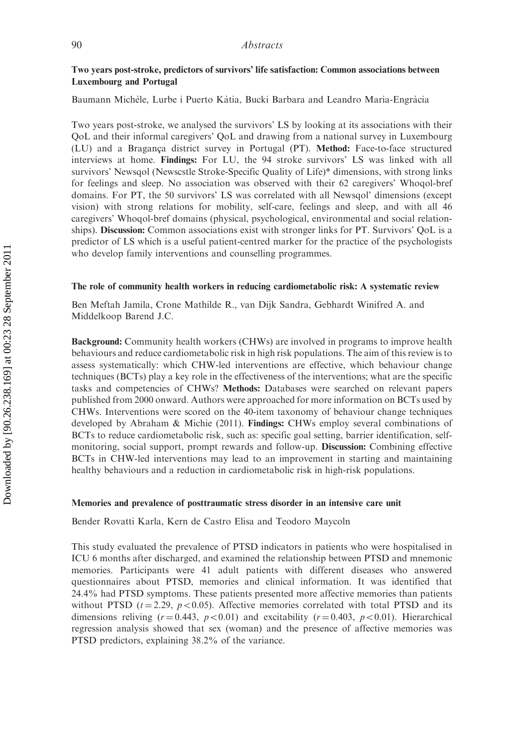### Two years post-stroke, predictors of survivors' life satisfaction: Common associations between Luxembourg and Portugal

Baumann Michèle, Lurbe i Puerto Kàtia, Bucki Barbara and Leandro Maria-Engràcia

Two years post-stroke, we analysed the survivors' LS by looking at its associations with their QoL and their informal caregivers' QoL and drawing from a national survey in Luxembourg (LU) and a Bragança district survey in Portugal (PT). Method: Face-to-face structured interviews at home. Findings: For LU, the 94 stroke survivors' LS was linked with all survivors' Newsqol (Newscstle Stroke-Specific Quality of Life)\* dimensions, with strong links for feelings and sleep. No association was observed with their 62 caregivers' Whoqol-bref domains. For PT, the 50 survivors' LS was correlated with all Newsqol' dimensions (except vision) with strong relations for mobility, self-care, feelings and sleep, and with all 46 caregivers' Whoqol-bref domains (physical, psychological, environmental and social relationships). Discussion: Common associations exist with stronger links for PT. Survivors' QoL is a predictor of LS which is a useful patient-centred marker for the practice of the psychologists who develop family interventions and counselling programmes.

### The role of community health workers in reducing cardiometabolic risk: A systematic review

Ben Meftah Jamila, Crone Mathilde R., van Dijk Sandra, Gebhardt Winifred A. and Middelkoop Barend J.C.

Background: Community health workers (CHWs) are involved in programs to improve health behaviours and reduce cardiometabolic risk in high risk populations. The aim of this review is to assess systematically: which CHW-led interventions are effective, which behaviour change techniques (BCTs) play a key role in the effectiveness of the interventions; what are the specific tasks and competencies of CHWs? Methods: Databases were searched on relevant papers published from 2000 onward. Authors were approached for more information on BCTs used by CHWs. Interventions were scored on the 40-item taxonomy of behaviour change techniques developed by Abraham & Michie (2011). Findings: CHWs employ several combinations of BCTs to reduce cardiometabolic risk, such as: specific goal setting, barrier identification, selfmonitoring, social support, prompt rewards and follow-up. Discussion: Combining effective BCTs in CHW-led interventions may lead to an improvement in starting and maintaining healthy behaviours and a reduction in cardiometabolic risk in high-risk populations.

#### Memories and prevalence of posttraumatic stress disorder in an intensive care unit

Bender Rovatti Karla, Kern de Castro Elisa and Teodoro Maycoln

This study evaluated the prevalence of PTSD indicators in patients who were hospitalised in ICU 6 months after discharged, and examined the relationship between PTSD and mnemonic memories. Participants were 41 adult patients with different diseases who answered questionnaires about PTSD, memories and clinical information. It was identified that 24.4% had PTSD symptoms. These patients presented more affective memories than patients without PTSD ( $t = 2.29$ ,  $p < 0.05$ ). Affective memories correlated with total PTSD and its dimensions reliving ( $r = 0.443$ ,  $p < 0.01$ ) and excitability ( $r = 0.403$ ,  $p < 0.01$ ). Hierarchical regression analysis showed that sex (woman) and the presence of affective memories was PTSD predictors, explaining 38.2% of the variance.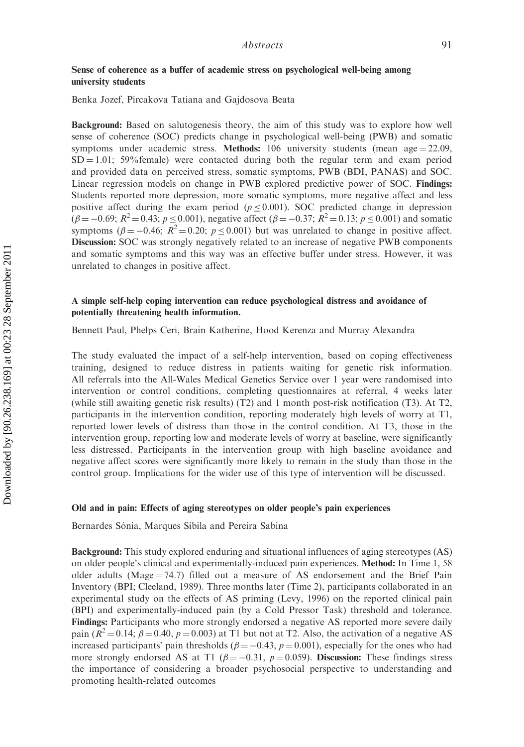### Sense of coherence as a buffer of academic stress on psychological well-being among university students

Benka Jozef, Pircakova Tatiana and Gajdosova Beata

Background: Based on salutogenesis theory, the aim of this study was to explore how well sense of coherence (SOC) predicts change in psychological well-being (PWB) and somatic symptoms under academic stress. Methods: 106 university students (mean age = 22.09,  $SD = 1.01$ ; 59%female) were contacted during both the regular term and exam period and provided data on perceived stress, somatic symptoms, PWB (BDI, PANAS) and SOC. Linear regression models on change in PWB explored predictive power of SOC. Findings: Students reported more depression, more somatic symptoms, more negative affect and less positive affect during the exam period ( $p \le 0.001$ ). SOC predicted change in depression  $(\beta = -0.69; R^2 = 0.43; p \le 0.001)$ , negative affect  $(\beta = -0.37; R^2 = 0.13; p \le 0.001)$  and somatic symptoms ( $\beta = -0.46$ ;  $R^2 = 0.20$ ;  $p \le 0.001$ ) but was unrelated to change in positive affect. Discussion: SOC was strongly negatively related to an increase of negative PWB components and somatic symptoms and this way was an effective buffer under stress. However, it was unrelated to changes in positive affect.

### A simple self-help coping intervention can reduce psychological distress and avoidance of potentially threatening health information.

Bennett Paul, Phelps Ceri, Brain Katherine, Hood Kerenza and Murray Alexandra

The study evaluated the impact of a self-help intervention, based on coping effectiveness training, designed to reduce distress in patients waiting for genetic risk information. All referrals into the All-Wales Medical Genetics Service over 1 year were randomised into intervention or control conditions, completing questionnaires at referral, 4 weeks later (while still awaiting genetic risk results) (T2) and 1 month post-risk notification (T3). At T2, participants in the intervention condition, reporting moderately high levels of worry at T1, reported lower levels of distress than those in the control condition. At T3, those in the intervention group, reporting low and moderate levels of worry at baseline, were significantly less distressed. Participants in the intervention group with high baseline avoidance and negative affect scores were significantly more likely to remain in the study than those in the control group. Implications for the wider use of this type of intervention will be discussed.

### Old and in pain: Effects of aging stereotypes on older people's pain experiences

Bernardes Sónia, Marques Sibila and Pereira Sabina

Background: This study explored enduring and situational influences of aging stereotypes (AS) on older people's clinical and experimentally-induced pain experiences. Method: In Time 1, 58 older adults (Mage  $= 74.7$ ) filled out a measure of AS endorsement and the Brief Pain Inventory (BPI; Cleeland, 1989). Three months later (Time 2), participants collaborated in an experimental study on the effects of AS priming (Levy, 1996) on the reported clinical pain (BPI) and experimentally-induced pain (by a Cold Pressor Task) threshold and tolerance. Findings: Participants who more strongly endorsed a negative AS reported more severe daily pain  $(R^2 = 0.14$ ;  $\beta = 0.40$ ,  $p = 0.003$ ) at T1 but not at T2. Also, the activation of a negative AS increased participants' pain thresholds ( $\beta = -0.43$ ,  $p = 0.001$ ), especially for the ones who had more strongly endorsed AS at T1 ( $\beta = -0.31$ ,  $p = 0.059$ ). Discussion: These findings stress the importance of considering a broader psychosocial perspective to understanding and promoting health-related outcomes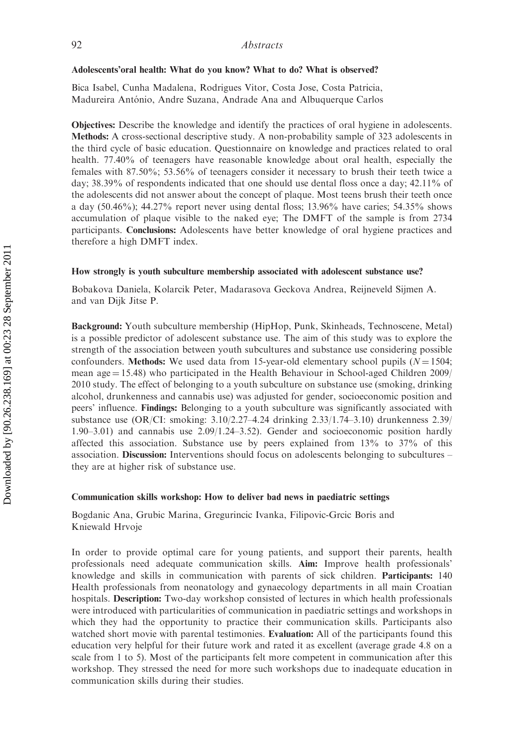### Adolescents'oral health: What do you know? What to do? What is observed?

Bica Isabel, Cunha Madalena, Rodrigues Vitor, Costa Jose, Costa Patricia, Madureira António, Andre Suzana, Andrade Ana and Albuquerque Carlos

Objectives: Describe the knowledge and identify the practices of oral hygiene in adolescents. Methods: A cross-sectional descriptive study. A non-probability sample of 323 adolescents in the third cycle of basic education. Questionnaire on knowledge and practices related to oral health. 77.40% of teenagers have reasonable knowledge about oral health, especially the females with 87.50%; 53.56% of teenagers consider it necessary to brush their teeth twice a day; 38.39% of respondents indicated that one should use dental floss once a day; 42.11% of the adolescents did not answer about the concept of plaque. Most teens brush their teeth once a day  $(50.46\%)$ ; 44.27% report never using dental floss; 13.96% have caries; 54.35% shows accumulation of plaque visible to the naked eye; The DMFT of the sample is from 2734 participants. Conclusions: Adolescents have better knowledge of oral hygiene practices and therefore a high DMFT index.

#### How strongly is youth subculture membership associated with adolescent substance use?

Bobakova Daniela, Kolarcik Peter, Madarasova Geckova Andrea, Reijneveld Sijmen A. and van Dijk Jitse P.

Background: Youth subculture membership (HipHop, Punk, Skinheads, Technoscene, Metal) is a possible predictor of adolescent substance use. The aim of this study was to explore the strength of the association between youth subcultures and substance use considering possible confounders. Methods: We used data from 15-year-old elementary school pupils ( $N = 1504$ ; mean age  $= 15.48$ ) who participated in the Health Behaviour in School-aged Children 2009/ 2010 study. The effect of belonging to a youth subculture on substance use (smoking, drinking alcohol, drunkenness and cannabis use) was adjusted for gender, socioeconomic position and peers' influence. Findings: Belonging to a youth subculture was significantly associated with substance use (OR/CI: smoking: 3.10/2.27–4.24 drinking 2.33/1.74–3.10) drunkenness 2.39/ 1.90–3.01) and cannabis use 2.09/1.24–3.52). Gender and socioeconomic position hardly affected this association. Substance use by peers explained from 13% to 37% of this association. Discussion: Interventions should focus on adolescents belonging to subcultures – they are at higher risk of substance use.

#### Communication skills workshop: How to deliver bad news in paediatric settings

Bogdanic Ana, Grubic Marina, Gregurincic Ivanka, Filipovic-Grcic Boris and Kniewald Hrvoje

In order to provide optimal care for young patients, and support their parents, health professionals need adequate communication skills. Aim: Improve health professionals' knowledge and skills in communication with parents of sick children. Participants: 140 Health professionals from neonatology and gynaecology departments in all main Croatian hospitals. Description: Two-day workshop consisted of lectures in which health professionals were introduced with particularities of communication in paediatric settings and workshops in which they had the opportunity to practice their communication skills. Participants also watched short movie with parental testimonies. **Evaluation:** All of the participants found this education very helpful for their future work and rated it as excellent (average grade 4.8 on a scale from 1 to 5). Most of the participants felt more competent in communication after this workshop. They stressed the need for more such workshops due to inadequate education in communication skills during their studies.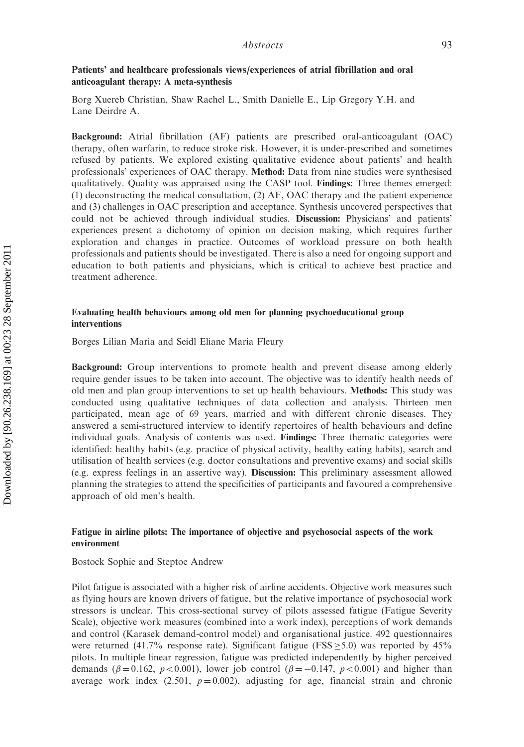Borg Xuereb Christian, Shaw Rachel L., Smith Danielle E., Lip Gregory Y.H. and Lane Deirdre A.

Background: Atrial fibrillation (AF) patients are prescribed oral-anticoagulant (OAC) therapy, often warfarin, to reduce stroke risk. However, it is under-prescribed and sometimes refused by patients. We explored existing qualitative evidence about patients' and health professionals' experiences of OAC therapy. Method: Data from nine studies were synthesised qualitatively. Quality was appraised using the CASP tool. Findings: Three themes emerged: (1) deconstructing the medical consultation, (2) AF, OAC therapy and the patient experience and (3) challenges in OAC prescription and acceptance. Synthesis uncovered perspectives that could not be achieved through individual studies. Discussion: Physicians' and patients' experiences present a dichotomy of opinion on decision making, which requires further exploration and changes in practice. Outcomes of workload pressure on both health professionals and patients should be investigated. There is also a need for ongoing support and education to both patients and physicians, which is critical to achieve best practice and treatment adherence.

### Evaluating health behaviours among old men for planning psychoeducational group interventions

Borges Lilian Maria and Seidl Eliane Maria Fleury

Background: Group interventions to promote health and prevent disease among elderly require gender issues to be taken into account. The objective was to identify health needs of old men and plan group interventions to set up health behaviours. Methods: This study was conducted using qualitative techniques of data collection and analysis. Thirteen men participated, mean age of 69 years, married and with different chronic diseases. They answered a semi-structured interview to identify repertoires of health behaviours and define individual goals. Analysis of contents was used. Findings: Three thematic categories were identified: healthy habits (e.g. practice of physical activity, healthy eating habits), search and utilisation of health services (e.g. doctor consultations and preventive exams) and social skills (e.g. express feelings in an assertive way). Discussion: This preliminary assessment allowed planning the strategies to attend the specificities of participants and favoured a comprehensive approach of old men's health.

### Fatigue in airline pilots: The importance of objective and psychosocial aspects of the work environment

Bostock Sophie and Steptoe Andrew

Pilot fatigue is associated with a higher risk of airline accidents. Objective work measures such as flying hours are known drivers of fatigue, but the relative importance of psychosocial work stressors is unclear. This cross-sectional survey of pilots assessed fatigue (Fatigue Severity Scale), objective work measures (combined into a work index), perceptions of work demands and control (Karasek demand-control model) and organisational justice. 492 questionnaires were returned (41.7% response rate). Significant fatigue (FSS  $\geq$  5.0) was reported by 45% pilots. In multiple linear regression, fatigue was predicted independently by higher perceived demands ( $\beta = 0.162$ ,  $p < 0.001$ ), lower job control ( $\beta = -0.147$ ,  $p < 0.001$ ) and higher than average work index (2.501,  $p = 0.002$ ), adjusting for age, financial strain and chronic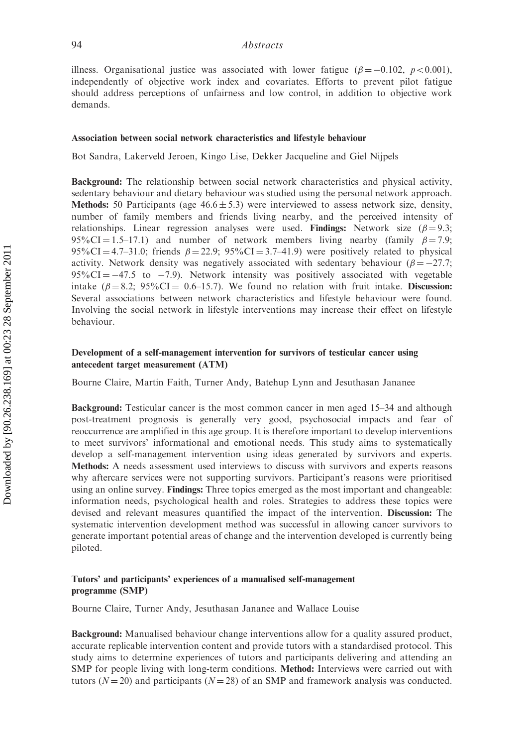illness. Organisational justice was associated with lower fatigue ( $\beta = -0.102$ ,  $p < 0.001$ ), independently of objective work index and covariates. Efforts to prevent pilot fatigue should address perceptions of unfairness and low control, in addition to objective work demands.

#### Association between social network characteristics and lifestyle behaviour

Bot Sandra, Lakerveld Jeroen, Kingo Lise, Dekker Jacqueline and Giel Nijpels

Background: The relationship between social network characteristics and physical activity, sedentary behaviour and dietary behaviour was studied using the personal network approach. **Methods:** 50 Participants (age  $46.6 \pm 5.3$ ) were interviewed to assess network size, density, number of family members and friends living nearby, and the perceived intensity of relationships. Linear regression analyses were used. Findings: Network size ( $\beta = 9.3$ ;  $95\% \text{CI} = 1.5 \text{--} 17.1$ ) and number of network members living nearby (family  $\beta = 7.9$ ;  $95\%CI = 4.7 - 31.0$ ; friends  $\beta = 22.9$ ;  $95\%CI = 3.7 - 41.9$ ) were positively related to physical activity. Network density was negatively associated with sedentary behaviour ( $\beta = -27.7$ ;  $95\%$ CI  $=$  -47.5 to -7.9). Network intensity was positively associated with vegetable intake  $(\beta = 8.2; 95\% \text{CI} = 0.6-15.7)$ . We found no relation with fruit intake. Discussion: Several associations between network characteristics and lifestyle behaviour were found. Involving the social network in lifestyle interventions may increase their effect on lifestyle behaviour.

### Development of a self-management intervention for survivors of testicular cancer using antecedent target measurement (ATM)

Bourne Claire, Martin Faith, Turner Andy, Batehup Lynn and Jesuthasan Jananee

Background: Testicular cancer is the most common cancer in men aged 15–34 and although post-treatment prognosis is generally very good, psychosocial impacts and fear of reoccurrence are amplified in this age group. It is therefore important to develop interventions to meet survivors' informational and emotional needs. This study aims to systematically develop a self-management intervention using ideas generated by survivors and experts. Methods: A needs assessment used interviews to discuss with survivors and experts reasons why aftercare services were not supporting survivors. Participant's reasons were prioritised using an online survey. Findings: Three topics emerged as the most important and changeable: information needs, psychological health and roles. Strategies to address these topics were devised and relevant measures quantified the impact of the intervention. Discussion: The systematic intervention development method was successful in allowing cancer survivors to generate important potential areas of change and the intervention developed is currently being piloted.

### Tutors' and participants' experiences of a manualised self-management programme (SMP)

Bourne Claire, Turner Andy, Jesuthasan Jananee and Wallace Louise

Background: Manualised behaviour change interventions allow for a quality assured product, accurate replicable intervention content and provide tutors with a standardised protocol. This study aims to determine experiences of tutors and participants delivering and attending an SMP for people living with long-term conditions. **Method:** Interviews were carried out with tutors ( $N = 20$ ) and participants ( $N = 28$ ) of an SMP and framework analysis was conducted.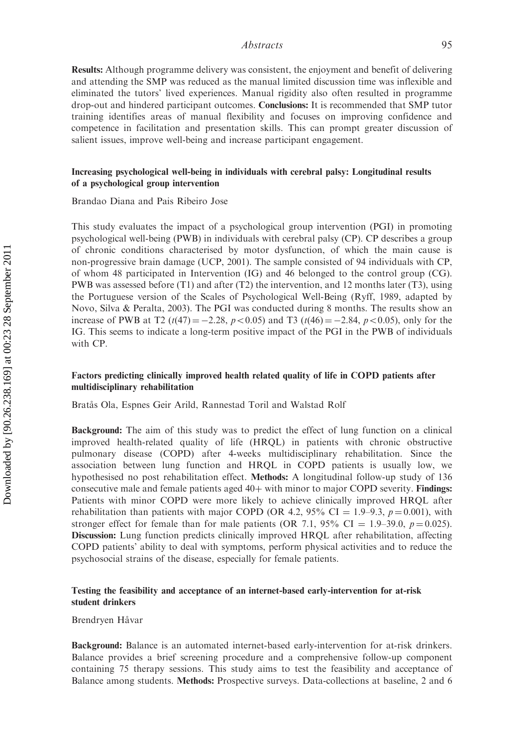Results: Although programme delivery was consistent, the enjoyment and benefit of delivering and attending the SMP was reduced as the manual limited discussion time was inflexible and eliminated the tutors' lived experiences. Manual rigidity also often resulted in programme drop-out and hindered participant outcomes. Conclusions: It is recommended that SMP tutor training identifies areas of manual flexibility and focuses on improving confidence and competence in facilitation and presentation skills. This can prompt greater discussion of salient issues, improve well-being and increase participant engagement.

### Increasing psychological well-being in individuals with cerebral palsy: Longitudinal results of a psychological group intervention

Brandao Diana and Pais Ribeiro Jose

This study evaluates the impact of a psychological group intervention (PGI) in promoting psychological well-being (PWB) in individuals with cerebral palsy (CP). CP describes a group of chronic conditions characterised by motor dysfunction, of which the main cause is non-progressive brain damage (UCP, 2001). The sample consisted of 94 individuals with CP, of whom 48 participated in Intervention (IG) and 46 belonged to the control group (CG). PWB was assessed before (T1) and after (T2) the intervention, and 12 months later (T3), using the Portuguese version of the Scales of Psychological Well-Being (Ryff, 1989, adapted by Novo, Silva & Peralta, 2003). The PGI was conducted during 8 months. The results show an increase of PWB at T2 ( $t(47) = -2.28$ ,  $p < 0.05$ ) and T3 ( $t(46) = -2.84$ ,  $p < 0.05$ ), only for the IG. This seems to indicate a long-term positive impact of the PGI in the PWB of individuals with CP.

### Factors predicting clinically improved health related quality of life in COPD patients after multidisciplinary rehabilitation

Bratås Ola, Espnes Geir Arild, Rannestad Toril and Walstad Rolf

Background: The aim of this study was to predict the effect of lung function on a clinical improved health-related quality of life (HRQL) in patients with chronic obstructive pulmonary disease (COPD) after 4-weeks multidisciplinary rehabilitation. Since the association between lung function and HRQL in COPD patients is usually low, we hypothesised no post rehabilitation effect. Methods: A longitudinal follow-up study of 136 consecutive male and female patients aged  $40<sub>+</sub>$  with minor to major COPD severity. Findings: Patients with minor COPD were more likely to achieve clinically improved HRQL after rehabilitation than patients with major COPD (OR 4.2, 95% CI = 1.9–9.3,  $p = 0.001$ ), with stronger effect for female than for male patients (OR 7.1, 95% CI = 1.9–39.0,  $p = 0.025$ ). Discussion: Lung function predicts clinically improved HRQL after rehabilitation, affecting COPD patients' ability to deal with symptoms, perform physical activities and to reduce the psychosocial strains of the disease, especially for female patients.

### Testing the feasibility and acceptance of an internet-based early-intervention for at-risk student drinkers

Brendryen Håvar

Background: Balance is an automated internet-based early-intervention for at-risk drinkers. Balance provides a brief screening procedure and a comprehensive follow-up component containing 75 therapy sessions. This study aims to test the feasibility and acceptance of Balance among students. Methods: Prospective surveys. Data-collections at baseline, 2 and 6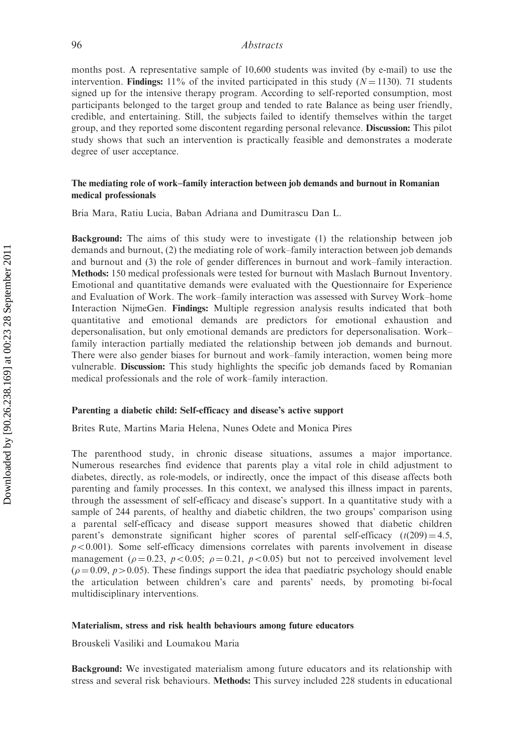months post. A representative sample of 10,600 students was invited (by e-mail) to use the intervention. Findings:  $11\%$  of the invited participated in this study ( $N = 1130$ ). 71 students signed up for the intensive therapy program. According to self-reported consumption, most participants belonged to the target group and tended to rate Balance as being user friendly, credible, and entertaining. Still, the subjects failed to identify themselves within the target group, and they reported some discontent regarding personal relevance. Discussion: This pilot study shows that such an intervention is practically feasible and demonstrates a moderate degree of user acceptance.

### The mediating role of work–family interaction between job demands and burnout in Romanian medical professionals

Bria Mara, Ratiu Lucia, Baban Adriana and Dumitrascu Dan L.

Background: The aims of this study were to investigate (1) the relationship between job demands and burnout, (2) the mediating role of work–family interaction between job demands and burnout and (3) the role of gender differences in burnout and work–family interaction. Methods: 150 medical professionals were tested for burnout with Maslach Burnout Inventory. Emotional and quantitative demands were evaluated with the Questionnaire for Experience and Evaluation of Work. The work–family interaction was assessed with Survey Work–home Interaction NijmeGen. Findings: Multiple regression analysis results indicated that both quantitative and emotional demands are predictors for emotional exhaustion and depersonalisation, but only emotional demands are predictors for depersonalisation. Work– family interaction partially mediated the relationship between job demands and burnout. There were also gender biases for burnout and work–family interaction, women being more vulnerable. Discussion: This study highlights the specific job demands faced by Romanian medical professionals and the role of work–family interaction.

#### Parenting a diabetic child: Self-efficacy and disease's active support

Brites Rute, Martins Maria Helena, Nunes Odete and Monica Pires

The parenthood study, in chronic disease situations, assumes a major importance. Numerous researches find evidence that parents play a vital role in child adjustment to diabetes, directly, as role-models, or indirectly, once the impact of this disease affects both parenting and family processes. In this context, we analysed this illness impact in parents, through the assessment of self-efficacy and disease's support. In a quantitative study with a sample of 244 parents, of healthy and diabetic children, the two groups' comparison using a parental self-efficacy and disease support measures showed that diabetic children parent's demonstrate significant higher scores of parental self-efficacy  $(t(209) = 4.5$ ,  $p<0.001$ ). Some self-efficacy dimensions correlates with parents involvement in disease management ( $\rho = 0.23$ ,  $p < 0.05$ ;  $\rho = 0.21$ ,  $p < 0.05$ ) but not to perceived involvement level ( $\rho$  = 0.09,  $p$  > 0.05). These findings support the idea that paediatric psychology should enable the articulation between children's care and parents' needs, by promoting bi-focal multidisciplinary interventions.

#### Materialism, stress and risk health behaviours among future educators

Brouskeli Vasiliki and Loumakou Maria

Background: We investigated materialism among future educators and its relationship with stress and several risk behaviours. Methods: This survey included 228 students in educational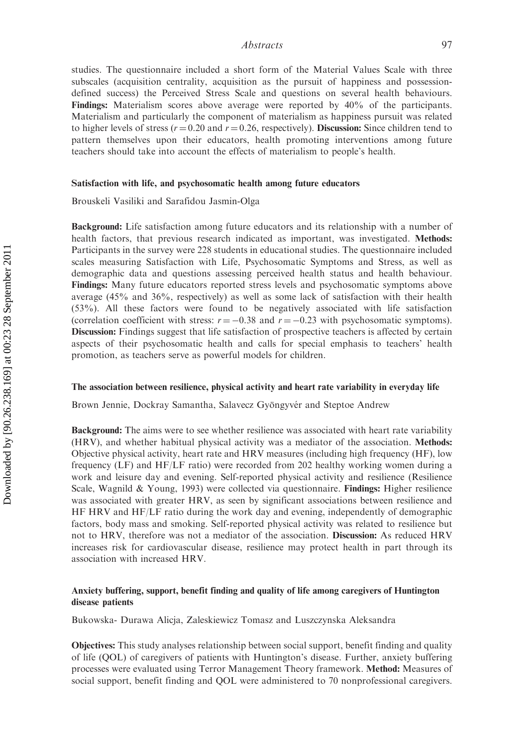studies. The questionnaire included a short form of the Material Values Scale with three subscales (acquisition centrality, acquisition as the pursuit of happiness and possessiondefined success) the Perceived Stress Scale and questions on several health behaviours. Findings: Materialism scores above average were reported by 40% of the participants. Materialism and particularly the component of materialism as happiness pursuit was related to higher levels of stress ( $r = 0.20$  and  $r = 0.26$ , respectively). Discussion: Since children tend to pattern themselves upon their educators, health promoting interventions among future teachers should take into account the effects of materialism to people's health.

#### Satisfaction with life, and psychosomatic health among future educators

Brouskeli Vasiliki and Sarafidou Jasmin-Olga

Background: Life satisfaction among future educators and its relationship with a number of health factors, that previous research indicated as important, was investigated. Methods: Participants in the survey were 228 students in educational studies. The questionnaire included scales measuring Satisfaction with Life, Psychosomatic Symptoms and Stress, as well as demographic data and questions assessing perceived health status and health behaviour. Findings: Many future educators reported stress levels and psychosomatic symptoms above average (45% and 36%, respectively) as well as some lack of satisfaction with their health (53%). All these factors were found to be negatively associated with life satisfaction (correlation coefficient with stress:  $r = -0.38$  and  $r = -0.23$  with psychosomatic symptoms). Discussion: Findings suggest that life satisfaction of prospective teachers is affected by certain aspects of their psychosomatic health and calls for special emphasis to teachers' health promotion, as teachers serve as powerful models for children.

### The association between resilience, physical activity and heart rate variability in everyday life

Brown Jennie, Dockray Samantha, Salavecz Gyöngyvér and Steptoe Andrew

**Background:** The aims were to see whether resilience was associated with heart rate variability (HRV), and whether habitual physical activity was a mediator of the association. Methods: Objective physical activity, heart rate and HRV measures (including high frequency (HF), low frequency (LF) and HF/LF ratio) were recorded from 202 healthy working women during a work and leisure day and evening. Self-reported physical activity and resilience (Resilience Scale, Wagnild & Young, 1993) were collected via questionnaire. Findings: Higher resilience was associated with greater HRV, as seen by significant associations between resilience and HF HRV and HF/LF ratio during the work day and evening, independently of demographic factors, body mass and smoking. Self-reported physical activity was related to resilience but not to HRV, therefore was not a mediator of the association. Discussion: As reduced HRV increases risk for cardiovascular disease, resilience may protect health in part through its association with increased HRV.

### Anxiety buffering, support, benefit finding and quality of life among caregivers of Huntington disease patients

Bukowska- Durawa Alicja, Zaleskiewicz Tomasz and Luszczynska Aleksandra

Objectives: This study analyses relationship between social support, benefit finding and quality of life (QOL) of caregivers of patients with Huntington's disease. Further, anxiety buffering processes were evaluated using Terror Management Theory framework. Method: Measures of social support, benefit finding and QOL were administered to 70 nonprofessional caregivers.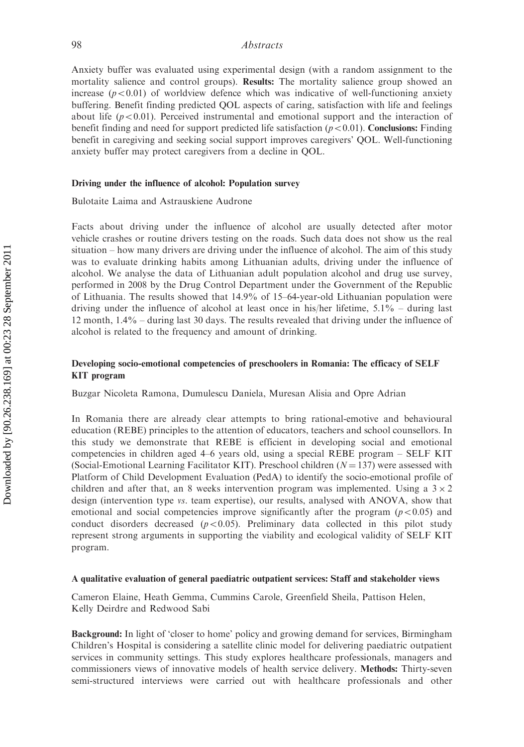Anxiety buffer was evaluated using experimental design (with a random assignment to the mortality salience and control groups). Results: The mortality salience group showed an increase  $(p<0.01)$  of worldview defence which was indicative of well-functioning anxiety buffering. Benefit finding predicted QOL aspects of caring, satisfaction with life and feelings about life  $(p<0.01)$ . Perceived instrumental and emotional support and the interaction of benefit finding and need for support predicted life satisfaction ( $p<0.01$ ). Conclusions: Finding benefit in caregiving and seeking social support improves caregivers' QOL. Well-functioning anxiety buffer may protect caregivers from a decline in QOL.

#### Driving under the influence of alcohol: Population survey

Bulotaite Laima and Astrauskiene Audrone

Facts about driving under the influence of alcohol are usually detected after motor vehicle crashes or routine drivers testing on the roads. Such data does not show us the real situation – how many drivers are driving under the influence of alcohol. The aim of this study was to evaluate drinking habits among Lithuanian adults, driving under the influence of alcohol. We analyse the data of Lithuanian adult population alcohol and drug use survey, performed in 2008 by the Drug Control Department under the Government of the Republic of Lithuania. The results showed that 14.9% of 15–64-year-old Lithuanian population were driving under the influence of alcohol at least once in his/her lifetime, 5.1% – during last 12 month, 1.4% – during last 30 days. The results revealed that driving under the influence of alcohol is related to the frequency and amount of drinking.

### Developing socio-emotional competencies of preschoolers in Romania: The efficacy of SELF KIT program

Buzgar Nicoleta Ramona, Dumulescu Daniela, Muresan Alisia and Opre Adrian

In Romania there are already clear attempts to bring rational-emotive and behavioural education (REBE) principles to the attention of educators, teachers and school counsellors. In this study we demonstrate that REBE is efficient in developing social and emotional competencies in children aged 4–6 years old, using a special REBE program – SELF KIT (Social-Emotional Learning Facilitator KIT). Preschool children  $(N = 137)$  were assessed with Platform of Child Development Evaluation (PedA) to identify the socio-emotional profile of children and after that, an 8 weeks intervention program was implemented. Using a  $3 \times 2$ design (intervention type vs. team expertise), our results, analysed with ANOVA, show that emotional and social competencies improve significantly after the program  $(p<0.05)$  and conduct disorders decreased  $(p<0.05)$ . Preliminary data collected in this pilot study represent strong arguments in supporting the viability and ecological validity of SELF KIT program.

#### A qualitative evaluation of general paediatric outpatient services: Staff and stakeholder views

Cameron Elaine, Heath Gemma, Cummins Carole, Greenfield Sheila, Pattison Helen, Kelly Deirdre and Redwood Sabi

Background: In light of 'closer to home' policy and growing demand for services, Birmingham Children's Hospital is considering a satellite clinic model for delivering paediatric outpatient services in community settings. This study explores healthcare professionals, managers and commissioners views of innovative models of health service delivery. Methods: Thirty-seven semi-structured interviews were carried out with healthcare professionals and other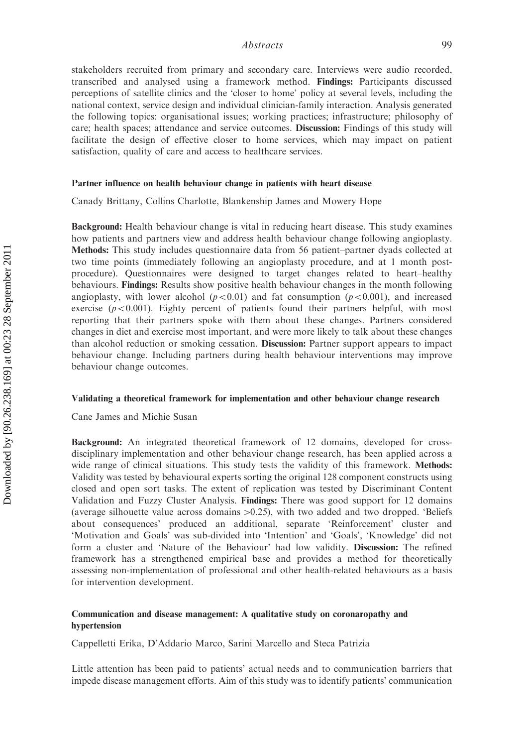stakeholders recruited from primary and secondary care. Interviews were audio recorded, transcribed and analysed using a framework method. Findings: Participants discussed perceptions of satellite clinics and the 'closer to home' policy at several levels, including the national context, service design and individual clinician-family interaction. Analysis generated the following topics: organisational issues; working practices; infrastructure; philosophy of care; health spaces; attendance and service outcomes. Discussion: Findings of this study will facilitate the design of effective closer to home services, which may impact on patient satisfaction, quality of care and access to healthcare services.

#### Partner influence on health behaviour change in patients with heart disease

Canady Brittany, Collins Charlotte, Blankenship James and Mowery Hope

Background: Health behaviour change is vital in reducing heart disease. This study examines how patients and partners view and address health behaviour change following angioplasty. Methods: This study includes questionnaire data from 56 patient–partner dyads collected at two time points (immediately following an angioplasty procedure, and at 1 month postprocedure). Questionnaires were designed to target changes related to heart–healthy behaviours. Findings: Results show positive health behaviour changes in the month following angioplasty, with lower alcohol ( $p<0.01$ ) and fat consumption ( $p<0.001$ ), and increased exercise ( $p<0.001$ ). Eighty percent of patients found their partners helpful, with most reporting that their partners spoke with them about these changes. Partners considered changes in diet and exercise most important, and were more likely to talk about these changes than alcohol reduction or smoking cessation. Discussion: Partner support appears to impact behaviour change. Including partners during health behaviour interventions may improve behaviour change outcomes.

#### Validating a theoretical framework for implementation and other behaviour change research

Cane James and Michie Susan

Background: An integrated theoretical framework of 12 domains, developed for crossdisciplinary implementation and other behaviour change research, has been applied across a wide range of clinical situations. This study tests the validity of this framework. Methods: Validity was tested by behavioural experts sorting the original 128 component constructs using closed and open sort tasks. The extent of replication was tested by Discriminant Content Validation and Fuzzy Cluster Analysis. Findings: There was good support for 12 domains (average silhouette value across domains  $>0.25$ ), with two added and two dropped. 'Beliefs about consequences' produced an additional, separate 'Reinforcement' cluster and 'Motivation and Goals' was sub-divided into 'Intention' and 'Goals', 'Knowledge' did not form a cluster and 'Nature of the Behaviour' had low validity. Discussion: The refined framework has a strengthened empirical base and provides a method for theoretically assessing non-implementation of professional and other health-related behaviours as a basis for intervention development.

### Communication and disease management: A qualitative study on coronaropathy and hypertension

Cappelletti Erika, D'Addario Marco, Sarini Marcello and Steca Patrizia

Little attention has been paid to patients' actual needs and to communication barriers that impede disease management efforts. Aim of this study was to identify patients' communication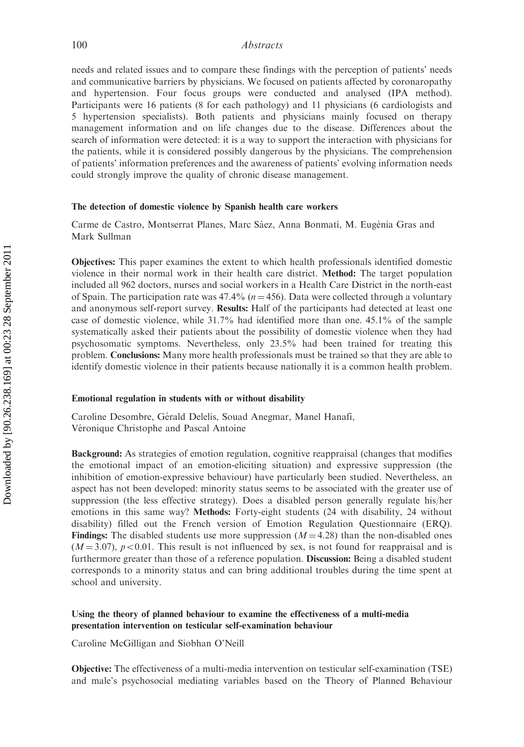needs and related issues and to compare these findings with the perception of patients' needs and communicative barriers by physicians. We focused on patients affected by coronaropathy and hypertension. Four focus groups were conducted and analysed (IPA method). Participants were 16 patients (8 for each pathology) and 11 physicians (6 cardiologists and 5 hypertension specialists). Both patients and physicians mainly focused on therapy management information and on life changes due to the disease. Differences about the search of information were detected: it is a way to support the interaction with physicians for the patients, while it is considered possibly dangerous by the physicians. The comprehension of patients' information preferences and the awareness of patients' evolving information needs could strongly improve the quality of chronic disease management.

#### The detection of domestic violence by Spanish health care workers

Carme de Castro, Montserrat Planes, Marc Sáez, Anna Bonmatí, M. Eugènia Gras and Mark Sullman

Objectives: This paper examines the extent to which health professionals identified domestic violence in their normal work in their health care district. Method: The target population included all 962 doctors, nurses and social workers in a Health Care District in the north-east of Spain. The participation rate was  $47.4\%$  ( $n = 456$ ). Data were collected through a voluntary and anonymous self-report survey. Results: Half of the participants had detected at least one case of domestic violence, while 31.7% had identified more than one. 45.1% of the sample systematically asked their patients about the possibility of domestic violence when they had psychosomatic symptoms. Nevertheless, only 23.5% had been trained for treating this problem. Conclusions: Many more health professionals must be trained so that they are able to identify domestic violence in their patients because nationally it is a common health problem.

#### Emotional regulation in students with or without disability

Caroline Desombre, Gérald Delelis, Souad Anegmar, Manel Hanafi, Véronique Christophe and Pascal Antoine

Background: As strategies of emotion regulation, cognitive reappraisal (changes that modifies the emotional impact of an emotion-eliciting situation) and expressive suppression (the inhibition of emotion-expressive behaviour) have particularly been studied. Nevertheless, an aspect has not been developed: minority status seems to be associated with the greater use of suppression (the less effective strategy). Does a disabled person generally regulate his/her emotions in this same way? Methods: Forty-eight students (24 with disability, 24 without disability) filled out the French version of Emotion Regulation Questionnaire (ERQ). **Findings:** The disabled students use more suppression  $(M = 4.28)$  than the non-disabled ones  $(M = 3.07)$ ,  $p < 0.01$ . This result is not influenced by sex, is not found for reappraisal and is furthermore greater than those of a reference population. Discussion: Being a disabled student corresponds to a minority status and can bring additional troubles during the time spent at school and university.

### Using the theory of planned behaviour to examine the effectiveness of a multi-media presentation intervention on testicular self-examination behaviour

Caroline McGilligan and Siobhan O'Neill

Objective: The effectiveness of a multi-media intervention on testicular self-examination (TSE) and male's psychosocial mediating variables based on the Theory of Planned Behaviour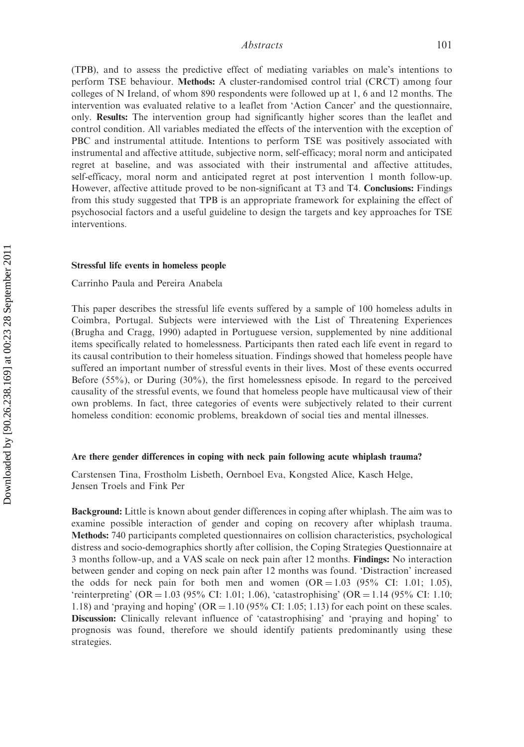(TPB), and to assess the predictive effect of mediating variables on male's intentions to perform TSE behaviour. Methods: A cluster-randomised control trial (CRCT) among four colleges of N Ireland, of whom 890 respondents were followed up at 1, 6 and 12 months. The intervention was evaluated relative to a leaflet from 'Action Cancer' and the questionnaire, only. Results: The intervention group had significantly higher scores than the leaflet and control condition. All variables mediated the effects of the intervention with the exception of PBC and instrumental attitude. Intentions to perform TSE was positively associated with instrumental and affective attitude, subjective norm, self-efficacy; moral norm and anticipated regret at baseline, and was associated with their instrumental and affective attitudes, self-efficacy, moral norm and anticipated regret at post intervention 1 month follow-up. However, affective attitude proved to be non-significant at T3 and T4. Conclusions: Findings from this study suggested that TPB is an appropriate framework for explaining the effect of psychosocial factors and a useful guideline to design the targets and key approaches for TSE interventions.

#### Stressful life events in homeless people

### Carrinho Paula and Pereira Anabela

This paper describes the stressful life events suffered by a sample of 100 homeless adults in Coimbra, Portugal. Subjects were interviewed with the List of Threatening Experiences (Brugha and Cragg, 1990) adapted in Portuguese version, supplemented by nine additional items specifically related to homelessness. Participants then rated each life event in regard to its causal contribution to their homeless situation. Findings showed that homeless people have suffered an important number of stressful events in their lives. Most of these events occurred Before (55%), or During (30%), the first homelessness episode. In regard to the perceived causality of the stressful events, we found that homeless people have multicausal view of their own problems. In fact, three categories of events were subjectively related to their current homeless condition: economic problems, breakdown of social ties and mental illnesses.

#### Are there gender differences in coping with neck pain following acute whiplash trauma?

Carstensen Tina, Frostholm Lisbeth, Oernboel Eva, Kongsted Alice, Kasch Helge, Jensen Troels and Fink Per

Background: Little is known about gender differences in coping after whiplash. The aim was to examine possible interaction of gender and coping on recovery after whiplash trauma. Methods: 740 participants completed questionnaires on collision characteristics, psychological distress and socio-demographics shortly after collision, the Coping Strategies Questionnaire at 3 months follow-up, and a VAS scale on neck pain after 12 months. Findings: No interaction between gender and coping on neck pain after 12 months was found. 'Distraction' increased the odds for neck pain for both men and women  $(OR = 1.03 \quad (95\% \quad CI: 1.01; 1.05)$ , 'reinterpreting' (OR = 1.03 (95% CI: 1.01; 1.06), 'catastrophising' (OR = 1.14 (95% CI: 1.10; 1.18) and 'praying and hoping' ( $OR = 1.10$  ( $95\%$  CI: 1.05; 1.13) for each point on these scales. Discussion: Clinically relevant influence of 'catastrophising' and 'praying and hoping' to prognosis was found, therefore we should identify patients predominantly using these strategies.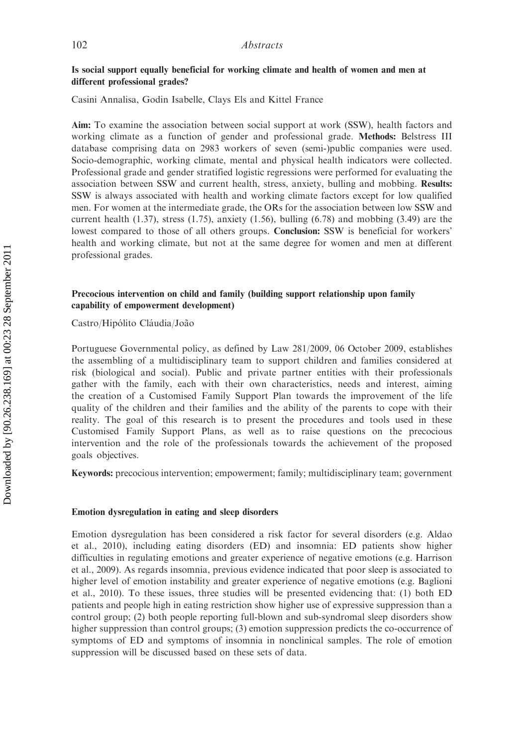### Is social support equally beneficial for working climate and health of women and men at different professional grades?

Casini Annalisa, Godin Isabelle, Clays Els and Kittel France

Aim: To examine the association between social support at work (SSW), health factors and working climate as a function of gender and professional grade. Methods: Belstress III database comprising data on 2983 workers of seven (semi-)public companies were used. Socio-demographic, working climate, mental and physical health indicators were collected. Professional grade and gender stratified logistic regressions were performed for evaluating the association between SSW and current health, stress, anxiety, bulling and mobbing. Results: SSW is always associated with health and working climate factors except for low qualified men. For women at the intermediate grade, the ORs for the association between low SSW and current health  $(1.37)$ , stress  $(1.75)$ , anxiety  $(1.56)$ , bulling  $(6.78)$  and mobbing  $(3.49)$  are the lowest compared to those of all others groups. Conclusion: SSW is beneficial for workers' health and working climate, but not at the same degree for women and men at different professional grades.

### Precocious intervention on child and family (building support relationship upon family capability of empowerment development)

Castro/Hipólito Cláudia/João

Portuguese Governmental policy, as defined by Law 281/2009, 06 October 2009, establishes the assembling of a multidisciplinary team to support children and families considered at risk (biological and social). Public and private partner entities with their professionals gather with the family, each with their own characteristics, needs and interest, aiming the creation of a Customised Family Support Plan towards the improvement of the life quality of the children and their families and the ability of the parents to cope with their reality. The goal of this research is to present the procedures and tools used in these Customised Family Support Plans, as well as to raise questions on the precocious intervention and the role of the professionals towards the achievement of the proposed goals objectives.

Keywords: precocious intervention; empowerment; family; multidisciplinary team; government

#### Emotion dysregulation in eating and sleep disorders

Emotion dysregulation has been considered a risk factor for several disorders (e.g. Aldao et al., 2010), including eating disorders (ED) and insomnia: ED patients show higher difficulties in regulating emotions and greater experience of negative emotions (e.g. Harrison et al., 2009). As regards insomnia, previous evidence indicated that poor sleep is associated to higher level of emotion instability and greater experience of negative emotions (e.g. Baglioni et al., 2010). To these issues, three studies will be presented evidencing that: (1) both ED patients and people high in eating restriction show higher use of expressive suppression than a control group; (2) both people reporting full-blown and sub-syndromal sleep disorders show higher suppression than control groups; (3) emotion suppression predicts the co-occurrence of symptoms of ED and symptoms of insomnia in nonclinical samples. The role of emotion suppression will be discussed based on these sets of data.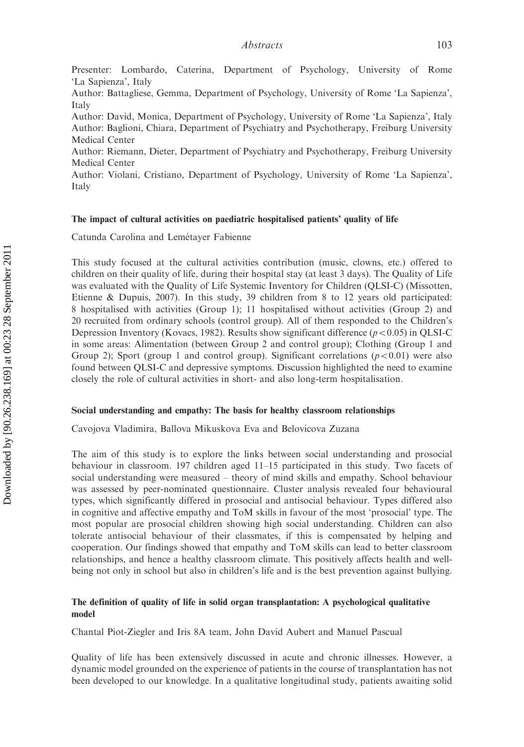Presenter: Lombardo, Caterina, Department of Psychology, University of Rome 'La Sapienza', Italy

Author: Battagliese, Gemma, Department of Psychology, University of Rome 'La Sapienza', Italy

Author: David, Monica, Department of Psychology, University of Rome 'La Sapienza', Italy Author: Baglioni, Chiara, Department of Psychiatry and Psychotherapy, Freiburg University Medical Center

Author: Riemann, Dieter, Department of Psychiatry and Psychotherapy, Freiburg University Medical Center

Author: Violani, Cristiano, Department of Psychology, University of Rome 'La Sapienza', Italy

#### The impact of cultural activities on paediatric hospitalised patients' quality of life

Catunda Carolina and Lemétayer Fabienne

This study focused at the cultural activities contribution (music, clowns, etc.) offered to children on their quality of life, during their hospital stay (at least 3 days). The Quality of Life was evaluated with the Quality of Life Systemic Inventory for Children (QLSI-C) (Missotten, Etienne & Dupuis, 2007). In this study, 39 children from 8 to 12 years old participated: 8 hospitalised with activities (Group 1); 11 hospitalised without activities (Group 2) and 20 recruited from ordinary schools (control group). All of them responded to the Children's Depression Inventory (Kovacs, 1982). Results show significant difference  $(p<0.05)$  in QLSI-C in some areas: Alimentation (between Group 2 and control group); Clothing (Group 1 and Group 2); Sport (group 1 and control group). Significant correlations  $(p<0.01)$  were also found between QLSI-C and depressive symptoms. Discussion highlighted the need to examine closely the role of cultural activities in short- and also long-term hospitalisation.

#### Social understanding and empathy: The basis for healthy classroom relationships

Cavojova Vladimira, Ballova Mikuskova Eva and Belovicova Zuzana

The aim of this study is to explore the links between social understanding and prosocial behaviour in classroom. 197 children aged 11–15 participated in this study. Two facets of social understanding were measured – theory of mind skills and empathy. School behaviour was assessed by peer-nominated questionnaire. Cluster analysis revealed four behavioural types, which significantly differed in prosocial and antisocial behaviour. Types differed also in cognitive and affective empathy and ToM skills in favour of the most 'prosocial' type. The most popular are prosocial children showing high social understanding. Children can also tolerate antisocial behaviour of their classmates, if this is compensated by helping and cooperation. Our findings showed that empathy and ToM skills can lead to better classroom relationships, and hence a healthy classroom climate. This positively affects health and wellbeing not only in school but also in children's life and is the best prevention against bullying.

### The definition of quality of life in solid organ transplantation: A psychological qualitative model

Chantal Piot-Ziegler and Iris 8A team, John David Aubert and Manuel Pascual

Quality of life has been extensively discussed in acute and chronic illnesses. However, a dynamic model grounded on the experience of patients in the course of transplantation has not been developed to our knowledge. In a qualitative longitudinal study, patients awaiting solid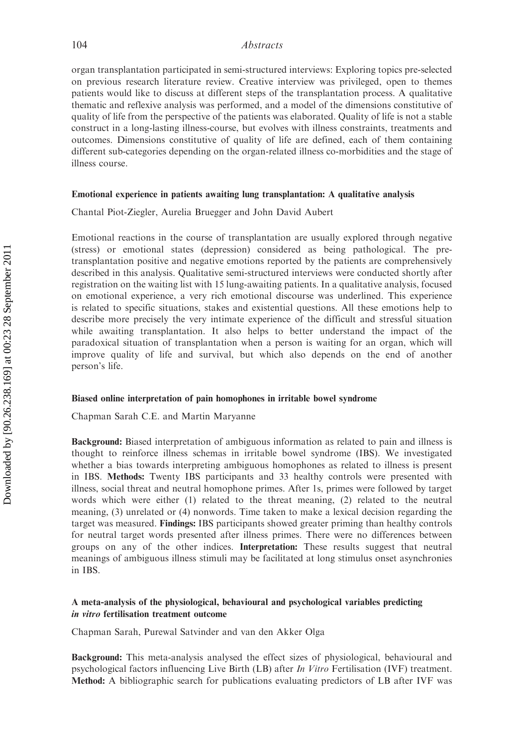organ transplantation participated in semi-structured interviews: Exploring topics pre-selected on previous research literature review. Creative interview was privileged, open to themes patients would like to discuss at different steps of the transplantation process. A qualitative thematic and reflexive analysis was performed, and a model of the dimensions constitutive of quality of life from the perspective of the patients was elaborated. Quality of life is not a stable construct in a long-lasting illness-course, but evolves with illness constraints, treatments and outcomes. Dimensions constitutive of quality of life are defined, each of them containing different sub-categories depending on the organ-related illness co-morbidities and the stage of illness course.

#### Emotional experience in patients awaiting lung transplantation: A qualitative analysis

Chantal Piot-Ziegler, Aurelia Bruegger and John David Aubert

Emotional reactions in the course of transplantation are usually explored through negative (stress) or emotional states (depression) considered as being pathological. The pretransplantation positive and negative emotions reported by the patients are comprehensively described in this analysis. Qualitative semi-structured interviews were conducted shortly after registration on the waiting list with 15 lung-awaiting patients. In a qualitative analysis, focused on emotional experience, a very rich emotional discourse was underlined. This experience is related to specific situations, stakes and existential questions. All these emotions help to describe more precisely the very intimate experience of the difficult and stressful situation while awaiting transplantation. It also helps to better understand the impact of the paradoxical situation of transplantation when a person is waiting for an organ, which will improve quality of life and survival, but which also depends on the end of another person's life.

#### Biased online interpretation of pain homophones in irritable bowel syndrome

Chapman Sarah C.E. and Martin Maryanne

Background: Biased interpretation of ambiguous information as related to pain and illness is thought to reinforce illness schemas in irritable bowel syndrome (IBS). We investigated whether a bias towards interpreting ambiguous homophones as related to illness is present in IBS. Methods: Twenty IBS participants and 33 healthy controls were presented with illness, social threat and neutral homophone primes. After 1s, primes were followed by target words which were either (1) related to the threat meaning, (2) related to the neutral meaning, (3) unrelated or (4) nonwords. Time taken to make a lexical decision regarding the target was measured. Findings: IBS participants showed greater priming than healthy controls for neutral target words presented after illness primes. There were no differences between groups on any of the other indices. Interpretation: These results suggest that neutral meanings of ambiguous illness stimuli may be facilitated at long stimulus onset asynchronies in IBS.

### A meta-analysis of the physiological, behavioural and psychological variables predicting in vitro fertilisation treatment outcome

Chapman Sarah, Purewal Satvinder and van den Akker Olga

Background: This meta-analysis analysed the effect sizes of physiological, behavioural and psychological factors influencing Live Birth (LB) after In Vitro Fertilisation (IVF) treatment. Method: A bibliographic search for publications evaluating predictors of LB after IVF was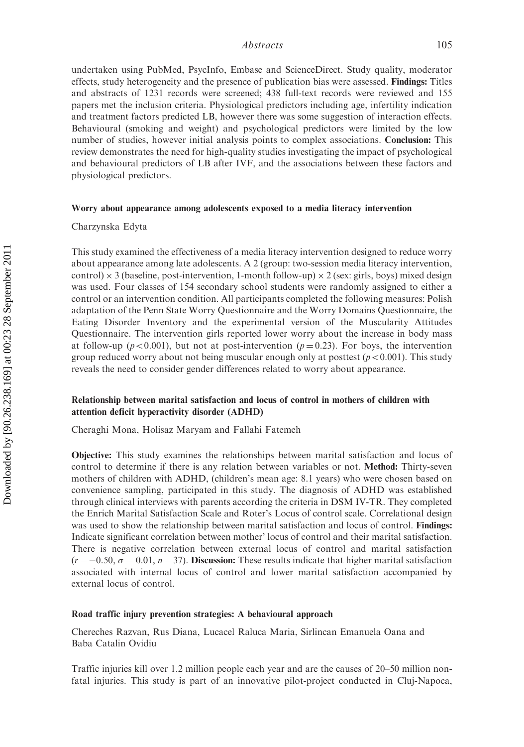undertaken using PubMed, PsycInfo, Embase and ScienceDirect. Study quality, moderator effects, study heterogeneity and the presence of publication bias were assessed. Findings: Titles and abstracts of 1231 records were screened; 438 full-text records were reviewed and 155 papers met the inclusion criteria. Physiological predictors including age, infertility indication and treatment factors predicted LB, however there was some suggestion of interaction effects. Behavioural (smoking and weight) and psychological predictors were limited by the low number of studies, however initial analysis points to complex associations. Conclusion: This review demonstrates the need for high-quality studies investigating the impact of psychological and behavioural predictors of LB after IVF, and the associations between these factors and physiological predictors.

#### Worry about appearance among adolescents exposed to a media literacy intervention

### Charzynska Edyta

This study examined the effectiveness of a media literacy intervention designed to reduce worry about appearance among late adolescents. A 2 (group: two-session media literacy intervention, control)  $\times$  3 (baseline, post-intervention, 1-month follow-up)  $\times$  2 (sex: girls, boys) mixed design was used. Four classes of 154 secondary school students were randomly assigned to either a control or an intervention condition. All participants completed the following measures: Polish adaptation of the Penn State Worry Questionnaire and the Worry Domains Questionnaire, the Eating Disorder Inventory and the experimental version of the Muscularity Attitudes Questionnaire. The intervention girls reported lower worry about the increase in body mass at follow-up ( $p<0.001$ ), but not at post-intervention ( $p=0.23$ ). For boys, the intervention group reduced worry about not being muscular enough only at posttest ( $p<0.001$ ). This study reveals the need to consider gender differences related to worry about appearance.

### Relationship between marital satisfaction and locus of control in mothers of children with attention deficit hyperactivity disorder (ADHD)

Cheraghi Mona, Holisaz Maryam and Fallahi Fatemeh

Objective: This study examines the relationships between marital satisfaction and locus of control to determine if there is any relation between variables or not. **Method:** Thirty-seven mothers of children with ADHD, (children's mean age: 8.1 years) who were chosen based on convenience sampling, participated in this study. The diagnosis of ADHD was established through clinical interviews with parents according the criteria in DSM IV-TR. They completed the Enrich Marital Satisfaction Scale and Roter's Locus of control scale. Correlational design was used to show the relationship between marital satisfaction and locus of control. **Findings:** Indicate significant correlation between mother' locus of control and their marital satisfaction. There is negative correlation between external locus of control and marital satisfaction  $(r = -0.50, \sigma = 0.01, n = 37)$ . Discussion: These results indicate that higher marital satisfaction associated with internal locus of control and lower marital satisfaction accompanied by external locus of control.

#### Road traffic injury prevention strategies: A behavioural approach

Chereches Razvan, Rus Diana, Lucacel Raluca Maria, Sirlincan Emanuela Oana and Baba Catalin Ovidiu

Traffic injuries kill over 1.2 million people each year and are the causes of 20–50 million nonfatal injuries. This study is part of an innovative pilot-project conducted in Cluj-Napoca,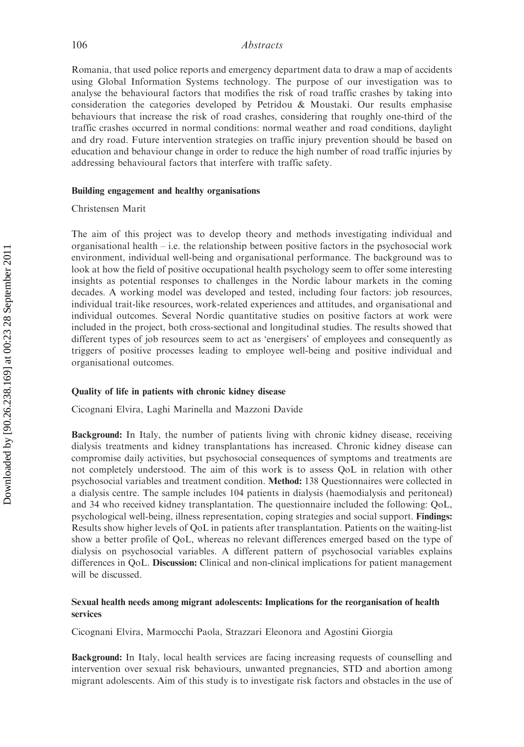Romania, that used police reports and emergency department data to draw a map of accidents using Global Information Systems technology. The purpose of our investigation was to analyse the behavioural factors that modifies the risk of road traffic crashes by taking into consideration the categories developed by Petridou  $\&$  Moustaki. Our results emphasise behaviours that increase the risk of road crashes, considering that roughly one-third of the traffic crashes occurred in normal conditions: normal weather and road conditions, daylight and dry road. Future intervention strategies on traffic injury prevention should be based on education and behaviour change in order to reduce the high number of road traffic injuries by addressing behavioural factors that interfere with traffic safety.

#### Building engagement and healthy organisations

#### Christensen Marit

The aim of this project was to develop theory and methods investigating individual and organisational health – i.e. the relationship between positive factors in the psychosocial work environment, individual well-being and organisational performance. The background was to look at how the field of positive occupational health psychology seem to offer some interesting insights as potential responses to challenges in the Nordic labour markets in the coming decades. A working model was developed and tested, including four factors: job resources, individual trait-like resources, work-related experiences and attitudes, and organisational and individual outcomes. Several Nordic quantitative studies on positive factors at work were included in the project, both cross-sectional and longitudinal studies. The results showed that different types of job resources seem to act as 'energisers' of employees and consequently as triggers of positive processes leading to employee well-being and positive individual and organisational outcomes.

#### Quality of life in patients with chronic kidney disease

Cicognani Elvira, Laghi Marinella and Mazzoni Davide

Background: In Italy, the number of patients living with chronic kidney disease, receiving dialysis treatments and kidney transplantations has increased. Chronic kidney disease can compromise daily activities, but psychosocial consequences of symptoms and treatments are not completely understood. The aim of this work is to assess QoL in relation with other psychosocial variables and treatment condition. Method: 138 Questionnaires were collected in a dialysis centre. The sample includes 104 patients in dialysis (haemodialysis and peritoneal) and 34 who received kidney transplantation. The questionnaire included the following: QoL, psychological well-being, illness representation, coping strategies and social support. Findings: Results show higher levels of QoL in patients after transplantation. Patients on the waiting-list show a better profile of QoL, whereas no relevant differences emerged based on the type of dialysis on psychosocial variables. A different pattern of psychosocial variables explains differences in QoL. Discussion: Clinical and non-clinical implications for patient management will be discussed.

### Sexual health needs among migrant adolescents: Implications for the reorganisation of health services

Cicognani Elvira, Marmocchi Paola, Strazzari Eleonora and Agostini Giorgia

Background: In Italy, local health services are facing increasing requests of counselling and intervention over sexual risk behaviours, unwanted pregnancies, STD and abortion among migrant adolescents. Aim of this study is to investigate risk factors and obstacles in the use of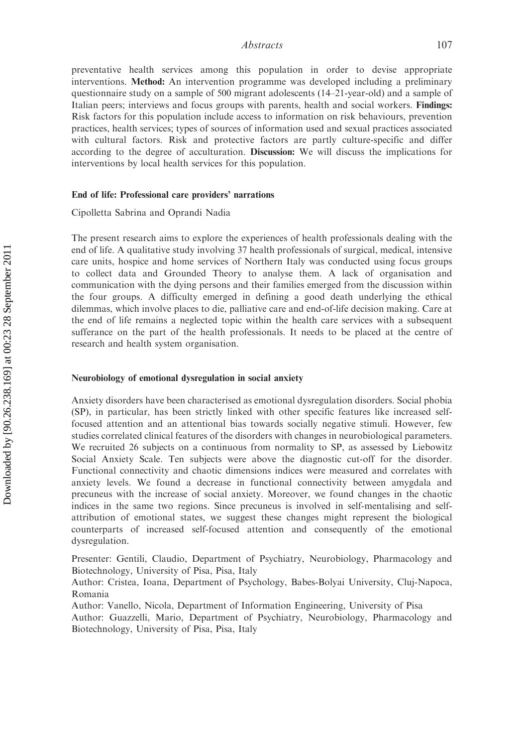preventative health services among this population in order to devise appropriate interventions. Method: An intervention programme was developed including a preliminary questionnaire study on a sample of 500 migrant adolescents (14–21-year-old) and a sample of Italian peers; interviews and focus groups with parents, health and social workers. Findings: Risk factors for this population include access to information on risk behaviours, prevention practices, health services; types of sources of information used and sexual practices associated with cultural factors. Risk and protective factors are partly culture-specific and differ according to the degree of acculturation. Discussion: We will discuss the implications for interventions by local health services for this population.

### End of life: Professional care providers' narrations

### Cipolletta Sabrina and Oprandi Nadia

The present research aims to explore the experiences of health professionals dealing with the end of life. A qualitative study involving 37 health professionals of surgical, medical, intensive care units, hospice and home services of Northern Italy was conducted using focus groups to collect data and Grounded Theory to analyse them. A lack of organisation and communication with the dying persons and their families emerged from the discussion within the four groups. A difficulty emerged in defining a good death underlying the ethical dilemmas, which involve places to die, palliative care and end-of-life decision making. Care at the end of life remains a neglected topic within the health care services with a subsequent sufferance on the part of the health professionals. It needs to be placed at the centre of research and health system organisation.

#### Neurobiology of emotional dysregulation in social anxiety

Anxiety disorders have been characterised as emotional dysregulation disorders. Social phobia (SP), in particular, has been strictly linked with other specific features like increased selffocused attention and an attentional bias towards socially negative stimuli. However, few studies correlated clinical features of the disorders with changes in neurobiological parameters. We recruited 26 subjects on a continuous from normality to SP, as assessed by Liebowitz Social Anxiety Scale. Ten subjects were above the diagnostic cut-off for the disorder. Functional connectivity and chaotic dimensions indices were measured and correlates with anxiety levels. We found a decrease in functional connectivity between amygdala and precuneus with the increase of social anxiety. Moreover, we found changes in the chaotic indices in the same two regions. Since precuneus is involved in self-mentalising and selfattribution of emotional states, we suggest these changes might represent the biological counterparts of increased self-focused attention and consequently of the emotional dysregulation.

Presenter: Gentili, Claudio, Department of Psychiatry, Neurobiology, Pharmacology and Biotechnology, University of Pisa, Pisa, Italy

Author: Cristea, Ioana, Department of Psychology, Babes-Bolyai University, Cluj-Napoca, Romania

Author: Vanello, Nicola, Department of Information Engineering, University of Pisa Author: Guazzelli, Mario, Department of Psychiatry, Neurobiology, Pharmacology and Biotechnology, University of Pisa, Pisa, Italy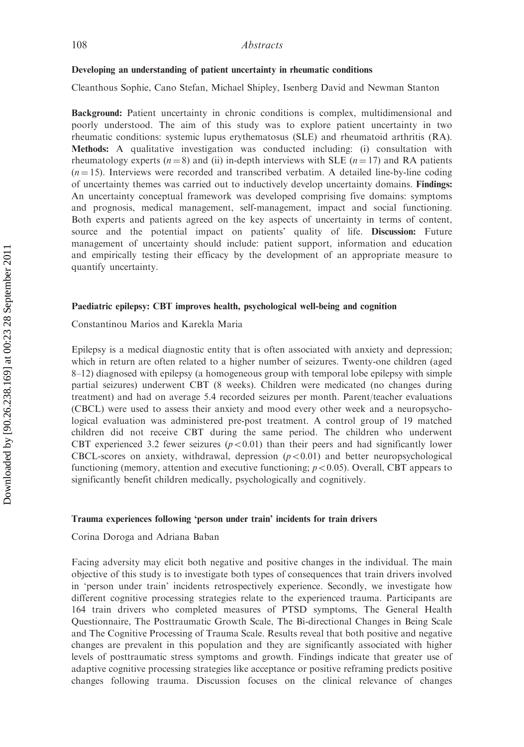### Developing an understanding of patient uncertainty in rheumatic conditions

Cleanthous Sophie, Cano Stefan, Michael Shipley, Isenberg David and Newman Stanton

Background: Patient uncertainty in chronic conditions is complex, multidimensional and poorly understood. The aim of this study was to explore patient uncertainty in two rheumatic conditions: systemic lupus erythematosus (SLE) and rheumatoid arthritis (RA). Methods: A qualitative investigation was conducted including: (i) consultation with rheumatology experts ( $n = 8$ ) and (ii) in-depth interviews with SLE ( $n = 17$ ) and RA patients  $(n = 15)$ . Interviews were recorded and transcribed verbatim. A detailed line-by-line coding of uncertainty themes was carried out to inductively develop uncertainty domains. Findings: An uncertainty conceptual framework was developed comprising five domains: symptoms and prognosis, medical management, self-management, impact and social functioning. Both experts and patients agreed on the key aspects of uncertainty in terms of content, source and the potential impact on patients' quality of life. Discussion: Future management of uncertainty should include: patient support, information and education and empirically testing their efficacy by the development of an appropriate measure to quantify uncertainty.

## Paediatric epilepsy: CBT improves health, psychological well-being and cognition

Constantinou Marios and Karekla Maria

Epilepsy is a medical diagnostic entity that is often associated with anxiety and depression; which in return are often related to a higher number of seizures. Twenty-one children (aged 8–12) diagnosed with epilepsy (a homogeneous group with temporal lobe epilepsy with simple partial seizures) underwent CBT (8 weeks). Children were medicated (no changes during treatment) and had on average 5.4 recorded seizures per month. Parent/teacher evaluations (CBCL) were used to assess their anxiety and mood every other week and a neuropsychological evaluation was administered pre-post treatment. A control group of 19 matched children did not receive CBT during the same period. The children who underwent CBT experienced 3.2 fewer seizures ( $p<0.01$ ) than their peers and had significantly lower CBCL-scores on anxiety, withdrawal, depression  $(p<0.01)$  and better neuropsychological functioning (memory, attention and executive functioning;  $p < 0.05$ ). Overall, CBT appears to significantly benefit children medically, psychologically and cognitively.

### Trauma experiences following 'person under train' incidents for train drivers

Corina Doroga and Adriana Baban

Facing adversity may elicit both negative and positive changes in the individual. The main objective of this study is to investigate both types of consequences that train drivers involved in 'person under train' incidents retrospectively experience. Secondly, we investigate how different cognitive processing strategies relate to the experienced trauma. Participants are 164 train drivers who completed measures of PTSD symptoms, The General Health Questionnaire, The Posttraumatic Growth Scale, The Bi-directional Changes in Being Scale and The Cognitive Processing of Trauma Scale. Results reveal that both positive and negative changes are prevalent in this population and they are significantly associated with higher levels of posttraumatic stress symptoms and growth. Findings indicate that greater use of adaptive cognitive processing strategies like acceptance or positive reframing predicts positive changes following trauma. Discussion focuses on the clinical relevance of changes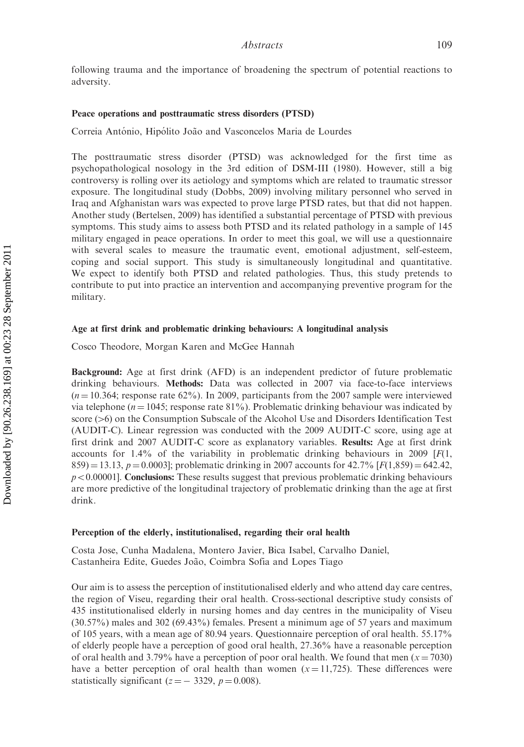following trauma and the importance of broadening the spectrum of potential reactions to adversity.

## Peace operations and posttraumatic stress disorders (PTSD)

Correia António, Hipólito João and Vasconcelos Maria de Lourdes

The posttraumatic stress disorder (PTSD) was acknowledged for the first time as psychopathological nosology in the 3rd edition of DSM-III (1980). However, still a big controversy is rolling over its aetiology and symptoms which are related to traumatic stressor exposure. The longitudinal study (Dobbs, 2009) involving military personnel who served in Iraq and Afghanistan wars was expected to prove large PTSD rates, but that did not happen. Another study (Bertelsen, 2009) has identified a substantial percentage of PTSD with previous symptoms. This study aims to assess both PTSD and its related pathology in a sample of 145 military engaged in peace operations. In order to meet this goal, we will use a questionnaire with several scales to measure the traumatic event, emotional adjustment, self-esteem, coping and social support. This study is simultaneously longitudinal and quantitative. We expect to identify both PTSD and related pathologies. Thus, this study pretends to contribute to put into practice an intervention and accompanying preventive program for the military.

#### Age at first drink and problematic drinking behaviours: A longitudinal analysis

Cosco Theodore, Morgan Karen and McGee Hannah

Background: Age at first drink (AFD) is an independent predictor of future problematic drinking behaviours. Methods: Data was collected in 2007 via face-to-face interviews  $(n = 10.364;$  response rate 62%). In 2009, participants from the 2007 sample were interviewed via telephone ( $n = 1045$ ; response rate 81%). Problematic drinking behaviour was indicated by score (>6) on the Consumption Subscale of the Alcohol Use and Disorders Identification Test (AUDIT-C). Linear regression was conducted with the 2009 AUDIT-C score, using age at first drink and 2007 AUDIT-C score as explanatory variables. Results: Age at first drink accounts for 1.4% of the variability in problematic drinking behaviours in 2009  $[F(1,$ 859) = 13.13, p = 0.0003]; problematic drinking in 2007 accounts for 42.7% [ $F(1,859) = 642.42$ ,  $p<0.00001$ . Conclusions: These results suggest that previous problematic drinking behaviours are more predictive of the longitudinal trajectory of problematic drinking than the age at first drink.

#### Perception of the elderly, institutionalised, regarding their oral health

Costa Jose, Cunha Madalena, Montero Javier, Bica Isabel, Carvalho Daniel, Castanheira Edite, Guedes João, Coimbra Sofia and Lopes Tiago

Our aim is to assess the perception of institutionalised elderly and who attend day care centres, the region of Viseu, regarding their oral health. Cross-sectional descriptive study consists of 435 institutionalised elderly in nursing homes and day centres in the municipality of Viseu (30.57%) males and 302 (69.43%) females. Present a minimum age of 57 years and maximum of 105 years, with a mean age of 80.94 years. Questionnaire perception of oral health. 55.17% of elderly people have a perception of good oral health, 27.36% have a reasonable perception of oral health and 3.79% have a perception of poor oral health. We found that men ( $x = 7030$ ) have a better perception of oral health than women  $(x=11,725)$ . These differences were statistically significant ( $z = -3329$ ,  $p = 0.008$ ).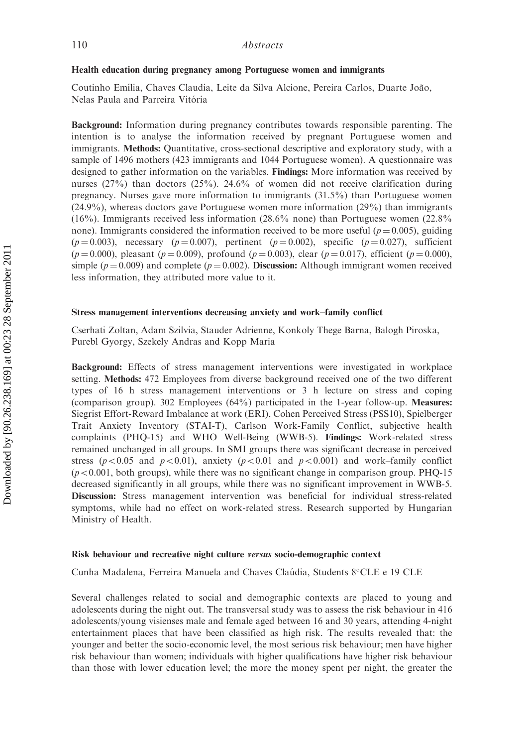# Health education during pregnancy among Portuguese women and immigrants

Coutinho Emília, Chaves Claudia, Leite da Silva Alcione, Pereira Carlos, Duarte João, Nelas Paula and Parreira Vitória

Background: Information during pregnancy contributes towards responsible parenting. The intention is to analyse the information received by pregnant Portuguese women and immigrants. Methods: Quantitative, cross-sectional descriptive and exploratory study, with a sample of 1496 mothers (423 immigrants and 1044 Portuguese women). A questionnaire was designed to gather information on the variables. Findings: More information was received by nurses (27%) than doctors (25%). 24.6% of women did not receive clarification during pregnancy. Nurses gave more information to immigrants (31.5%) than Portuguese women  $(24.9\%)$ , whereas doctors gave Portuguese women more information  $(29\%)$  than immigrants  $(16%)$ . Immigrants received less information  $(28.6%$  none) than Portuguese women  $(22.8%$ none). Immigrants considered the information received to be more useful ( $p = 0.005$ ), guiding  $(p = 0.003)$ , necessary  $(p = 0.007)$ , pertinent  $(p = 0.002)$ , specific  $(p = 0.027)$ , sufficient  $(p = 0.000)$ , pleasant  $(p = 0.009)$ , profound  $(p = 0.003)$ , clear  $(p = 0.017)$ , efficient  $(p = 0.000)$ , simple ( $p = 0.009$ ) and complete ( $p = 0.002$ ). Discussion: Although immigrant women received less information, they attributed more value to it.

# Stress management interventions decreasing anxiety and work–family conflict

Cserhati Zoltan, Adam Szilvia, Stauder Adrienne, Konkoly Thege Barna, Balogh Piroska, Purebl Gyorgy, Szekely Andras and Kopp Maria

Background: Effects of stress management interventions were investigated in workplace setting. Methods: 472 Employees from diverse background received one of the two different types of 16 h stress management interventions or 3 h lecture on stress and coping (comparison group). 302 Employees (64%) participated in the 1-year follow-up. Measures: Siegrist Effort-Reward Imbalance at work (ERI), Cohen Perceived Stress (PSS10), Spielberger Trait Anxiety Inventory (STAI-T), Carlson Work-Family Conflict, subjective health complaints (PHQ-15) and WHO Well-Being (WWB-5). Findings: Work-related stress remained unchanged in all groups. In SMI groups there was significant decrease in perceived stress ( $p<0.05$  and  $p<0.01$ ), anxiety ( $p<0.01$  and  $p<0.001$ ) and work–family conflict  $(p<0.001$ , both groups), while there was no significant change in comparison group. PHQ-15 decreased significantly in all groups, while there was no significant improvement in WWB-5. Discussion: Stress management intervention was beneficial for individual stress-related symptoms, while had no effect on work-related stress. Research supported by Hungarian Ministry of Health.

# Risk behaviour and recreative night culture versus socio-demographic context

Cunha Madalena, Ferreira Manuela and Chaves Claúdia, Students 8°CLE e 19 CLE

Several challenges related to social and demographic contexts are placed to young and adolescents during the night out. The transversal study was to assess the risk behaviour in 416 adolescents/young visienses male and female aged between 16 and 30 years, attending 4-night entertainment places that have been classified as high risk. The results revealed that: the younger and better the socio-economic level, the most serious risk behaviour; men have higher risk behaviour than women; individuals with higher qualifications have higher risk behaviour than those with lower education level; the more the money spent per night, the greater the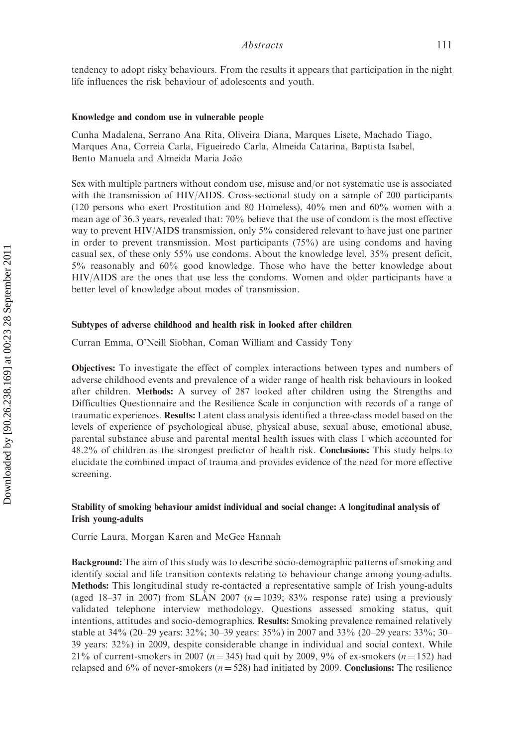tendency to adopt risky behaviours. From the results it appears that participation in the night life influences the risk behaviour of adolescents and youth.

#### Knowledge and condom use in vulnerable people

Cunha Madalena, Serrano Ana Rita, Oliveira Diana, Marques Lisete, Machado Tiago, Marques Ana, Correia Carla, Figueiredo Carla, Almeida Catarina, Baptista Isabel, Bento Manuela and Almeida Maria João

Sex with multiple partners without condom use, misuse and/or not systematic use is associated with the transmission of HIV/AIDS. Cross-sectional study on a sample of 200 participants (120 persons who exert Prostitution and 80 Homeless), 40% men and 60% women with a mean age of 36.3 years, revealed that: 70% believe that the use of condom is the most effective way to prevent HIV/AIDS transmission, only 5% considered relevant to have just one partner in order to prevent transmission. Most participants (75%) are using condoms and having casual sex, of these only 55% use condoms. About the knowledge level, 35% present deficit, 5% reasonably and 60% good knowledge. Those who have the better knowledge about HIV/AIDS are the ones that use less the condoms. Women and older participants have a better level of knowledge about modes of transmission.

#### Subtypes of adverse childhood and health risk in looked after children

Curran Emma, O'Neill Siobhan, Coman William and Cassidy Tony

Objectives: To investigate the effect of complex interactions between types and numbers of adverse childhood events and prevalence of a wider range of health risk behaviours in looked after children. Methods: A survey of 287 looked after children using the Strengths and Difficulties Questionnaire and the Resilience Scale in conjunction with records of a range of traumatic experiences. Results: Latent class analysis identified a three-class model based on the levels of experience of psychological abuse, physical abuse, sexual abuse, emotional abuse, parental substance abuse and parental mental health issues with class 1 which accounted for 48.2% of children as the strongest predictor of health risk. Conclusions: This study helps to elucidate the combined impact of trauma and provides evidence of the need for more effective screening.

## Stability of smoking behaviour amidst individual and social change: A longitudinal analysis of Irish young-adults

Currie Laura, Morgan Karen and McGee Hannah

Background: The aim of this study was to describe socio-demographic patterns of smoking and identify social and life transition contexts relating to behaviour change among young-adults. Methods: This longitudinal study re-contacted a representative sample of Irish young-adults (aged 18–37 in 2007) from SLAN 2007 ( $n = 1039$ ; 83% response rate) using a previously validated telephone interview methodology. Questions assessed smoking status, quit intentions, attitudes and socio-demographics. Results: Smoking prevalence remained relatively stable at 34% (20–29 years: 32%; 30–39 years: 35%) in 2007 and 33% (20–29 years: 33%; 30– 39 years: 32%) in 2009, despite considerable change in individual and social context. While 21% of current-smokers in 2007 ( $n = 345$ ) had quit by 2009, 9% of ex-smokers ( $n = 152$ ) had relapsed and 6% of never-smokers ( $n = 528$ ) had initiated by 2009. Conclusions: The resilience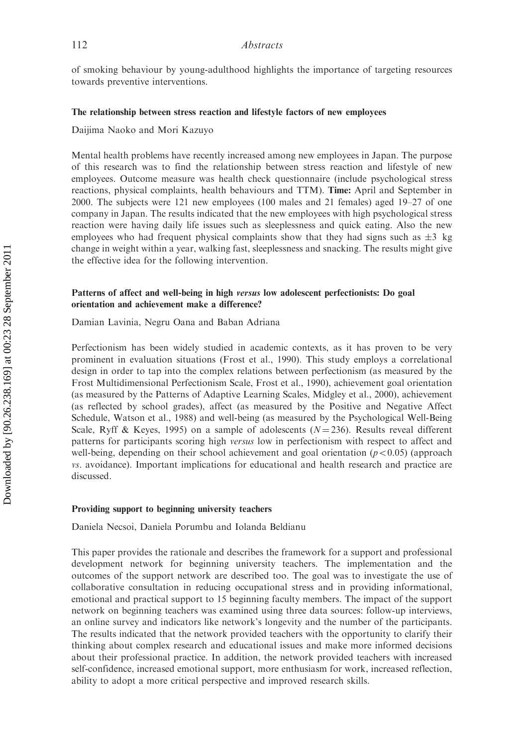of smoking behaviour by young-adulthood highlights the importance of targeting resources towards preventive interventions.

#### The relationship between stress reaction and lifestyle factors of new employees

Daijima Naoko and Mori Kazuyo

Mental health problems have recently increased among new employees in Japan. The purpose of this research was to find the relationship between stress reaction and lifestyle of new employees. Outcome measure was health check questionnaire (include psychological stress reactions, physical complaints, health behaviours and TTM). Time: April and September in 2000. The subjects were 121 new employees (100 males and 21 females) aged 19–27 of one company in Japan. The results indicated that the new employees with high psychological stress reaction were having daily life issues such as sleeplessness and quick eating. Also the new employees who had frequent physical complaints show that they had signs such as  $\pm 3$  kg change in weight within a year, walking fast, sleeplessness and snacking. The results might give the effective idea for the following intervention.

## Patterns of affect and well-being in high versus low adolescent perfectionists: Do goal orientation and achievement make a difference?

Damian Lavinia, Negru Oana and Baban Adriana

Perfectionism has been widely studied in academic contexts, as it has proven to be very prominent in evaluation situations (Frost et al., 1990). This study employs a correlational design in order to tap into the complex relations between perfectionism (as measured by the Frost Multidimensional Perfectionism Scale, Frost et al., 1990), achievement goal orientation (as measured by the Patterns of Adaptive Learning Scales, Midgley et al., 2000), achievement (as reflected by school grades), affect (as measured by the Positive and Negative Affect Schedule, Watson et al., 1988) and well-being (as measured by the Psychological Well-Being Scale, Ryff & Keyes, 1995) on a sample of adolescents ( $N = 236$ ). Results reveal different patterns for participants scoring high versus low in perfectionism with respect to affect and well-being, depending on their school achievement and goal orientation  $(p<0.05)$  (approach vs. avoidance). Important implications for educational and health research and practice are discussed.

#### Providing support to beginning university teachers

Daniela Necsoi, Daniela Porumbu and Iolanda Beldianu

This paper provides the rationale and describes the framework for a support and professional development network for beginning university teachers. The implementation and the outcomes of the support network are described too. The goal was to investigate the use of collaborative consultation in reducing occupational stress and in providing informational, emotional and practical support to 15 beginning faculty members. The impact of the support network on beginning teachers was examined using three data sources: follow-up interviews, an online survey and indicators like network's longevity and the number of the participants. The results indicated that the network provided teachers with the opportunity to clarify their thinking about complex research and educational issues and make more informed decisions about their professional practice. In addition, the network provided teachers with increased self-confidence, increased emotional support, more enthusiasm for work, increased reflection, ability to adopt a more critical perspective and improved research skills.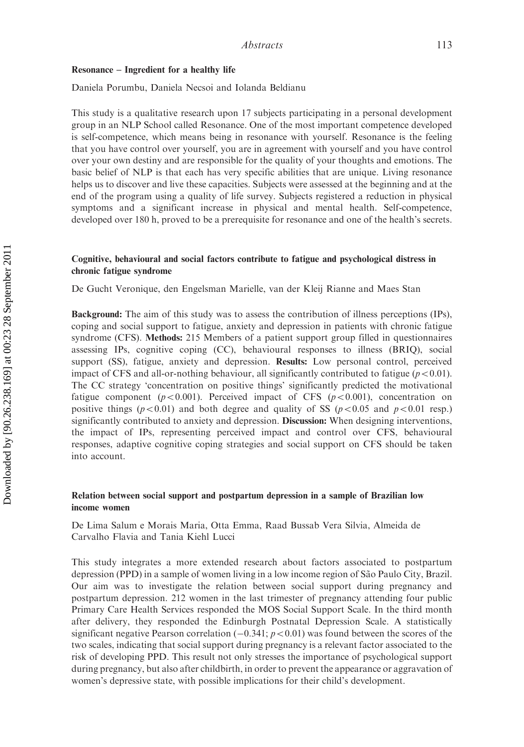## Resonance – Ingredient for a healthy life

Daniela Porumbu, Daniela Necsoi and Iolanda Beldianu

This study is a qualitative research upon 17 subjects participating in a personal development group in an NLP School called Resonance. One of the most important competence developed is self-competence, which means being in resonance with yourself. Resonance is the feeling that you have control over yourself, you are in agreement with yourself and you have control over your own destiny and are responsible for the quality of your thoughts and emotions. The basic belief of NLP is that each has very specific abilities that are unique. Living resonance helps us to discover and live these capacities. Subjects were assessed at the beginning and at the end of the program using a quality of life survey. Subjects registered a reduction in physical symptoms and a significant increase in physical and mental health. Self-competence, developed over 180 h, proved to be a prerequisite for resonance and one of the health's secrets.

## Cognitive, behavioural and social factors contribute to fatigue and psychological distress in chronic fatigue syndrome

De Gucht Veronique, den Engelsman Marielle, van der Kleij Rianne and Maes Stan

Background: The aim of this study was to assess the contribution of illness perceptions (IPs), coping and social support to fatigue, anxiety and depression in patients with chronic fatigue syndrome (CFS). Methods: 215 Members of a patient support group filled in questionnaires assessing IPs, cognitive coping (CC), behavioural responses to illness (BRIQ), social support (SS), fatigue, anxiety and depression. Results: Low personal control, perceived impact of CFS and all-or-nothing behaviour, all significantly contributed to fatigue ( $p<0.01$ ). The CC strategy 'concentration on positive things' significantly predicted the motivational fatigue component ( $p<0.001$ ). Perceived impact of CFS ( $p<0.001$ ), concentration on positive things ( $p<0.01$ ) and both degree and quality of SS ( $p<0.05$  and  $p<0.01$  resp.) significantly contributed to anxiety and depression. **Discussion:** When designing interventions, the impact of IPs, representing perceived impact and control over CFS, behavioural responses, adaptive cognitive coping strategies and social support on CFS should be taken into account.

## Relation between social support and postpartum depression in a sample of Brazilian low income women

De Lima Salum e Morais Maria, Otta Emma, Raad Bussab Vera Silvia, Almeida de Carvalho Flavia and Tania Kiehl Lucci

This study integrates a more extended research about factors associated to postpartum depression (PPD) in a sample of women living in a low income region of São Paulo City, Brazil. Our aim was to investigate the relation between social support during pregnancy and postpartum depression. 212 women in the last trimester of pregnancy attending four public Primary Care Health Services responded the MOS Social Support Scale. In the third month after delivery, they responded the Edinburgh Postnatal Depression Scale. A statistically significant negative Pearson correlation  $(-0.341; p<0.01)$  was found between the scores of the two scales, indicating that social support during pregnancy is a relevant factor associated to the risk of developing PPD. This result not only stresses the importance of psychological support during pregnancy, but also after childbirth, in order to prevent the appearance or aggravation of women's depressive state, with possible implications for their child's development.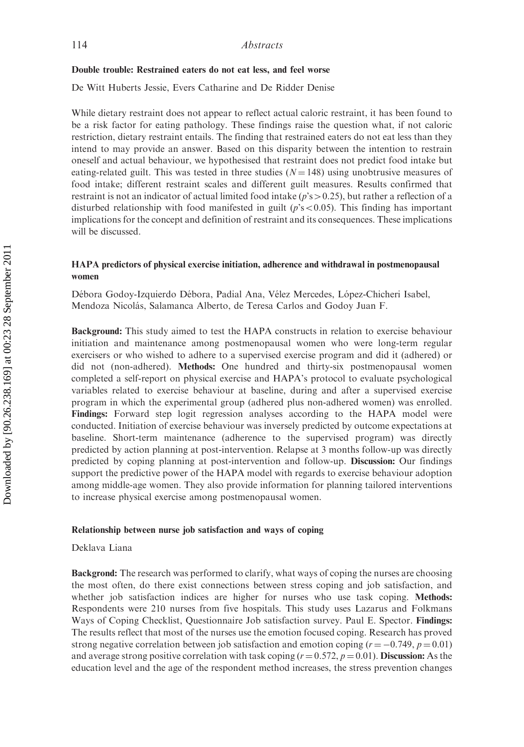# Double trouble: Restrained eaters do not eat less, and feel worse

De Witt Huberts Jessie, Evers Catharine and De Ridder Denise

While dietary restraint does not appear to reflect actual caloric restraint, it has been found to be a risk factor for eating pathology. These findings raise the question what, if not caloric restriction, dietary restraint entails. The finding that restrained eaters do not eat less than they intend to may provide an answer. Based on this disparity between the intention to restrain oneself and actual behaviour, we hypothesised that restraint does not predict food intake but eating-related guilt. This was tested in three studies ( $N = 148$ ) using unobtrusive measures of food intake; different restraint scales and different guilt measures. Results confirmed that restraint is not an indicator of actual limited food intake ( $p's > 0.25$ ), but rather a reflection of a disturbed relationship with food manifested in guilt ( $p$ 's < 0.05). This finding has important implications for the concept and definition of restraint and its consequences. These implications will be discussed.

# HAPA predictors of physical exercise initiation, adherence and withdrawal in postmenopausal women

Débora Godoy-Izquierdo Débora, Padial Ana, Vélez Mercedes, López-Chicheri Isabel, Mendoza Nicolás, Salamanca Alberto, de Teresa Carlos and Godoy Juan F.

Background: This study aimed to test the HAPA constructs in relation to exercise behaviour initiation and maintenance among postmenopausal women who were long-term regular exercisers or who wished to adhere to a supervised exercise program and did it (adhered) or did not (non-adhered). Methods: One hundred and thirty-six postmenopausal women completed a self-report on physical exercise and HAPA's protocol to evaluate psychological variables related to exercise behaviour at baseline, during and after a supervised exercise program in which the experimental group (adhered plus non-adhered women) was enrolled. Findings: Forward step logit regression analyses according to the HAPA model were conducted. Initiation of exercise behaviour was inversely predicted by outcome expectations at baseline. Short-term maintenance (adherence to the supervised program) was directly predicted by action planning at post-intervention. Relapse at 3 months follow-up was directly predicted by coping planning at post-intervention and follow-up. Discussion: Our findings support the predictive power of the HAPA model with regards to exercise behaviour adoption among middle-age women. They also provide information for planning tailored interventions to increase physical exercise among postmenopausal women.

# Relationship between nurse job satisfaction and ways of coping

# Deklava Liana

Backgrond: The research was performed to clarify, what ways of coping the nurses are choosing the most often, do there exist connections between stress coping and job satisfaction, and whether job satisfaction indices are higher for nurses who use task coping. **Methods:** Respondents were 210 nurses from five hospitals. This study uses Lazarus and Folkmans Ways of Coping Checklist, Questionnaire Job satisfaction survey. Paul E. Spector. Findings: The results reflect that most of the nurses use the emotion focused coping. Research has proved strong negative correlation between job satisfaction and emotion coping  $(r = -0.749, p = 0.01)$ and average strong positive correlation with task coping ( $r = 0.572$ ,  $p = 0.01$ ). Discussion: As the education level and the age of the respondent method increases, the stress prevention changes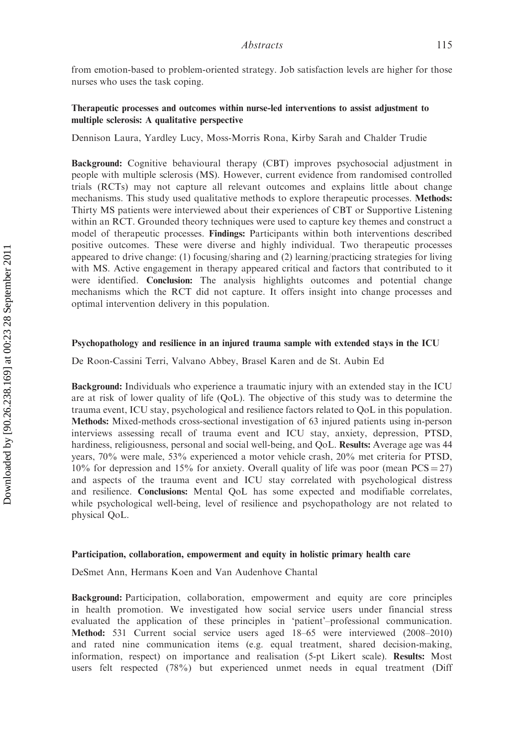from emotion-based to problem-oriented strategy. Job satisfaction levels are higher for those nurses who uses the task coping.

# Therapeutic processes and outcomes within nurse-led interventions to assist adjustment to multiple sclerosis: A qualitative perspective

Dennison Laura, Yardley Lucy, Moss-Morris Rona, Kirby Sarah and Chalder Trudie

Background: Cognitive behavioural therapy (CBT) improves psychosocial adjustment in people with multiple sclerosis (MS). However, current evidence from randomised controlled trials (RCTs) may not capture all relevant outcomes and explains little about change mechanisms. This study used qualitative methods to explore therapeutic processes. Methods: Thirty MS patients were interviewed about their experiences of CBT or Supportive Listening within an RCT. Grounded theory techniques were used to capture key themes and construct a model of therapeutic processes. Findings: Participants within both interventions described positive outcomes. These were diverse and highly individual. Two therapeutic processes appeared to drive change: (1) focusing/sharing and (2) learning/practicing strategies for living with MS. Active engagement in therapy appeared critical and factors that contributed to it were identified. Conclusion: The analysis highlights outcomes and potential change mechanisms which the RCT did not capture. It offers insight into change processes and optimal intervention delivery in this population.

## Psychopathology and resilience in an injured trauma sample with extended stays in the ICU

De Roon-Cassini Terri, Valvano Abbey, Brasel Karen and de St. Aubin Ed

Background: Individuals who experience a traumatic injury with an extended stay in the ICU are at risk of lower quality of life (QoL). The objective of this study was to determine the trauma event, ICU stay, psychological and resilience factors related to QoL in this population. Methods: Mixed-methods cross-sectional investigation of 63 injured patients using in-person interviews assessing recall of trauma event and ICU stay, anxiety, depression, PTSD, hardiness, religiousness, personal and social well-being, and QoL. Results: Average age was 44 years, 70% were male, 53% experienced a motor vehicle crash, 20% met criteria for PTSD, 10% for depression and 15% for anxiety. Overall quality of life was poor (mean  $PCS = 27$ ) and aspects of the trauma event and ICU stay correlated with psychological distress and resilience. Conclusions: Mental QoL has some expected and modifiable correlates, while psychological well-being, level of resilience and psychopathology are not related to physical QoL.

#### Participation, collaboration, empowerment and equity in holistic primary health care

DeSmet Ann, Hermans Koen and Van Audenhove Chantal

Background: Participation, collaboration, empowerment and equity are core principles in health promotion. We investigated how social service users under financial stress evaluated the application of these principles in 'patient'–professional communication. Method: 531 Current social service users aged 18–65 were interviewed (2008–2010) and rated nine communication items (e.g. equal treatment, shared decision-making, information, respect) on importance and realisation (5-pt Likert scale). Results: Most users felt respected (78%) but experienced unmet needs in equal treatment (Diff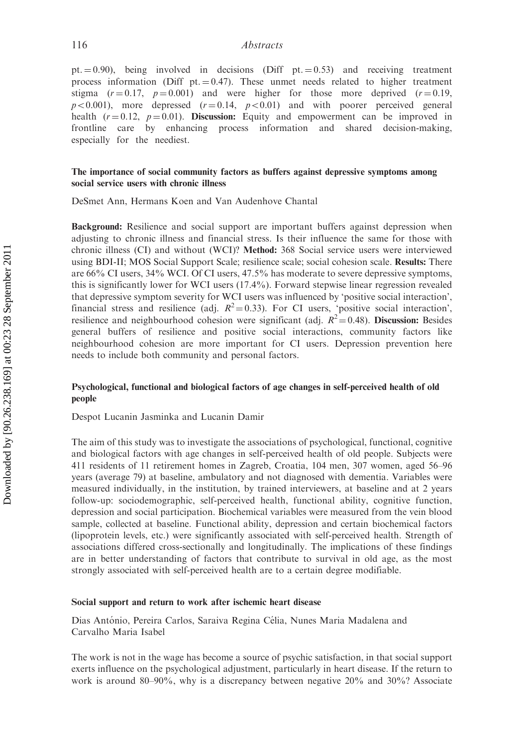pt.  $= 0.90$ ), being involved in decisions (Diff pt.  $= 0.53$ ) and receiving treatment process information (Diff pt.  $= 0.47$ ). These unmet needs related to higher treatment stigma  $(r=0.17, p=0.001)$  and were higher for those more deprived  $(r=0.19, p=0.001)$  $p<0.001$ ), more depressed (r=0.14,  $p<0.01$ ) and with poorer perceived general health  $(r = 0.12, p = 0.01)$ . Discussion: Equity and empowerment can be improved in frontline care by enhancing process information and shared decision-making, especially for the neediest.

## The importance of social community factors as buffers against depressive symptoms among social service users with chronic illness

DeSmet Ann, Hermans Koen and Van Audenhove Chantal

Background: Resilience and social support are important buffers against depression when adjusting to chronic illness and financial stress. Is their influence the same for those with chronic illness (CI) and without (WCI)? Method: 368 Social service users were interviewed using BDI-II; MOS Social Support Scale; resilience scale; social cohesion scale. Results: There are 66% CI users, 34% WCI. Of CI users, 47.5% has moderate to severe depressive symptoms, this is significantly lower for WCI users (17.4%). Forward stepwise linear regression revealed that depressive symptom severity for WCI users was influenced by 'positive social interaction', financial stress and resilience (adj.  $R^2 = 0.33$ ). For CI users, 'positive social interaction', resilience and neighbourhood cohesion were significant (adj.  $R^2 = 0.48$ ). Discussion: Besides general buffers of resilience and positive social interactions, community factors like neighbourhood cohesion are more important for CI users. Depression prevention here needs to include both community and personal factors.

# Psychological, functional and biological factors of age changes in self-perceived health of old people

Despot Lucanin Jasminka and Lucanin Damir

The aim of this study was to investigate the associations of psychological, functional, cognitive and biological factors with age changes in self-perceived health of old people. Subjects were 411 residents of 11 retirement homes in Zagreb, Croatia, 104 men, 307 women, aged 56–96 years (average 79) at baseline, ambulatory and not diagnosed with dementia. Variables were measured individually, in the institution, by trained interviewers, at baseline and at 2 years follow-up: sociodemographic, self-perceived health, functional ability, cognitive function, depression and social participation. Biochemical variables were measured from the vein blood sample, collected at baseline. Functional ability, depression and certain biochemical factors (lipoprotein levels, etc.) were significantly associated with self-perceived health. Strength of associations differed cross-sectionally and longitudinally. The implications of these findings are in better understanding of factors that contribute to survival in old age, as the most strongly associated with self-perceived health are to a certain degree modifiable.

### Social support and return to work after ischemic heart disease

Dias António, Pereira Carlos, Saraiva Regina Célia, Nunes Maria Madalena and Carvalho Maria Isabel

The work is not in the wage has become a source of psychic satisfaction, in that social support exerts influence on the psychological adjustment, particularly in heart disease. If the return to work is around 80–90%, why is a discrepancy between negative 20% and 30%? Associate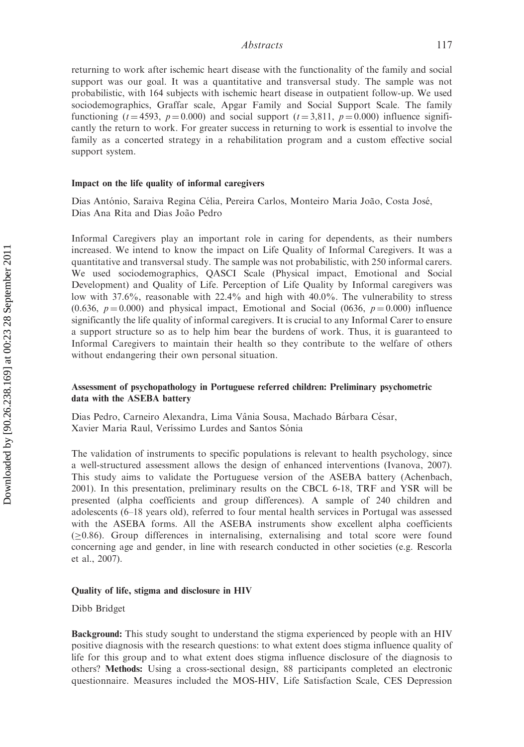returning to work after ischemic heart disease with the functionality of the family and social support was our goal. It was a quantitative and transversal study. The sample was not probabilistic, with 164 subjects with ischemic heart disease in outpatient follow-up. We used sociodemographics, Graffar scale, Apgar Family and Social Support Scale. The family functioning ( $t = 4593$ ,  $p = 0.000$ ) and social support ( $t = 3.811$ ,  $p = 0.000$ ) influence significantly the return to work. For greater success in returning to work is essential to involve the family as a concerted strategy in a rehabilitation program and a custom effective social support system.

### Impact on the life quality of informal caregivers

Dias António, Saraiva Regina Célia, Pereira Carlos, Monteiro Maria João, Costa José, Dias Ana Rita and Dias João Pedro

Informal Caregivers play an important role in caring for dependents, as their numbers increased. We intend to know the impact on Life Quality of Informal Caregivers. It was a quantitative and transversal study. The sample was not probabilistic, with 250 informal carers. We used sociodemographics, QASCI Scale (Physical impact, Emotional and Social Development) and Quality of Life. Perception of Life Quality by Informal caregivers was low with 37.6%, reasonable with 22.4% and high with 40.0%. The vulnerability to stress (0.636,  $p = 0.000$ ) and physical impact, Emotional and Social (0636,  $p = 0.000$ ) influence significantly the life quality of informal caregivers. It is crucial to any Informal Carer to ensure a support structure so as to help him bear the burdens of work. Thus, it is guaranteed to Informal Caregivers to maintain their health so they contribute to the welfare of others without endangering their own personal situation.

## Assessment of psychopathology in Portuguese referred children: Preliminary psychometric data with the ASEBA battery

Dias Pedro, Carneiro Alexandra, Lima Vânia Sousa, Machado Bárbara César, Xavier Maria Raul, Veríssimo Lurdes and Santos Sónia

The validation of instruments to specific populations is relevant to health psychology, since a well-structured assessment allows the design of enhanced interventions (Ivanova, 2007). This study aims to validate the Portuguese version of the ASEBA battery (Achenbach, 2001). In this presentation, preliminary results on the CBCL 6-18, TRF and YSR will be presented (alpha coefficients and group differences). A sample of 240 children and adolescents (6–18 years old), referred to four mental health services in Portugal was assessed with the ASEBA forms. All the ASEBA instruments show excellent alpha coefficients  $(0.86)$ . Group differences in internalising, externalising and total score were found concerning age and gender, in line with research conducted in other societies (e.g. Rescorla et al., 2007).

#### Quality of life, stigma and disclosure in HIV

### Dibb Bridget

Background: This study sought to understand the stigma experienced by people with an HIV positive diagnosis with the research questions: to what extent does stigma influence quality of life for this group and to what extent does stigma influence disclosure of the diagnosis to others? Methods: Using a cross-sectional design, 88 participants completed an electronic questionnaire. Measures included the MOS-HIV, Life Satisfaction Scale, CES Depression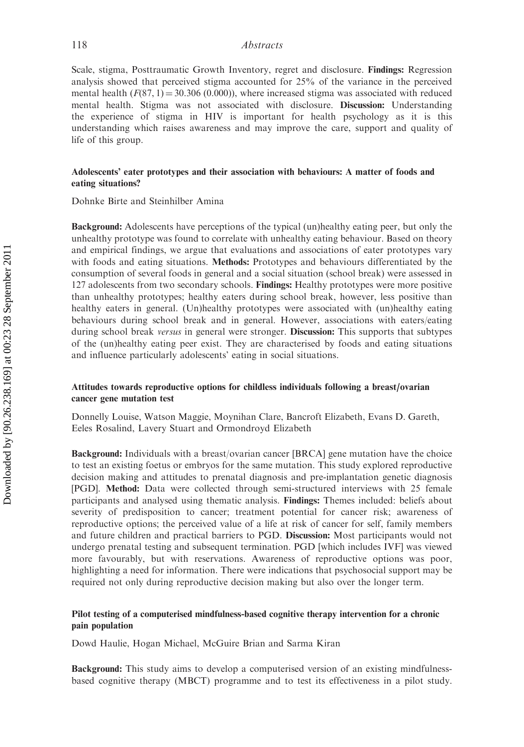Scale, stigma, Posttraumatic Growth Inventory, regret and disclosure. Findings: Regression analysis showed that perceived stigma accounted for 25% of the variance in the perceived mental health  $(F(87, 1) = 30.306 (0.000))$ , where increased stigma was associated with reduced mental health. Stigma was not associated with disclosure. Discussion: Understanding the experience of stigma in HIV is important for health psychology as it is this understanding which raises awareness and may improve the care, support and quality of life of this group.

## Adolescents' eater prototypes and their association with behaviours: A matter of foods and eating situations?

Dohnke Birte and Steinhilber Amina

Background: Adolescents have perceptions of the typical (un)healthy eating peer, but only the unhealthy prototype was found to correlate with unhealthy eating behaviour. Based on theory and empirical findings, we argue that evaluations and associations of eater prototypes vary with foods and eating situations. Methods: Prototypes and behaviours differentiated by the consumption of several foods in general and a social situation (school break) were assessed in 127 adolescents from two secondary schools. Findings: Healthy prototypes were more positive than unhealthy prototypes; healthy eaters during school break, however, less positive than healthy eaters in general. (Un)healthy prototypes were associated with (un)healthy eating behaviours during school break and in general. However, associations with eaters/eating during school break *versus* in general were stronger. **Discussion:** This supports that subtypes of the (un)healthy eating peer exist. They are characterised by foods and eating situations and influence particularly adolescents' eating in social situations.

# Attitudes towards reproductive options for childless individuals following a breast/ovarian cancer gene mutation test

Donnelly Louise, Watson Maggie, Moynihan Clare, Bancroft Elizabeth, Evans D. Gareth, Eeles Rosalind, Lavery Stuart and Ormondroyd Elizabeth

Background: Individuals with a breast/ovarian cancer [BRCA] gene mutation have the choice to test an existing foetus or embryos for the same mutation. This study explored reproductive decision making and attitudes to prenatal diagnosis and pre-implantation genetic diagnosis [PGD]. Method: Data were collected through semi-structured interviews with 25 female participants and analysed using thematic analysis. Findings: Themes included: beliefs about severity of predisposition to cancer; treatment potential for cancer risk; awareness of reproductive options; the perceived value of a life at risk of cancer for self, family members and future children and practical barriers to PGD. Discussion: Most participants would not undergo prenatal testing and subsequent termination. PGD [which includes IVF] was viewed more favourably, but with reservations. Awareness of reproductive options was poor, highlighting a need for information. There were indications that psychosocial support may be required not only during reproductive decision making but also over the longer term.

# Pilot testing of a computerised mindfulness-based cognitive therapy intervention for a chronic pain population

Dowd Haulie, Hogan Michael, McGuire Brian and Sarma Kiran

Background: This study aims to develop a computerised version of an existing mindfulnessbased cognitive therapy (MBCT) programme and to test its effectiveness in a pilot study.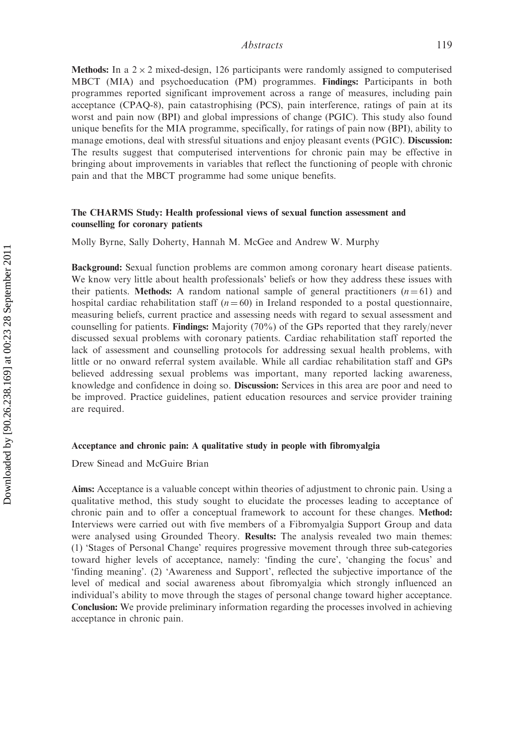Methods: In a  $2 \times 2$  mixed-design, 126 participants were randomly assigned to computerised MBCT (MIA) and psychoeducation (PM) programmes. Findings: Participants in both programmes reported significant improvement across a range of measures, including pain acceptance (CPAQ-8), pain catastrophising (PCS), pain interference, ratings of pain at its worst and pain now (BPI) and global impressions of change (PGIC). This study also found unique benefits for the MIA programme, specifically, for ratings of pain now (BPI), ability to manage emotions, deal with stressful situations and enjoy pleasant events (PGIC). Discussion: The results suggest that computerised interventions for chronic pain may be effective in bringing about improvements in variables that reflect the functioning of people with chronic pain and that the MBCT programme had some unique benefits.

# The CHARMS Study: Health professional views of sexual function assessment and counselling for coronary patients

Molly Byrne, Sally Doherty, Hannah M. McGee and Andrew W. Murphy

Background: Sexual function problems are common among coronary heart disease patients. We know very little about health professionals' beliefs or how they address these issues with their patients. Methods: A random national sample of general practitioners  $(n = 61)$  and hospital cardiac rehabilitation staff ( $n = 60$ ) in Ireland responded to a postal questionnaire, measuring beliefs, current practice and assessing needs with regard to sexual assessment and counselling for patients. Findings: Majority (70%) of the GPs reported that they rarely/never discussed sexual problems with coronary patients. Cardiac rehabilitation staff reported the lack of assessment and counselling protocols for addressing sexual health problems, with little or no onward referral system available. While all cardiac rehabilitation staff and GPs believed addressing sexual problems was important, many reported lacking awareness, knowledge and confidence in doing so. Discussion: Services in this area are poor and need to be improved. Practice guidelines, patient education resources and service provider training are required.

## Acceptance and chronic pain: A qualitative study in people with fibromyalgia

Drew Sinead and McGuire Brian

Aims: Acceptance is a valuable concept within theories of adjustment to chronic pain. Using a qualitative method, this study sought to elucidate the processes leading to acceptance of chronic pain and to offer a conceptual framework to account for these changes. Method: Interviews were carried out with five members of a Fibromyalgia Support Group and data were analysed using Grounded Theory. Results: The analysis revealed two main themes: (1) 'Stages of Personal Change' requires progressive movement through three sub-categories toward higher levels of acceptance, namely: 'finding the cure', 'changing the focus' and 'finding meaning'. (2) 'Awareness and Support', reflected the subjective importance of the level of medical and social awareness about fibromyalgia which strongly influenced an individual's ability to move through the stages of personal change toward higher acceptance. Conclusion: We provide preliminary information regarding the processes involved in achieving acceptance in chronic pain.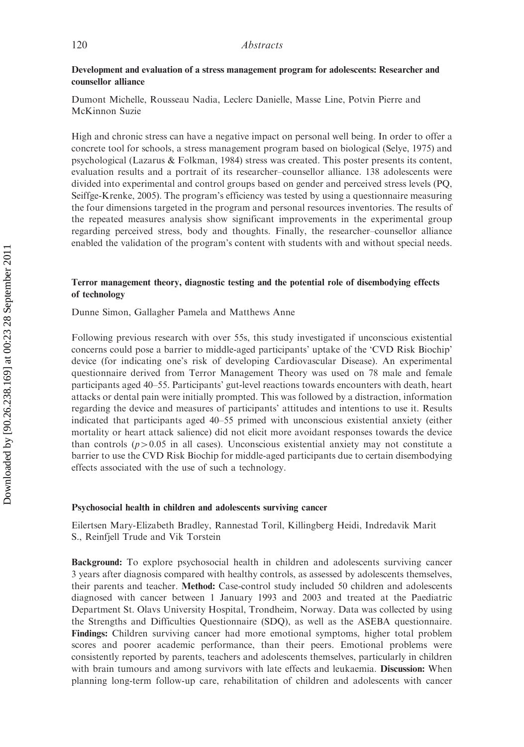# Development and evaluation of a stress management program for adolescents: Researcher and counsellor alliance

Dumont Michelle, Rousseau Nadia, Leclerc Danielle, Masse Line, Potvin Pierre and McKinnon Suzie

High and chronic stress can have a negative impact on personal well being. In order to offer a concrete tool for schools, a stress management program based on biological (Selye, 1975) and psychological (Lazarus & Folkman, 1984) stress was created. This poster presents its content, evaluation results and a portrait of its researcher–counsellor alliance. 138 adolescents were divided into experimental and control groups based on gender and perceived stress levels (PQ, Seiffge-Krenke, 2005). The program's efficiency was tested by using a questionnaire measuring the four dimensions targeted in the program and personal resources inventories. The results of the repeated measures analysis show significant improvements in the experimental group regarding perceived stress, body and thoughts. Finally, the researcher–counsellor alliance enabled the validation of the program's content with students with and without special needs.

## Terror management theory, diagnostic testing and the potential role of disembodying effects of technology

Dunne Simon, Gallagher Pamela and Matthews Anne

Following previous research with over 55s, this study investigated if unconscious existential concerns could pose a barrier to middle-aged participants' uptake of the 'CVD Risk Biochip' device (for indicating one's risk of developing Cardiovascular Disease). An experimental questionnaire derived from Terror Management Theory was used on 78 male and female participants aged 40–55. Participants' gut-level reactions towards encounters with death, heart attacks or dental pain were initially prompted. This was followed by a distraction, information regarding the device and measures of participants' attitudes and intentions to use it. Results indicated that participants aged 40–55 primed with unconscious existential anxiety (either mortality or heart attack salience) did not elicit more avoidant responses towards the device than controls ( $p>0.05$  in all cases). Unconscious existential anxiety may not constitute a barrier to use the CVD Risk Biochip for middle-aged participants due to certain disembodying effects associated with the use of such a technology.

#### Psychosocial health in children and adolescents surviving cancer

Eilertsen Mary-Elizabeth Bradley, Rannestad Toril, Killingberg Heidi, Indredavik Marit S., Reinfjell Trude and Vik Torstein

Background: To explore psychosocial health in children and adolescents surviving cancer 3 years after diagnosis compared with healthy controls, as assessed by adolescents themselves, their parents and teacher. Method: Case-control study included 50 children and adolescents diagnosed with cancer between 1 January 1993 and 2003 and treated at the Paediatric Department St. Olavs University Hospital, Trondheim, Norway. Data was collected by using the Strengths and Difficulties Questionnaire (SDQ), as well as the ASEBA questionnaire. Findings: Children surviving cancer had more emotional symptoms, higher total problem scores and poorer academic performance, than their peers. Emotional problems were consistently reported by parents, teachers and adolescents themselves, particularly in children with brain tumours and among survivors with late effects and leukaemia. Discussion: When planning long-term follow-up care, rehabilitation of children and adolescents with cancer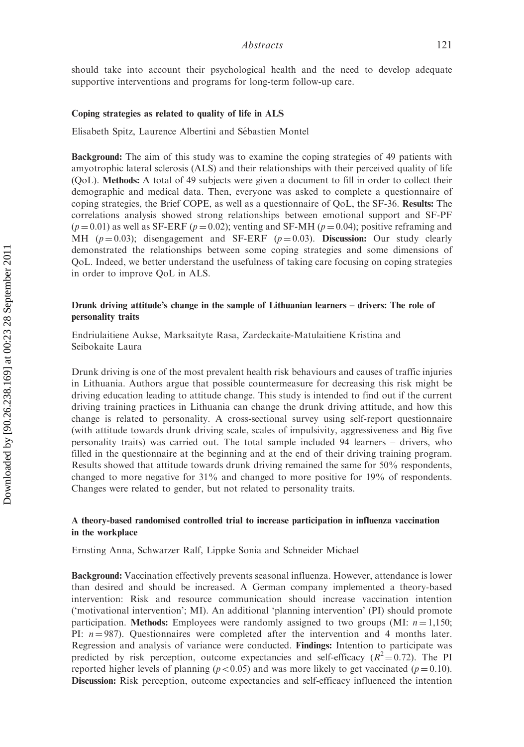should take into account their psychological health and the need to develop adequate supportive interventions and programs for long-term follow-up care.

# Coping strategies as related to quality of life in ALS

Elisabeth Spitz, Laurence Albertini and Sébastien Montel

Background: The aim of this study was to examine the coping strategies of 49 patients with amyotrophic lateral sclerosis (ALS) and their relationships with their perceived quality of life (QoL). Methods: A total of 49 subjects were given a document to fill in order to collect their demographic and medical data. Then, everyone was asked to complete a questionnaire of coping strategies, the Brief COPE, as well as a questionnaire of QoL, the SF-36. Results: The correlations analysis showed strong relationships between emotional support and SF-PF  $(p = 0.01)$  as well as SF-ERF ( $p = 0.02$ ); venting and SF-MH ( $p = 0.04$ ); positive reframing and MH ( $p = 0.03$ ); disengagement and SF-ERF ( $p = 0.03$ ). Discussion: Our study clearly demonstrated the relationships between some coping strategies and some dimensions of QoL. Indeed, we better understand the usefulness of taking care focusing on coping strategies in order to improve QoL in ALS.

## Drunk driving attitude's change in the sample of Lithuanian learners – drivers: The role of personality traits

Endriulaitiene Aukse, Marksaityte Rasa, Zardeckaite-Matulaitiene Kristina and Seibokaite Laura

Drunk driving is one of the most prevalent health risk behaviours and causes of traffic injuries in Lithuania. Authors argue that possible countermeasure for decreasing this risk might be driving education leading to attitude change. This study is intended to find out if the current driving training practices in Lithuania can change the drunk driving attitude, and how this change is related to personality. A cross-sectional survey using self-report questionnaire (with attitude towards drunk driving scale, scales of impulsivity, aggressiveness and Big five personality traits) was carried out. The total sample included 94 learners – drivers, who filled in the questionnaire at the beginning and at the end of their driving training program. Results showed that attitude towards drunk driving remained the same for 50% respondents, changed to more negative for 31% and changed to more positive for 19% of respondents. Changes were related to gender, but not related to personality traits.

## A theory-based randomised controlled trial to increase participation in influenza vaccination in the workplace

Ernsting Anna, Schwarzer Ralf, Lippke Sonia and Schneider Michael

Background: Vaccination effectively prevents seasonal influenza. However, attendance is lower than desired and should be increased. A German company implemented a theory-based intervention: Risk and resource communication should increase vaccination intention ('motivational intervention'; MI). An additional 'planning intervention' (PI) should promote participation. **Methods:** Employees were randomly assigned to two groups (MI:  $n = 1,150$ ; PI:  $n = 987$ ). Questionnaires were completed after the intervention and 4 months later. Regression and analysis of variance were conducted. Findings: Intention to participate was predicted by risk perception, outcome expectancies and self-efficacy ( $R^2 = 0.72$ ). The PI reported higher levels of planning ( $p<0.05$ ) and was more likely to get vaccinated ( $p = 0.10$ ). Discussion: Risk perception, outcome expectancies and self-efficacy influenced the intention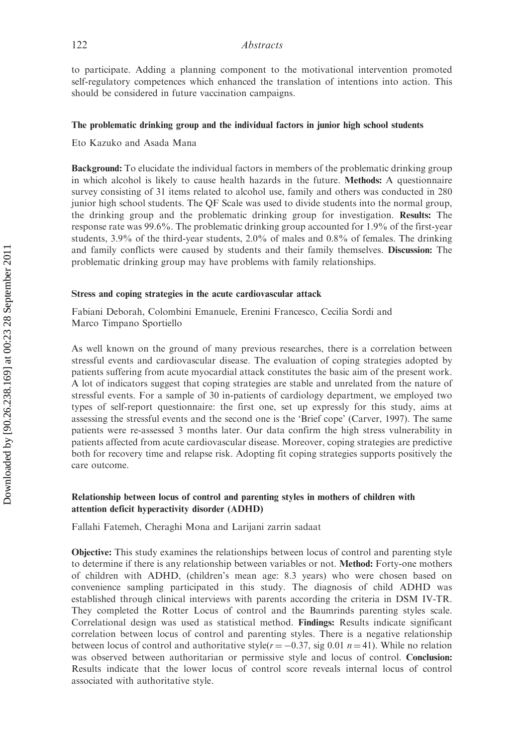to participate. Adding a planning component to the motivational intervention promoted self-regulatory competences which enhanced the translation of intentions into action. This should be considered in future vaccination campaigns.

### The problematic drinking group and the individual factors in junior high school students

Eto Kazuko and Asada Mana

Background: To elucidate the individual factors in members of the problematic drinking group in which alcohol is likely to cause health hazards in the future. Methods: A questionnaire survey consisting of 31 items related to alcohol use, family and others was conducted in 280 junior high school students. The QF Scale was used to divide students into the normal group, the drinking group and the problematic drinking group for investigation. Results: The response rate was 99.6%. The problematic drinking group accounted for 1.9% of the first-year students, 3.9% of the third-year students, 2.0% of males and 0.8% of females. The drinking and family conflicts were caused by students and their family themselves. Discussion: The problematic drinking group may have problems with family relationships.

#### Stress and coping strategies in the acute cardiovascular attack

Fabiani Deborah, Colombini Emanuele, Erenini Francesco, Cecilia Sordi and Marco Timpano Sportiello

As well known on the ground of many previous researches, there is a correlation between stressful events and cardiovascular disease. The evaluation of coping strategies adopted by patients suffering from acute myocardial attack constitutes the basic aim of the present work. A lot of indicators suggest that coping strategies are stable and unrelated from the nature of stressful events. For a sample of 30 in-patients of cardiology department, we employed two types of self-report questionnaire: the first one, set up expressly for this study, aims at assessing the stressful events and the second one is the 'Brief cope' (Carver, 1997). The same patients were re-assessed 3 months later. Our data confirm the high stress vulnerability in patients affected from acute cardiovascular disease. Moreover, coping strategies are predictive both for recovery time and relapse risk. Adopting fit coping strategies supports positively the care outcome.

# Relationship between locus of control and parenting styles in mothers of children with attention deficit hyperactivity disorder (ADHD)

Fallahi Fatemeh, Cheraghi Mona and Larijani zarrin sadaat

Objective: This study examines the relationships between locus of control and parenting style to determine if there is any relationship between variables or not. Method: Forty-one mothers of children with ADHD, (children's mean age: 8.3 years) who were chosen based on convenience sampling participated in this study. The diagnosis of child ADHD was established through clinical interviews with parents according the criteria in DSM IV-TR. They completed the Rotter Locus of control and the Baumrinds parenting styles scale. Correlational design was used as statistical method. Findings: Results indicate significant correlation between locus of control and parenting styles. There is a negative relationship between locus of control and authoritative style( $r = -0.37$ , sig 0.01  $n = 41$ ). While no relation was observed between authoritarian or permissive style and locus of control. **Conclusion:** Results indicate that the lower locus of control score reveals internal locus of control associated with authoritative style.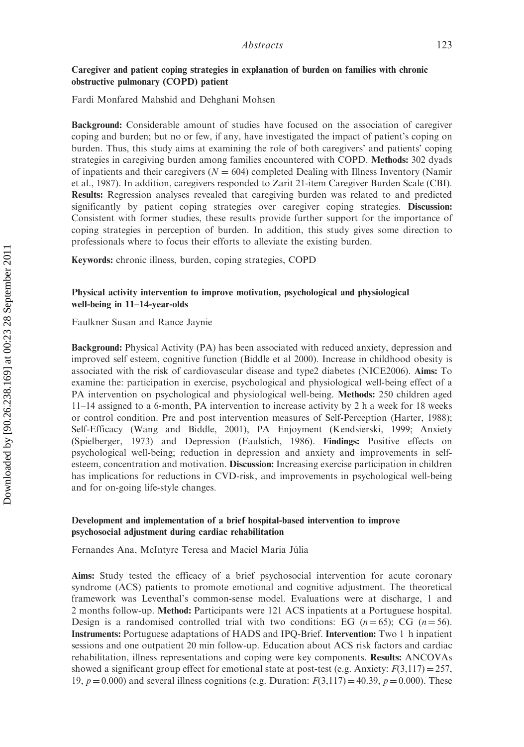# Caregiver and patient coping strategies in explanation of burden on families with chronic obstructive pulmonary (COPD) patient

Fardi Monfared Mahshid and Dehghani Mohsen

Background: Considerable amount of studies have focused on the association of caregiver coping and burden; but no or few, if any, have investigated the impact of patient's coping on burden. Thus, this study aims at examining the role of both caregivers' and patients' coping strategies in caregiving burden among families encountered with COPD. Methods: 302 dyads of inpatients and their caregivers ( $N = 604$ ) completed Dealing with Illness Inventory (Namir et al., 1987). In addition, caregivers responded to Zarit 21-item Caregiver Burden Scale (CBI). Results: Regression analyses revealed that caregiving burden was related to and predicted significantly by patient coping strategies over caregiver coping strategies. Discussion: Consistent with former studies, these results provide further support for the importance of coping strategies in perception of burden. In addition, this study gives some direction to professionals where to focus their efforts to alleviate the existing burden.

Keywords: chronic illness, burden, coping strategies, COPD

# Physical activity intervention to improve motivation, psychological and physiological well-being in 11–14-year-olds

Faulkner Susan and Rance Jaynie

Background: Physical Activity (PA) has been associated with reduced anxiety, depression and improved self esteem, cognitive function (Biddle et al 2000). Increase in childhood obesity is associated with the risk of cardiovascular disease and type2 diabetes (NICE2006). Aims: To examine the: participation in exercise, psychological and physiological well-being effect of a PA intervention on psychological and physiological well-being. Methods: 250 children aged 11–14 assigned to a 6-month, PA intervention to increase activity by 2 h a week for 18 weeks or control condition. Pre and post intervention measures of Self-Perception (Harter, 1988); Self-Efficacy (Wang and Biddle, 2001), PA Enjoyment (Kendsierski, 1999; Anxiety (Spielberger, 1973) and Depression (Faulstich, 1986). Findings: Positive effects on psychological well-being; reduction in depression and anxiety and improvements in selfesteem, concentration and motivation. **Discussion:** Increasing exercise participation in children has implications for reductions in CVD-risk, and improvements in psychological well-being and for on-going life-style changes.

# Development and implementation of a brief hospital-based intervention to improve psychosocial adjustment during cardiac rehabilitation

Fernandes Ana, McIntyre Teresa and Maciel Maria Júlia

Aims: Study tested the efficacy of a brief psychosocial intervention for acute coronary syndrome (ACS) patients to promote emotional and cognitive adjustment. The theoretical framework was Leventhal's common-sense model. Evaluations were at discharge, 1 and 2 months follow-up. Method: Participants were 121 ACS inpatients at a Portuguese hospital. Design is a randomised controlled trial with two conditions: EG  $(n=65)$ ; CG  $(n=56)$ . Instruments: Portuguese adaptations of HADS and IPQ-Brief. Intervention: Two 1 h inpatient sessions and one outpatient 20 min follow-up. Education about ACS risk factors and cardiac rehabilitation, illness representations and coping were key components. Results: ANCOVAs showed a significant group effect for emotional state at post-test (e.g. Anxiety:  $F(3,117) = 257$ , 19,  $p = 0.000$ ) and several illness cognitions (e.g. Duration:  $F(3,117) = 40.39$ ,  $p = 0.000$ ). These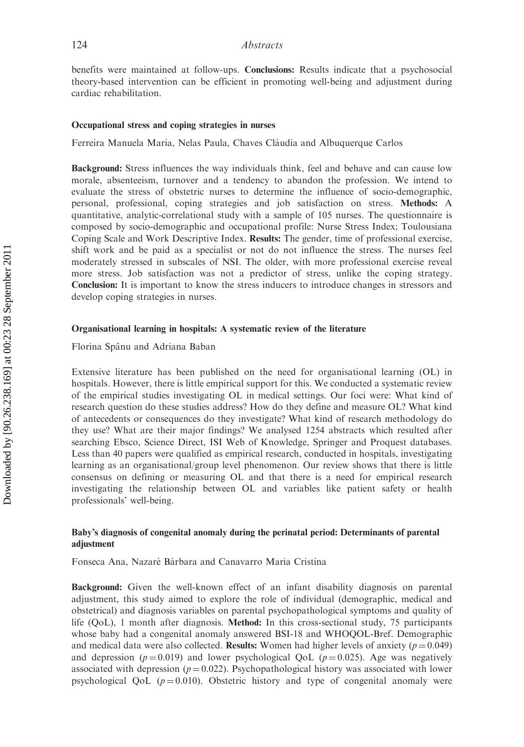benefits were maintained at follow-ups. Conclusions: Results indicate that a psychosocial theory-based intervention can be efficient in promoting well-being and adjustment during cardiac rehabilitation.

#### Occupational stress and coping strategies in nurses

Ferreira Manuela Maria, Nelas Paula, Chaves Cláudia and Albuquerque Carlos

Background: Stress influences the way individuals think, feel and behave and can cause low morale, absenteeism, turnover and a tendency to abandon the profession. We intend to evaluate the stress of obstetric nurses to determine the influence of socio-demographic, personal, professional, coping strategies and job satisfaction on stress. Methods: A quantitative, analytic-correlational study with a sample of 105 nurses. The questionnaire is composed by socio-demographic and occupational profile: Nurse Stress Index; Toulousiana Coping Scale and Work Descriptive Index. Results: The gender, time of professional exercise, shift work and be paid as a specialist or not do not influence the stress. The nurses feel moderately stressed in subscales of NSI. The older, with more professional exercise reveal more stress. Job satisfaction was not a predictor of stress, unlike the coping strategy. Conclusion: It is important to know the stress inducers to introduce changes in stressors and develop coping strategies in nurses.

#### Organisational learning in hospitals: A systematic review of the literature

Florina Spânu and Adriana Baban

Extensive literature has been published on the need for organisational learning (OL) in hospitals. However, there is little empirical support for this. We conducted a systematic review of the empirical studies investigating OL in medical settings. Our foci were: What kind of research question do these studies address? How do they define and measure OL? What kind of antecedents or consequences do they investigate? What kind of research methodology do they use? What are their major findings? We analysed 1254 abstracts which resulted after searching Ebsco, Science Direct, ISI Web of Knowledge, Springer and Proquest databases. Less than 40 papers were qualified as empirical research, conducted in hospitals, investigating learning as an organisational/group level phenomenon. Our review shows that there is little consensus on defining or measuring OL and that there is a need for empirical research investigating the relationship between OL and variables like patient safety or health professionals' well-being.

## Baby's diagnosis of congenital anomaly during the perinatal period: Determinants of parental adjustment

Fonseca Ana, Nazaré Bárbara and Canavarro Maria Cristina

Background: Given the well-known effect of an infant disability diagnosis on parental adjustment, this study aimed to explore the role of individual (demographic, medical and obstetrical) and diagnosis variables on parental psychopathological symptoms and quality of life (QoL), 1 month after diagnosis. Method: In this cross-sectional study, 75 participants whose baby had a congenital anomaly answered BSI-18 and WHOQOL-Bref. Demographic and medical data were also collected. **Results:** Women had higher levels of anxiety ( $p = 0.049$ ) and depression ( $p = 0.019$ ) and lower psychological QoL ( $p = 0.025$ ). Age was negatively associated with depression ( $p = 0.022$ ). Psychopathological history was associated with lower psychological QoL ( $p = 0.010$ ). Obstetric history and type of congenital anomaly were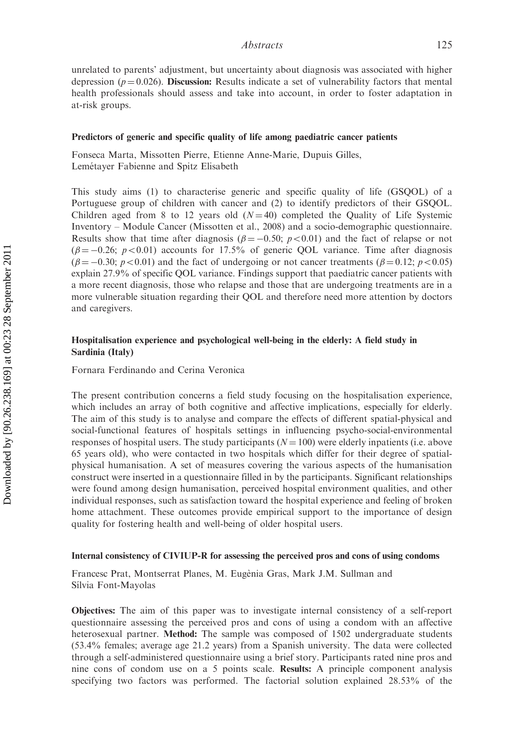unrelated to parents' adjustment, but uncertainty about diagnosis was associated with higher depression ( $p = 0.026$ ). Discussion: Results indicate a set of vulnerability factors that mental health professionals should assess and take into account, in order to foster adaptation in at-risk groups.

#### Predictors of generic and specific quality of life among paediatric cancer patients

Fonseca Marta, Missotten Pierre, Etienne Anne-Marie, Dupuis Gilles, Lemétayer Fabienne and Spitz Elisabeth

This study aims (1) to characterise generic and specific quality of life (GSQOL) of a Portuguese group of children with cancer and (2) to identify predictors of their GSQOL. Children aged from 8 to 12 years old  $(N = 40)$  completed the Quality of Life Systemic Inventory – Module Cancer (Missotten et al., 2008) and a socio-demographic questionnaire. Results show that time after diagnosis ( $\beta = -0.50$ ;  $p < 0.01$ ) and the fact of relapse or not  $(\beta = -0.26; p < 0.01)$  accounts for 17.5% of generic QOL variance. Time after diagnosis  $(\beta = -0.30; p < 0.01)$  and the fact of undergoing or not cancer treatments  $(\beta = 0.12; p < 0.05)$ explain 27.9% of specific QOL variance. Findings support that paediatric cancer patients with a more recent diagnosis, those who relapse and those that are undergoing treatments are in a more vulnerable situation regarding their QOL and therefore need more attention by doctors and caregivers.

# Hospitalisation experience and psychological well-being in the elderly: A field study in Sardinia (Italy)

Fornara Ferdinando and Cerina Veronica

The present contribution concerns a field study focusing on the hospitalisation experience, which includes an array of both cognitive and affective implications, especially for elderly. The aim of this study is to analyse and compare the effects of different spatial-physical and social-functional features of hospitals settings in influencing psycho-social-environmental responses of hospital users. The study participants ( $N = 100$ ) were elderly inpatients (i.e. above 65 years old), who were contacted in two hospitals which differ for their degree of spatialphysical humanisation. A set of measures covering the various aspects of the humanisation construct were inserted in a questionnaire filled in by the participants. Significant relationships were found among design humanisation, perceived hospital environment qualities, and other individual responses, such as satisfaction toward the hospital experience and feeling of broken home attachment. These outcomes provide empirical support to the importance of design quality for fostering health and well-being of older hospital users.

#### Internal consistency of CIVIUP-R for assessing the perceived pros and cons of using condoms

Francesc Prat, Montserrat Planes, M. Eugènia Gras, Mark J.M. Sullman and Sílvia Font-Mayolas

Objectives: The aim of this paper was to investigate internal consistency of a self-report questionnaire assessing the perceived pros and cons of using a condom with an affective heterosexual partner. Method: The sample was composed of 1502 undergraduate students (53.4% females; average age 21.2 years) from a Spanish university. The data were collected through a self-administered questionnaire using a brief story. Participants rated nine pros and nine cons of condom use on a 5 points scale. Results: A principle component analysis specifying two factors was performed. The factorial solution explained 28.53% of the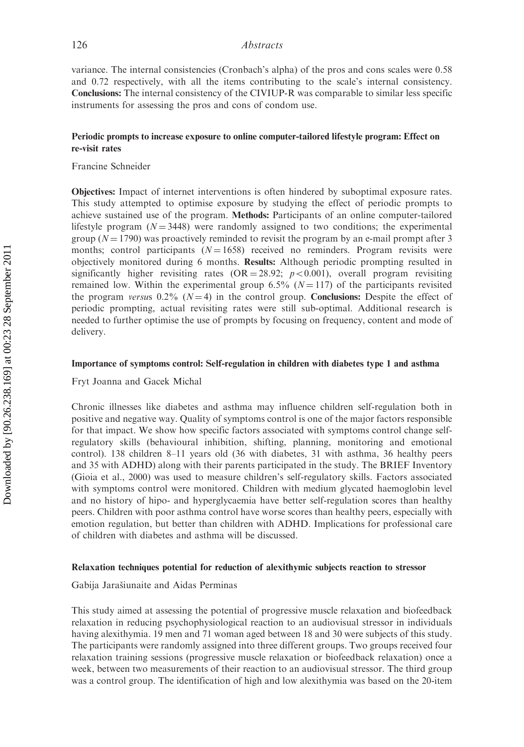variance. The internal consistencies (Cronbach's alpha) of the pros and cons scales were 0.58 and 0.72 respectively, with all the items contributing to the scale's internal consistency. Conclusions: The internal consistency of the CIVIUP-R was comparable to similar less specific instruments for assessing the pros and cons of condom use.

## Periodic prompts to increase exposure to online computer-tailored lifestyle program: Effect on re-visit rates

Francine Schneider

Objectives: Impact of internet interventions is often hindered by suboptimal exposure rates. This study attempted to optimise exposure by studying the effect of periodic prompts to achieve sustained use of the program. Methods: Participants of an online computer-tailored lifestyle program  $(N = 3448)$  were randomly assigned to two conditions; the experimental group ( $N = 1790$ ) was proactively reminded to revisit the program by an e-mail prompt after 3 months; control participants  $(N=1658)$  received no reminders. Program revisits were objectively monitored during 6 months. Results: Although periodic prompting resulted in significantly higher revisiting rates (OR = 28.92;  $p < 0.001$ ), overall program revisiting remained low. Within the experimental group 6.5% ( $N = 117$ ) of the participants revisited the program versus 0.2% ( $N=4$ ) in the control group. **Conclusions:** Despite the effect of periodic prompting, actual revisiting rates were still sub-optimal. Additional research is needed to further optimise the use of prompts by focusing on frequency, content and mode of delivery.

## Importance of symptoms control: Self-regulation in children with diabetes type 1 and asthma

Fryt Joanna and Gacek Michal

Chronic illnesses like diabetes and asthma may influence children self-regulation both in positive and negative way. Quality of symptoms control is one of the major factors responsible for that impact. We show how specific factors associated with symptoms control change selfregulatory skills (behavioural inhibition, shifting, planning, monitoring and emotional control). 138 children 8–11 years old (36 with diabetes, 31 with asthma, 36 healthy peers and 35 with ADHD) along with their parents participated in the study. The BRIEF Inventory (Gioia et al., 2000) was used to measure children's self-regulatory skills. Factors associated with symptoms control were monitored. Children with medium glycated haemoglobin level and no history of hipo- and hyperglycaemia have better self-regulation scores than healthy peers. Children with poor asthma control have worse scores than healthy peers, especially with emotion regulation, but better than children with ADHD. Implications for professional care of children with diabetes and asthma will be discussed.

### Relaxation techniques potential for reduction of alexithymic subjects reaction to stressor

Gabija Jarašiunaite and Aidas Perminas

This study aimed at assessing the potential of progressive muscle relaxation and biofeedback relaxation in reducing psychophysiological reaction to an audiovisual stressor in individuals having alexithymia. 19 men and 71 woman aged between 18 and 30 were subjects of this study. The participants were randomly assigned into three different groups. Two groups received four relaxation training sessions (progressive muscle relaxation or biofeedback relaxation) once a week, between two measurements of their reaction to an audiovisual stressor. The third group was a control group. The identification of high and low alexithymia was based on the 20-item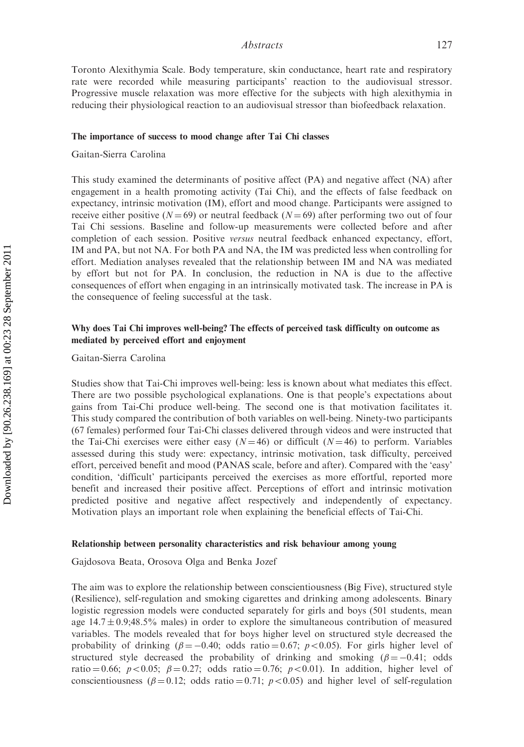Toronto Alexithymia Scale. Body temperature, skin conductance, heart rate and respiratory rate were recorded while measuring participants' reaction to the audiovisual stressor. Progressive muscle relaxation was more effective for the subjects with high alexithymia in reducing their physiological reaction to an audiovisual stressor than biofeedback relaxation.

#### The importance of success to mood change after Tai Chi classes

#### Gaitan-Sierra Carolina

This study examined the determinants of positive affect (PA) and negative affect (NA) after engagement in a health promoting activity (Tai Chi), and the effects of false feedback on expectancy, intrinsic motivation (IM), effort and mood change. Participants were assigned to receive either positive ( $N = 69$ ) or neutral feedback ( $N = 69$ ) after performing two out of four Tai Chi sessions. Baseline and follow-up measurements were collected before and after completion of each session. Positive versus neutral feedback enhanced expectancy, effort, IM and PA, but not NA. For both PA and NA, the IM was predicted less when controlling for effort. Mediation analyses revealed that the relationship between IM and NA was mediated by effort but not for PA. In conclusion, the reduction in NA is due to the affective consequences of effort when engaging in an intrinsically motivated task. The increase in PA is the consequence of feeling successful at the task.

# Why does Tai Chi improves well-being? The effects of perceived task difficulty on outcome as mediated by perceived effort and enjoyment

## Gaitan-Sierra Carolina

Studies show that Tai-Chi improves well-being: less is known about what mediates this effect. There are two possible psychological explanations. One is that people's expectations about gains from Tai-Chi produce well-being. The second one is that motivation facilitates it. This study compared the contribution of both variables on well-being. Ninety-two participants (67 females) performed four Tai-Chi classes delivered through videos and were instructed that the Tai-Chi exercises were either easy ( $N=46$ ) or difficult ( $N=46$ ) to perform. Variables assessed during this study were: expectancy, intrinsic motivation, task difficulty, perceived effort, perceived benefit and mood (PANAS scale, before and after). Compared with the 'easy' condition, 'difficult' participants perceived the exercises as more effortful, reported more benefit and increased their positive affect. Perceptions of effort and intrinsic motivation predicted positive and negative affect respectively and independently of expectancy. Motivation plays an important role when explaining the beneficial effects of Tai-Chi.

# Relationship between personality characteristics and risk behaviour among young

Gajdosova Beata, Orosova Olga and Benka Jozef

The aim was to explore the relationship between conscientiousness (Big Five), structured style (Resilience), self-regulation and smoking cigarettes and drinking among adolescents. Binary logistic regression models were conducted separately for girls and boys (501 students, mean age  $14.7 \pm 0.9;48.5\%$  males) in order to explore the simultaneous contribution of measured variables. The models revealed that for boys higher level on structured style decreased the probability of drinking ( $\beta = -0.40$ ; odds ratio = 0.67; p < 0.05). For girls higher level of structured style decreased the probability of drinking and smoking  $(\beta = -0.41;$  odds ratio = 0.66;  $p < 0.05$ ;  $\beta = 0.27$ ; odds ratio = 0.76;  $p < 0.01$ ). In addition, higher level of conscientiousness ( $\beta = 0.12$ ; odds ratio = 0.71; p < 0.05) and higher level of self-regulation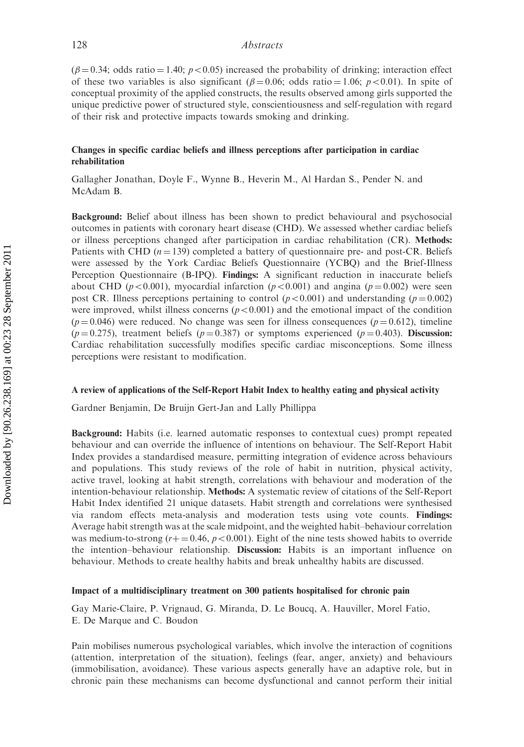$(\beta = 0.34; \text{ odds ratio} = 1.40; p < 0.05)$  increased the probability of drinking; interaction effect of these two variables is also significant ( $\beta = 0.06$ ; odds ratio = 1.06; p < 0.01). In spite of conceptual proximity of the applied constructs, the results observed among girls supported the unique predictive power of structured style, conscientiousness and self-regulation with regard of their risk and protective impacts towards smoking and drinking.

# Changes in specific cardiac beliefs and illness perceptions after participation in cardiac rehabilitation

Gallagher Jonathan, Doyle F., Wynne B., Heverin M., Al Hardan S., Pender N. and McAdam B.

Background: Belief about illness has been shown to predict behavioural and psychosocial outcomes in patients with coronary heart disease (CHD). We assessed whether cardiac beliefs or illness perceptions changed after participation in cardiac rehabilitation (CR). Methods: Patients with CHD  $(n = 139)$  completed a battery of questionnaire pre- and post-CR. Beliefs were assessed by the York Cardiac Beliefs Questionnaire (YCBQ) and the Brief-Illness Perception Questionnaire (B-IPQ). Findings: A significant reduction in inaccurate beliefs about CHD ( $p<0.001$ ), myocardial infarction ( $p<0.001$ ) and angina ( $p=0.002$ ) were seen post CR. Illness perceptions pertaining to control ( $p<0.001$ ) and understanding ( $p = 0.002$ ) were improved, whilst illness concerns  $(p<0.001)$  and the emotional impact of the condition  $(p=0.046)$  were reduced. No change was seen for illness consequences  $(p=0.612)$ , timeline  $(p=0.275)$ , treatment beliefs  $(p=0.387)$  or symptoms experienced  $(p=0.403)$ . Discussion: Cardiac rehabilitation successfully modifies specific cardiac misconceptions. Some illness perceptions were resistant to modification.

#### A review of applications of the Self-Report Habit Index to healthy eating and physical activity

Gardner Benjamin, De Bruijn Gert-Jan and Lally Phillippa

Background: Habits (i.e. learned automatic responses to contextual cues) prompt repeated behaviour and can override the influence of intentions on behaviour. The Self-Report Habit Index provides a standardised measure, permitting integration of evidence across behaviours and populations. This study reviews of the role of habit in nutrition, physical activity, active travel, looking at habit strength, correlations with behaviour and moderation of the intention-behaviour relationship. Methods: A systematic review of citations of the Self-Report Habit Index identified 21 unique datasets. Habit strength and correlations were synthesised via random effects meta-analysis and moderation tests using vote counts. Findings: Average habit strength was at the scale midpoint, and the weighted habit–behaviour correlation was medium-to-strong ( $r = 0.46$ ,  $p < 0.001$ ). Eight of the nine tests showed habits to override the intention–behaviour relationship. Discussion: Habits is an important influence on behaviour. Methods to create healthy habits and break unhealthy habits are discussed.

#### Impact of a multidisciplinary treatment on 300 patients hospitalised for chronic pain

Gay Marie-Claire, P. Vrignaud, G. Miranda, D. Le Boucq, A. Hauviller, Morel Fatio, E. De Marque and C. Boudon

Pain mobilises numerous psychological variables, which involve the interaction of cognitions (attention, interpretation of the situation), feelings (fear, anger, anxiety) and behaviours (immobilisation, avoidance). These various aspects generally have an adaptive role, but in chronic pain these mechanisms can become dysfunctional and cannot perform their initial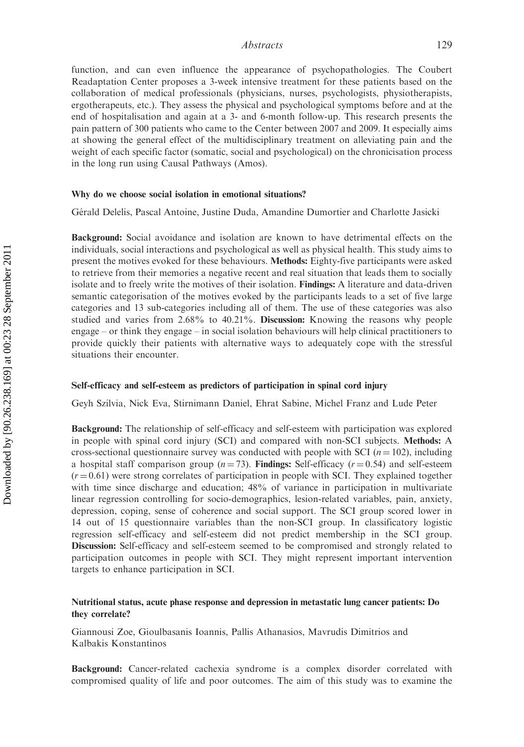function, and can even influence the appearance of psychopathologies. The Coubert Readaptation Center proposes a 3-week intensive treatment for these patients based on the collaboration of medical professionals (physicians, nurses, psychologists, physiotherapists, ergotherapeuts, etc.). They assess the physical and psychological symptoms before and at the end of hospitalisation and again at a 3- and 6-month follow-up. This research presents the pain pattern of 300 patients who came to the Center between 2007 and 2009. It especially aims at showing the general effect of the multidisciplinary treatment on alleviating pain and the weight of each specific factor (somatic, social and psychological) on the chronicisation process in the long run using Causal Pathways (Amos).

#### Why do we choose social isolation in emotional situations?

Gérald Delelis, Pascal Antoine, Justine Duda, Amandine Dumortier and Charlotte Jasicki

Background: Social avoidance and isolation are known to have detrimental effects on the individuals, social interactions and psychological as well as physical health. This study aims to present the motives evoked for these behaviours. Methods: Eighty-five participants were asked to retrieve from their memories a negative recent and real situation that leads them to socially isolate and to freely write the motives of their isolation. Findings: A literature and data-driven semantic categorisation of the motives evoked by the participants leads to a set of five large categories and 13 sub-categories including all of them. The use of these categories was also studied and varies from 2.68% to 40.21%. Discussion: Knowing the reasons why people engage – or think they engage – in social isolation behaviours will help clinical practitioners to provide quickly their patients with alternative ways to adequately cope with the stressful situations their encounter.

## Self-efficacy and self-esteem as predictors of participation in spinal cord injury

Geyh Szilvia, Nick Eva, Stirnimann Daniel, Ehrat Sabine, Michel Franz and Lude Peter

Background: The relationship of self-efficacy and self-esteem with participation was explored in people with spinal cord injury (SCI) and compared with non-SCI subjects. Methods: A cross-sectional questionnaire survey was conducted with people with SCI ( $n = 102$ ), including a hospital staff comparison group ( $n = 73$ ). Findings: Self-efficacy ( $r = 0.54$ ) and self-esteem  $(r = 0.61)$  were strong correlates of participation in people with SCI. They explained together with time since discharge and education; 48% of variance in participation in multivariate linear regression controlling for socio-demographics, lesion-related variables, pain, anxiety, depression, coping, sense of coherence and social support. The SCI group scored lower in 14 out of 15 questionnaire variables than the non-SCI group. In classificatory logistic regression self-efficacy and self-esteem did not predict membership in the SCI group. Discussion: Self-efficacy and self-esteem seemed to be compromised and strongly related to participation outcomes in people with SCI. They might represent important intervention targets to enhance participation in SCI.

# Nutritional status, acute phase response and depression in metastatic lung cancer patients: Do they correlate?

Giannousi Zoe, Gioulbasanis Ioannis, Pallis Athanasios, Mavrudis Dimitrios and Kalbakis Konstantinos

Background: Cancer-related cachexia syndrome is a complex disorder correlated with compromised quality of life and poor outcomes. The aim of this study was to examine the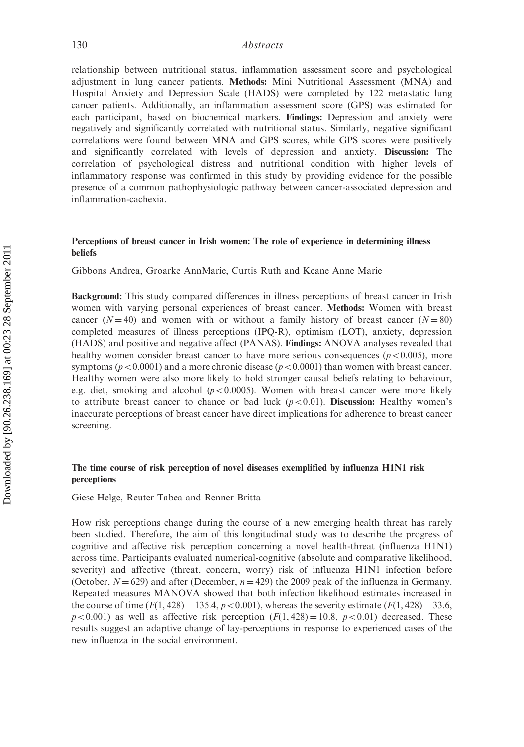relationship between nutritional status, inflammation assessment score and psychological adjustment in lung cancer patients. Methods: Mini Nutritional Assessment (MNA) and Hospital Anxiety and Depression Scale (HADS) were completed by 122 metastatic lung cancer patients. Additionally, an inflammation assessment score (GPS) was estimated for each participant, based on biochemical markers. Findings: Depression and anxiety were negatively and significantly correlated with nutritional status. Similarly, negative significant correlations were found between MNA and GPS scores, while GPS scores were positively and significantly correlated with levels of depression and anxiety. Discussion: The correlation of psychological distress and nutritional condition with higher levels of inflammatory response was confirmed in this study by providing evidence for the possible presence of a common pathophysiologic pathway between cancer-associated depression and inflammation-cachexia.

## Perceptions of breast cancer in Irish women: The role of experience in determining illness beliefs

Gibbons Andrea, Groarke AnnMarie, Curtis Ruth and Keane Anne Marie

Background: This study compared differences in illness perceptions of breast cancer in Irish women with varying personal experiences of breast cancer. Methods: Women with breast cancer ( $N = 40$ ) and women with or without a family history of breast cancer ( $N = 80$ ) completed measures of illness perceptions (IPQ-R), optimism (LOT), anxiety, depression (HADS) and positive and negative affect (PANAS). Findings: ANOVA analyses revealed that healthy women consider breast cancer to have more serious consequences ( $p<0.005$ ), more symptoms ( $p < 0.0001$ ) and a more chronic disease ( $p < 0.0001$ ) than women with breast cancer. Healthy women were also more likely to hold stronger causal beliefs relating to behaviour, e.g. diet, smoking and alcohol ( $p<0.0005$ ). Women with breast cancer were more likely to attribute breast cancer to chance or bad luck  $(p<0.01)$ . Discussion: Healthy women's inaccurate perceptions of breast cancer have direct implications for adherence to breast cancer screening.

# The time course of risk perception of novel diseases exemplified by influenza H1N1 risk perceptions

Giese Helge, Reuter Tabea and Renner Britta

How risk perceptions change during the course of a new emerging health threat has rarely been studied. Therefore, the aim of this longitudinal study was to describe the progress of cognitive and affective risk perception concerning a novel health-threat (influenza H1N1) across time. Participants evaluated numerical-cognitive (absolute and comparative likelihood, severity) and affective (threat, concern, worry) risk of influenza H1N1 infection before (October,  $N = 629$ ) and after (December,  $n = 429$ ) the 2009 peak of the influenza in Germany. Repeated measures MANOVA showed that both infection likelihood estimates increased in the course of time  $(F(1, 428) = 135.4, p < 0.001)$ , whereas the severity estimate  $(F(1, 428) = 33.6,$  $p<0.001$ ) as well as affective risk perception ( $F(1, 428) = 10.8$ ,  $p<0.01$ ) decreased. These results suggest an adaptive change of lay-perceptions in response to experienced cases of the new influenza in the social environment.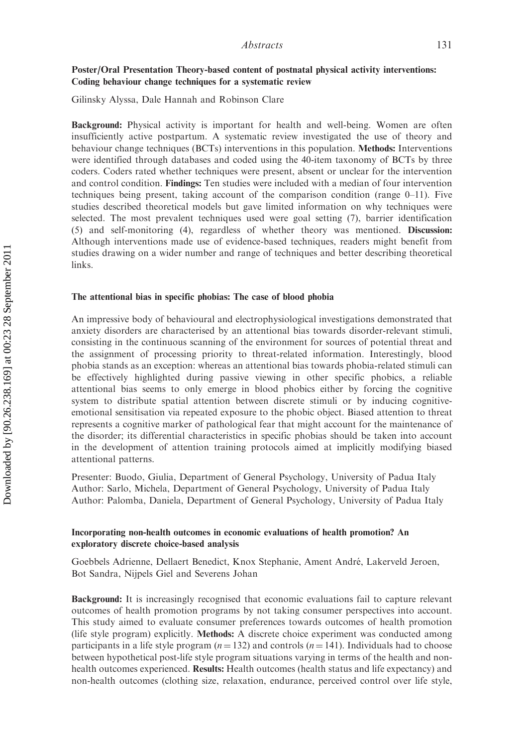# Poster/Oral Presentation Theory-based content of postnatal physical activity interventions: Coding behaviour change techniques for a systematic review

Gilinsky Alyssa, Dale Hannah and Robinson Clare

Background: Physical activity is important for health and well-being. Women are often insufficiently active postpartum. A systematic review investigated the use of theory and behaviour change techniques (BCTs) interventions in this population. Methods: Interventions were identified through databases and coded using the 40-item taxonomy of BCTs by three coders. Coders rated whether techniques were present, absent or unclear for the intervention and control condition. Findings: Ten studies were included with a median of four intervention techniques being present, taking account of the comparison condition (range  $0-11$ ). Five studies described theoretical models but gave limited information on why techniques were selected. The most prevalent techniques used were goal setting (7), barrier identification (5) and self-monitoring (4), regardless of whether theory was mentioned. Discussion: Although interventions made use of evidence-based techniques, readers might benefit from studies drawing on a wider number and range of techniques and better describing theoretical links.

### The attentional bias in specific phobias: The case of blood phobia

An impressive body of behavioural and electrophysiological investigations demonstrated that anxiety disorders are characterised by an attentional bias towards disorder-relevant stimuli, consisting in the continuous scanning of the environment for sources of potential threat and the assignment of processing priority to threat-related information. Interestingly, blood phobia stands as an exception: whereas an attentional bias towards phobia-related stimuli can be effectively highlighted during passive viewing in other specific phobics, a reliable attentional bias seems to only emerge in blood phobics either by forcing the cognitive system to distribute spatial attention between discrete stimuli or by inducing cognitiveemotional sensitisation via repeated exposure to the phobic object. Biased attention to threat represents a cognitive marker of pathological fear that might account for the maintenance of the disorder; its differential characteristics in specific phobias should be taken into account in the development of attention training protocols aimed at implicitly modifying biased attentional patterns.

Presenter: Buodo, Giulia, Department of General Psychology, University of Padua Italy Author: Sarlo, Michela, Department of General Psychology, University of Padua Italy Author: Palomba, Daniela, Department of General Psychology, University of Padua Italy

# Incorporating non-health outcomes in economic evaluations of health promotion? An exploratory discrete choice-based analysis

Goebbels Adrienne, Dellaert Benedict, Knox Stephanie, Ament Andre´, Lakerveld Jeroen, Bot Sandra, Nijpels Giel and Severens Johan

Background: It is increasingly recognised that economic evaluations fail to capture relevant outcomes of health promotion programs by not taking consumer perspectives into account. This study aimed to evaluate consumer preferences towards outcomes of health promotion (life style program) explicitly. Methods: A discrete choice experiment was conducted among participants in a life style program  $(n = 132)$  and controls  $(n = 141)$ . Individuals had to choose between hypothetical post-life style program situations varying in terms of the health and nonhealth outcomes experienced. **Results:** Health outcomes (health status and life expectancy) and non-health outcomes (clothing size, relaxation, endurance, perceived control over life style,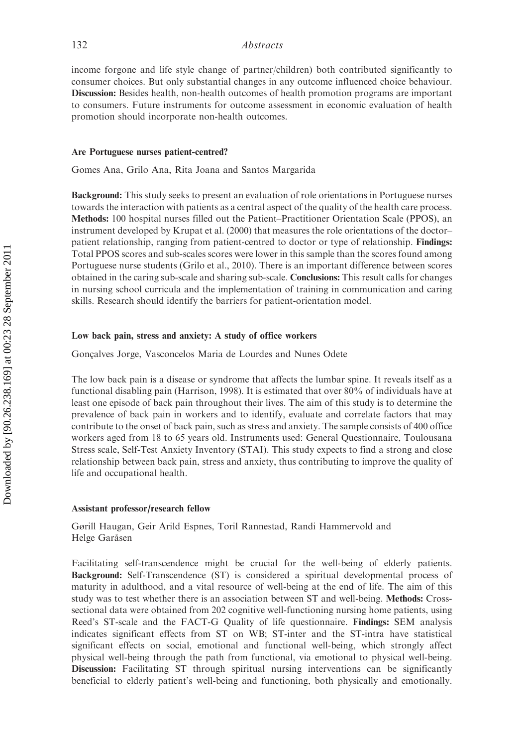income forgone and life style change of partner/children) both contributed significantly to consumer choices. But only substantial changes in any outcome influenced choice behaviour. Discussion: Besides health, non-health outcomes of health promotion programs are important to consumers. Future instruments for outcome assessment in economic evaluation of health promotion should incorporate non-health outcomes.

## Are Portuguese nurses patient-centred?

Gomes Ana, Grilo Ana, Rita Joana and Santos Margarida

Background: This study seeks to present an evaluation of role orientations in Portuguese nurses towards the interaction with patients as a central aspect of the quality of the health care process. Methods: 100 hospital nurses filled out the Patient–Practitioner Orientation Scale (PPOS), an instrument developed by Krupat et al. (2000) that measures the role orientations of the doctor– patient relationship, ranging from patient-centred to doctor or type of relationship. Findings: Total PPOS scores and sub-scales scores were lower in this sample than the scores found among Portuguese nurse students (Grilo et al., 2010). There is an important difference between scores obtained in the caring sub-scale and sharing sub-scale. Conclusions: This result calls for changes in nursing school curricula and the implementation of training in communication and caring skills. Research should identify the barriers for patient-orientation model.

## Low back pain, stress and anxiety: A study of office workers

Gonçalves Jorge, Vasconcelos Maria de Lourdes and Nunes Odete

The low back pain is a disease or syndrome that affects the lumbar spine. It reveals itself as a functional disabling pain (Harrison, 1998). It is estimated that over 80% of individuals have at least one episode of back pain throughout their lives. The aim of this study is to determine the prevalence of back pain in workers and to identify, evaluate and correlate factors that may contribute to the onset of back pain, such as stress and anxiety. The sample consists of 400 office workers aged from 18 to 65 years old. Instruments used: General Questionnaire, Toulousana Stress scale, Self-Test Anxiety Inventory (STAI). This study expects to find a strong and close relationship between back pain, stress and anxiety, thus contributing to improve the quality of life and occupational health.

## Assistant professor/research fellow

Gørill Haugan, Geir Arild Espnes, Toril Rannestad, Randi Hammervold and Helge Garåsen

Facilitating self-transcendence might be crucial for the well-being of elderly patients. Background: Self-Transcendence (ST) is considered a spiritual developmental process of maturity in adulthood, and a vital resource of well-being at the end of life. The aim of this study was to test whether there is an association between ST and well-being. Methods: Crosssectional data were obtained from 202 cognitive well-functioning nursing home patients, using Reed's ST-scale and the FACT-G Quality of life questionnaire. Findings: SEM analysis indicates significant effects from ST on WB; ST-inter and the ST-intra have statistical significant effects on social, emotional and functional well-being, which strongly affect physical well-being through the path from functional, via emotional to physical well-being. Discussion: Facilitating ST through spiritual nursing interventions can be significantly beneficial to elderly patient's well-being and functioning, both physically and emotionally.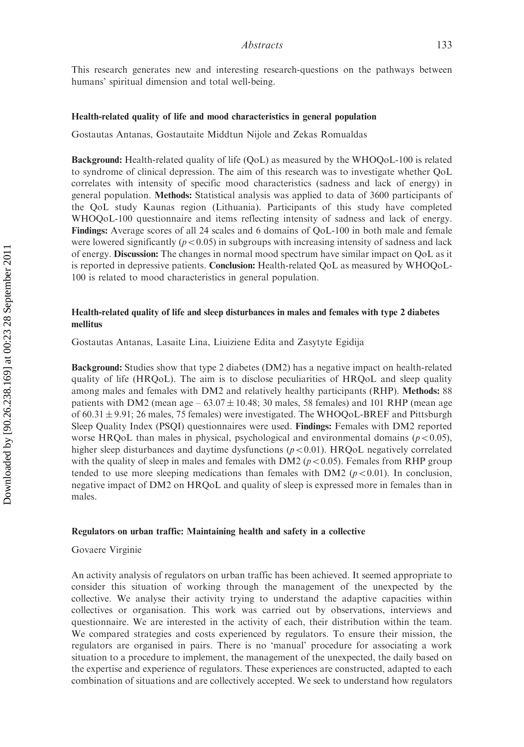This research generates new and interesting research-questions on the pathways between humans' spiritual dimension and total well-being.

#### Health-related quality of life and mood characteristics in general population

Gostautas Antanas, Gostautaite Middtun Nijole and Zekas Romualdas

Background: Health-related quality of life (QoL) as measured by the WHOQoL-100 is related to syndrome of clinical depression. The aim of this research was to investigate whether QoL correlates with intensity of specific mood characteristics (sadness and lack of energy) in general population. Methods: Statistical analysis was applied to data of 3600 participants of the QoL study Kaunas region (Lithuania). Participants of this study have completed WHOQoL-100 questionnaire and items reflecting intensity of sadness and lack of energy. Findings: Average scores of all 24 scales and 6 domains of QoL-100 in both male and female were lowered significantly ( $p<0.05$ ) in subgroups with increasing intensity of sadness and lack of energy. Discussion: The changes in normal mood spectrum have similar impact on QoL as it is reported in depressive patients. Conclusion: Health-related QoL as measured by WHOQoL-100 is related to mood characteristics in general population.

## Health-related quality of life and sleep disturbances in males and females with type 2 diabetes mellitus

Gostautas Antanas, Lasaite Lina, Liuiziene Edita and Zasytyte Egidija

Background: Studies show that type 2 diabetes (DM2) has a negative impact on health-related quality of life (HRQoL). The aim is to disclose peculiarities of HRQoL and sleep quality among males and females with DM2 and relatively healthy participants (RHP). Methods: 88 patients with DM2 (mean age  $-63.07 \pm 10.48$ ; 30 males, 58 females) and 101 RHP (mean age of  $60.31 \pm 9.91$ ; 26 males, 75 females) were investigated. The WHOQoL-BREF and Pittsburgh Sleep Quality Index (PSQI) questionnaires were used. Findings: Females with DM2 reported worse HRQoL than males in physical, psychological and environmental domains ( $p<0.05$ ), higher sleep disturbances and daytime dysfunctions  $(p<0.01)$ . HRQoL negatively correlated with the quality of sleep in males and females with DM2 ( $p<0.05$ ). Females from RHP group tended to use more sleeping medications than females with DM2 ( $p<0.01$ ). In conclusion, negative impact of DM2 on HRQoL and quality of sleep is expressed more in females than in males.

#### Regulators on urban traffic: Maintaining health and safety in a collective

Govaere Virginie

An activity analysis of regulators on urban traffic has been achieved. It seemed appropriate to consider this situation of working through the management of the unexpected by the collective. We analyse their activity trying to understand the adaptive capacities within collectives or organisation. This work was carried out by observations, interviews and questionnaire. We are interested in the activity of each, their distribution within the team. We compared strategies and costs experienced by regulators. To ensure their mission, the regulators are organised in pairs. There is no 'manual' procedure for associating a work situation to a procedure to implement, the management of the unexpected, the daily based on the expertise and experience of regulators. These experiences are constructed, adapted to each combination of situations and are collectively accepted. We seek to understand how regulators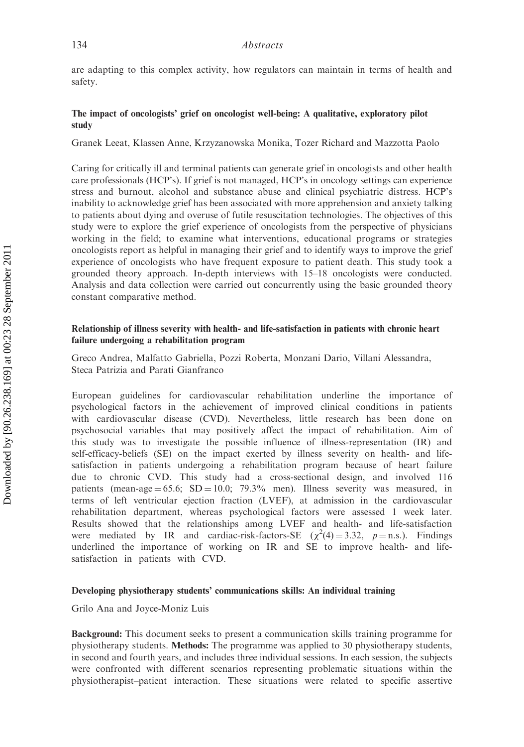are adapting to this complex activity, how regulators can maintain in terms of health and safety.

# The impact of oncologists' grief on oncologist well-being: A qualitative, exploratory pilot study

Granek Leeat, Klassen Anne, Krzyzanowska Monika, Tozer Richard and Mazzotta Paolo

Caring for critically ill and terminal patients can generate grief in oncologists and other health care professionals (HCP's). If grief is not managed, HCP's in oncology settings can experience stress and burnout, alcohol and substance abuse and clinical psychiatric distress. HCP's inability to acknowledge grief has been associated with more apprehension and anxiety talking to patients about dying and overuse of futile resuscitation technologies. The objectives of this study were to explore the grief experience of oncologists from the perspective of physicians working in the field; to examine what interventions, educational programs or strategies oncologists report as helpful in managing their grief and to identify ways to improve the grief experience of oncologists who have frequent exposure to patient death. This study took a grounded theory approach. In-depth interviews with 15–18 oncologists were conducted. Analysis and data collection were carried out concurrently using the basic grounded theory constant comparative method.

## Relationship of illness severity with health- and life-satisfaction in patients with chronic heart failure undergoing a rehabilitation program

Greco Andrea, Malfatto Gabriella, Pozzi Roberta, Monzani Dario, Villani Alessandra, Steca Patrizia and Parati Gianfranco

European guidelines for cardiovascular rehabilitation underline the importance of psychological factors in the achievement of improved clinical conditions in patients with cardiovascular disease (CVD). Nevertheless, little research has been done on psychosocial variables that may positively affect the impact of rehabilitation. Aim of this study was to investigate the possible influence of illness-representation (IR) and self-efficacy-beliefs (SE) on the impact exerted by illness severity on health- and lifesatisfaction in patients undergoing a rehabilitation program because of heart failure due to chronic CVD. This study had a cross-sectional design, and involved 116 patients (mean-age  $= 65.6$ ; SD  $= 10.0$ ; 79.3% men). Illness severity was measured, in terms of left ventricular ejection fraction (LVEF), at admission in the cardiovascular rehabilitation department, whereas psychological factors were assessed 1 week later. Results showed that the relationships among LVEF and health- and life-satisfaction were mediated by IR and cardiac-risk-factors-SE  $(\chi^2(4) = 3.32, p = n.s.)$ . Findings underlined the importance of working on IR and SE to improve health- and lifesatisfaction in patients with CVD.

### Developing physiotherapy students' communications skills: An individual training

Grilo Ana and Joyce-Moniz Luis

Background: This document seeks to present a communication skills training programme for physiotherapy students. Methods: The programme was applied to 30 physiotherapy students, in second and fourth years, and includes three individual sessions. In each session, the subjects were confronted with different scenarios representing problematic situations within the physiotherapist–patient interaction. These situations were related to specific assertive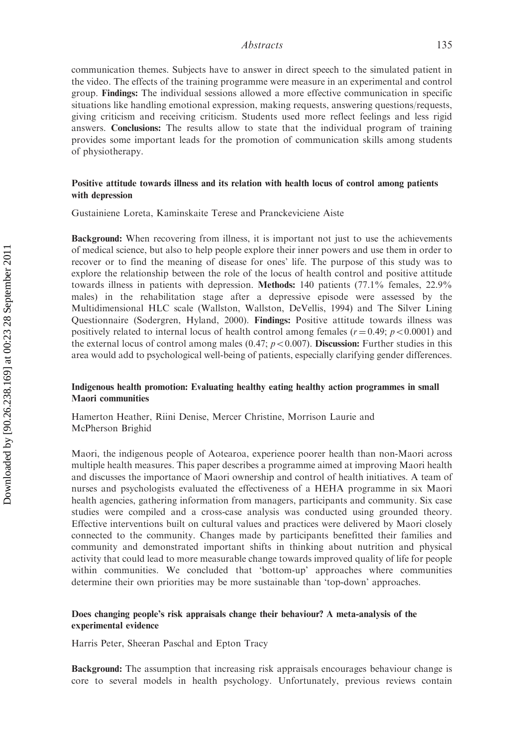communication themes. Subjects have to answer in direct speech to the simulated patient in the video. The effects of the training programme were measure in an experimental and control group. Findings: The individual sessions allowed a more effective communication in specific situations like handling emotional expression, making requests, answering questions/requests, giving criticism and receiving criticism. Students used more reflect feelings and less rigid answers. Conclusions: The results allow to state that the individual program of training provides some important leads for the promotion of communication skills among students of physiotherapy.

# Positive attitude towards illness and its relation with health locus of control among patients with depression

Gustainiene Loreta, Kaminskaite Terese and Pranckeviciene Aiste

Background: When recovering from illness, it is important not just to use the achievements of medical science, but also to help people explore their inner powers and use them in order to recover or to find the meaning of disease for ones' life. The purpose of this study was to explore the relationship between the role of the locus of health control and positive attitude towards illness in patients with depression. Methods: 140 patients (77.1% females, 22.9% males) in the rehabilitation stage after a depressive episode were assessed by the Multidimensional HLC scale (Wallston, Wallston, DeVellis, 1994) and The Silver Lining Questionnaire (Sodergren, Hyland, 2000). Findings: Positive attitude towards illness was positively related to internal locus of health control among females ( $r = 0.49$ ;  $p < 0.0001$ ) and the external locus of control among males (0.47;  $p<0.007$ ). Discussion: Further studies in this area would add to psychological well-being of patients, especially clarifying gender differences.

## Indigenous health promotion: Evaluating healthy eating healthy action programmes in small Maori communities

Hamerton Heather, Riini Denise, Mercer Christine, Morrison Laurie and McPherson Brighid

Maori, the indigenous people of Aotearoa, experience poorer health than non-Maori across multiple health measures. This paper describes a programme aimed at improving Maori health and discusses the importance of Maori ownership and control of health initiatives. A team of nurses and psychologists evaluated the effectiveness of a HEHA programme in six Maori health agencies, gathering information from managers, participants and community. Six case studies were compiled and a cross-case analysis was conducted using grounded theory. Effective interventions built on cultural values and practices were delivered by Maori closely connected to the community. Changes made by participants benefitted their families and community and demonstrated important shifts in thinking about nutrition and physical activity that could lead to more measurable change towards improved quality of life for people within communities. We concluded that 'bottom-up' approaches where communities determine their own priorities may be more sustainable than 'top-down' approaches.

# Does changing people's risk appraisals change their behaviour? A meta-analysis of the experimental evidence

Harris Peter, Sheeran Paschal and Epton Tracy

Background: The assumption that increasing risk appraisals encourages behaviour change is core to several models in health psychology. Unfortunately, previous reviews contain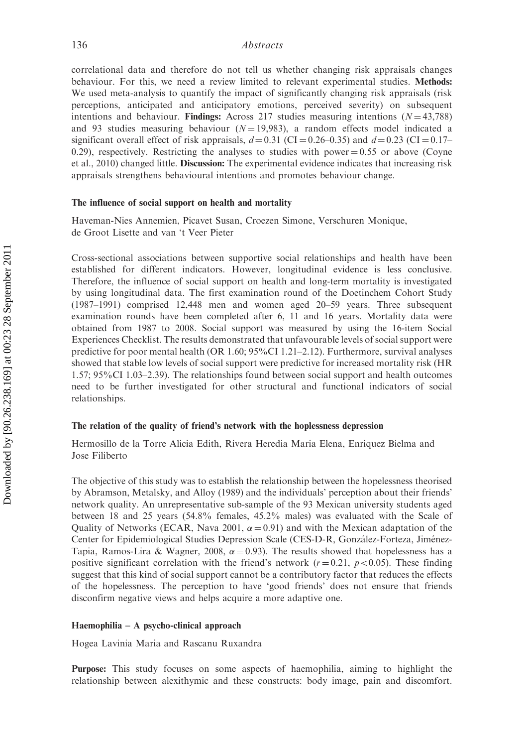correlational data and therefore do not tell us whether changing risk appraisals changes behaviour. For this, we need a review limited to relevant experimental studies. Methods: We used meta-analysis to quantify the impact of significantly changing risk appraisals (risk perceptions, anticipated and anticipatory emotions, perceived severity) on subsequent intentions and behaviour. Findings: Across 217 studies measuring intentions  $(N = 43,788)$ and 93 studies measuring behaviour  $(N = 19,983)$ , a random effects model indicated a significant overall effect of risk appraisals,  $d = 0.31$  (CI = 0.26–0.35) and  $d = 0.23$  (CI = 0.17– 0.29), respectively. Restricting the analyses to studies with power  $= 0.55$  or above (Coyne et al., 2010) changed little. Discussion: The experimental evidence indicates that increasing risk appraisals strengthens behavioural intentions and promotes behaviour change.

### The influence of social support on health and mortality

Haveman-Nies Annemien, Picavet Susan, Croezen Simone, Verschuren Monique, de Groot Lisette and van 't Veer Pieter

Cross-sectional associations between supportive social relationships and health have been established for different indicators. However, longitudinal evidence is less conclusive. Therefore, the influence of social support on health and long-term mortality is investigated by using longitudinal data. The first examination round of the Doetinchem Cohort Study (1987–1991) comprised 12,448 men and women aged 20–59 years. Three subsequent examination rounds have been completed after 6, 11 and 16 years. Mortality data were obtained from 1987 to 2008. Social support was measured by using the 16-item Social Experiences Checklist. The results demonstrated that unfavourable levels of social support were predictive for poor mental health (OR 1.60; 95%CI 1.21–2.12). Furthermore, survival analyses showed that stable low levels of social support were predictive for increased mortality risk (HR 1.57; 95%CI 1.03–2.39). The relationships found between social support and health outcomes need to be further investigated for other structural and functional indicators of social relationships.

#### The relation of the quality of friend's network with the hoplessness depression

Hermosillo de la Torre Alicia Edith, Rivera Heredia Maria Elena, Enriquez Bielma and Jose Filiberto

The objective of this study was to establish the relationship between the hopelessness theorised by Abramson, Metalsky, and Alloy (1989) and the individuals' perception about their friends' network quality. An unrepresentative sub-sample of the 93 Mexican university students aged between 18 and 25 years (54.8% females, 45.2% males) was evaluated with the Scale of Quality of Networks (ECAR, Nava 2001,  $\alpha = 0.91$ ) and with the Mexican adaptation of the Center for Epidemiological Studies Depression Scale (CES-D-R, González-Forteza, Jiménez-Tapia, Ramos-Lira & Wagner, 2008,  $\alpha = 0.93$ ). The results showed that hopelessness has a positive significant correlation with the friend's network ( $r = 0.21$ ,  $p < 0.05$ ). These finding suggest that this kind of social support cannot be a contributory factor that reduces the effects of the hopelessness. The perception to have 'good friends' does not ensure that friends disconfirm negative views and helps acquire a more adaptive one.

## Haemophilia – A psycho-clinical approach

Hogea Lavinia Maria and Rascanu Ruxandra

Purpose: This study focuses on some aspects of haemophilia, aiming to highlight the relationship between alexithymic and these constructs: body image, pain and discomfort.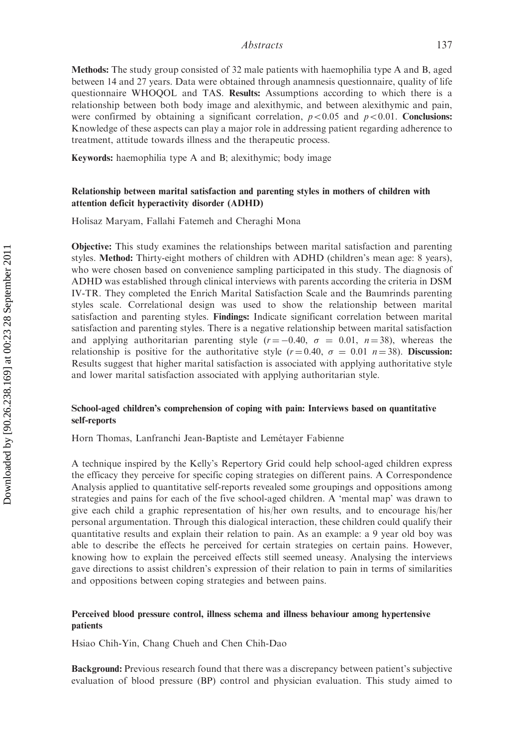Methods: The study group consisted of 32 male patients with haemophilia type A and B, aged between 14 and 27 years. Data were obtained through anamnesis questionnaire, quality of life questionnaire WHOQOL and TAS. Results: Assumptions according to which there is a relationship between both body image and alexithymic, and between alexithymic and pain, were confirmed by obtaining a significant correlation,  $p<0.05$  and  $p<0.01$ . Conclusions: Knowledge of these aspects can play a major role in addressing patient regarding adherence to treatment, attitude towards illness and the therapeutic process.

Keywords: haemophilia type A and B; alexithymic; body image

# Relationship between marital satisfaction and parenting styles in mothers of children with attention deficit hyperactivity disorder (ADHD)

Holisaz Maryam, Fallahi Fatemeh and Cheraghi Mona

Objective: This study examines the relationships between marital satisfaction and parenting styles. Method: Thirty-eight mothers of children with ADHD (children's mean age: 8 years), who were chosen based on convenience sampling participated in this study. The diagnosis of ADHD was established through clinical interviews with parents according the criteria in DSM IV-TR. They completed the Enrich Marital Satisfaction Scale and the Baumrinds parenting styles scale. Correlational design was used to show the relationship between marital satisfaction and parenting styles. Findings: Indicate significant correlation between marital satisfaction and parenting styles. There is a negative relationship between marital satisfaction and applying authoritarian parenting style  $(r = -0.40, \sigma = 0.01, n = 38)$ , whereas the relationship is positive for the authoritative style ( $r = 0.40$ ,  $\sigma = 0.01$   $n = 38$ ). Discussion: Results suggest that higher marital satisfaction is associated with applying authoritative style and lower marital satisfaction associated with applying authoritarian style.

## School-aged children's comprehension of coping with pain: Interviews based on quantitative self-reports

Horn Thomas, Lanfranchi Jean-Baptiste and Lemétayer Fabienne

A technique inspired by the Kelly's Repertory Grid could help school-aged children express the efficacy they perceive for specific coping strategies on different pains. A Correspondence Analysis applied to quantitative self-reports revealed some groupings and oppositions among strategies and pains for each of the five school-aged children. A 'mental map' was drawn to give each child a graphic representation of his/her own results, and to encourage his/her personal argumentation. Through this dialogical interaction, these children could qualify their quantitative results and explain their relation to pain. As an example: a 9 year old boy was able to describe the effects he perceived for certain strategies on certain pains. However, knowing how to explain the perceived effects still seemed uneasy. Analysing the interviews gave directions to assist children's expression of their relation to pain in terms of similarities and oppositions between coping strategies and between pains.

# Perceived blood pressure control, illness schema and illness behaviour among hypertensive patients

Hsiao Chih-Yin, Chang Chueh and Chen Chih-Dao

Background: Previous research found that there was a discrepancy between patient's subjective evaluation of blood pressure (BP) control and physician evaluation. This study aimed to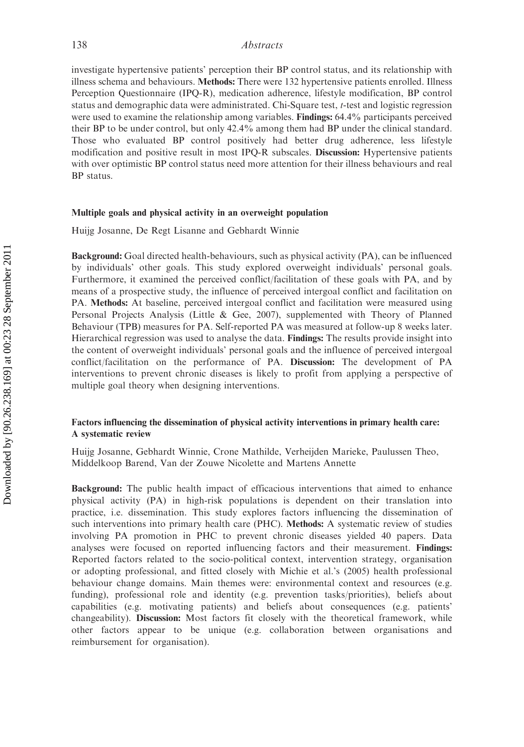investigate hypertensive patients' perception their BP control status, and its relationship with illness schema and behaviours. Methods: There were 132 hypertensive patients enrolled. Illness Perception Questionnaire (IPQ-R), medication adherence, lifestyle modification, BP control status and demographic data were administrated. Chi-Square test, t-test and logistic regression were used to examine the relationship among variables. Findings: 64.4% participants perceived their BP to be under control, but only 42.4% among them had BP under the clinical standard. Those who evaluated BP control positively had better drug adherence, less lifestyle modification and positive result in most IPQ-R subscales. Discussion: Hypertensive patients with over optimistic BP control status need more attention for their illness behaviours and real BP status.

## Multiple goals and physical activity in an overweight population

Huijg Josanne, De Regt Lisanne and Gebhardt Winnie

Background: Goal directed health-behaviours, such as physical activity (PA), can be influenced by individuals' other goals. This study explored overweight individuals' personal goals. Furthermore, it examined the perceived conflict/facilitation of these goals with PA, and by means of a prospective study, the influence of perceived intergoal conflict and facilitation on PA. Methods: At baseline, perceived intergoal conflict and facilitation were measured using Personal Projects Analysis (Little & Gee, 2007), supplemented with Theory of Planned Behaviour (TPB) measures for PA. Self-reported PA was measured at follow-up 8 weeks later. Hierarchical regression was used to analyse the data. Findings: The results provide insight into the content of overweight individuals' personal goals and the influence of perceived intergoal conflict/facilitation on the performance of PA. Discussion: The development of PA interventions to prevent chronic diseases is likely to profit from applying a perspective of multiple goal theory when designing interventions.

## Factors influencing the dissemination of physical activity interventions in primary health care: A systematic review

Huijg Josanne, Gebhardt Winnie, Crone Mathilde, Verheijden Marieke, Paulussen Theo, Middelkoop Barend, Van der Zouwe Nicolette and Martens Annette

Background: The public health impact of efficacious interventions that aimed to enhance physical activity (PA) in high-risk populations is dependent on their translation into practice, i.e. dissemination. This study explores factors influencing the dissemination of such interventions into primary health care (PHC). Methods: A systematic review of studies involving PA promotion in PHC to prevent chronic diseases yielded 40 papers. Data analyses were focused on reported influencing factors and their measurement. Findings: Reported factors related to the socio-political context, intervention strategy, organisation or adopting professional, and fitted closely with Michie et al.'s (2005) health professional behaviour change domains. Main themes were: environmental context and resources (e.g. funding), professional role and identity (e.g. prevention tasks/priorities), beliefs about capabilities (e.g. motivating patients) and beliefs about consequences (e.g. patients' changeability). Discussion: Most factors fit closely with the theoretical framework, while other factors appear to be unique (e.g. collaboration between organisations and reimbursement for organisation).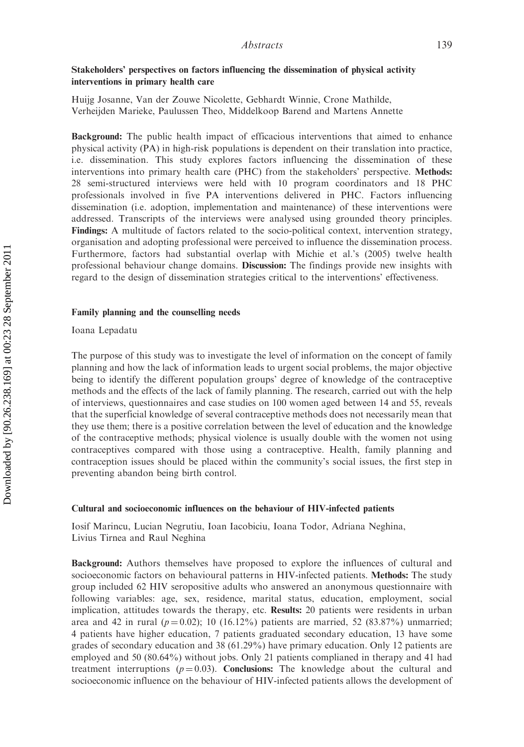# Stakeholders' perspectives on factors influencing the dissemination of physical activity interventions in primary health care

Huijg Josanne, Van der Zouwe Nicolette, Gebhardt Winnie, Crone Mathilde, Verheijden Marieke, Paulussen Theo, Middelkoop Barend and Martens Annette

Background: The public health impact of efficacious interventions that aimed to enhance physical activity (PA) in high-risk populations is dependent on their translation into practice, i.e. dissemination. This study explores factors influencing the dissemination of these interventions into primary health care (PHC) from the stakeholders' perspective. Methods: 28 semi-structured interviews were held with 10 program coordinators and 18 PHC professionals involved in five PA interventions delivered in PHC. Factors influencing dissemination (i.e. adoption, implementation and maintenance) of these interventions were addressed. Transcripts of the interviews were analysed using grounded theory principles. Findings: A multitude of factors related to the socio-political context, intervention strategy, organisation and adopting professional were perceived to influence the dissemination process. Furthermore, factors had substantial overlap with Michie et al.'s (2005) twelve health professional behaviour change domains. Discussion: The findings provide new insights with regard to the design of dissemination strategies critical to the interventions' effectiveness.

### Family planning and the counselling needs

### Ioana Lepadatu

The purpose of this study was to investigate the level of information on the concept of family planning and how the lack of information leads to urgent social problems, the major objective being to identify the different population groups' degree of knowledge of the contraceptive methods and the effects of the lack of family planning. The research, carried out with the help of interviews, questionnaires and case studies on 100 women aged between 14 and 55, reveals that the superficial knowledge of several contraceptive methods does not necessarily mean that they use them; there is a positive correlation between the level of education and the knowledge of the contraceptive methods; physical violence is usually double with the women not using contraceptives compared with those using a contraceptive. Health, family planning and contraception issues should be placed within the community's social issues, the first step in preventing abandon being birth control.

## Cultural and socioeconomic influences on the behaviour of HIV-infected patients

Iosif Marincu, Lucian Negrutiu, Ioan Iacobiciu, Ioana Todor, Adriana Neghina, Livius Tirnea and Raul Neghina

Background: Authors themselves have proposed to explore the influences of cultural and socioeconomic factors on behavioural patterns in HIV-infected patients. Methods: The study group included 62 HIV seropositive adults who answered an anonymous questionnaire with following variables: age, sex, residence, marital status, education, employment, social implication, attitudes towards the therapy, etc. Results: 20 patients were residents in urban area and 42 in rural ( $p = 0.02$ ); 10 (16.12%) patients are married, 52 (83.87%) unmarried; 4 patients have higher education, 7 patients graduated secondary education, 13 have some grades of secondary education and 38 (61.29%) have primary education. Only 12 patients are employed and 50 (80.64%) without jobs. Only 21 patients complianed in therapy and 41 had treatment interruptions ( $p = 0.03$ ). Conclusions: The knowledge about the cultural and socioeconomic influence on the behaviour of HIV-infected patients allows the development of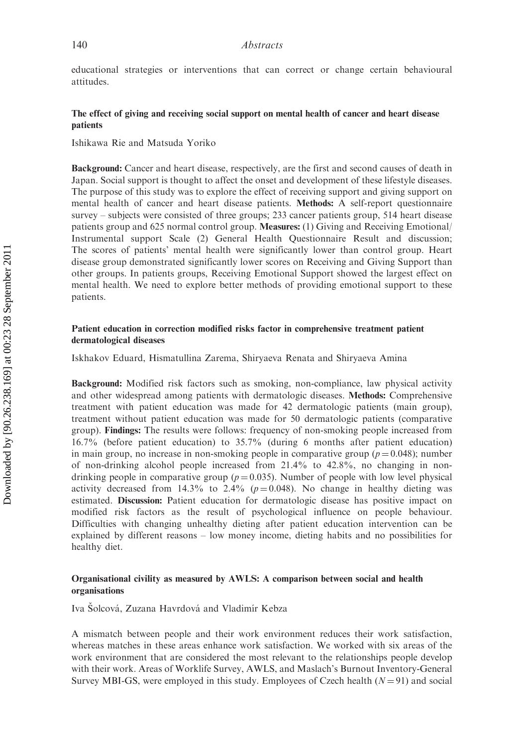educational strategies or interventions that can correct or change certain behavioural attitudes.

# The effect of giving and receiving social support on mental health of cancer and heart disease patients

Ishikawa Rie and Matsuda Yoriko

Background: Cancer and heart disease, respectively, are the first and second causes of death in Japan. Social support is thought to affect the onset and development of these lifestyle diseases. The purpose of this study was to explore the effect of receiving support and giving support on mental health of cancer and heart disease patients. Methods: A self-report questionnaire survey – subjects were consisted of three groups; 233 cancer patients group, 514 heart disease patients group and 625 normal control group. Measures: (1) Giving and Receiving Emotional/ Instrumental support Scale (2) General Health Questionnaire Result and discussion; The scores of patients' mental health were significantly lower than control group. Heart disease group demonstrated significantly lower scores on Receiving and Giving Support than other groups. In patients groups, Receiving Emotional Support showed the largest effect on mental health. We need to explore better methods of providing emotional support to these patients.

## Patient education in correction modified risks factor in comprehensive treatment patient dermatological diseases

Iskhakov Eduard, Hismatullina Zarema, Shiryaeva Renata and Shiryaeva Amina

Background: Modified risk factors such as smoking, non-compliance, law physical activity and other widespread among patients with dermatologic diseases. Methods: Comprehensive treatment with patient education was made for 42 dermatologic patients (main group), treatment without patient education was made for 50 dermatologic patients (comparative group). Findings: The results were follows: frequency of non-smoking people increased from 16.7% (before patient education) to 35.7% (during 6 months after patient education) in main group, no increase in non-smoking people in comparative group ( $p = 0.048$ ); number of non-drinking alcohol people increased from 21.4% to 42.8%, no changing in nondrinking people in comparative group ( $p = 0.035$ ). Number of people with low level physical activity decreased from 14.3% to 2.4% ( $p = 0.048$ ). No change in healthy dieting was estimated. Discussion: Patient education for dermatologic disease has positive impact on modified risk factors as the result of psychological influence on people behaviour. Difficulties with changing unhealthy dieting after patient education intervention can be explained by different reasons – low money income, dieting habits and no possibilities for healthy diet.

## Organisational civility as measured by AWLS: A comparison between social and health organisations

Iva Šolcová, Zuzana Havrdová and Vladimír Kebza

A mismatch between people and their work environment reduces their work satisfaction, whereas matches in these areas enhance work satisfaction. We worked with six areas of the work environment that are considered the most relevant to the relationships people develop with their work. Areas of Worklife Survey, AWLS, and Maslach's Burnout Inventory-General Survey MBI-GS, were employed in this study. Employees of Czech health  $(N = 91)$  and social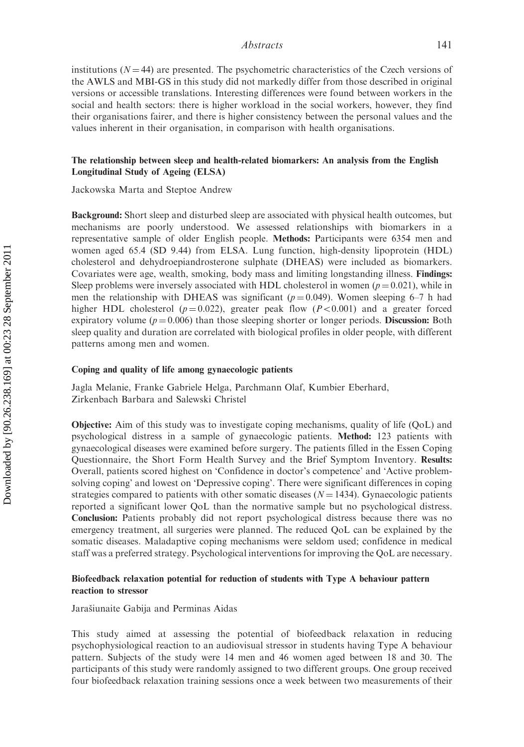institutions ( $N = 44$ ) are presented. The psychometric characteristics of the Czech versions of the AWLS and MBI-GS in this study did not markedly differ from those described in original versions or accessible translations. Interesting differences were found between workers in the social and health sectors: there is higher workload in the social workers, however, they find their organisations fairer, and there is higher consistency between the personal values and the values inherent in their organisation, in comparison with health organisations.

# The relationship between sleep and health-related biomarkers: An analysis from the English Longitudinal Study of Ageing (ELSA)

Jackowska Marta and Steptoe Andrew

Background: Short sleep and disturbed sleep are associated with physical health outcomes, but mechanisms are poorly understood. We assessed relationships with biomarkers in a representative sample of older English people. Methods: Participants were 6354 men and women aged 65.4 (SD 9.44) from ELSA. Lung function, high-density lipoprotein (HDL) cholesterol and dehydroepiandrosterone sulphate (DHEAS) were included as biomarkers. Covariates were age, wealth, smoking, body mass and limiting longstanding illness. Findings: Sleep problems were inversely associated with HDL cholesterol in women ( $p = 0.021$ ), while in men the relationship with DHEAS was significant ( $p = 0.049$ ). Women sleeping 6–7 h had higher HDL cholesterol ( $p = 0.022$ ), greater peak flow ( $P < 0.001$ ) and a greater forced expiratory volume ( $p = 0.006$ ) than those sleeping shorter or longer periods. Discussion: Both sleep quality and duration are correlated with biological profiles in older people, with different patterns among men and women.

# Coping and quality of life among gynaecologic patients

Jagla Melanie, Franke Gabriele Helga, Parchmann Olaf, Kumbier Eberhard, Zirkenbach Barbara and Salewski Christel

Objective: Aim of this study was to investigate coping mechanisms, quality of life (QoL) and psychological distress in a sample of gynaecologic patients. Method: 123 patients with gynaecological diseases were examined before surgery. The patients filled in the Essen Coping Questionnaire, the Short Form Health Survey and the Brief Symptom Inventory. Results: Overall, patients scored highest on 'Confidence in doctor's competence' and 'Active problemsolving coping' and lowest on 'Depressive coping'. There were significant differences in coping strategies compared to patients with other somatic diseases ( $N = 1434$ ). Gynaecologic patients reported a significant lower QoL than the normative sample but no psychological distress. Conclusion: Patients probably did not report psychological distress because there was no emergency treatment, all surgeries were planned. The reduced QoL can be explained by the somatic diseases. Maladaptive coping mechanisms were seldom used; confidence in medical staff was a preferred strategy. Psychological interventions for improving the QoL are necessary.

# Biofeedback relaxation potential for reduction of students with Type A behaviour pattern reaction to stressor

Jarašiunaite Gabija and Perminas Aidas

This study aimed at assessing the potential of biofeedback relaxation in reducing psychophysiological reaction to an audiovisual stressor in students having Type A behaviour pattern. Subjects of the study were 14 men and 46 women aged between 18 and 30. The participants of this study were randomly assigned to two different groups. One group received four biofeedback relaxation training sessions once a week between two measurements of their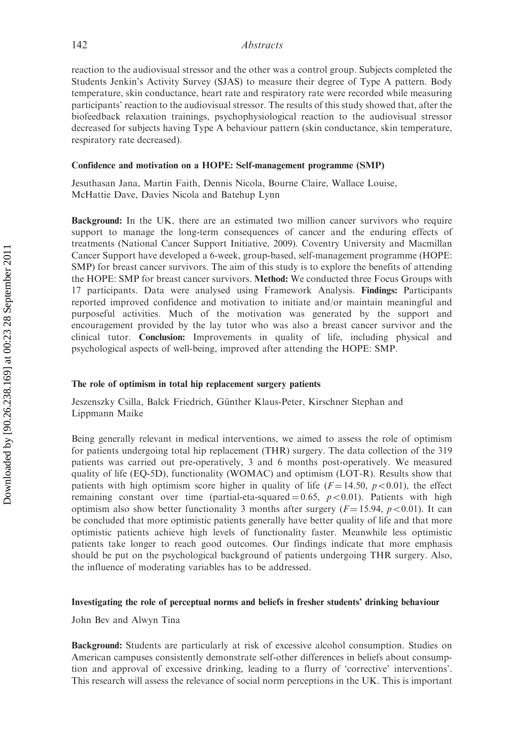reaction to the audiovisual stressor and the other was a control group. Subjects completed the Students Jenkin's Activity Survey (SJAS) to measure their degree of Type A pattern. Body temperature, skin conductance, heart rate and respiratory rate were recorded while measuring participants' reaction to the audiovisual stressor. The results of this study showed that, after the biofeedback relaxation trainings, psychophysiological reaction to the audiovisual stressor decreased for subjects having Type A behaviour pattern (skin conductance, skin temperature, respiratory rate decreased).

### Confidence and motivation on a HOPE: Self-management programme (SMP)

Jesuthasan Jana, Martin Faith, Dennis Nicola, Bourne Claire, Wallace Louise, McHattie Dave, Davies Nicola and Batehup Lynn

Background: In the UK, there are an estimated two million cancer survivors who require support to manage the long-term consequences of cancer and the enduring effects of treatments (National Cancer Support Initiative, 2009). Coventry University and Macmillan Cancer Support have developed a 6-week, group-based, self-management programme (HOPE: SMP) for breast cancer survivors. The aim of this study is to explore the benefits of attending the HOPE: SMP for breast cancer survivors. Method: We conducted three Focus Groups with 17 participants. Data were analysed using Framework Analysis. Findings: Participants reported improved confidence and motivation to initiate and/or maintain meaningful and purposeful activities. Much of the motivation was generated by the support and encouragement provided by the lay tutor who was also a breast cancer survivor and the clinical tutor. Conclusion: Improvements in quality of life, including physical and psychological aspects of well-being, improved after attending the HOPE: SMP.

### The role of optimism in total hip replacement surgery patients

Jeszenszky Csilla, Balck Friedrich, Günther Klaus-Peter, Kirschner Stephan and Lippmann Maike

Being generally relevant in medical interventions, we aimed to assess the role of optimism for patients undergoing total hip replacement (THR) surgery. The data collection of the 319 patients was carried out pre-operatively, 3 and 6 months post-operatively. We measured quality of life (EQ-5D), functionality (WOMAC) and optimism (LOT-R). Results show that patients with high optimism score higher in quality of life ( $F = 14.50$ ,  $p < 0.01$ ), the effect remaining constant over time (partial-eta-squared  $= 0.65$ ,  $p < 0.01$ ). Patients with high optimism also show better functionality 3 months after surgery  $(F = 15.94, p < 0.01)$ . It can be concluded that more optimistic patients generally have better quality of life and that more optimistic patients achieve high levels of functionality faster. Meanwhile less optimistic patients take longer to reach good outcomes. Our findings indicate that more emphasis should be put on the psychological background of patients undergoing THR surgery. Also, the influence of moderating variables has to be addressed.

## Investigating the role of perceptual norms and beliefs in fresher students' drinking behaviour

John Bev and Alwyn Tina

Background: Students are particularly at risk of excessive alcohol consumption. Studies on American campuses consistently demonstrate self-other differences in beliefs about consumption and approval of excessive drinking, leading to a flurry of 'corrective' interventions'. This research will assess the relevance of social norm perceptions in the UK. This is important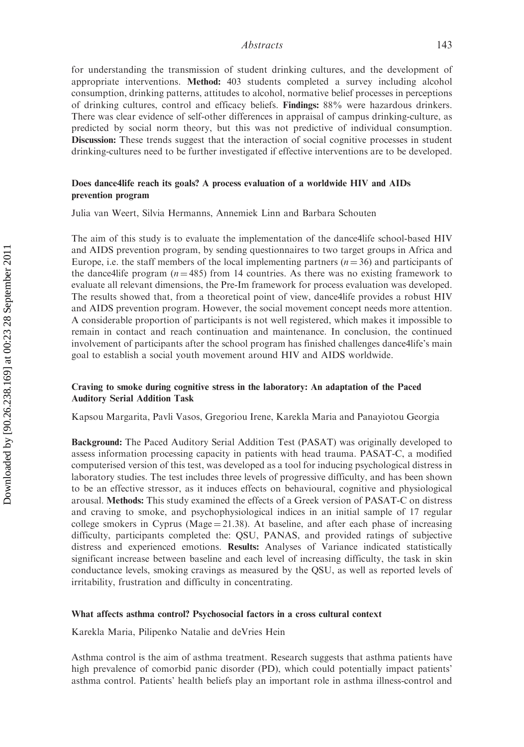for understanding the transmission of student drinking cultures, and the development of appropriate interventions. Method: 403 students completed a survey including alcohol consumption, drinking patterns, attitudes to alcohol, normative belief processes in perceptions of drinking cultures, control and efficacy beliefs. Findings: 88% were hazardous drinkers. There was clear evidence of self-other differences in appraisal of campus drinking-culture, as predicted by social norm theory, but this was not predictive of individual consumption. Discussion: These trends suggest that the interaction of social cognitive processes in student drinking-cultures need to be further investigated if effective interventions are to be developed.

# Does dance4life reach its goals? A process evaluation of a worldwide HIV and AIDs prevention program

Julia van Weert, Silvia Hermanns, Annemiek Linn and Barbara Schouten

The aim of this study is to evaluate the implementation of the dance4life school-based HIV and AIDS prevention program, by sending questionnaires to two target groups in Africa and Europe, i.e. the staff members of the local implementing partners  $(n = 36)$  and participants of the dance4life program ( $n = 485$ ) from 14 countries. As there was no existing framework to evaluate all relevant dimensions, the Pre-Im framework for process evaluation was developed. The results showed that, from a theoretical point of view, dance4life provides a robust HIV and AIDS prevention program. However, the social movement concept needs more attention. A considerable proportion of participants is not well registered, which makes it impossible to remain in contact and reach continuation and maintenance. In conclusion, the continued involvement of participants after the school program has finished challenges dance4life's main goal to establish a social youth movement around HIV and AIDS worldwide.

## Craving to smoke during cognitive stress in the laboratory: An adaptation of the Paced Auditory Serial Addition Task

Kapsou Margarita, Pavli Vasos, Gregoriou Irene, Karekla Maria and Panayiotou Georgia

Background: The Paced Auditory Serial Addition Test (PASAT) was originally developed to assess information processing capacity in patients with head trauma. PASAT-C, a modified computerised version of this test, was developed as a tool for inducing psychological distress in laboratory studies. The test includes three levels of progressive difficulty, and has been shown to be an effective stressor, as it induces effects on behavioural, cognitive and physiological arousal. Methods: This study examined the effects of a Greek version of PASAT-C on distress and craving to smoke, and psychophysiological indices in an initial sample of 17 regular college smokers in Cyprus (Mage  $=$  21.38). At baseline, and after each phase of increasing difficulty, participants completed the: QSU, PANAS, and provided ratings of subjective distress and experienced emotions. Results: Analyses of Variance indicated statistically significant increase between baseline and each level of increasing difficulty, the task in skin conductance levels, smoking cravings as measured by the QSU, as well as reported levels of irritability, frustration and difficulty in concentrating.

#### What affects asthma control? Psychosocial factors in a cross cultural context

Karekla Maria, Pilipenko Natalie and deVries Hein

Asthma control is the aim of asthma treatment. Research suggests that asthma patients have high prevalence of comorbid panic disorder (PD), which could potentially impact patients' asthma control. Patients' health beliefs play an important role in asthma illness-control and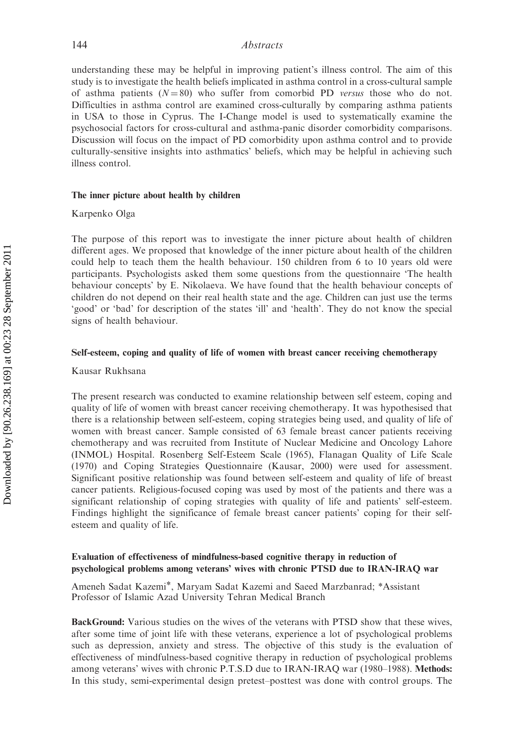understanding these may be helpful in improving patient's illness control. The aim of this study is to investigate the health beliefs implicated in asthma control in a cross-cultural sample of asthma patients  $(N = 80)$  who suffer from comorbid PD versus those who do not. Difficulties in asthma control are examined cross-culturally by comparing asthma patients in USA to those in Cyprus. The I-Change model is used to systematically examine the psychosocial factors for cross-cultural and asthma-panic disorder comorbidity comparisons. Discussion will focus on the impact of PD comorbidity upon asthma control and to provide culturally-sensitive insights into asthmatics' beliefs, which may be helpful in achieving such illness control.

## The inner picture about health by children

#### Karpenko Olga

The purpose of this report was to investigate the inner picture about health of children different ages. We proposed that knowledge of the inner picture about health of the children could help to teach them the health behaviour. 150 children from 6 to 10 years old were participants. Psychologists asked them some questions from the questionnaire 'The health behaviour concepts' by E. Nikolaeva. We have found that the health behaviour concepts of children do not depend on their real health state and the age. Children can just use the terms 'good' or 'bad' for description of the states 'ill' and 'health'. They do not know the special signs of health behaviour.

#### Self-esteem, coping and quality of life of women with breast cancer receiving chemotherapy

### Kausar Rukhsana

The present research was conducted to examine relationship between self esteem, coping and quality of life of women with breast cancer receiving chemotherapy. It was hypothesised that there is a relationship between self-esteem, coping strategies being used, and quality of life of women with breast cancer. Sample consisted of 63 female breast cancer patients receiving chemotherapy and was recruited from Institute of Nuclear Medicine and Oncology Lahore (INMOL) Hospital. Rosenberg Self-Esteem Scale (1965), Flanagan Quality of Life Scale (1970) and Coping Strategies Questionnaire (Kausar, 2000) were used for assessment. Significant positive relationship was found between self-esteem and quality of life of breast cancer patients. Religious-focused coping was used by most of the patients and there was a significant relationship of coping strategies with quality of life and patients' self-esteem. Findings highlight the significance of female breast cancer patients' coping for their selfesteem and quality of life.

## Evaluation of effectiveness of mindfulness-based cognitive therapy in reduction of psychological problems among veterans' wives with chronic PTSD due to IRAN-IRAQ war

Ameneh Sadat Kazemi\*, Maryam Sadat Kazemi and Saeed Marzbanrad; \*Assistant Professor of Islamic Azad University Tehran Medical Branch

BackGround: Various studies on the wives of the veterans with PTSD show that these wives, after some time of joint life with these veterans, experience a lot of psychological problems such as depression, anxiety and stress. The objective of this study is the evaluation of effectiveness of mindfulness-based cognitive therapy in reduction of psychological problems among veterans' wives with chronic P.T.S.D due to IRAN-IRAQ war (1980–1988). Methods: In this study, semi-experimental design pretest–posttest was done with control groups. The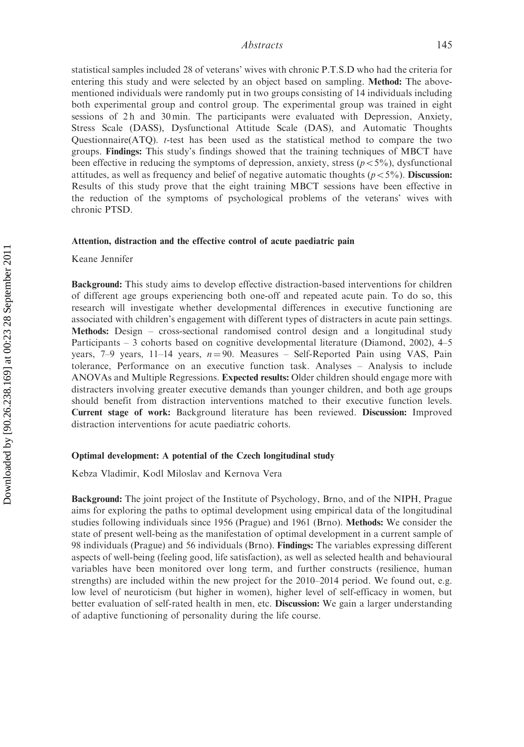statistical samples included 28 of veterans' wives with chronic P.T.S.D who had the criteria for entering this study and were selected by an object based on sampling. **Method:** The abovementioned individuals were randomly put in two groups consisting of 14 individuals including both experimental group and control group. The experimental group was trained in eight sessions of 2h and 30 min. The participants were evaluated with Depression, Anxiety, Stress Scale (DASS), Dysfunctional Attitude Scale (DAS), and Automatic Thoughts Questionnaire( $ATQ$ ).  $t$ -test has been used as the statistical method to compare the two groups. Findings: This study's findings showed that the training techniques of MBCT have been effective in reducing the symptoms of depression, anxiety, stress ( $p < 5\%$ ), dysfunctional attitudes, as well as frequency and belief of negative automatic thoughts ( $p < 5\%$ ). Discussion: Results of this study prove that the eight training MBCT sessions have been effective in the reduction of the symptoms of psychological problems of the veterans' wives with chronic PTSD.

#### Attention, distraction and the effective control of acute paediatric pain

#### Keane Jennifer

Background: This study aims to develop effective distraction-based interventions for children of different age groups experiencing both one-off and repeated acute pain. To do so, this research will investigate whether developmental differences in executive functioning are associated with children's engagement with different types of distracters in acute pain settings. Methods: Design – cross-sectional randomised control design and a longitudinal study Participants – 3 cohorts based on cognitive developmental literature (Diamond, 2002), 4–5 years,  $7-9$  years,  $11-14$  years,  $n = 90$ . Measures – Self-Reported Pain using VAS, Pain tolerance, Performance on an executive function task. Analyses – Analysis to include ANOVAs and Multiple Regressions. Expected results: Older children should engage more with distracters involving greater executive demands than younger children, and both age groups should benefit from distraction interventions matched to their executive function levels. Current stage of work: Background literature has been reviewed. Discussion: Improved distraction interventions for acute paediatric cohorts.

### Optimal development: A potential of the Czech longitudinal study

Kebza Vladimir, Kodl Miloslav and Kernova Vera

Background: The joint project of the Institute of Psychology, Brno, and of the NIPH, Prague aims for exploring the paths to optimal development using empirical data of the longitudinal studies following individuals since 1956 (Prague) and 1961 (Brno). Methods: We consider the state of present well-being as the manifestation of optimal development in a current sample of 98 individuals (Prague) and 56 individuals (Brno). Findings: The variables expressing different aspects of well-being (feeling good, life satisfaction), as well as selected health and behavioural variables have been monitored over long term, and further constructs (resilience, human strengths) are included within the new project for the 2010–2014 period. We found out, e.g. low level of neuroticism (but higher in women), higher level of self-efficacy in women, but better evaluation of self-rated health in men, etc. Discussion: We gain a larger understanding of adaptive functioning of personality during the life course.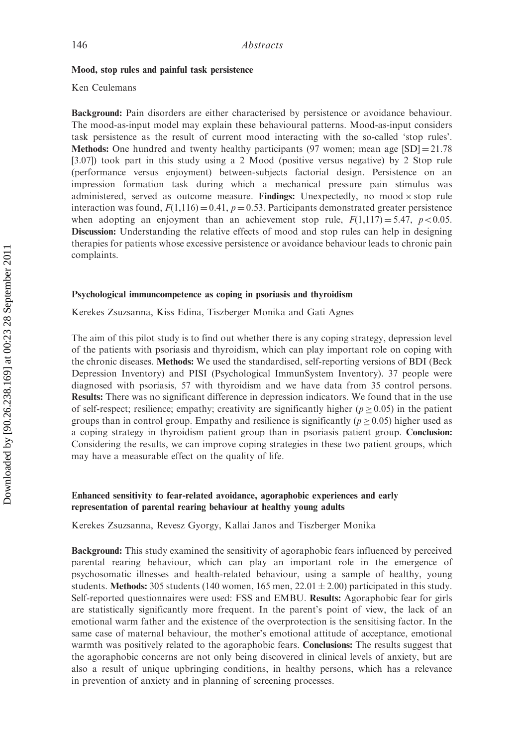#### Mood, stop rules and painful task persistence

## Ken Ceulemans

Background: Pain disorders are either characterised by persistence or avoidance behaviour. The mood-as-input model may explain these behavioural patterns. Mood-as-input considers task persistence as the result of current mood interacting with the so-called 'stop rules'. **Methods:** One hundred and twenty healthy participants (97 women; mean age  $[SD] = 21.78$ ) [3.07]) took part in this study using a 2 Mood (positive versus negative) by 2 Stop rule (performance versus enjoyment) between-subjects factorial design. Persistence on an impression formation task during which a mechanical pressure pain stimulus was administered, served as outcome measure. Findings: Unexpectedly, no mood  $\times$  stop rule interaction was found,  $F(1,116) = 0.41$ ,  $p = 0.53$ . Participants demonstrated greater persistence when adopting an enjoyment than an achievement stop rule,  $F(1,117) = 5.47$ ,  $p < 0.05$ . Discussion: Understanding the relative effects of mood and stop rules can help in designing therapies for patients whose excessive persistence or avoidance behaviour leads to chronic pain complaints.

#### Psychological immuncompetence as coping in psoriasis and thyroidism

Kerekes Zsuzsanna, Kiss Edina, Tiszberger Monika and Gati Agnes

The aim of this pilot study is to find out whether there is any coping strategy, depression level of the patients with psoriasis and thyroidism, which can play important role on coping with the chronic diseases. Methods: We used the standardised, self-reporting versions of BDI (Beck Depression Inventory) and PISI (Psychological ImmunSystem Inventory). 37 people were diagnosed with psoriasis, 57 with thyroidism and we have data from 35 control persons. Results: There was no significant difference in depression indicators. We found that in the use of self-respect; resilience; empathy; creativity are significantly higher ( $p \ge 0.05$ ) in the patient groups than in control group. Empathy and resilience is significantly  $(p > 0.05)$  higher used as a coping strategy in thyroidism patient group than in psoriasis patient group. Conclusion: Considering the results, we can improve coping strategies in these two patient groups, which may have a measurable effect on the quality of life.

## Enhanced sensitivity to fear-related avoidance, agoraphobic experiences and early representation of parental rearing behaviour at healthy young adults

Kerekes Zsuzsanna, Revesz Gyorgy, Kallai Janos and Tiszberger Monika

Background: This study examined the sensitivity of agoraphobic fears influenced by perceived parental rearing behaviour, which can play an important role in the emergence of psychosomatic illnesses and health-related behaviour, using a sample of healthy, young students. Methods: 305 students (140 women, 165 men, 22.01  $\pm$  2.00) participated in this study. Self-reported questionnaires were used: FSS and EMBU. Results: Agoraphobic fear for girls are statistically significantly more frequent. In the parent's point of view, the lack of an emotional warm father and the existence of the overprotection is the sensitising factor. In the same case of maternal behaviour, the mother's emotional attitude of acceptance, emotional warmth was positively related to the agoraphobic fears. Conclusions: The results suggest that the agoraphobic concerns are not only being discovered in clinical levels of anxiety, but are also a result of unique upbringing conditions, in healthy persons, which has a relevance in prevention of anxiety and in planning of screening processes.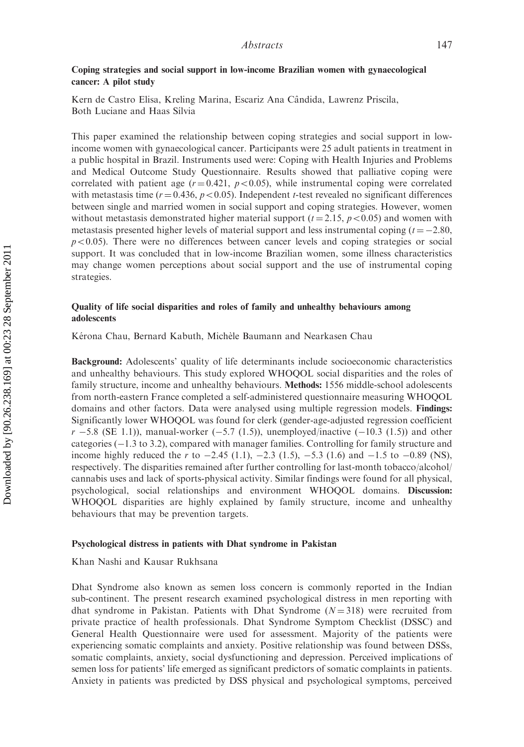## Coping strategies and social support in low-income Brazilian women with gynaecological cancer: A pilot study

Kern de Castro Elisa, Kreling Marina, Escariz Ana Cândida, Lawrenz Priscila, Both Luciane and Haas Silvia

This paper examined the relationship between coping strategies and social support in lowincome women with gynaecological cancer. Participants were 25 adult patients in treatment in a public hospital in Brazil. Instruments used were: Coping with Health Injuries and Problems and Medical Outcome Study Questionnaire. Results showed that palliative coping were correlated with patient age  $(r = 0.421, p < 0.05)$ , while instrumental coping were correlated with metastasis time  $(r = 0.436, p < 0.05)$ . Independent t-test revealed no significant differences between single and married women in social support and coping strategies. However, women without metastasis demonstrated higher material support  $(t = 2.15, p < 0.05)$  and women with metastasis presented higher levels of material support and less instrumental coping  $(t = -2.80,$  $p<0.05$ ). There were no differences between cancer levels and coping strategies or social support. It was concluded that in low-income Brazilian women, some illness characteristics may change women perceptions about social support and the use of instrumental coping strategies.

# Quality of life social disparities and roles of family and unhealthy behaviours among adolescents

Kérona Chau, Bernard Kabuth, Michèle Baumann and Nearkasen Chau

Background: Adolescents' quality of life determinants include socioeconomic characteristics and unhealthy behaviours. This study explored WHOQOL social disparities and the roles of family structure, income and unhealthy behaviours. Methods: 1556 middle-school adolescents from north-eastern France completed a self-administered questionnaire measuring WHOQOL domains and other factors. Data were analysed using multiple regression models. Findings: Significantly lower WHOQOL was found for clerk (gender-age-adjusted regression coefficient  $r$  -5.8 (SE 1.1)), manual-worker (-5.7 (1.5)), unemployed/inactive (-10.3 (1.5)) and other categories (-1.3 to 3.2), compared with manager families. Controlling for family structure and income highly reduced the r to  $-2.45$  (1.1),  $-2.3$  (1.5),  $-5.3$  (1.6) and  $-1.5$  to  $-0.89$  (NS), respectively. The disparities remained after further controlling for last-month tobacco/alcohol/ cannabis uses and lack of sports-physical activity. Similar findings were found for all physical, psychological, social relationships and environment WHOQOL domains. Discussion: WHOQOL disparities are highly explained by family structure, income and unhealthy behaviours that may be prevention targets.

#### Psychological distress in patients with Dhat syndrome in Pakistan

## Khan Nashi and Kausar Rukhsana

Dhat Syndrome also known as semen loss concern is commonly reported in the Indian sub-continent. The present research examined psychological distress in men reporting with dhat syndrome in Pakistan. Patients with Dhat Syndrome  $(N = 318)$  were recruited from private practice of health professionals. Dhat Syndrome Symptom Checklist (DSSC) and General Health Questionnaire were used for assessment. Majority of the patients were experiencing somatic complaints and anxiety. Positive relationship was found between DSSs, somatic complaints, anxiety, social dysfunctioning and depression. Perceived implications of semen loss for patients' life emerged as significant predictors of somatic complaints in patients. Anxiety in patients was predicted by DSS physical and psychological symptoms, perceived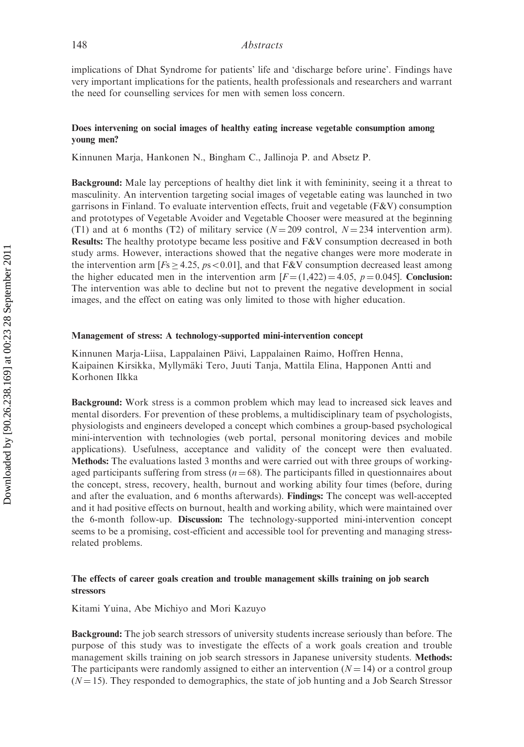implications of Dhat Syndrome for patients' life and 'discharge before urine'. Findings have very important implications for the patients, health professionals and researchers and warrant the need for counselling services for men with semen loss concern.

### Does intervening on social images of healthy eating increase vegetable consumption among young men?

Kinnunen Marja, Hankonen N., Bingham C., Jallinoja P. and Absetz P.

Background: Male lay perceptions of healthy diet link it with femininity, seeing it a threat to masculinity. An intervention targeting social images of vegetable eating was launched in two garrisons in Finland. To evaluate intervention effects, fruit and vegetable ( $F&V$ ) consumption and prototypes of Vegetable Avoider and Vegetable Chooser were measured at the beginning (T1) and at 6 months (T2) of military service ( $N = 209$  control,  $N = 234$  intervention arm). Results: The healthy prototype became less positive and F&V consumption decreased in both study arms. However, interactions showed that the negative changes were more moderate in the intervention arm  $[Fs \ge 4.25, ps < 0.01]$ , and that F&V consumption decreased least among the higher educated men in the intervention arm  $[F=(1,422)=4.05, p=0.045]$ . Conclusion: The intervention was able to decline but not to prevent the negative development in social images, and the effect on eating was only limited to those with higher education.

### Management of stress: A technology-supported mini-intervention concept

Kinnunen Marja-Liisa, Lappalainen Päivi, Lappalainen Raimo, Hoffren Henna, Kaipainen Kirsikka, Myllymäki Tero, Juuti Tanja, Mattila Elina, Happonen Antti and Korhonen Ilkka

Background: Work stress is a common problem which may lead to increased sick leaves and mental disorders. For prevention of these problems, a multidisciplinary team of psychologists, physiologists and engineers developed a concept which combines a group-based psychological mini-intervention with technologies (web portal, personal monitoring devices and mobile applications). Usefulness, acceptance and validity of the concept were then evaluated. Methods: The evaluations lasted 3 months and were carried out with three groups of workingaged participants suffering from stress  $(n = 68)$ . The participants filled in questionnaires about the concept, stress, recovery, health, burnout and working ability four times (before, during and after the evaluation, and 6 months afterwards). Findings: The concept was well-accepted and it had positive effects on burnout, health and working ability, which were maintained over the 6-month follow-up. Discussion: The technology-supported mini-intervention concept seems to be a promising, cost-efficient and accessible tool for preventing and managing stressrelated problems.

### The effects of career goals creation and trouble management skills training on job search stressors

Kitami Yuina, Abe Michiyo and Mori Kazuyo

Background: The job search stressors of university students increase seriously than before. The purpose of this study was to investigate the effects of a work goals creation and trouble management skills training on job search stressors in Japanese university students. Methods: The participants were randomly assigned to either an intervention  $(N = 14)$  or a control group  $(N = 15)$ . They responded to demographics, the state of job hunting and a Job Search Stressor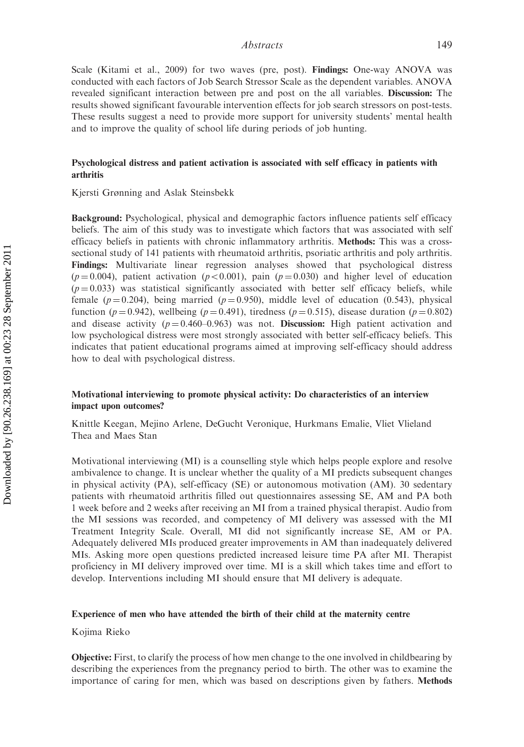Scale (Kitami et al., 2009) for two waves (pre, post). Findings: One-way ANOVA was conducted with each factors of Job Search Stressor Scale as the dependent variables. ANOVA revealed significant interaction between pre and post on the all variables. Discussion: The results showed significant favourable intervention effects for job search stressors on post-tests. These results suggest a need to provide more support for university students' mental health and to improve the quality of school life during periods of job hunting.

## Psychological distress and patient activation is associated with self efficacy in patients with arthritis

Kjersti Grønning and Aslak Steinsbekk

Background: Psychological, physical and demographic factors influence patients self efficacy beliefs. The aim of this study was to investigate which factors that was associated with self efficacy beliefs in patients with chronic inflammatory arthritis. Methods: This was a crosssectional study of 141 patients with rheumatoid arthritis, psoriatic arthritis and poly arthritis. Findings: Multivariate linear regression analyses showed that psychological distress  $(p=0.004)$ , patient activation  $(p<0.001)$ , pain  $(p=0.030)$  and higher level of education  $(p=0.033)$  was statistical significantly associated with better self efficacy beliefs, while female ( $p = 0.204$ ), being married ( $p = 0.950$ ), middle level of education (0.543), physical function ( $p = 0.942$ ), wellbeing ( $p = 0.491$ ), tiredness ( $p = 0.515$ ), disease duration ( $p = 0.802$ ) and disease activity  $(p=0.460-0.963)$  was not. Discussion: High patient activation and low psychological distress were most strongly associated with better self-efficacy beliefs. This indicates that patient educational programs aimed at improving self-efficacy should address how to deal with psychological distress.

## Motivational interviewing to promote physical activity: Do characteristics of an interview impact upon outcomes?

Knittle Keegan, Mejino Arlene, DeGucht Veronique, Hurkmans Emalie, Vliet Vlieland Thea and Maes Stan

Motivational interviewing (MI) is a counselling style which helps people explore and resolve ambivalence to change. It is unclear whether the quality of a MI predicts subsequent changes in physical activity (PA), self-efficacy (SE) or autonomous motivation (AM). 30 sedentary patients with rheumatoid arthritis filled out questionnaires assessing SE, AM and PA both 1 week before and 2 weeks after receiving an MI from a trained physical therapist. Audio from the MI sessions was recorded, and competency of MI delivery was assessed with the MI Treatment Integrity Scale. Overall, MI did not significantly increase SE, AM or PA. Adequately delivered MIs produced greater improvements in AM than inadequately delivered MIs. Asking more open questions predicted increased leisure time PA after MI. Therapist proficiency in MI delivery improved over time. MI is a skill which takes time and effort to develop. Interventions including MI should ensure that MI delivery is adequate.

#### Experience of men who have attended the birth of their child at the maternity centre

#### Kojima Rieko

Objective: First, to clarify the process of how men change to the one involved in childbearing by describing the experiences from the pregnancy period to birth. The other was to examine the importance of caring for men, which was based on descriptions given by fathers. Methods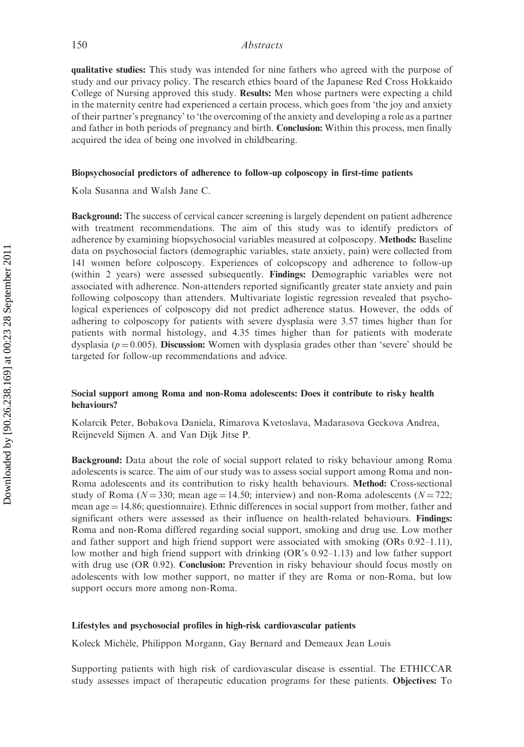qualitative studies: This study was intended for nine fathers who agreed with the purpose of study and our privacy policy. The research ethics board of the Japanese Red Cross Hokkaido College of Nursing approved this study. Results: Men whose partners were expecting a child in the maternity centre had experienced a certain process, which goes from 'the joy and anxiety of their partner's pregnancy' to 'the overcoming of the anxiety and developing a role as a partner and father in both periods of pregnancy and birth. Conclusion: Within this process, men finally acquired the idea of being one involved in childbearing.

### Biopsychosocial predictors of adherence to follow-up colposcopy in first-time patients

Kola Susanna and Walsh Jane C.

Background: The success of cervical cancer screening is largely dependent on patient adherence with treatment recommendations. The aim of this study was to identify predictors of adherence by examining biopsychosocial variables measured at colposcopy. Methods: Baseline data on psychosocial factors (demographic variables, state anxiety, pain) were collected from 141 women before colposcopy. Experiences of colcopscopy and adherence to follow-up (within 2 years) were assessed subsequently. Findings: Demographic variables were not associated with adherence. Non-attenders reported significantly greater state anxiety and pain following colposcopy than attenders. Multivariate logistic regression revealed that psychological experiences of colposcopy did not predict adherence status. However, the odds of adhering to colposcopy for patients with severe dysplasia were 3.57 times higher than for patients with normal histology, and 4.35 times higher than for patients with moderate dysplasia ( $p = 0.005$ ). Discussion: Women with dysplasia grades other than 'severe' should be targeted for follow-up recommendations and advice.

## Social support among Roma and non-Roma adolescents: Does it contribute to risky health behaviours?

Kolarcik Peter, Bobakova Daniela, Rimarova Kvetoslava, Madarasova Geckova Andrea, Reijneveld Sijmen A. and Van Dijk Jitse P.

Background: Data about the role of social support related to risky behaviour among Roma adolescents is scarce. The aim of our study was to assess social support among Roma and non-Roma adolescents and its contribution to risky health behaviours. Method: Cross-sectional study of Roma ( $N = 330$ ; mean age = 14.50; interview) and non-Roma adolescents ( $N = 722$ ; mean age = 14.86; questionnaire). Ethnic differences in social support from mother, father and significant others were assessed as their influence on health-related behaviours. Findings: Roma and non-Roma differed regarding social support, smoking and drug use. Low mother and father support and high friend support were associated with smoking (ORs 0.92–1.11), low mother and high friend support with drinking (OR's 0.92–1.13) and low father support with drug use (OR 0.92). **Conclusion:** Prevention in risky behaviour should focus mostly on adolescents with low mother support, no matter if they are Roma or non-Roma, but low support occurs more among non-Roma.

#### Lifestyles and psychosocial profiles in high-risk cardiovascular patients

Koleck Michèle, Philippon Morgann, Gay Bernard and Demeaux Jean Louis

Supporting patients with high risk of cardiovascular disease is essential. The ETHICCAR study assesses impact of therapeutic education programs for these patients. Objectives: To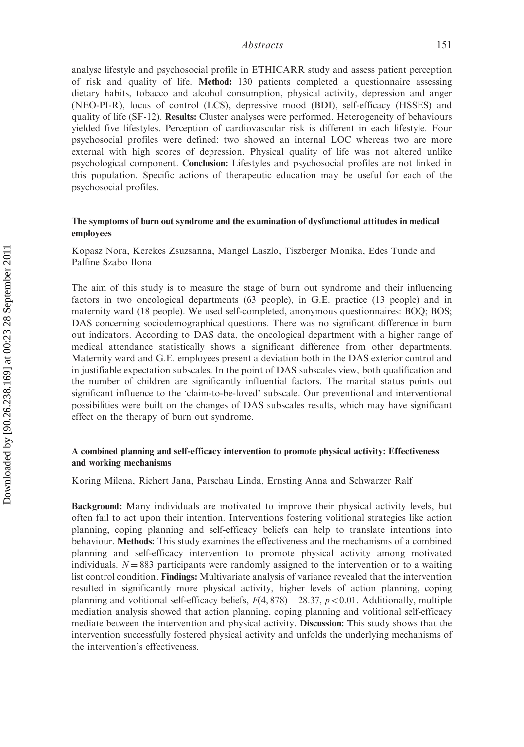analyse lifestyle and psychosocial profile in ETHICARR study and assess patient perception of risk and quality of life. Method: 130 patients completed a questionnaire assessing dietary habits, tobacco and alcohol consumption, physical activity, depression and anger (NEO-PI-R), locus of control (LCS), depressive mood (BDI), self-efficacy (HSSES) and quality of life (SF-12). Results: Cluster analyses were performed. Heterogeneity of behaviours yielded five lifestyles. Perception of cardiovascular risk is different in each lifestyle. Four psychosocial profiles were defined: two showed an internal LOC whereas two are more external with high scores of depression. Physical quality of life was not altered unlike psychological component. Conclusion: Lifestyles and psychosocial profiles are not linked in this population. Specific actions of therapeutic education may be useful for each of the psychosocial profiles.

## The symptoms of burn out syndrome and the examination of dysfunctional attitudes in medical employees

Kopasz Nora, Kerekes Zsuzsanna, Mangel Laszlo, Tiszberger Monika, Edes Tunde and Palfine Szabo Ilona

The aim of this study is to measure the stage of burn out syndrome and their influencing factors in two oncological departments (63 people), in G.E. practice (13 people) and in maternity ward (18 people). We used self-completed, anonymous questionnaires: BOQ; BOS; DAS concerning sociodemographical questions. There was no significant difference in burn out indicators. According to DAS data, the oncological department with a higher range of medical attendance statistically shows a significant difference from other departments. Maternity ward and G.E. employees present a deviation both in the DAS exterior control and in justifiable expectation subscales. In the point of DAS subscales view, both qualification and the number of children are significantly influential factors. The marital status points out significant influence to the 'claim-to-be-loved' subscale. Our preventional and interventional possibilities were built on the changes of DAS subscales results, which may have significant effect on the therapy of burn out syndrome.

## A combined planning and self-efficacy intervention to promote physical activity: Effectiveness and working mechanisms

Koring Milena, Richert Jana, Parschau Linda, Ernsting Anna and Schwarzer Ralf

Background: Many individuals are motivated to improve their physical activity levels, but often fail to act upon their intention. Interventions fostering volitional strategies like action planning, coping planning and self-efficacy beliefs can help to translate intentions into behaviour. Methods: This study examines the effectiveness and the mechanisms of a combined planning and self-efficacy intervention to promote physical activity among motivated individuals.  $N = 883$  participants were randomly assigned to the intervention or to a waiting list control condition. Findings: Multivariate analysis of variance revealed that the intervention resulted in significantly more physical activity, higher levels of action planning, coping planning and volitional self-efficacy beliefs,  $F(4, 878) = 28.37$ ,  $p < 0.01$ . Additionally, multiple mediation analysis showed that action planning, coping planning and volitional self-efficacy mediate between the intervention and physical activity. Discussion: This study shows that the intervention successfully fostered physical activity and unfolds the underlying mechanisms of the intervention's effectiveness.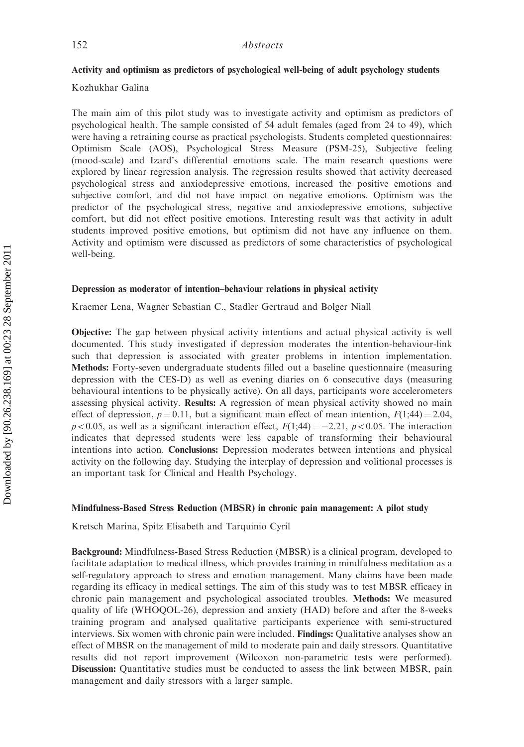### Activity and optimism as predictors of psychological well-being of adult psychology students

### Kozhukhar Galina

The main aim of this pilot study was to investigate activity and optimism as predictors of psychological health. The sample consisted of 54 adult females (aged from 24 to 49), which were having a retraining course as practical psychologists. Students completed questionnaires: Optimism Scale (AOS), Psychological Stress Measure (PSM-25), Subjective feeling (mood-scale) and Izard's differential emotions scale. The main research questions were explored by linear regression analysis. The regression results showed that activity decreased psychological stress and anxiodepressive emotions, increased the positive emotions and subjective comfort, and did not have impact on negative emotions. Optimism was the predictor of the psychological stress, negative and anxiodepressive emotions, subjective comfort, but did not effect positive emotions. Interesting result was that activity in adult students improved positive emotions, but optimism did not have any influence on them. Activity and optimism were discussed as predictors of some characteristics of psychological well-being.

#### Depression as moderator of intention–behaviour relations in physical activity

Kraemer Lena, Wagner Sebastian C., Stadler Gertraud and Bolger Niall

Objective: The gap between physical activity intentions and actual physical activity is well documented. This study investigated if depression moderates the intention-behaviour-link such that depression is associated with greater problems in intention implementation. Methods: Forty-seven undergraduate students filled out a baseline questionnaire (measuring depression with the CES-D) as well as evening diaries on 6 consecutive days (measuring behavioural intentions to be physically active). On all days, participants wore accelerometers assessing physical activity. Results: A regression of mean physical activity showed no main effect of depression,  $p = 0.11$ , but a significant main effect of mean intention,  $F(1;44) = 2.04$ ,  $p<0.05$ , as well as a significant interaction effect,  $F(1;44) = -2.21$ ,  $p<0.05$ . The interaction indicates that depressed students were less capable of transforming their behavioural intentions into action. Conclusions: Depression moderates between intentions and physical activity on the following day. Studying the interplay of depression and volitional processes is an important task for Clinical and Health Psychology.

#### Mindfulness-Based Stress Reduction (MBSR) in chronic pain management: A pilot study

Kretsch Marina, Spitz Elisabeth and Tarquinio Cyril

Background: Mindfulness-Based Stress Reduction (MBSR) is a clinical program, developed to facilitate adaptation to medical illness, which provides training in mindfulness meditation as a self-regulatory approach to stress and emotion management. Many claims have been made regarding its efficacy in medical settings. The aim of this study was to test MBSR efficacy in chronic pain management and psychological associated troubles. Methods: We measured quality of life (WHOQOL-26), depression and anxiety (HAD) before and after the 8-weeks training program and analysed qualitative participants experience with semi-structured interviews. Six women with chronic pain were included. Findings: Qualitative analyses show an effect of MBSR on the management of mild to moderate pain and daily stressors. Quantitative results did not report improvement (Wilcoxon non-parametric tests were performed). Discussion: Quantitative studies must be conducted to assess the link between MBSR, pain management and daily stressors with a larger sample.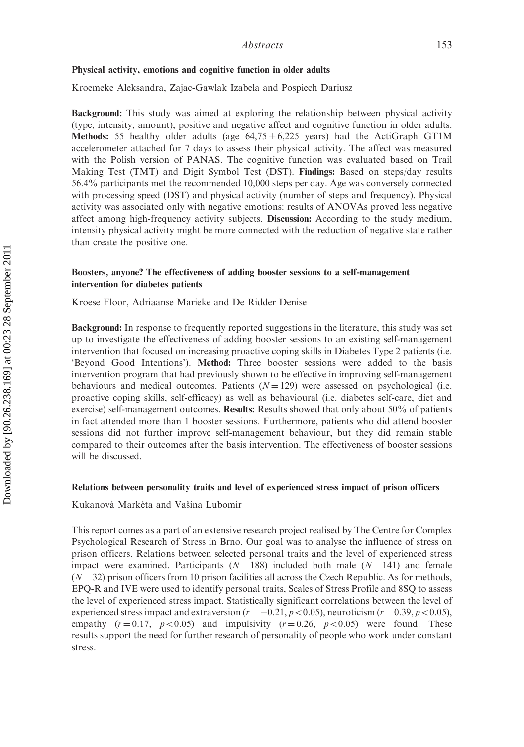### Physical activity, emotions and cognitive function in older adults

Kroemeke Aleksandra, Zajac-Gawlak Izabela and Pospiech Dariusz

Background: This study was aimed at exploring the relationship between physical activity (type, intensity, amount), positive and negative affect and cognitive function in older adults. **Methods:** 55 healthy older adults (age  $64.75 \pm 6.225$  years) had the ActiGraph GT1M accelerometer attached for 7 days to assess their physical activity. The affect was measured with the Polish version of PANAS. The cognitive function was evaluated based on Trail Making Test (TMT) and Digit Symbol Test (DST). Findings: Based on steps/day results 56.4% participants met the recommended 10,000 steps per day. Age was conversely connected with processing speed (DST) and physical activity (number of steps and frequency). Physical activity was associated only with negative emotions: results of ANOVAs proved less negative affect among high-frequency activity subjects. Discussion: According to the study medium, intensity physical activity might be more connected with the reduction of negative state rather than create the positive one.

## Boosters, anyone? The effectiveness of adding booster sessions to a self-management intervention for diabetes patients

Kroese Floor, Adriaanse Marieke and De Ridder Denise

Background: In response to frequently reported suggestions in the literature, this study was set up to investigate the effectiveness of adding booster sessions to an existing self-management intervention that focused on increasing proactive coping skills in Diabetes Type 2 patients (i.e. 'Beyond Good Intentions'). Method: Three booster sessions were added to the basis intervention program that had previously shown to be effective in improving self-management behaviours and medical outcomes. Patients  $(N = 129)$  were assessed on psychological (i.e. proactive coping skills, self-efficacy) as well as behavioural (i.e. diabetes self-care, diet and exercise) self-management outcomes. **Results:** Results showed that only about 50% of patients in fact attended more than 1 booster sessions. Furthermore, patients who did attend booster sessions did not further improve self-management behaviour, but they did remain stable compared to their outcomes after the basis intervention. The effectiveness of booster sessions will be discussed.

#### Relations between personality traits and level of experienced stress impact of prison officers

Kukanová Markéta and Vašina Lubomír

This report comes as a part of an extensive research project realised by The Centre for Complex Psychological Research of Stress in Brno. Our goal was to analyse the influence of stress on prison officers. Relations between selected personal traits and the level of experienced stress impact were examined. Participants ( $N = 188$ ) included both male ( $N = 141$ ) and female  $(N = 32)$  prison officers from 10 prison facilities all across the Czech Republic. As for methods, EPQ-R and IVE were used to identify personal traits, Scales of Stress Profile and 8SQ to assess the level of experienced stress impact. Statistically significant correlations between the level of experienced stress impact and extraversion ( $r = -0.21$ ,  $p < 0.05$ ), neuroticism ( $r = 0.39$ ,  $p < 0.05$ ), empathy  $(r=0.17, p<0.05)$  and impulsivity  $(r=0.26, p<0.05)$  were found. These results support the need for further research of personality of people who work under constant stress.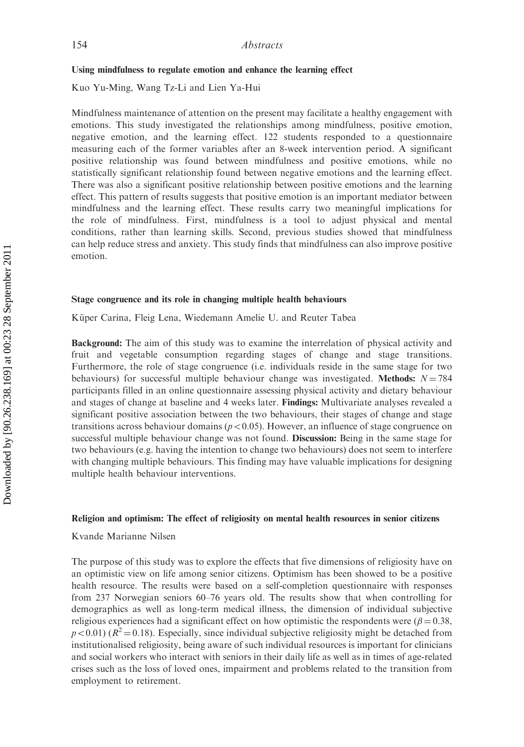# Using mindfulness to regulate emotion and enhance the learning effect

Kuo Yu-Ming, Wang Tz-Li and Lien Ya-Hui

Mindfulness maintenance of attention on the present may facilitate a healthy engagement with emotions. This study investigated the relationships among mindfulness, positive emotion, negative emotion, and the learning effect. 122 students responded to a questionnaire measuring each of the former variables after an 8-week intervention period. A significant positive relationship was found between mindfulness and positive emotions, while no statistically significant relationship found between negative emotions and the learning effect. There was also a significant positive relationship between positive emotions and the learning effect. This pattern of results suggests that positive emotion is an important mediator between mindfulness and the learning effect. These results carry two meaningful implications for the role of mindfulness. First, mindfulness is a tool to adjust physical and mental conditions, rather than learning skills. Second, previous studies showed that mindfulness can help reduce stress and anxiety. This study finds that mindfulness can also improve positive emotion.

# Stage congruence and its role in changing multiple health behaviours

Küper Carina, Fleig Lena, Wiedemann Amelie U. and Reuter Tabea

Background: The aim of this study was to examine the interrelation of physical activity and fruit and vegetable consumption regarding stages of change and stage transitions. Furthermore, the role of stage congruence (i.e. individuals reside in the same stage for two behaviours) for successful multiple behaviour change was investigated. Methods:  $N = 784$ participants filled in an online questionnaire assessing physical activity and dietary behaviour and stages of change at baseline and 4 weeks later. Findings: Multivariate analyses revealed a significant positive association between the two behaviours, their stages of change and stage transitions across behaviour domains ( $p<0.05$ ). However, an influence of stage congruence on successful multiple behaviour change was not found. Discussion: Being in the same stage for two behaviours (e.g. having the intention to change two behaviours) does not seem to interfere with changing multiple behaviours. This finding may have valuable implications for designing multiple health behaviour interventions.

# Religion and optimism: The effect of religiosity on mental health resources in senior citizens

Kvande Marianne Nilsen

The purpose of this study was to explore the effects that five dimensions of religiosity have on an optimistic view on life among senior citizens. Optimism has been showed to be a positive health resource. The results were based on a self-completion questionnaire with responses from 237 Norwegian seniors 60–76 years old. The results show that when controlling for demographics as well as long-term medical illness, the dimension of individual subjective religious experiences had a significant effect on how optimistic the respondents were  $(\beta = 0.38,$  $p<0.01$ ) ( $R^2 = 0.18$ ). Especially, since individual subjective religiosity might be detached from institutionalised religiosity, being aware of such individual resources is important for clinicians and social workers who interact with seniors in their daily life as well as in times of age-related crises such as the loss of loved ones, impairment and problems related to the transition from employment to retirement.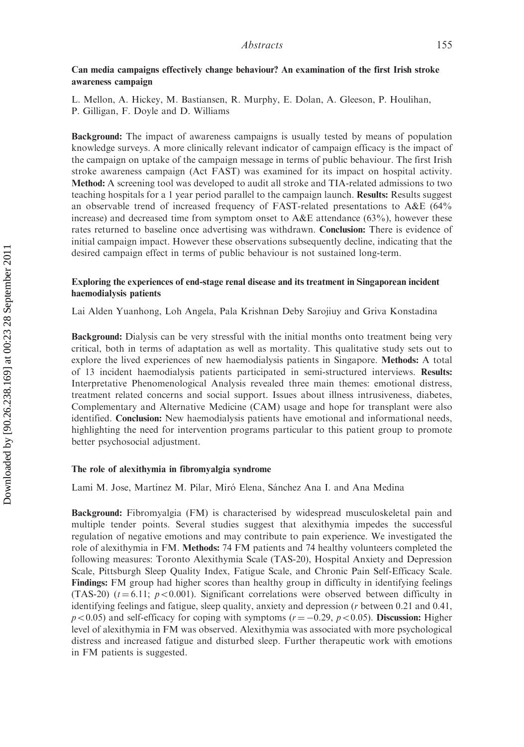## Can media campaigns effectively change behaviour? An examination of the first Irish stroke awareness campaign

L. Mellon, A. Hickey, M. Bastiansen, R. Murphy, E. Dolan, A. Gleeson, P. Houlihan, P. Gilligan, F. Doyle and D. Williams

Background: The impact of awareness campaigns is usually tested by means of population knowledge surveys. A more clinically relevant indicator of campaign efficacy is the impact of the campaign on uptake of the campaign message in terms of public behaviour. The first Irish stroke awareness campaign (Act FAST) was examined for its impact on hospital activity. Method: A screening tool was developed to audit all stroke and TIA-related admissions to two teaching hospitals for a 1 year period parallel to the campaign launch. Results: Results suggest an observable trend of increased frequency of FAST-related presentations to A&E (64% increase) and decreased time from symptom onset to  $A\&E$  attendance (63%), however these rates returned to baseline once advertising was withdrawn. Conclusion: There is evidence of initial campaign impact. However these observations subsequently decline, indicating that the desired campaign effect in terms of public behaviour is not sustained long-term.

## Exploring the experiences of end-stage renal disease and its treatment in Singaporean incident haemodialysis patients

Lai Alden Yuanhong, Loh Angela, Pala Krishnan Deby Sarojiuy and Griva Konstadina

Background: Dialysis can be very stressful with the initial months onto treatment being very critical, both in terms of adaptation as well as mortality. This qualitative study sets out to explore the lived experiences of new haemodialysis patients in Singapore. Methods: A total of 13 incident haemodialysis patients participated in semi-structured interviews. Results: Interpretative Phenomenological Analysis revealed three main themes: emotional distress, treatment related concerns and social support. Issues about illness intrusiveness, diabetes, Complementary and Alternative Medicine (CAM) usage and hope for transplant were also identified. Conclusion: New haemodialysis patients have emotional and informational needs, highlighting the need for intervention programs particular to this patient group to promote better psychosocial adjustment.

### The role of alexithymia in fibromyalgia syndrome

Lami M. Jose, Martínez M. Pilar, Miró Elena, Sánchez Ana I. and Ana Medina

Background: Fibromyalgia (FM) is characterised by widespread musculoskeletal pain and multiple tender points. Several studies suggest that alexithymia impedes the successful regulation of negative emotions and may contribute to pain experience. We investigated the role of alexithymia in FM. Methods: 74 FM patients and 74 healthy volunteers completed the following measures: Toronto Alexithymia Scale (TAS-20), Hospital Anxiety and Depression Scale, Pittsburgh Sleep Quality Index, Fatigue Scale, and Chronic Pain Self-Efficacy Scale. Findings: FM group had higher scores than healthy group in difficulty in identifying feelings (TAS-20)  $(t = 6.11; p < 0.001)$ . Significant correlations were observed between difficulty in identifying feelings and fatigue, sleep quality, anxiety and depression (r between 0.21 and 0.41,  $p<0.05$ ) and self-efficacy for coping with symptoms ( $r = -0.29$ ,  $p<0.05$ ). Discussion: Higher level of alexithymia in FM was observed. Alexithymia was associated with more psychological distress and increased fatigue and disturbed sleep. Further therapeutic work with emotions in FM patients is suggested.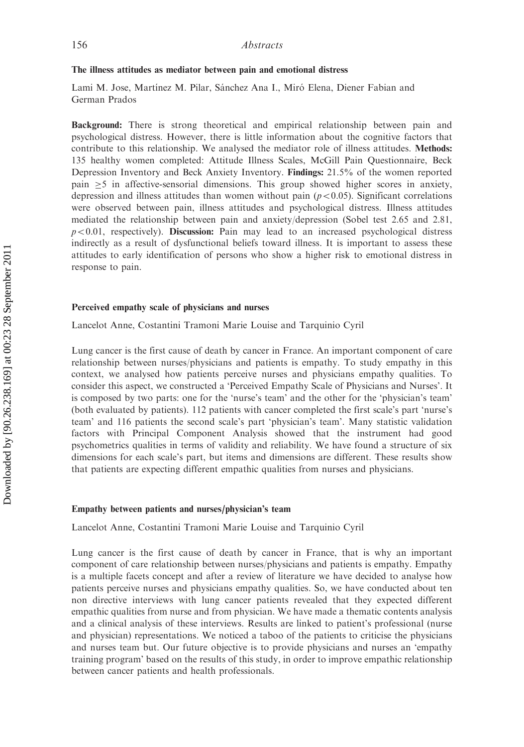### The illness attitudes as mediator between pain and emotional distress

Lami M. Jose, Martínez M. Pilar, Sánchez Ana I., Miró Elena, Diener Fabian and German Prados

Background: There is strong theoretical and empirical relationship between pain and psychological distress. However, there is little information about the cognitive factors that contribute to this relationship. We analysed the mediator role of illness attitudes. Methods: 135 healthy women completed: Attitude Illness Scales, McGill Pain Questionnaire, Beck Depression Inventory and Beck Anxiety Inventory. Findings: 21.5% of the women reported pain  $\geq$ 5 in affective-sensorial dimensions. This group showed higher scores in anxiety, depression and illness attitudes than women without pain ( $p<0.05$ ). Significant correlations were observed between pain, illness attitudes and psychological distress. Illness attitudes mediated the relationship between pain and anxiety/depression (Sobel test 2.65 and 2.81,  $p<0.01$ , respectively). Discussion: Pain may lead to an increased psychological distress indirectly as a result of dysfunctional beliefs toward illness. It is important to assess these attitudes to early identification of persons who show a higher risk to emotional distress in response to pain.

### Perceived empathy scale of physicians and nurses

Lancelot Anne, Costantini Tramoni Marie Louise and Tarquinio Cyril

Lung cancer is the first cause of death by cancer in France. An important component of care relationship between nurses/physicians and patients is empathy. To study empathy in this context, we analysed how patients perceive nurses and physicians empathy qualities. To consider this aspect, we constructed a 'Perceived Empathy Scale of Physicians and Nurses'. It is composed by two parts: one for the 'nurse's team' and the other for the 'physician's team' (both evaluated by patients). 112 patients with cancer completed the first scale's part 'nurse's team' and 116 patients the second scale's part 'physician's team'. Many statistic validation factors with Principal Component Analysis showed that the instrument had good psychometrics qualities in terms of validity and reliability. We have found a structure of six dimensions for each scale's part, but items and dimensions are different. These results show that patients are expecting different empathic qualities from nurses and physicians.

### Empathy between patients and nurses/physician's team

Lancelot Anne, Costantini Tramoni Marie Louise and Tarquinio Cyril

Lung cancer is the first cause of death by cancer in France, that is why an important component of care relationship between nurses/physicians and patients is empathy. Empathy is a multiple facets concept and after a review of literature we have decided to analyse how patients perceive nurses and physicians empathy qualities. So, we have conducted about ten non directive interviews with lung cancer patients revealed that they expected different empathic qualities from nurse and from physician. We have made a thematic contents analysis and a clinical analysis of these interviews. Results are linked to patient's professional (nurse and physician) representations. We noticed a taboo of the patients to criticise the physicians and nurses team but. Our future objective is to provide physicians and nurses an 'empathy training program' based on the results of this study, in order to improve empathic relationship between cancer patients and health professionals.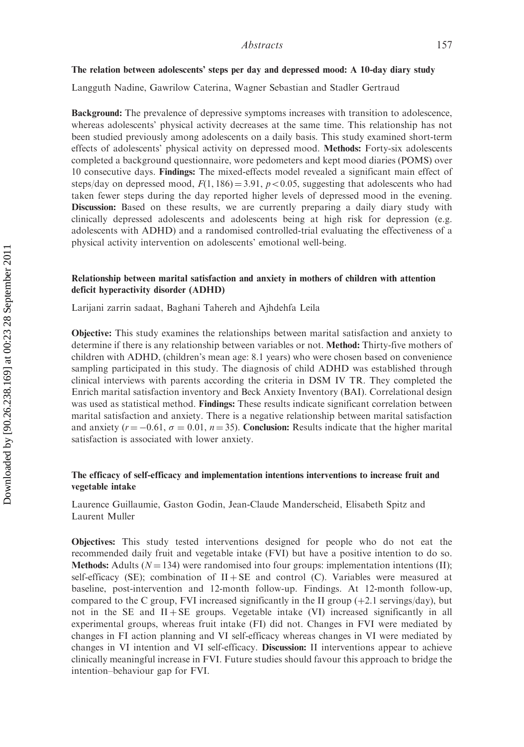### The relation between adolescents' steps per day and depressed mood: A 10-day diary study

Langguth Nadine, Gawrilow Caterina, Wagner Sebastian and Stadler Gertraud

Background: The prevalence of depressive symptoms increases with transition to adolescence, whereas adolescents' physical activity decreases at the same time. This relationship has not been studied previously among adolescents on a daily basis. This study examined short-term effects of adolescents' physical activity on depressed mood. Methods: Forty-six adolescents completed a background questionnaire, wore pedometers and kept mood diaries (POMS) over 10 consecutive days. Findings: The mixed-effects model revealed a significant main effect of steps/day on depressed mood,  $F(1, 186) = 3.91$ ,  $p < 0.05$ , suggesting that adolescents who had taken fewer steps during the day reported higher levels of depressed mood in the evening. Discussion: Based on these results, we are currently preparing a daily diary study with clinically depressed adolescents and adolescents being at high risk for depression (e.g. adolescents with ADHD) and a randomised controlled-trial evaluating the effectiveness of a physical activity intervention on adolescents' emotional well-being.

### Relationship between marital satisfaction and anxiety in mothers of children with attention deficit hyperactivity disorder (ADHD)

Larijani zarrin sadaat, Baghani Tahereh and Ajhdehfa Leila

Objective: This study examines the relationships between marital satisfaction and anxiety to determine if there is any relationship between variables or not. Method: Thirty-five mothers of children with ADHD, (children's mean age: 8.1 years) who were chosen based on convenience sampling participated in this study. The diagnosis of child ADHD was established through clinical interviews with parents according the criteria in DSM IV TR. They completed the Enrich marital satisfaction inventory and Beck Anxiety Inventory (BAI). Correlational design was used as statistical method. Findings: These results indicate significant correlation between marital satisfaction and anxiety. There is a negative relationship between marital satisfaction and anxiety ( $r = -0.61$ ,  $\sigma = 0.01$ ,  $n = 35$ ). Conclusion: Results indicate that the higher marital satisfaction is associated with lower anxiety.

## The efficacy of self-efficacy and implementation intentions interventions to increase fruit and vegetable intake

Laurence Guillaumie, Gaston Godin, Jean-Claude Manderscheid, Elisabeth Spitz and Laurent Muller

Objectives: This study tested interventions designed for people who do not eat the recommended daily fruit and vegetable intake (FVI) but have a positive intention to do so. **Methods:** Adults ( $N = 134$ ) were randomised into four groups: implementation intentions (II); self-efficacy (SE); combination of  $II + SE$  and control (C). Variables were measured at baseline, post-intervention and 12-month follow-up. Findings. At 12-month follow-up, compared to the C group, FVI increased significantly in the II group  $(+2.1$  servings/day), but not in the SE and  $II + SE$  groups. Vegetable intake (VI) increased significantly in all experimental groups, whereas fruit intake (FI) did not. Changes in FVI were mediated by changes in FI action planning and VI self-efficacy whereas changes in VI were mediated by changes in VI intention and VI self-efficacy. Discussion: II interventions appear to achieve clinically meaningful increase in FVI. Future studies should favour this approach to bridge the intention–behaviour gap for FVI.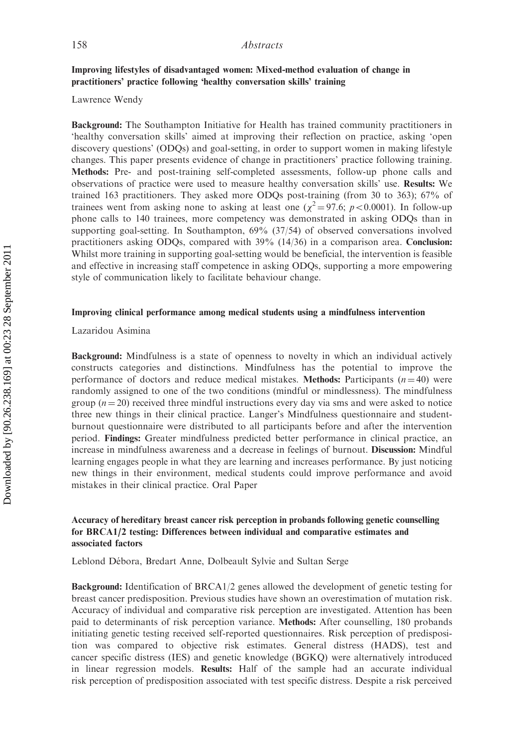## Improving lifestyles of disadvantaged women: Mixed-method evaluation of change in practitioners' practice following 'healthy conversation skills' training

Lawrence Wendy

Background: The Southampton Initiative for Health has trained community practitioners in 'healthy conversation skills' aimed at improving their reflection on practice, asking 'open discovery questions' (ODQs) and goal-setting, in order to support women in making lifestyle changes. This paper presents evidence of change in practitioners' practice following training. Methods: Pre- and post-training self-completed assessments, follow-up phone calls and observations of practice were used to measure healthy conversation skills' use. Results: We trained 163 practitioners. They asked more ODQs post-training (from 30 to 363); 67% of trainees went from asking none to asking at least one ( $\chi^2$  = 97.6; p < 0.0001). In follow-up phone calls to 140 trainees, more competency was demonstrated in asking ODQs than in supporting goal-setting. In Southampton, 69% (37/54) of observed conversations involved practitioners asking ODQs, compared with 39% (14/36) in a comparison area. Conclusion: Whilst more training in supporting goal-setting would be beneficial, the intervention is feasible and effective in increasing staff competence in asking ODQs, supporting a more empowering style of communication likely to facilitate behaviour change.

## Improving clinical performance among medical students using a mindfulness intervention

Lazaridou Asimina

Background: Mindfulness is a state of openness to novelty in which an individual actively constructs categories and distinctions. Mindfulness has the potential to improve the performance of doctors and reduce medical mistakes. **Methods:** Participants  $(n = 40)$  were randomly assigned to one of the two conditions (mindful or mindlessness). The mindfulness group ( $n = 20$ ) received three mindful instructions every day via sms and were asked to notice three new things in their clinical practice. Langer's Mindfulness questionnaire and studentburnout questionnaire were distributed to all participants before and after the intervention period. Findings: Greater mindfulness predicted better performance in clinical practice, an increase in mindfulness awareness and a decrease in feelings of burnout. Discussion: Mindful learning engages people in what they are learning and increases performance. By just noticing new things in their environment, medical students could improve performance and avoid mistakes in their clinical practice. Oral Paper

## Accuracy of hereditary breast cancer risk perception in probands following genetic counselling for BRCA1/2 testing: Differences between individual and comparative estimates and associated factors

Leblond Débora, Bredart Anne, Dolbeault Sylvie and Sultan Serge

Background: Identification of BRCA1/2 genes allowed the development of genetic testing for breast cancer predisposition. Previous studies have shown an overestimation of mutation risk. Accuracy of individual and comparative risk perception are investigated. Attention has been paid to determinants of risk perception variance. Methods: After counselling, 180 probands initiating genetic testing received self-reported questionnaires. Risk perception of predisposition was compared to objective risk estimates. General distress (HADS), test and cancer specific distress (IES) and genetic knowledge (BGKQ) were alternatively introduced in linear regression models. Results: Half of the sample had an accurate individual risk perception of predisposition associated with test specific distress. Despite a risk perceived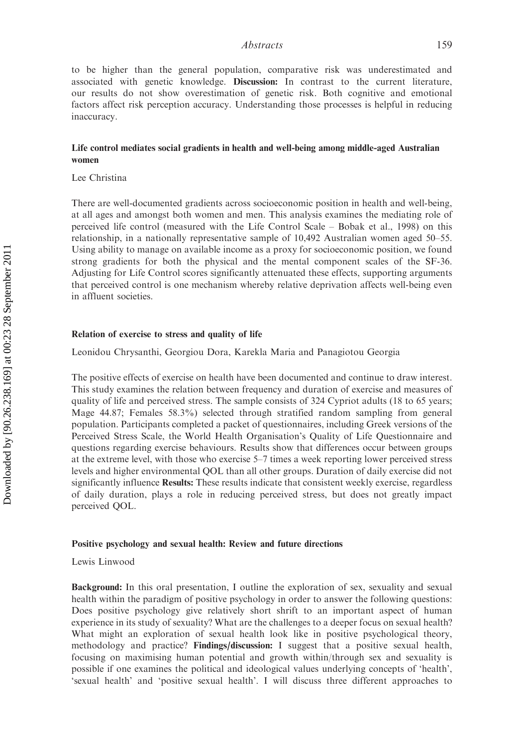to be higher than the general population, comparative risk was underestimated and associated with genetic knowledge. Discussion: In contrast to the current literature, our results do not show overestimation of genetic risk. Both cognitive and emotional factors affect risk perception accuracy. Understanding those processes is helpful in reducing inaccuracy.

## Life control mediates social gradients in health and well-being among middle-aged Australian women

#### Lee Christina

There are well-documented gradients across socioeconomic position in health and well-being, at all ages and amongst both women and men. This analysis examines the mediating role of perceived life control (measured with the Life Control Scale – Bobak et al., 1998) on this relationship, in a nationally representative sample of 10,492 Australian women aged 50–55. Using ability to manage on available income as a proxy for socioeconomic position, we found strong gradients for both the physical and the mental component scales of the SF-36. Adjusting for Life Control scores significantly attenuated these effects, supporting arguments that perceived control is one mechanism whereby relative deprivation affects well-being even in affluent societies.

## Relation of exercise to stress and quality of life

Leonidou Chrysanthi, Georgiou Dora, Karekla Maria and Panagiotou Georgia

The positive effects of exercise on health have been documented and continue to draw interest. This study examines the relation between frequency and duration of exercise and measures of quality of life and perceived stress. The sample consists of 324 Cypriot adults (18 to 65 years; Mage 44.87; Females 58.3%) selected through stratified random sampling from general population. Participants completed a packet of questionnaires, including Greek versions of the Perceived Stress Scale, the World Health Organisation's Quality of Life Questionnaire and questions regarding exercise behaviours. Results show that differences occur between groups at the extreme level, with those who exercise 5–7 times a week reporting lower perceived stress levels and higher environmental QOL than all other groups. Duration of daily exercise did not significantly influence Results: These results indicate that consistent weekly exercise, regardless of daily duration, plays a role in reducing perceived stress, but does not greatly impact perceived QOL.

#### Positive psychology and sexual health: Review and future directions

#### Lewis Linwood

Background: In this oral presentation, I outline the exploration of sex, sexuality and sexual health within the paradigm of positive psychology in order to answer the following questions: Does positive psychology give relatively short shrift to an important aspect of human experience in its study of sexuality? What are the challenges to a deeper focus on sexual health? What might an exploration of sexual health look like in positive psychological theory, methodology and practice? Findings/discussion: I suggest that a positive sexual health, focusing on maximising human potential and growth within/through sex and sexuality is possible if one examines the political and ideological values underlying concepts of 'health', 'sexual health' and 'positive sexual health'. I will discuss three different approaches to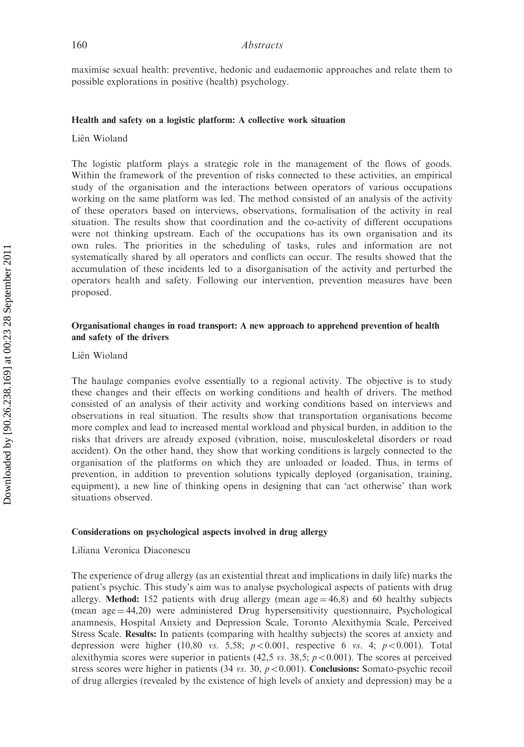maximise sexual health: preventive, hedonic and eudaemonic approaches and relate them to possible explorations in positive (health) psychology.

#### Health and safety on a logistic platform: A collective work situation

Liên Wioland

The logistic platform plays a strategic role in the management of the flows of goods. Within the framework of the prevention of risks connected to these activities, an empirical study of the organisation and the interactions between operators of various occupations working on the same platform was led. The method consisted of an analysis of the activity of these operators based on interviews, observations, formalisation of the activity in real situation. The results show that coordination and the co-activity of different occupations were not thinking upstream. Each of the occupations has its own organisation and its own rules. The priorities in the scheduling of tasks, rules and information are not systematically shared by all operators and conflicts can occur. The results showed that the accumulation of these incidents led to a disorganisation of the activity and perturbed the operators health and safety. Following our intervention, prevention measures have been proposed.

## Organisational changes in road transport: A new approach to apprehend prevention of health and safety of the drivers

Liên Wioland

The haulage companies evolve essentially to a regional activity. The objective is to study these changes and their effects on working conditions and health of drivers. The method consisted of an analysis of their activity and working conditions based on interviews and observations in real situation. The results show that transportation organisations become more complex and lead to increased mental workload and physical burden, in addition to the risks that drivers are already exposed (vibration, noise, musculoskeletal disorders or road accident). On the other hand, they show that working conditions is largely connected to the organisation of the platforms on which they are unloaded or loaded. Thus, in terms of prevention, in addition to prevention solutions typically deployed (organisation, training, equipment), a new line of thinking opens in designing that can 'act otherwise' than work situations observed.

#### Considerations on psychological aspects involved in drug allergy

Liliana Veronica Diaconescu

The experience of drug allergy (as an existential threat and implications in daily life) marks the patient's psychic. This study's aim was to analyse psychological aspects of patients with drug allergy. Method: 152 patients with drug allergy (mean age  $=$  46,8) and 60 healthy subjects (mean  $age = 44,20$ ) were administered Drug hypersensitivity questionnaire, Psychological anamnesis, Hospital Anxiety and Depression Scale, Toronto Alexithymia Scale, Perceived Stress Scale. Results: In patients (comparing with healthy subjects) the scores at anxiety and depression were higher (10,80 vs. 5,58;  $p<0.001$ , respective 6 vs. 4;  $p<0.001$ ). Total alexithymia scores were superior in patients (42,5 vs. 38,5;  $p < 0.001$ ). The scores at perceived stress scores were higher in patients (34 vs. 30,  $p < 0.001$ ). Conclusions: Somato-psychic recoil of drug allergies (revealed by the existence of high levels of anxiety and depression) may be a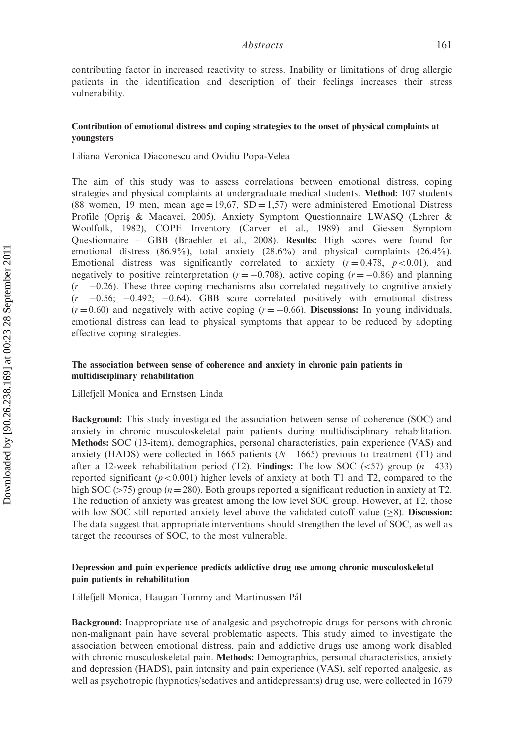contributing factor in increased reactivity to stress. Inability or limitations of drug allergic patients in the identification and description of their feelings increases their stress vulnerability.

### Contribution of emotional distress and coping strategies to the onset of physical complaints at youngsters

Liliana Veronica Diaconescu and Ovidiu Popa-Velea

The aim of this study was to assess correlations between emotional distress, coping strategies and physical complaints at undergraduate medical students. Method: 107 students (88 women, 19 men, mean  $age = 19,67$ ,  $SD = 1,57$ ) were administered Emotional Distress Profile (Opris & Macavei, 2005), Anxiety Symptom Questionnaire LWASQ (Lehrer & Woolfolk, 1982), COPE Inventory (Carver et al., 1989) and Giessen Symptom Questionnaire – GBB (Braehler et al., 2008). Results: High scores were found for emotional distress (86.9%), total anxiety (28.6%) and physical complaints (26.4%). Emotional distress was significantly correlated to anxiety  $(r=0.478, p<0.01)$ , and negatively to positive reinterpretation ( $r = -0.708$ ), active coping ( $r = -0.86$ ) and planning  $(r = -0.26)$ . These three coping mechanisms also correlated negatively to cognitive anxiety  $(r = -0.56; -$ 0.492; -0.64). GBB score correlated positively with emotional distress  $(r = 0.60)$  and negatively with active coping  $(r = -0.66)$ . Discussions: In young individuals, emotional distress can lead to physical symptoms that appear to be reduced by adopting effective coping strategies.

### The association between sense of coherence and anxiety in chronic pain patients in multidisciplinary rehabilitation

Lillefjell Monica and Ernstsen Linda

Background: This study investigated the association between sense of coherence (SOC) and anxiety in chronic musculoskeletal pain patients during multidisciplinary rehabilitation. Methods: SOC (13-item), demographics, personal characteristics, pain experience (VAS) and anxiety (HADS) were collected in 1665 patients ( $N = 1665$ ) previous to treatment (T1) and after a 12-week rehabilitation period (T2). Findings: The low SOC ( $\lt 57$ ) group (n=433) reported significant ( $p<0.001$ ) higher levels of anxiety at both T1 and T2, compared to the high SOC ( $>75$ ) group ( $n = 280$ ). Both groups reported a significant reduction in anxiety at T2. The reduction of anxiety was greatest among the low level SOC group. However, at T2, those with low SOC still reported anxiety level above the validated cutoff value  $(8)$ . Discussion: The data suggest that appropriate interventions should strengthen the level of SOC, as well as target the recourses of SOC, to the most vulnerable.

### Depression and pain experience predicts addictive drug use among chronic musculoskeletal pain patients in rehabilitation

Lillefjell Monica, Haugan Tommy and Martinussen Pål

Background: Inappropriate use of analgesic and psychotropic drugs for persons with chronic non-malignant pain have several problematic aspects. This study aimed to investigate the association between emotional distress, pain and addictive drugs use among work disabled with chronic musculoskeletal pain. Methods: Demographics, personal characteristics, anxiety and depression (HADS), pain intensity and pain experience (VAS), self reported analgesic, as well as psychotropic (hypnotics/sedatives and antidepressants) drug use, were collected in 1679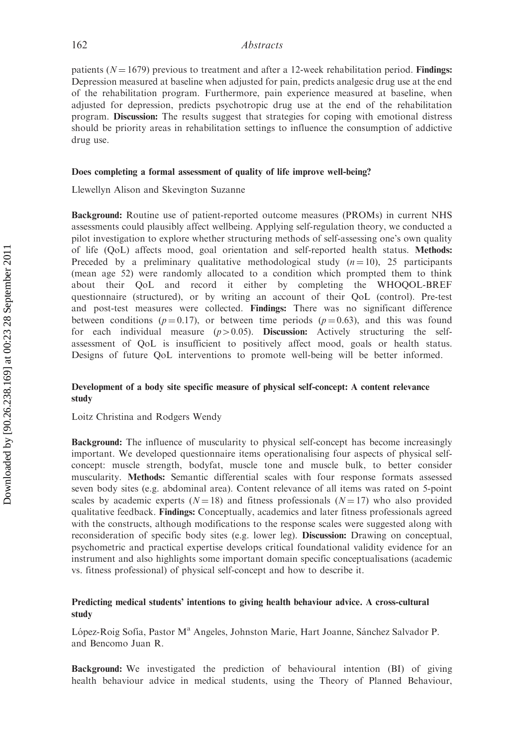patients ( $N = 1679$ ) previous to treatment and after a 12-week rehabilitation period. Findings: Depression measured at baseline when adjusted for pain, predicts analgesic drug use at the end of the rehabilitation program. Furthermore, pain experience measured at baseline, when adjusted for depression, predicts psychotropic drug use at the end of the rehabilitation program. Discussion: The results suggest that strategies for coping with emotional distress should be priority areas in rehabilitation settings to influence the consumption of addictive drug use.

### Does completing a formal assessment of quality of life improve well-being?

Llewellyn Alison and Skevington Suzanne

Background: Routine use of patient-reported outcome measures (PROMs) in current NHS assessments could plausibly affect wellbeing. Applying self-regulation theory, we conducted a pilot investigation to explore whether structuring methods of self-assessing one's own quality of life (QoL) affects mood, goal orientation and self-reported health status. Methods: Preceded by a preliminary qualitative methodological study  $(n = 10)$ , 25 participants (mean age 52) were randomly allocated to a condition which prompted them to think about their QoL and record it either by completing the WHOQOL-BREF questionnaire (structured), or by writing an account of their QoL (control). Pre-test and post-test measures were collected. Findings: There was no significant difference between conditions ( $p = 0.17$ ), or between time periods ( $p = 0.63$ ), and this was found for each individual measure  $(p>0.05)$ . Discussion: Actively structuring the selfassessment of QoL is insufficient to positively affect mood, goals or health status. Designs of future QoL interventions to promote well-being will be better informed.

## Development of a body site specific measure of physical self-concept: A content relevance study

Loitz Christina and Rodgers Wendy

Background: The influence of muscularity to physical self-concept has become increasingly important. We developed questionnaire items operationalising four aspects of physical selfconcept: muscle strength, bodyfat, muscle tone and muscle bulk, to better consider muscularity. Methods: Semantic differential scales with four response formats assessed seven body sites (e.g. abdominal area). Content relevance of all items was rated on 5-point scales by academic experts ( $N = 18$ ) and fitness professionals ( $N = 17$ ) who also provided qualitative feedback. Findings: Conceptually, academics and later fitness professionals agreed with the constructs, although modifications to the response scales were suggested along with reconsideration of specific body sites (e.g. lower leg). Discussion: Drawing on conceptual, psychometric and practical expertise develops critical foundational validity evidence for an instrument and also highlights some important domain specific conceptualisations (academic vs. fitness professional) of physical self-concept and how to describe it.

## Predicting medical students' intentions to giving health behaviour advice. A cross-cultural study

López-Roig Sofía, Pastor M<sup>a</sup> Angeles, Johnston Marie, Hart Joanne, Sánchez Salvador P. and Bencomo Juan R.

Background: We investigated the prediction of behavioural intention (BI) of giving health behaviour advice in medical students, using the Theory of Planned Behaviour,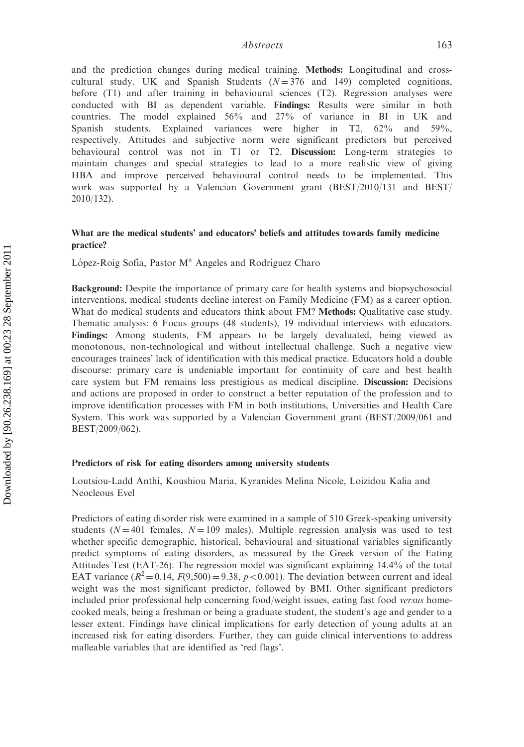and the prediction changes during medical training. Methods: Longitudinal and crosscultural study. UK and Spanish Students  $(N=376$  and 149) completed cognitions, before (T1) and after training in behavioural sciences (T2). Regression analyses were conducted with BI as dependent variable. Findings: Results were similar in both countries. The model explained 56% and 27% of variance in BI in UK and Spanish students. Explained variances were higher in T2, 62% and 59%, respectively. Attitudes and subjective norm were significant predictors but perceived behavioural control was not in T1 or T2. Discussion: Long-term strategies to maintain changes and special strategies to lead to a more realistic view of giving HBA and improve perceived behavioural control needs to be implemented. This work was supported by a Valencian Government grant (BEST/2010/131 and BEST/ 2010/132).

### What are the medical students' and educators' beliefs and attitudes towards family medicine practice?

López-Roig Sofía, Pastor M<sup>a</sup> Angeles and Rodríguez Charo

Background: Despite the importance of primary care for health systems and biopsychosocial interventions, medical students decline interest on Family Medicine (FM) as a career option. What do medical students and educators think about FM? Methods: Qualitative case study. Thematic analysis: 6 Focus groups (48 students), 19 individual interviews with educators. Findings: Among students, FM appears to be largely devaluated, being viewed as monotonous, non-technological and without intellectual challenge. Such a negative view encourages trainees' lack of identification with this medical practice. Educators hold a double discourse: primary care is undeniable important for continuity of care and best health care system but FM remains less prestigious as medical discipline. Discussion: Decisions and actions are proposed in order to construct a better reputation of the profession and to improve identification processes with FM in both institutions, Universities and Health Care System. This work was supported by a Valencian Government grant (BEST/2009/061 and BEST/2009/062).

### Predictors of risk for eating disorders among university students

Loutsiou-Ladd Anthi, Koushiou Maria, Kyranides Melina Nicole, Loizidou Kalia and Neocleous Evel

Predictors of eating disorder risk were examined in a sample of 510 Greek-speaking university students ( $N = 401$  females,  $N = 109$  males). Multiple regression analysis was used to test whether specific demographic, historical, behavioural and situational variables significantly predict symptoms of eating disorders, as measured by the Greek version of the Eating Attitudes Test (EAT-26). The regression model was significant explaining 14.4% of the total EAT variance  $(R^2 = 0.14, F(9,500) = 9.38, p < 0.001)$ . The deviation between current and ideal weight was the most significant predictor, followed by BMI. Other significant predictors included prior professional help concerning food/weight issues, eating fast food versus homecooked meals, being a freshman or being a graduate student, the student's age and gender to a lesser extent. Findings have clinical implications for early detection of young adults at an increased risk for eating disorders. Further, they can guide clinical interventions to address malleable variables that are identified as 'red flags'.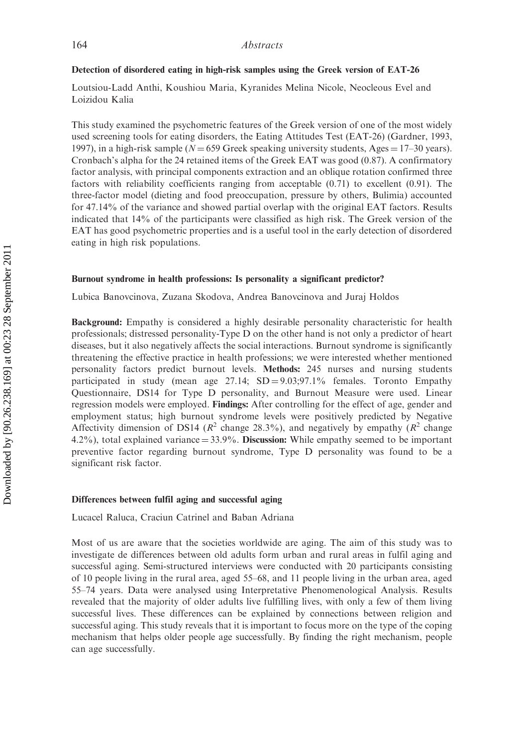### Detection of disordered eating in high-risk samples using the Greek version of EAT-26

Loutsiou-Ladd Anthi, Koushiou Maria, Kyranides Melina Nicole, Neocleous Evel and Loizidou Kalia

This study examined the psychometric features of the Greek version of one of the most widely used screening tools for eating disorders, the Eating Attitudes Test (EAT-26) (Gardner, 1993, 1997), in a high-risk sample ( $N = 659$  Greek speaking university students, Ages = 17–30 years). Cronbach's alpha for the 24 retained items of the Greek EAT was good (0.87). A confirmatory factor analysis, with principal components extraction and an oblique rotation confirmed three factors with reliability coefficients ranging from acceptable (0.71) to excellent (0.91). The three-factor model (dieting and food preoccupation, pressure by others, Bulimia) accounted for 47.14% of the variance and showed partial overlap with the original EAT factors. Results indicated that 14% of the participants were classified as high risk. The Greek version of the EAT has good psychometric properties and is a useful tool in the early detection of disordered eating in high risk populations.

#### Burnout syndrome in health professions: Is personality a significant predictor?

Lubica Banovcinova, Zuzana Skodova, Andrea Banovcinova and Juraj Holdos

Background: Empathy is considered a highly desirable personality characteristic for health professionals; distressed personality-Type D on the other hand is not only a predictor of heart diseases, but it also negatively affects the social interactions. Burnout syndrome is significantly threatening the effective practice in health professions; we were interested whether mentioned personality factors predict burnout levels. Methods: 245 nurses and nursing students participated in study (mean age  $27.14$ ;  $SD = 9.03$ ;97.1% females. Toronto Empathy Questionnaire, DS14 for Type D personality, and Burnout Measure were used. Linear regression models were employed. Findings: After controlling for the effect of age, gender and employment status; high burnout syndrome levels were positively predicted by Negative Affectivity dimension of DS14 ( $R^2$  change 28.3%), and negatively by empathy ( $R^2$  change 4.2%), total explained variance  $=$  33.9%. Discussion: While empathy seemed to be important preventive factor regarding burnout syndrome, Type D personality was found to be a significant risk factor.

#### Differences between fulfil aging and successful aging

Lucacel Raluca, Craciun Catrinel and Baban Adriana

Most of us are aware that the societies worldwide are aging. The aim of this study was to investigate de differences between old adults form urban and rural areas in fulfil aging and successful aging. Semi-structured interviews were conducted with 20 participants consisting of 10 people living in the rural area, aged 55–68, and 11 people living in the urban area, aged 55–74 years. Data were analysed using Interpretative Phenomenological Analysis. Results revealed that the majority of older adults live fulfilling lives, with only a few of them living successful lives. These differences can be explained by connections between religion and successful aging. This study reveals that it is important to focus more on the type of the coping mechanism that helps older people age successfully. By finding the right mechanism, people can age successfully.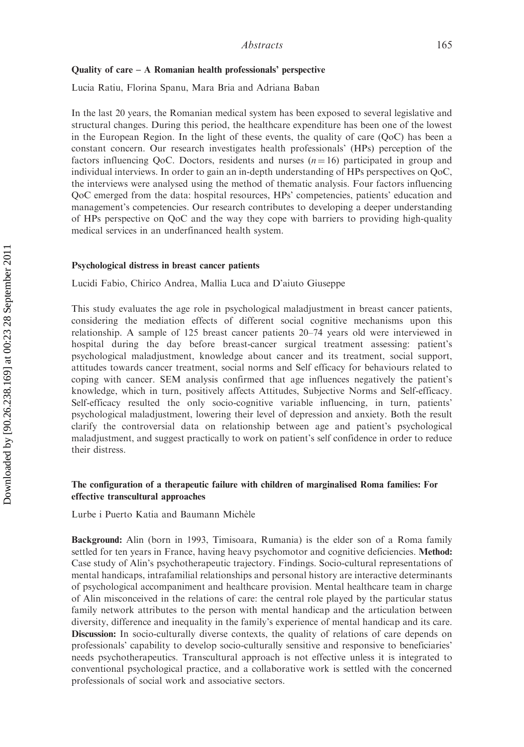## Quality of care – A Romanian health professionals' perspective

Lucia Ratiu, Florina Spanu, Mara Bria and Adriana Baban

In the last 20 years, the Romanian medical system has been exposed to several legislative and structural changes. During this period, the healthcare expenditure has been one of the lowest in the European Region. In the light of these events, the quality of care (QoC) has been a constant concern. Our research investigates health professionals' (HPs) perception of the factors influencing QoC. Doctors, residents and nurses  $(n = 16)$  participated in group and individual interviews. In order to gain an in-depth understanding of HPs perspectives on QoC, the interviews were analysed using the method of thematic analysis. Four factors influencing QoC emerged from the data: hospital resources, HPs' competencies, patients' education and management's competencies. Our research contributes to developing a deeper understanding of HPs perspective on QoC and the way they cope with barriers to providing high-quality medical services in an underfinanced health system.

#### Psychological distress in breast cancer patients

Lucidi Fabio, Chirico Andrea, Mallia Luca and D'aiuto Giuseppe

This study evaluates the age role in psychological maladjustment in breast cancer patients, considering the mediation effects of different social cognitive mechanisms upon this relationship. A sample of 125 breast cancer patients 20–74 years old were interviewed in hospital during the day before breast-cancer surgical treatment assessing: patient's psychological maladjustment, knowledge about cancer and its treatment, social support, attitudes towards cancer treatment, social norms and Self efficacy for behaviours related to coping with cancer. SEM analysis confirmed that age influences negatively the patient's knowledge, which in turn, positively affects Attitudes, Subjective Norms and Self-efficacy. Self-efficacy resulted the only socio-cognitive variable influencing, in turn, patients' psychological maladjustment, lowering their level of depression and anxiety. Both the result clarify the controversial data on relationship between age and patient's psychological maladjustment, and suggest practically to work on patient's self confidence in order to reduce their distress.

### The configuration of a therapeutic failure with children of marginalised Roma families: For effective transcultural approaches

Lurbe i Puerto Katia and Baumann Michèle

Background: Alin (born in 1993, Timisoara, Rumania) is the elder son of a Roma family settled for ten years in France, having heavy psychomotor and cognitive deficiencies. Method: Case study of Alin's psychotherapeutic trajectory. Findings. Socio-cultural representations of mental handicaps, intrafamilial relationships and personal history are interactive determinants of psychological accompaniment and healthcare provision. Mental healthcare team in charge of Alin misconceived in the relations of care: the central role played by the particular status family network attributes to the person with mental handicap and the articulation between diversity, difference and inequality in the family's experience of mental handicap and its care. Discussion: In socio-culturally diverse contexts, the quality of relations of care depends on professionals' capability to develop socio-culturally sensitive and responsive to beneficiaries' needs psychotherapeutics. Transcultural approach is not effective unless it is integrated to conventional psychological practice, and a collaborative work is settled with the concerned professionals of social work and associative sectors.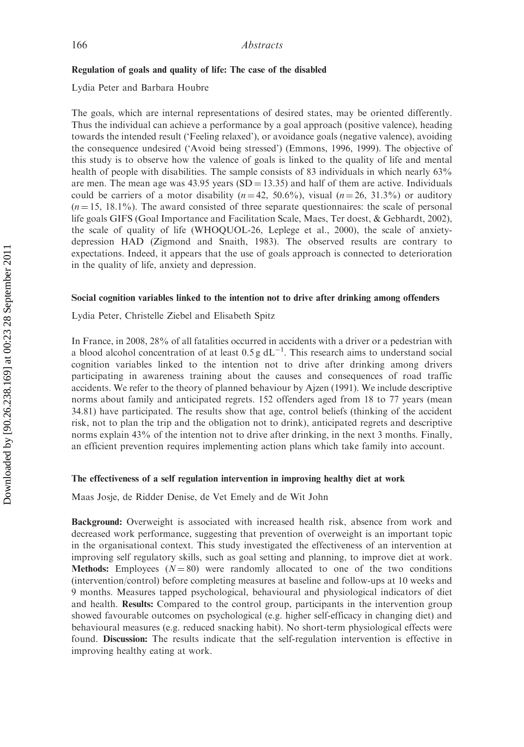# Regulation of goals and quality of life: The case of the disabled

Lydia Peter and Barbara Houbre

The goals, which are internal representations of desired states, may be oriented differently. Thus the individual can achieve a performance by a goal approach (positive valence), heading towards the intended result ('Feeling relaxed'), or avoidance goals (negative valence), avoiding the consequence undesired ('Avoid being stressed') (Emmons, 1996, 1999). The objective of this study is to observe how the valence of goals is linked to the quality of life and mental health of people with disabilities. The sample consists of 83 individuals in which nearly 63% are men. The mean age was  $43.95$  years  $(SD = 13.35)$  and half of them are active. Individuals could be carriers of a motor disability ( $n = 42$ , 50.6%), visual ( $n = 26$ , 31.3%) or auditory  $(n = 15, 18.1\%)$ . The award consisted of three separate questionnaires: the scale of personal life goals GIFS (Goal Importance and Facilitation Scale, Maes, Ter doest, & Gebhardt, 2002), the scale of quality of life (WHOQUOL-26, Leplege et al., 2000), the scale of anxietydepression HAD (Zigmond and Snaith, 1983). The observed results are contrary to expectations. Indeed, it appears that the use of goals approach is connected to deterioration in the quality of life, anxiety and depression.

#### Social cognition variables linked to the intention not to drive after drinking among offenders

Lydia Peter, Christelle Ziebel and Elisabeth Spitz

In France, in 2008, 28% of all fatalities occurred in accidents with a driver or a pedestrian with a blood alcohol concentration of at least  $0.5 g dL^{-1}$ . This research aims to understand social cognition variables linked to the intention not to drive after drinking among drivers participating in awareness training about the causes and consequences of road traffic accidents. We refer to the theory of planned behaviour by Ajzen (1991). We include descriptive norms about family and anticipated regrets. 152 offenders aged from 18 to 77 years (mean 34.81) have participated. The results show that age, control beliefs (thinking of the accident risk, not to plan the trip and the obligation not to drink), anticipated regrets and descriptive norms explain 43% of the intention not to drive after drinking, in the next 3 months. Finally, an efficient prevention requires implementing action plans which take family into account.

#### The effectiveness of a self regulation intervention in improving healthy diet at work

Maas Josje, de Ridder Denise, de Vet Emely and de Wit John

Background: Overweight is associated with increased health risk, absence from work and decreased work performance, suggesting that prevention of overweight is an important topic in the organisational context. This study investigated the effectiveness of an intervention at improving self regulatory skills, such as goal setting and planning, to improve diet at work. **Methods:** Employees  $(N = 80)$  were randomly allocated to one of the two conditions (intervention/control) before completing measures at baseline and follow-ups at 10 weeks and 9 months. Measures tapped psychological, behavioural and physiological indicators of diet and health. Results: Compared to the control group, participants in the intervention group showed favourable outcomes on psychological (e.g. higher self-efficacy in changing diet) and behavioural measures (e.g. reduced snacking habit). No short-term physiological effects were found. Discussion: The results indicate that the self-regulation intervention is effective in improving healthy eating at work.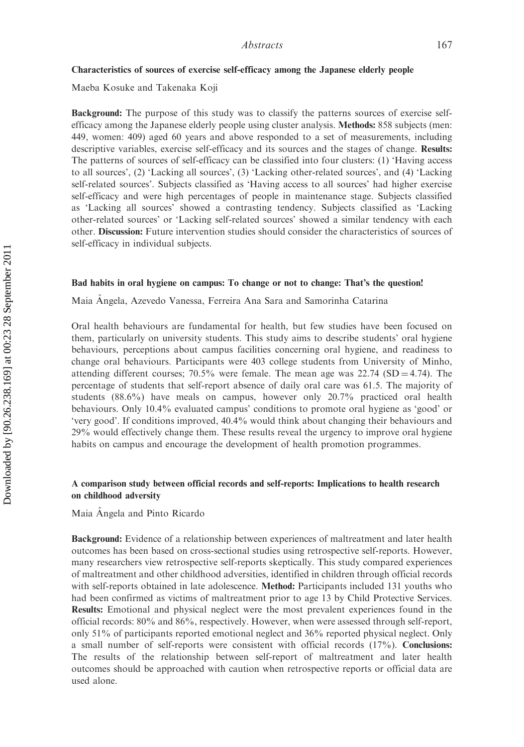# Characteristics of sources of exercise self-efficacy among the Japanese elderly people

Maeba Kosuke and Takenaka Koji

Background: The purpose of this study was to classify the patterns sources of exercise selfefficacy among the Japanese elderly people using cluster analysis. Methods: 858 subjects (men: 449, women: 409) aged 60 years and above responded to a set of measurements, including descriptive variables, exercise self-efficacy and its sources and the stages of change. Results: The patterns of sources of self-efficacy can be classified into four clusters: (1) 'Having access to all sources', (2) 'Lacking all sources', (3) 'Lacking other-related sources', and (4) 'Lacking self-related sources'. Subjects classified as 'Having access to all sources' had higher exercise self-efficacy and were high percentages of people in maintenance stage. Subjects classified as 'Lacking all sources' showed a contrasting tendency. Subjects classified as 'Lacking other-related sources' or 'Lacking self-related sources' showed a similar tendency with each other. Discussion: Future intervention studies should consider the characteristics of sources of self-efficacy in individual subjects.

### Bad habits in oral hygiene on campus: To change or not to change: That's the question!

Maia Aˆngela, Azevedo Vanessa, Ferreira Ana Sara and Samorinha Catarina

Oral health behaviours are fundamental for health, but few studies have been focused on them, particularly on university students. This study aims to describe students' oral hygiene behaviours, perceptions about campus facilities concerning oral hygiene, and readiness to change oral behaviours. Participants were 403 college students from University of Minho, attending different courses; 70.5% were female. The mean age was  $22.74$  (SD = 4.74). The percentage of students that self-report absence of daily oral care was 61.5. The majority of students (88.6%) have meals on campus, however only 20.7% practiced oral health behaviours. Only 10.4% evaluated campus' conditions to promote oral hygiene as 'good' or 'very good'. If conditions improved, 40.4% would think about changing their behaviours and 29% would effectively change them. These results reveal the urgency to improve oral hygiene habits on campus and encourage the development of health promotion programmes.

## A comparison study between official records and self-reports: Implications to health research on childhood adversity

Maia Angela and Pinto Ricardo

Background: Evidence of a relationship between experiences of maltreatment and later health outcomes has been based on cross-sectional studies using retrospective self-reports. However, many researchers view retrospective self-reports skeptically. This study compared experiences of maltreatment and other childhood adversities, identified in children through official records with self-reports obtained in late adolescence. Method: Participants included 131 youths who had been confirmed as victims of maltreatment prior to age 13 by Child Protective Services. Results: Emotional and physical neglect were the most prevalent experiences found in the official records: 80% and 86%, respectively. However, when were assessed through self-report, only 51% of participants reported emotional neglect and 36% reported physical neglect. Only a small number of self-reports were consistent with official records (17%). Conclusions: The results of the relationship between self-report of maltreatment and later health outcomes should be approached with caution when retrospective reports or official data are used alone.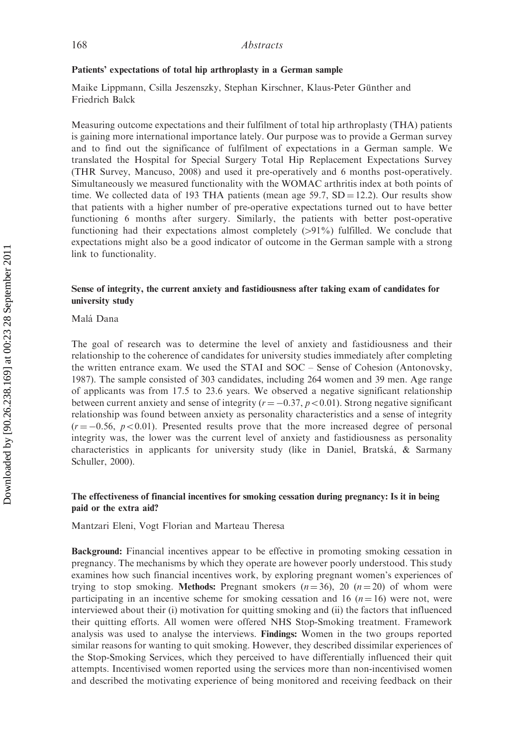## Patients' expectations of total hip arthroplasty in a German sample

Maike Lippmann, Csilla Jeszenszky, Stephan Kirschner, Klaus-Peter Günther and Friedrich Balck

Measuring outcome expectations and their fulfilment of total hip arthroplasty (THA) patients is gaining more international importance lately. Our purpose was to provide a German survey and to find out the significance of fulfilment of expectations in a German sample. We translated the Hospital for Special Surgery Total Hip Replacement Expectations Survey (THR Survey, Mancuso, 2008) and used it pre-operatively and 6 months post-operatively. Simultaneously we measured functionality with the WOMAC arthritis index at both points of time. We collected data of 193 THA patients (mean age 59.7,  $SD = 12.2$ ). Our results show that patients with a higher number of pre-operative expectations turned out to have better functioning 6 months after surgery. Similarly, the patients with better post-operative functioning had their expectations almost completely  $(>91\%)$  fulfilled. We conclude that expectations might also be a good indicator of outcome in the German sample with a strong link to functionality.

# Sense of integrity, the current anxiety and fastidiousness after taking exam of candidates for university study

Malá Dana

The goal of research was to determine the level of anxiety and fastidiousness and their relationship to the coherence of candidates for university studies immediately after completing the written entrance exam. We used the STAI and SOC – Sense of Cohesion (Antonovsky, 1987). The sample consisted of 303 candidates, including 264 women and 39 men. Age range of applicants was from 17.5 to 23.6 years. We observed a negative significant relationship between current anxiety and sense of integrity ( $r = -0.37$ ,  $p < 0.01$ ). Strong negative significant relationship was found between anxiety as personality characteristics and a sense of integrity  $(r = -0.56, p < 0.01)$ . Presented results prove that the more increased degree of personal integrity was, the lower was the current level of anxiety and fastidiousness as personality characteristics in applicants for university study (like in Daniel, Bratská, & Sarmany Schuller, 2000).

## The effectiveness of financial incentives for smoking cessation during pregnancy: Is it in being paid or the extra aid?

Mantzari Eleni, Vogt Florian and Marteau Theresa

Background: Financial incentives appear to be effective in promoting smoking cessation in pregnancy. The mechanisms by which they operate are however poorly understood. This study examines how such financial incentives work, by exploring pregnant women's experiences of trying to stop smoking. Methods: Pregnant smokers  $(n=36)$ , 20  $(n=20)$  of whom were participating in an incentive scheme for smoking cessation and 16  $(n = 16)$  were not, were interviewed about their (i) motivation for quitting smoking and (ii) the factors that influenced their quitting efforts. All women were offered NHS Stop-Smoking treatment. Framework analysis was used to analyse the interviews. Findings: Women in the two groups reported similar reasons for wanting to quit smoking. However, they described dissimilar experiences of the Stop-Smoking Services, which they perceived to have differentially influenced their quit attempts. Incentivised women reported using the services more than non-incentivised women and described the motivating experience of being monitored and receiving feedback on their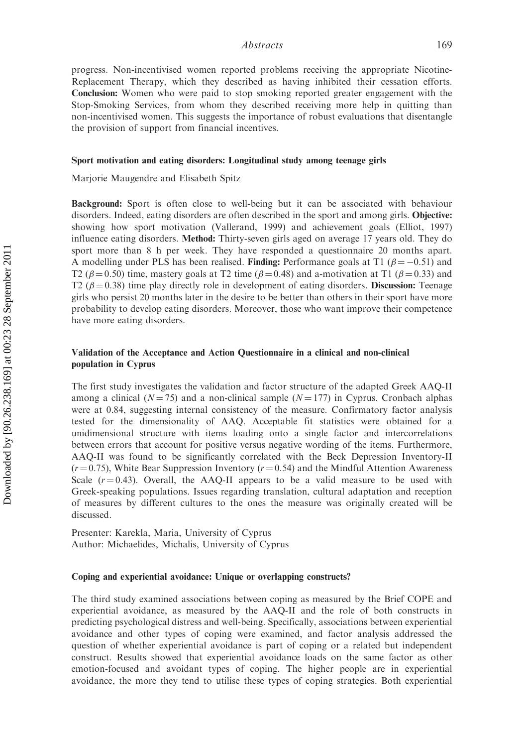progress. Non-incentivised women reported problems receiving the appropriate Nicotine-Replacement Therapy, which they described as having inhibited their cessation efforts. Conclusion: Women who were paid to stop smoking reported greater engagement with the Stop-Smoking Services, from whom they described receiving more help in quitting than non-incentivised women. This suggests the importance of robust evaluations that disentangle the provision of support from financial incentives.

### Sport motivation and eating disorders: Longitudinal study among teenage girls

Marjorie Maugendre and Elisabeth Spitz

Background: Sport is often close to well-being but it can be associated with behaviour disorders. Indeed, eating disorders are often described in the sport and among girls. Objective: showing how sport motivation (Vallerand, 1999) and achievement goals (Elliot, 1997) influence eating disorders. Method: Thirty-seven girls aged on average 17 years old. They do sport more than 8 h per week. They have responded a questionnaire 20 months apart. A modelling under PLS has been realised. Finding: Performance goals at T1 ( $\beta = -0.51$ ) and T2 ( $\beta$  = 0.50) time, mastery goals at T2 time ( $\beta$  = 0.48) and a-motivation at T1 ( $\beta$  = 0.33) and T2 ( $\beta$  = 0.38) time play directly role in development of eating disorders. Discussion: Teenage girls who persist 20 months later in the desire to be better than others in their sport have more probability to develop eating disorders. Moreover, those who want improve their competence have more eating disorders.

## Validation of the Acceptance and Action Questionnaire in a clinical and non-clinical population in Cyprus

The first study investigates the validation and factor structure of the adapted Greek AAQ-II among a clinical ( $N = 75$ ) and a non-clinical sample ( $N = 177$ ) in Cyprus. Cronbach alphas were at 0.84, suggesting internal consistency of the measure. Confirmatory factor analysis tested for the dimensionality of AAQ. Acceptable fit statistics were obtained for a unidimensional structure with items loading onto a single factor and intercorrelations between errors that account for positive versus negative wording of the items. Furthermore, AAQ-II was found to be significantly correlated with the Beck Depression Inventory-II  $(r = 0.75)$ , White Bear Suppression Inventory  $(r = 0.54)$  and the Mindful Attention Awareness Scale  $(r = 0.43)$ . Overall, the AAQ-II appears to be a valid measure to be used with Greek-speaking populations. Issues regarding translation, cultural adaptation and reception of measures by different cultures to the ones the measure was originally created will be discussed.

Presenter: Karekla, Maria, University of Cyprus Author: Michaelides, Michalis, University of Cyprus

#### Coping and experiential avoidance: Unique or overlapping constructs?

The third study examined associations between coping as measured by the Brief COPE and experiential avoidance, as measured by the AAQ-II and the role of both constructs in predicting psychological distress and well-being. Specifically, associations between experiential avoidance and other types of coping were examined, and factor analysis addressed the question of whether experiential avoidance is part of coping or a related but independent construct. Results showed that experiential avoidance loads on the same factor as other emotion-focused and avoidant types of coping. The higher people are in experiential avoidance, the more they tend to utilise these types of coping strategies. Both experiential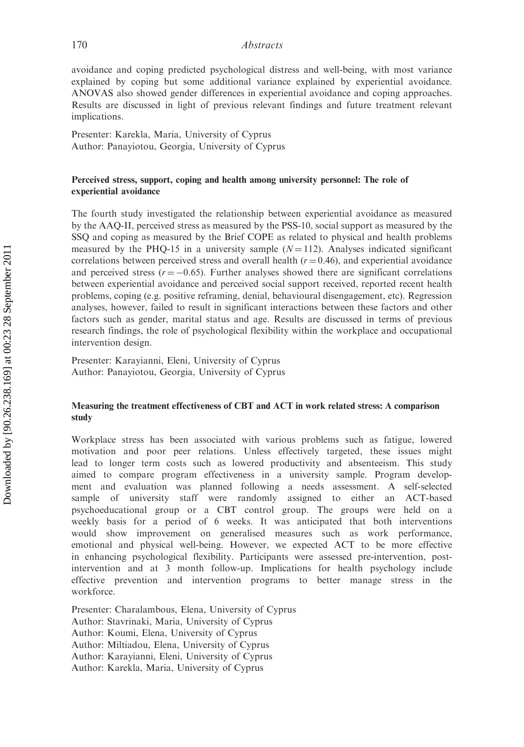avoidance and coping predicted psychological distress and well-being, with most variance explained by coping but some additional variance explained by experiential avoidance. ANOVAS also showed gender differences in experiential avoidance and coping approaches. Results are discussed in light of previous relevant findings and future treatment relevant implications.

Presenter: Karekla, Maria, University of Cyprus Author: Panayiotou, Georgia, University of Cyprus

### Perceived stress, support, coping and health among university personnel: The role of experiential avoidance

The fourth study investigated the relationship between experiential avoidance as measured by the AAQ-II, perceived stress as measured by the PSS-10, social support as measured by the SSQ and coping as measured by the Brief COPE as related to physical and health problems measured by the PHQ-15 in a university sample  $(N = 112)$ . Analyses indicated significant correlations between perceived stress and overall health  $(r = 0.46)$ , and experiential avoidance and perceived stress  $(r = -0.65)$ . Further analyses showed there are significant correlations between experiential avoidance and perceived social support received, reported recent health problems, coping (e.g. positive reframing, denial, behavioural disengagement, etc). Regression analyses, however, failed to result in significant interactions between these factors and other factors such as gender, marital status and age. Results are discussed in terms of previous research findings, the role of psychological flexibility within the workplace and occupational intervention design.

Presenter: Karayianni, Eleni, University of Cyprus Author: Panayiotou, Georgia, University of Cyprus

## Measuring the treatment effectiveness of CBT and ACT in work related stress: A comparison study

Workplace stress has been associated with various problems such as fatigue, lowered motivation and poor peer relations. Unless effectively targeted, these issues might lead to longer term costs such as lowered productivity and absenteeism. This study aimed to compare program effectiveness in a university sample. Program development and evaluation was planned following a needs assessment. A self-selected sample of university staff were randomly assigned to either an ACT-based psychoeducational group or a CBT control group. The groups were held on a weekly basis for a period of 6 weeks. It was anticipated that both interventions would show improvement on generalised measures such as work performance, emotional and physical well-being. However, we expected ACT to be more effective in enhancing psychological flexibility. Participants were assessed pre-intervention, postintervention and at 3 month follow-up. Implications for health psychology include effective prevention and intervention programs to better manage stress in workforce.

Presenter: Charalambous, Elena, University of Cyprus Author: Stavrinaki, Maria, University of Cyprus Author: Koumi, Elena, University of Cyprus Author: Miltiadou, Elena, University of Cyprus Author: Karayianni, Eleni, University of Cyprus Author: Karekla, Maria, University of Cyprus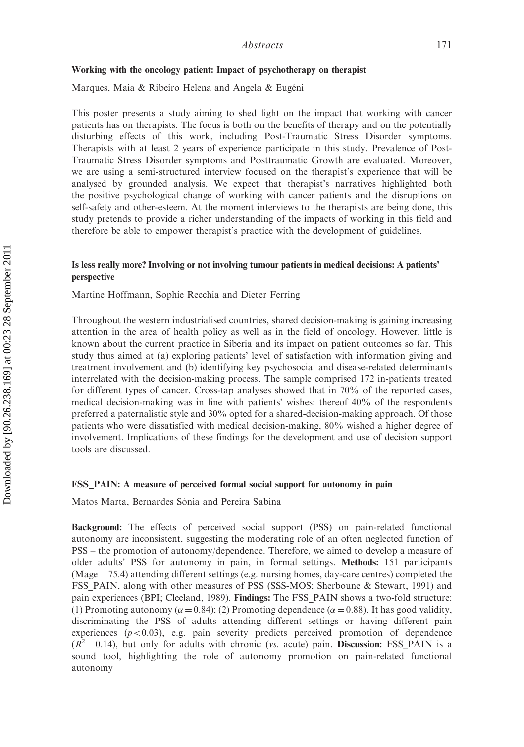## Working with the oncology patient: Impact of psychotherapy on therapist

Marques, Maia & Ribeiro Helena and Angela & Eugéni

This poster presents a study aiming to shed light on the impact that working with cancer patients has on therapists. The focus is both on the benefits of therapy and on the potentially disturbing effects of this work, including Post-Traumatic Stress Disorder symptoms. Therapists with at least 2 years of experience participate in this study. Prevalence of Post-Traumatic Stress Disorder symptoms and Posttraumatic Growth are evaluated. Moreover, we are using a semi-structured interview focused on the therapist's experience that will be analysed by grounded analysis. We expect that therapist's narratives highlighted both the positive psychological change of working with cancer patients and the disruptions on self-safety and other-esteem. At the moment interviews to the therapists are being done, this study pretends to provide a richer understanding of the impacts of working in this field and therefore be able to empower therapist's practice with the development of guidelines.

## Is less really more? Involving or not involving tumour patients in medical decisions: A patients' perspective

Martine Hoffmann, Sophie Recchia and Dieter Ferring

Throughout the western industrialised countries, shared decision-making is gaining increasing attention in the area of health policy as well as in the field of oncology. However, little is known about the current practice in Siberia and its impact on patient outcomes so far. This study thus aimed at (a) exploring patients' level of satisfaction with information giving and treatment involvement and (b) identifying key psychosocial and disease-related determinants interrelated with the decision-making process. The sample comprised 172 in-patients treated for different types of cancer. Cross-tap analyses showed that in 70% of the reported cases, medical decision-making was in line with patients' wishes: thereof 40% of the respondents preferred a paternalistic style and 30% opted for a shared-decision-making approach. Of those patients who were dissatisfied with medical decision-making, 80% wished a higher degree of involvement. Implications of these findings for the development and use of decision support tools are discussed.

#### FSS\_PAIN: A measure of perceived formal social support for autonomy in pain

Matos Marta, Bernardes Sónia and Pereira Sabina

Background: The effects of perceived social support (PSS) on pain-related functional autonomy are inconsistent, suggesting the moderating role of an often neglected function of PSS – the promotion of autonomy/dependence. Therefore, we aimed to develop a measure of older adults' PSS for autonomy in pain, in formal settings. Methods: 151 participants  $(Mage = 75.4)$  attending different settings (e.g. nursing homes, day-care centres) completed the FSS PAIN, along with other measures of PSS (SSS-MOS; Sherboune & Stewart, 1991) and pain experiences (BPI; Cleeland, 1989). Findings: The FSS\_PAIN shows a two-fold structure: (1) Promoting autonomy ( $\alpha = 0.84$ ); (2) Promoting dependence ( $\alpha = 0.88$ ). It has good validity, discriminating the PSS of adults attending different settings or having different pain experiences  $(p<0.03)$ , e.g. pain severity predicts perceived promotion of dependence  $(R^2 = 0.14)$ , but only for adults with chronic (vs. acute) pain. Discussion: FSS PAIN is a sound tool, highlighting the role of autonomy promotion on pain-related functional autonomy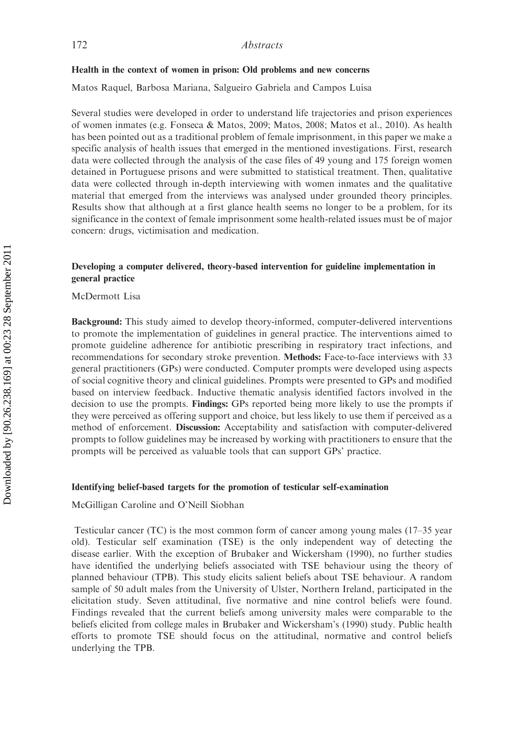### Health in the context of women in prison: Old problems and new concerns

Matos Raquel, Barbosa Mariana, Salgueiro Gabriela and Campos Luísa

Several studies were developed in order to understand life trajectories and prison experiences of women inmates (e.g. Fonseca & Matos, 2009; Matos, 2008; Matos et al., 2010). As health has been pointed out as a traditional problem of female imprisonment, in this paper we make a specific analysis of health issues that emerged in the mentioned investigations. First, research data were collected through the analysis of the case files of 49 young and 175 foreign women detained in Portuguese prisons and were submitted to statistical treatment. Then, qualitative data were collected through in-depth interviewing with women inmates and the qualitative material that emerged from the interviews was analysed under grounded theory principles. Results show that although at a first glance health seems no longer to be a problem, for its significance in the context of female imprisonment some health-related issues must be of major concern: drugs, victimisation and medication.

### Developing a computer delivered, theory-based intervention for guideline implementation in general practice

McDermott Lisa

Background: This study aimed to develop theory-informed, computer-delivered interventions to promote the implementation of guidelines in general practice. The interventions aimed to promote guideline adherence for antibiotic prescribing in respiratory tract infections, and recommendations for secondary stroke prevention. Methods: Face-to-face interviews with 33 general practitioners (GPs) were conducted. Computer prompts were developed using aspects of social cognitive theory and clinical guidelines. Prompts were presented to GPs and modified based on interview feedback. Inductive thematic analysis identified factors involved in the decision to use the prompts. Findings: GPs reported being more likely to use the prompts if they were perceived as offering support and choice, but less likely to use them if perceived as a method of enforcement. Discussion: Acceptability and satisfaction with computer-delivered prompts to follow guidelines may be increased by working with practitioners to ensure that the prompts will be perceived as valuable tools that can support GPs' practice.

### Identifying belief-based targets for the promotion of testicular self-examination

McGilligan Caroline and O'Neill Siobhan

Testicular cancer (TC) is the most common form of cancer among young males (17–35 year old). Testicular self examination (TSE) is the only independent way of detecting the disease earlier. With the exception of Brubaker and Wickersham (1990), no further studies have identified the underlying beliefs associated with TSE behaviour using the theory of planned behaviour (TPB). This study elicits salient beliefs about TSE behaviour. A random sample of 50 adult males from the University of Ulster, Northern Ireland, participated in the elicitation study. Seven attitudinal, five normative and nine control beliefs were found. Findings revealed that the current beliefs among university males were comparable to the beliefs elicited from college males in Brubaker and Wickersham's (1990) study. Public health efforts to promote TSE should focus on the attitudinal, normative and control beliefs underlying the TPB.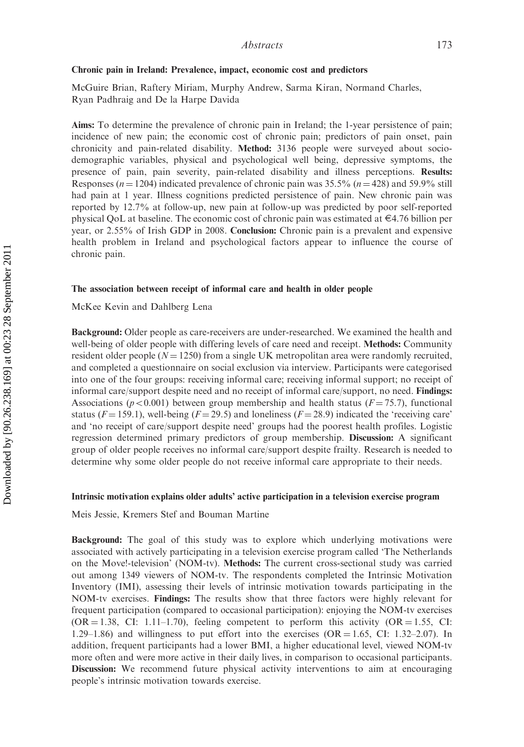#### Chronic pain in Ireland: Prevalence, impact, economic cost and predictors

McGuire Brian, Raftery Miriam, Murphy Andrew, Sarma Kiran, Normand Charles, Ryan Padhraig and De la Harpe Davida

Aims: To determine the prevalence of chronic pain in Ireland; the 1-year persistence of pain; incidence of new pain; the economic cost of chronic pain; predictors of pain onset, pain chronicity and pain-related disability. Method: 3136 people were surveyed about sociodemographic variables, physical and psychological well being, depressive symptoms, the presence of pain, pain severity, pain-related disability and illness perceptions. Results: Responses ( $n = 1204$ ) indicated prevalence of chronic pain was 35.5% ( $n = 428$ ) and 59.9% still had pain at 1 year. Illness cognitions predicted persistence of pain. New chronic pain was reported by 12.7% at follow-up, new pain at follow-up was predicted by poor self-reported physical QoL at baseline. The economic cost of chronic pain was estimated at  $\epsilon$ 4.76 billion per year, or 2.55% of Irish GDP in 2008. Conclusion: Chronic pain is a prevalent and expensive health problem in Ireland and psychological factors appear to influence the course of chronic pain.

#### The association between receipt of informal care and health in older people

McKee Kevin and Dahlberg Lena

Background: Older people as care-receivers are under-researched. We examined the health and well-being of older people with differing levels of care need and receipt. Methods: Community resident older people ( $N = 1250$ ) from a single UK metropolitan area were randomly recruited, and completed a questionnaire on social exclusion via interview. Participants were categorised into one of the four groups: receiving informal care; receiving informal support; no receipt of informal care/support despite need and no receipt of informal care/support, no need. Findings: Associations ( $p<0.001$ ) between group membership and health status ( $F = 75.7$ ), functional status ( $F = 159.1$ ), well-being ( $F = 29.5$ ) and loneliness ( $F = 28.9$ ) indicated the 'receiving care' and 'no receipt of care/support despite need' groups had the poorest health profiles. Logistic regression determined primary predictors of group membership. Discussion: A significant group of older people receives no informal care/support despite frailty. Research is needed to determine why some older people do not receive informal care appropriate to their needs.

#### Intrinsic motivation explains older adults' active participation in a television exercise program

Meis Jessie, Kremers Stef and Bouman Martine

Background: The goal of this study was to explore which underlying motivations were associated with actively participating in a television exercise program called 'The Netherlands on the Move!-television' (NOM-tv). Methods: The current cross-sectional study was carried out among 1349 viewers of NOM-tv. The respondents completed the Intrinsic Motivation Inventory (IMI), assessing their levels of intrinsic motivation towards participating in the NOM-tv exercises. Findings: The results show that three factors were highly relevant for frequent participation (compared to occasional participation): enjoying the NOM-tv exercises  $(OR = 1.38, CI: 1.11-1.70)$ , feeling competent to perform this activity  $(OR = 1.55, CI: 1.11-1.70)$ 1.29–1.86) and willingness to put effort into the exercises  $(OR = 1.65, CI: 1.32-2.07)$ . In addition, frequent participants had a lower BMI, a higher educational level, viewed NOM-tv more often and were more active in their daily lives, in comparison to occasional participants. Discussion: We recommend future physical activity interventions to aim at encouraging people's intrinsic motivation towards exercise.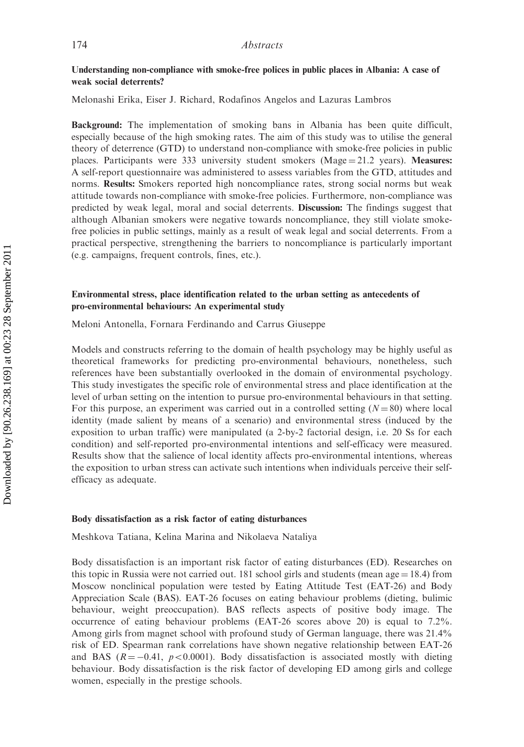## Understanding non-compliance with smoke-free polices in public places in Albania: A case of weak social deterrents?

Melonashi Erika, Eiser J. Richard, Rodafinos Angelos and Lazuras Lambros

Background: The implementation of smoking bans in Albania has been quite difficult, especially because of the high smoking rates. The aim of this study was to utilise the general theory of deterrence (GTD) to understand non-compliance with smoke-free policies in public places. Participants were 333 university student smokers (Mage =  $21.2$  years). Measures: A self-report questionnaire was administered to assess variables from the GTD, attitudes and norms. Results: Smokers reported high noncompliance rates, strong social norms but weak attitude towards non-compliance with smoke-free policies. Furthermore, non-compliance was predicted by weak legal, moral and social deterrents. Discussion: The findings suggest that although Albanian smokers were negative towards noncompliance, they still violate smokefree policies in public settings, mainly as a result of weak legal and social deterrents. From a practical perspective, strengthening the barriers to noncompliance is particularly important (e.g. campaigns, frequent controls, fines, etc.).

### Environmental stress, place identification related to the urban setting as antecedents of pro-environmental behaviours: An experimental study

Meloni Antonella, Fornara Ferdinando and Carrus Giuseppe

Models and constructs referring to the domain of health psychology may be highly useful as theoretical frameworks for predicting pro-environmental behaviours, nonetheless, such references have been substantially overlooked in the domain of environmental psychology. This study investigates the specific role of environmental stress and place identification at the level of urban setting on the intention to pursue pro-environmental behaviours in that setting. For this purpose, an experiment was carried out in a controlled setting  $(N = 80)$  where local identity (made salient by means of a scenario) and environmental stress (induced by the exposition to urban traffic) were manipulated (a 2-by-2 factorial design, i.e. 20 Ss for each condition) and self-reported pro-environmental intentions and self-efficacy were measured. Results show that the salience of local identity affects pro-environmental intentions, whereas the exposition to urban stress can activate such intentions when individuals perceive their selfefficacy as adequate.

#### Body dissatisfaction as a risk factor of eating disturbances

Meshkova Tatiana, Kelina Marina and Nikolaeva Nataliya

Body dissatisfaction is an important risk factor of eating disturbances (ED). Researches on this topic in Russia were not carried out. 181 school girls and students (mean age  $= 18.4$ ) from Moscow nonclinical population were tested by Eating Attitude Test (EAT-26) and Body Appreciation Scale (BAS). EAT-26 focuses on eating behaviour problems (dieting, bulimic behaviour, weight preoccupation). BAS reflects aspects of positive body image. The occurrence of eating behaviour problems (EAT-26 scores above 20) is equal to 7.2%. Among girls from magnet school with profound study of German language, there was 21.4% risk of ED. Spearman rank correlations have shown negative relationship between EAT-26 and BAS ( $R = -0.41$ ,  $p < 0.0001$ ). Body dissatisfaction is associated mostly with dieting behaviour. Body dissatisfaction is the risk factor of developing ED among girls and college women, especially in the prestige schools.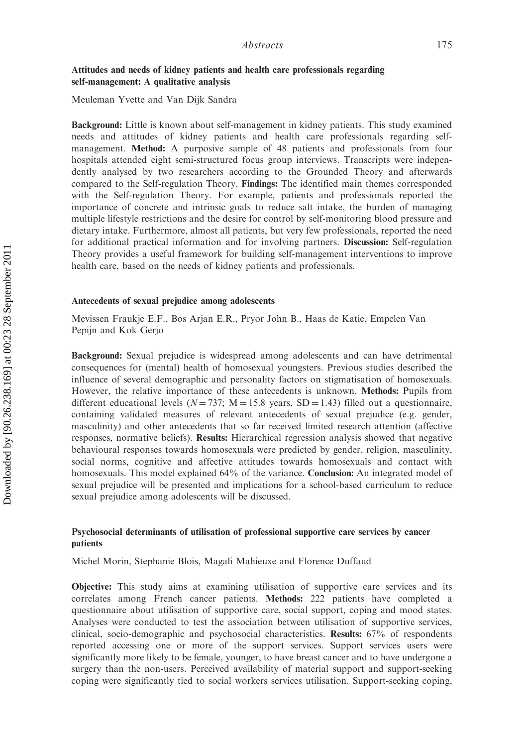### Attitudes and needs of kidney patients and health care professionals regarding self-management: A qualitative analysis

Meuleman Yvette and Van Dijk Sandra

Background: Little is known about self-management in kidney patients. This study examined needs and attitudes of kidney patients and health care professionals regarding selfmanagement. Method: A purposive sample of 48 patients and professionals from four hospitals attended eight semi-structured focus group interviews. Transcripts were independently analysed by two researchers according to the Grounded Theory and afterwards compared to the Self-regulation Theory. Findings: The identified main themes corresponded with the Self-regulation Theory. For example, patients and professionals reported the importance of concrete and intrinsic goals to reduce salt intake, the burden of managing multiple lifestyle restrictions and the desire for control by self-monitoring blood pressure and dietary intake. Furthermore, almost all patients, but very few professionals, reported the need for additional practical information and for involving partners. Discussion: Self-regulation Theory provides a useful framework for building self-management interventions to improve health care, based on the needs of kidney patients and professionals.

#### Antecedents of sexual prejudice among adolescents

Mevissen Fraukje E.F., Bos Arjan E.R., Pryor John B., Haas de Katie, Empelen Van Pepijn and Kok Gerjo

Background: Sexual prejudice is widespread among adolescents and can have detrimental consequences for (mental) health of homosexual youngsters. Previous studies described the influence of several demographic and personality factors on stigmatisation of homosexuals. However, the relative importance of these antecedents is unknown. Methods: Pupils from different educational levels ( $N = 737$ ; M = 15.8 years, SD = 1.43) filled out a questionnaire, containing validated measures of relevant antecedents of sexual prejudice (e.g. gender, masculinity) and other antecedents that so far received limited research attention (affective responses, normative beliefs). Results: Hierarchical regression analysis showed that negative behavioural responses towards homosexuals were predicted by gender, religion, masculinity, social norms, cognitive and affective attitudes towards homosexuals and contact with homosexuals. This model explained 64% of the variance. **Conclusion:** An integrated model of sexual prejudice will be presented and implications for a school-based curriculum to reduce sexual prejudice among adolescents will be discussed.

## Psychosocial determinants of utilisation of professional supportive care services by cancer patients

Michel Morin, Stephanie Blois, Magali Mahieuxe and Florence Duffaud

Objective: This study aims at examining utilisation of supportive care services and its correlates among French cancer patients. Methods: 222 patients have completed a questionnaire about utilisation of supportive care, social support, coping and mood states. Analyses were conducted to test the association between utilisation of supportive services, clinical, socio-demographic and psychosocial characteristics. Results: 67% of respondents reported accessing one or more of the support services. Support services users were significantly more likely to be female, younger, to have breast cancer and to have undergone a surgery than the non-users. Perceived availability of material support and support-seeking coping were significantly tied to social workers services utilisation. Support-seeking coping,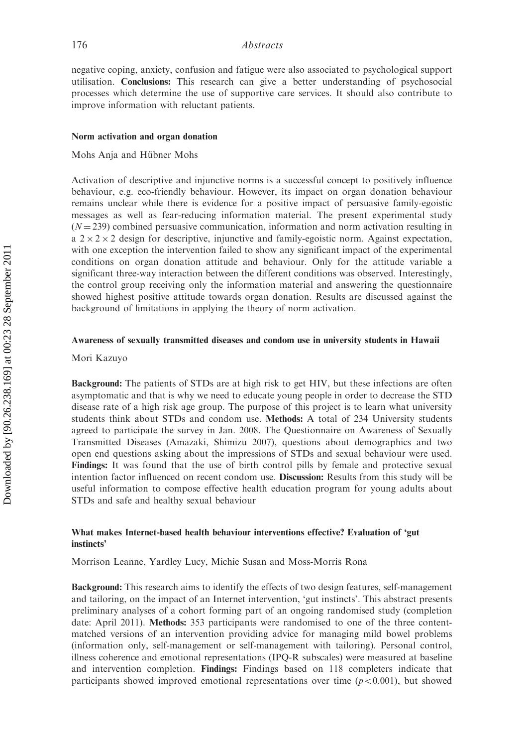negative coping, anxiety, confusion and fatigue were also associated to psychological support utilisation. Conclusions: This research can give a better understanding of psychosocial processes which determine the use of supportive care services. It should also contribute to improve information with reluctant patients.

#### Norm activation and organ donation

### Mohs Anja and Hübner Mohs

Activation of descriptive and injunctive norms is a successful concept to positively influence behaviour, e.g. eco-friendly behaviour. However, its impact on organ donation behaviour remains unclear while there is evidence for a positive impact of persuasive family-egoistic messages as well as fear-reducing information material. The present experimental study  $(N = 239)$  combined persuasive communication, information and norm activation resulting in a  $2 \times 2 \times 2$  design for descriptive, injunctive and family-egoistic norm. Against expectation, with one exception the intervention failed to show any significant impact of the experimental conditions on organ donation attitude and behaviour. Only for the attitude variable a significant three-way interaction between the different conditions was observed. Interestingly, the control group receiving only the information material and answering the questionnaire showed highest positive attitude towards organ donation. Results are discussed against the background of limitations in applying the theory of norm activation.

#### Awareness of sexually transmitted diseases and condom use in university students in Hawaii

### Mori Kazuyo

Background: The patients of STDs are at high risk to get HIV, but these infections are often asymptomatic and that is why we need to educate young people in order to decrease the STD disease rate of a high risk age group. The purpose of this project is to learn what university students think about STDs and condom use. Methods: A total of 234 University students agreed to participate the survey in Jan. 2008. The Questionnaire on Awareness of Sexually Transmitted Diseases (Amazaki, Shimizu 2007), questions about demographics and two open end questions asking about the impressions of STDs and sexual behaviour were used. Findings: It was found that the use of birth control pills by female and protective sexual intention factor influenced on recent condom use. Discussion: Results from this study will be useful information to compose effective health education program for young adults about STDs and safe and healthy sexual behaviour

## What makes Internet-based health behaviour interventions effective? Evaluation of 'gut instincts'

Morrison Leanne, Yardley Lucy, Michie Susan and Moss-Morris Rona

Background: This research aims to identify the effects of two design features, self-management and tailoring, on the impact of an Internet intervention, 'gut instincts'. This abstract presents preliminary analyses of a cohort forming part of an ongoing randomised study (completion date: April 2011). Methods: 353 participants were randomised to one of the three contentmatched versions of an intervention providing advice for managing mild bowel problems (information only, self-management or self-management with tailoring). Personal control, illness coherence and emotional representations (IPQ-R subscales) were measured at baseline and intervention completion. Findings: Findings based on 118 completers indicate that participants showed improved emotional representations over time  $(p<0.001)$ , but showed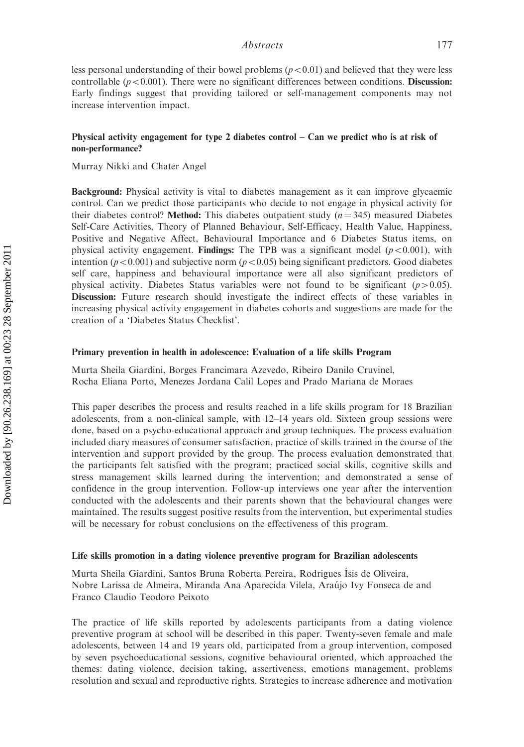less personal understanding of their bowel problems ( $p<0.01$ ) and believed that they were less controllable ( $p<0.001$ ). There were no significant differences between conditions. **Discussion:** Early findings suggest that providing tailored or self-management components may not increase intervention impact.

### Physical activity engagement for type 2 diabetes control – Can we predict who is at risk of non-performance?

Murray Nikki and Chater Angel

Background: Physical activity is vital to diabetes management as it can improve glycaemic control. Can we predict those participants who decide to not engage in physical activity for their diabetes control? Method: This diabetes outpatient study  $(n = 345)$  measured Diabetes Self-Care Activities, Theory of Planned Behaviour, Self-Efficacy, Health Value, Happiness, Positive and Negative Affect, Behavioural Importance and 6 Diabetes Status items, on physical activity engagement. Findings: The TPB was a significant model ( $p<0.001$ ), with intention ( $p<0.001$ ) and subjective norm ( $p<0.05$ ) being significant predictors. Good diabetes self care, happiness and behavioural importance were all also significant predictors of physical activity. Diabetes Status variables were not found to be significant  $(p>0.05)$ . Discussion: Future research should investigate the indirect effects of these variables in increasing physical activity engagement in diabetes cohorts and suggestions are made for the creation of a 'Diabetes Status Checklist'.

## Primary prevention in health in adolescence: Evaluation of a life skills Program

Murta Sheila Giardini, Borges Francimara Azevedo, Ribeiro Danilo Cruvinel, Rocha Eliana Porto, Menezes Jordana Calil Lopes and Prado Mariana de Moraes

This paper describes the process and results reached in a life skills program for 18 Brazilian adolescents, from a non-clinical sample, with 12–14 years old. Sixteen group sessions were done, based on a psycho-educational approach and group techniques. The process evaluation included diary measures of consumer satisfaction, practice of skills trained in the course of the intervention and support provided by the group. The process evaluation demonstrated that the participants felt satisfied with the program; practiced social skills, cognitive skills and stress management skills learned during the intervention; and demonstrated a sense of confidence in the group intervention. Follow-up interviews one year after the intervention conducted with the adolescents and their parents shown that the behavioural changes were maintained. The results suggest positive results from the intervention, but experimental studies will be necessary for robust conclusions on the effectiveness of this program.

#### Life skills promotion in a dating violence preventive program for Brazilian adolescents

Murta Sheila Giardini, Santos Bruna Roberta Pereira, Rodrigues Ísis de Oliveira, Nobre Larissa de Almeira, Miranda Ana Aparecida Vilela, Araújo Ivy Fonseca de and Franco Claudio Teodoro Peixoto

The practice of life skills reported by adolescents participants from a dating violence preventive program at school will be described in this paper. Twenty-seven female and male adolescents, between 14 and 19 years old, participated from a group intervention, composed by seven psychoeducational sessions, cognitive behavioural oriented, which approached the themes: dating violence, decision taking, assertiveness, emotions management, problems resolution and sexual and reproductive rights. Strategies to increase adherence and motivation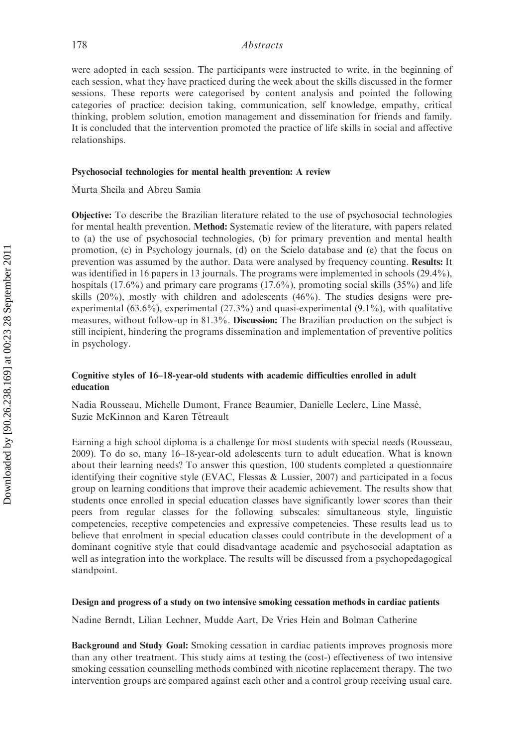were adopted in each session. The participants were instructed to write, in the beginning of each session, what they have practiced during the week about the skills discussed in the former sessions. These reports were categorised by content analysis and pointed the following categories of practice: decision taking, communication, self knowledge, empathy, critical thinking, problem solution, emotion management and dissemination for friends and family. It is concluded that the intervention promoted the practice of life skills in social and affective relationships.

#### Psychosocial technologies for mental health prevention: A review

Murta Sheila and Abreu Samia

Objective: To describe the Brazilian literature related to the use of psychosocial technologies for mental health prevention. Method: Systematic review of the literature, with papers related to (a) the use of psychosocial technologies, (b) for primary prevention and mental health promotion, (c) in Psychology journals, (d) on the Scielo database and (e) that the focus on prevention was assumed by the author. Data were analysed by frequency counting. Results: It was identified in 16 papers in 13 journals. The programs were implemented in schools (29.4%), hospitals (17.6%) and primary care programs (17.6%), promoting social skills (35%) and life skills (20%), mostly with children and adolescents (46%). The studies designs were preexperimental  $(63.6\%)$ , experimental  $(27.3\%)$  and quasi-experimental  $(9.1\%)$ , with qualitative measures, without follow-up in 81.3%. Discussion: The Brazilian production on the subject is still incipient, hindering the programs dissemination and implementation of preventive politics in psychology.

## Cognitive styles of 16–18-year-old students with academic difficulties enrolled in adult education

Nadia Rousseau, Michelle Dumont, France Beaumier, Danielle Leclerc, Line Massé, Suzie McKinnon and Karen Tetreault

Earning a high school diploma is a challenge for most students with special needs (Rousseau, 2009). To do so, many 16–18-year-old adolescents turn to adult education. What is known about their learning needs? To answer this question, 100 students completed a questionnaire identifying their cognitive style (EVAC, Flessas  $\&$  Lussier, 2007) and participated in a focus group on learning conditions that improve their academic achievement. The results show that students once enrolled in special education classes have significantly lower scores than their peers from regular classes for the following subscales: simultaneous style, linguistic competencies, receptive competencies and expressive competencies. These results lead us to believe that enrolment in special education classes could contribute in the development of a dominant cognitive style that could disadvantage academic and psychosocial adaptation as well as integration into the workplace. The results will be discussed from a psychopedagogical standpoint.

#### Design and progress of a study on two intensive smoking cessation methods in cardiac patients

Nadine Berndt, Lilian Lechner, Mudde Aart, De Vries Hein and Bolman Catherine

Background and Study Goal: Smoking cessation in cardiac patients improves prognosis more than any other treatment. This study aims at testing the (cost-) effectiveness of two intensive smoking cessation counselling methods combined with nicotine replacement therapy. The two intervention groups are compared against each other and a control group receiving usual care.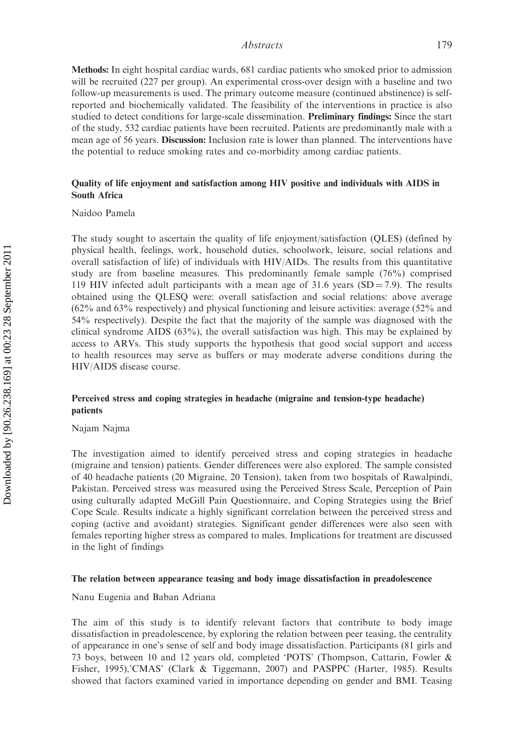Methods: In eight hospital cardiac wards, 681 cardiac patients who smoked prior to admission will be recruited (227 per group). An experimental cross-over design with a baseline and two follow-up measurements is used. The primary outcome measure (continued abstinence) is selfreported and biochemically validated. The feasibility of the interventions in practice is also studied to detect conditions for large-scale dissemination. Preliminary findings: Since the start of the study, 532 cardiac patients have been recruited. Patients are predominantly male with a mean age of 56 years. Discussion: Inclusion rate is lower than planned. The interventions have the potential to reduce smoking rates and co-morbidity among cardiac patients.

## Quality of life enjoyment and satisfaction among HIV positive and individuals with AIDS in South Africa

## Naidoo Pamela

The study sought to ascertain the quality of life enjoyment/satisfaction (QLES) (defined by physical health, feelings, work, household duties, schoolwork, leisure, social relations and overall satisfaction of life) of individuals with HIV/AIDs. The results from this quantitative study are from baseline measures. This predominantly female sample (76%) comprised 119 HIV infected adult participants with a mean age of 31.6 years  $(SD = 7.9)$ . The results obtained using the QLESQ were: overall satisfaction and social relations: above average (62% and 63% respectively) and physical functioning and leisure activities: average (52% and 54% respectively). Despite the fact that the majority of the sample was diagnosed with the clinical syndrome AIDS (63%), the overall satisfaction was high. This may be explained by access to ARVs. This study supports the hypothesis that good social support and access to health resources may serve as buffers or may moderate adverse conditions during the HIV/AIDS disease course.

## Perceived stress and coping strategies in headache (migraine and tension-type headache) patients

### Najam Najma

The investigation aimed to identify perceived stress and coping strategies in headache (migraine and tension) patients. Gender differences were also explored. The sample consisted of 40 headache patients (20 Migraine, 20 Tension), taken from two hospitals of Rawalpindi, Pakistan. Perceived stress was measured using the Perceived Stress Scale, Perception of Pain using culturally adapted McGill Pain Questionnaire, and Coping Strategies using the Brief Cope Scale. Results indicate a highly significant correlation between the perceived stress and coping (active and avoidant) strategies. Significant gender differences were also seen with females reporting higher stress as compared to males. Implications for treatment are discussed in the light of findings

#### The relation between appearance teasing and body image dissatisfaction in preadolescence

#### Nanu Eugenia and Baban Adriana

The aim of this study is to identify relevant factors that contribute to body image dissatisfaction in preadolescence, by exploring the relation between peer teasing, the centrality of appearance in one's sense of self and body image dissatisfaction. Participants (81 girls and 73 boys, between 10 and 12 years old, completed 'POTS' (Thompson, Cattarin, Fowler & Fisher, 1995),'CMAS' (Clark & Tiggemann, 2007) and PASPPC (Harter, 1985). Results showed that factors examined varied in importance depending on gender and BMI. Teasing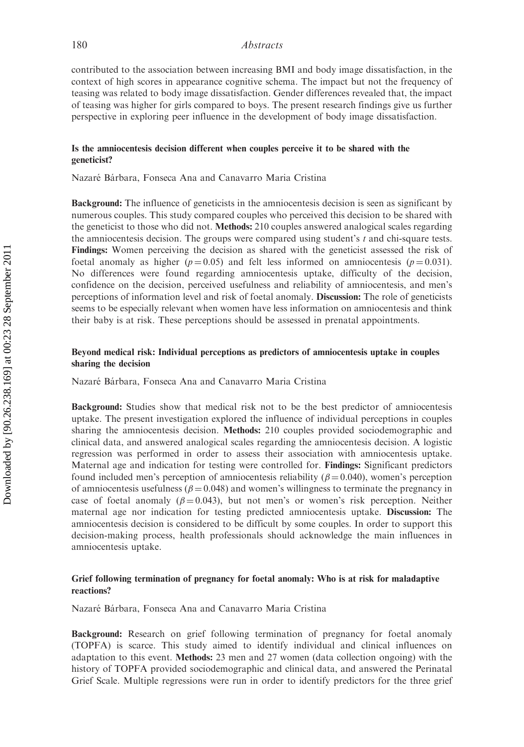contributed to the association between increasing BMI and body image dissatisfaction, in the context of high scores in appearance cognitive schema. The impact but not the frequency of teasing was related to body image dissatisfaction. Gender differences revealed that, the impact of teasing was higher for girls compared to boys. The present research findings give us further perspective in exploring peer influence in the development of body image dissatisfaction.

### Is the amniocentesis decision different when couples perceive it to be shared with the geneticist?

Nazaré Bárbara, Fonseca Ana and Canavarro Maria Cristina

Background: The influence of geneticists in the amniocentesis decision is seen as significant by numerous couples. This study compared couples who perceived this decision to be shared with the geneticist to those who did not. **Methods:** 210 couples answered analogical scales regarding the amniocentesis decision. The groups were compared using student's t and chi-square tests. Findings: Women perceiving the decision as shared with the geneticist assessed the risk of foetal anomaly as higher ( $p = 0.05$ ) and felt less informed on amniocentesis ( $p = 0.031$ ). No differences were found regarding amniocentesis uptake, difficulty of the decision, confidence on the decision, perceived usefulness and reliability of amniocentesis, and men's perceptions of information level and risk of foetal anomaly. Discussion: The role of geneticists seems to be especially relevant when women have less information on amniocentesis and think their baby is at risk. These perceptions should be assessed in prenatal appointments.

# Beyond medical risk: Individual perceptions as predictors of amniocentesis uptake in couples sharing the decision

Nazaré Bárbara, Fonseca Ana and Canavarro Maria Cristina

Background: Studies show that medical risk not to be the best predictor of amniocentesis uptake. The present investigation explored the influence of individual perceptions in couples sharing the amniocentesis decision. Methods: 210 couples provided sociodemographic and clinical data, and answered analogical scales regarding the amniocentesis decision. A logistic regression was performed in order to assess their association with amniocentesis uptake. Maternal age and indication for testing were controlled for. Findings: Significant predictors found included men's perception of amniocentesis reliability ( $\beta$  = 0.040), women's perception of amniocentesis usefulness ( $\beta = 0.048$ ) and women's willingness to terminate the pregnancy in case of foetal anomaly  $(\beta = 0.043)$ , but not men's or women's risk perception. Neither maternal age nor indication for testing predicted amniocentesis uptake. Discussion: The amniocentesis decision is considered to be difficult by some couples. In order to support this decision-making process, health professionals should acknowledge the main influences in amniocentesis uptake.

## Grief following termination of pregnancy for foetal anomaly: Who is at risk for maladaptive reactions?

Nazaré Bárbara, Fonseca Ana and Canavarro Maria Cristina

Background: Research on grief following termination of pregnancy for foetal anomaly (TOPFA) is scarce. This study aimed to identify individual and clinical influences on adaptation to this event. Methods: 23 men and 27 women (data collection ongoing) with the history of TOPFA provided sociodemographic and clinical data, and answered the Perinatal Grief Scale. Multiple regressions were run in order to identify predictors for the three grief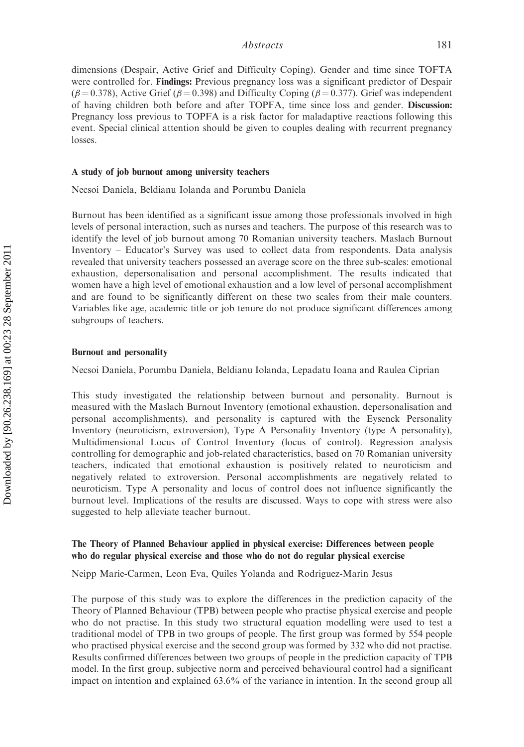dimensions (Despair, Active Grief and Difficulty Coping). Gender and time since TOFTA were controlled for. Findings: Previous pregnancy loss was a significant predictor of Despair  $(\beta = 0.378)$ , Active Grief ( $\beta = 0.398$ ) and Difficulty Coping ( $\beta = 0.377$ ). Grief was independent of having children both before and after TOPFA, time since loss and gender. Discussion: Pregnancy loss previous to TOPFA is a risk factor for maladaptive reactions following this event. Special clinical attention should be given to couples dealing with recurrent pregnancy losses.

# A study of job burnout among university teachers

Necsoi Daniela, Beldianu Iolanda and Porumbu Daniela

Burnout has been identified as a significant issue among those professionals involved in high levels of personal interaction, such as nurses and teachers. The purpose of this research was to identify the level of job burnout among 70 Romanian university teachers. Maslach Burnout Inventory – Educator's Survey was used to collect data from respondents. Data analysis revealed that university teachers possessed an average score on the three sub-scales: emotional exhaustion, depersonalisation and personal accomplishment. The results indicated that women have a high level of emotional exhaustion and a low level of personal accomplishment and are found to be significantly different on these two scales from their male counters. Variables like age, academic title or job tenure do not produce significant differences among subgroups of teachers.

#### Burnout and personality

Necsoi Daniela, Porumbu Daniela, Beldianu Iolanda, Lepadatu Ioana and Raulea Ciprian

This study investigated the relationship between burnout and personality. Burnout is measured with the Maslach Burnout Inventory (emotional exhaustion, depersonalisation and personal accomplishments), and personality is captured with the Eysenck Personality Inventory (neuroticism, extroversion), Type A Personality Inventory (type A personality), Multidimensional Locus of Control Inventory (locus of control). Regression analysis controlling for demographic and job-related characteristics, based on 70 Romanian university teachers, indicated that emotional exhaustion is positively related to neuroticism and negatively related to extroversion. Personal accomplishments are negatively related to neuroticism. Type A personality and locus of control does not influence significantly the burnout level. Implications of the results are discussed. Ways to cope with stress were also suggested to help alleviate teacher burnout.

# The Theory of Planned Behaviour applied in physical exercise: Differences between people who do regular physical exercise and those who do not do regular physical exercise

Neipp Marie-Carmen, Leon Eva, Quiles Yolanda and Rodriguez-Marín Jesus

The purpose of this study was to explore the differences in the prediction capacity of the Theory of Planned Behaviour (TPB) between people who practise physical exercise and people who do not practise. In this study two structural equation modelling were used to test a traditional model of TPB in two groups of people. The first group was formed by 554 people who practised physical exercise and the second group was formed by 332 who did not practise. Results confirmed differences between two groups of people in the prediction capacity of TPB model. In the first group, subjective norm and perceived behavioural control had a significant impact on intention and explained 63.6% of the variance in intention. In the second group all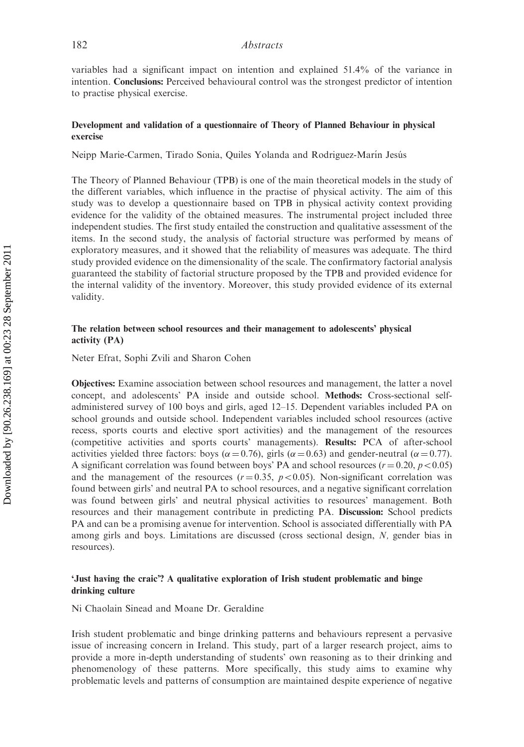variables had a significant impact on intention and explained 51.4% of the variance in intention. Conclusions: Perceived behavioural control was the strongest predictor of intention to practise physical exercise.

## Development and validation of a questionnaire of Theory of Planned Behaviour in physical exercise

Neipp Marie-Carmen, Tirado Sonia, Quiles Yolanda and Rodriguez-Marín Jesús

The Theory of Planned Behaviour (TPB) is one of the main theoretical models in the study of the different variables, which influence in the practise of physical activity. The aim of this study was to develop a questionnaire based on TPB in physical activity context providing evidence for the validity of the obtained measures. The instrumental project included three independent studies. The first study entailed the construction and qualitative assessment of the items. In the second study, the analysis of factorial structure was performed by means of exploratory measures, and it showed that the reliability of measures was adequate. The third study provided evidence on the dimensionality of the scale. The confirmatory factorial analysis guaranteed the stability of factorial structure proposed by the TPB and provided evidence for the internal validity of the inventory. Moreover, this study provided evidence of its external validity.

### The relation between school resources and their management to adolescents' physical activity (PA)

Neter Efrat, Sophi Zvili and Sharon Cohen

Objectives: Examine association between school resources and management, the latter a novel concept, and adolescents' PA inside and outside school. Methods: Cross-sectional selfadministered survey of 100 boys and girls, aged 12–15. Dependent variables included PA on school grounds and outside school. Independent variables included school resources (active recess, sports courts and elective sport activities) and the management of the resources (competitive activities and sports courts' managements). Results: PCA of after-school activities yielded three factors: boys ( $\alpha = 0.76$ ), girls ( $\alpha = 0.63$ ) and gender-neutral ( $\alpha = 0.77$ ). A significant correlation was found between boys' PA and school resources ( $r = 0.20$ ,  $p < 0.05$ ) and the management of the resources ( $r = 0.35$ ,  $p < 0.05$ ). Non-significant correlation was found between girls' and neutral PA to school resources, and a negative significant correlation was found between girls' and neutral physical activities to resources' management. Both resources and their management contribute in predicting PA. Discussion: School predicts PA and can be a promising avenue for intervention. School is associated differentially with PA among girls and boys. Limitations are discussed (cross sectional design, N, gender bias in resources).

## 'Just having the craic'? A qualitative exploration of Irish student problematic and binge drinking culture

Ni Chaolain Sinead and Moane Dr. Geraldine

Irish student problematic and binge drinking patterns and behaviours represent a pervasive issue of increasing concern in Ireland. This study, part of a larger research project, aims to provide a more in-depth understanding of students' own reasoning as to their drinking and phenomenology of these patterns. More specifically, this study aims to examine why problematic levels and patterns of consumption are maintained despite experience of negative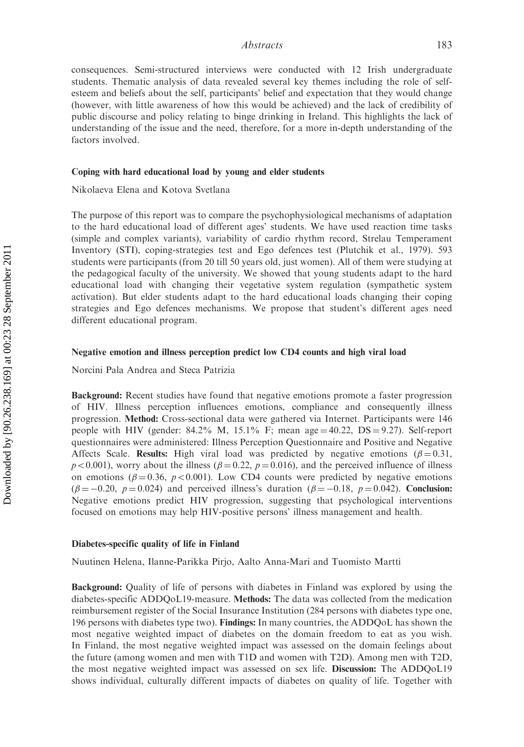consequences. Semi-structured interviews were conducted with 12 Irish undergraduate students. Thematic analysis of data revealed several key themes including the role of selfesteem and beliefs about the self, participants' belief and expectation that they would change (however, with little awareness of how this would be achieved) and the lack of credibility of public discourse and policy relating to binge drinking in Ireland. This highlights the lack of understanding of the issue and the need, therefore, for a more in-depth understanding of the factors involved.

### Coping with hard educational load by young and elder students

# Nikolaeva Elena and Kotova Svetlana

The purpose of this report was to compare the psychophysiological mechanisms of adaptation to the hard educational load of different ages' students. We have used reaction time tasks (simple and complex variants), variability of cardio rhythm record, Strelau Temperament Inventory (STI), coping-strategies test and Ego defences test (Plutchik et al., 1979). 593 students were participants (from 20 till 50 years old, just women). All of them were studying at the pedagogical faculty of the university. We showed that young students adapt to the hard educational load with changing their vegetative system regulation (sympathetic system activation). But elder students adapt to the hard educational loads changing their coping strategies and Ego defences mechanisms. We propose that student's different ages need different educational program.

## Negative emotion and illness perception predict low CD4 counts and high viral load

Norcini Pala Andrea and Steca Patrizia

Background: Recent studies have found that negative emotions promote a faster progression of HIV. Illness perception influences emotions, compliance and consequently illness progression. Method: Cross-sectional data were gathered via Internet. Participants were 146 people with HIV (gender:  $84.2\%$  M,  $15.1\%$  F; mean age  $= 40.22$ , DS  $= 9.27$ ). Self-report questionnaires were administered: Illness Perception Questionnaire and Positive and Negative Affects Scale. Results: High viral load was predicted by negative emotions ( $\beta = 0.31$ ,  $p<0.001$ ), worry about the illness ( $\beta=0.22$ ,  $p=0.016$ ), and the perceived influence of illness on emotions ( $\beta$ =0.36, p<0.001). Low CD4 counts were predicted by negative emotions  $(\beta = -0.20, p = 0.024)$  and perceived illness's duration  $(\beta = -0.18, p = 0.042)$ . Conclusion: Negative emotions predict HIV progression, suggesting that psychological interventions focused on emotions may help HIV-positive persons' illness management and health.

#### Diabetes-specific quality of life in Finland

Nuutinen Helena, Ilanne-Parikka Pirjo, Aalto Anna-Mari and Tuomisto Martti

Background: Quality of life of persons with diabetes in Finland was explored by using the diabetes-specific ADDQoL19-measure. Methods: The data was collected from the medication reimbursement register of the Social Insurance Institution (284 persons with diabetes type one, 196 persons with diabetes type two). Findings: In many countries, the ADDQoL has shown the most negative weighted impact of diabetes on the domain freedom to eat as you wish. In Finland, the most negative weighted impact was assessed on the domain feelings about the future (among women and men with T1D and women with T2D). Among men with T2D, the most negative weighted impact was assessed on sex life. Discussion: The ADDQoL19 shows individual, culturally different impacts of diabetes on quality of life. Together with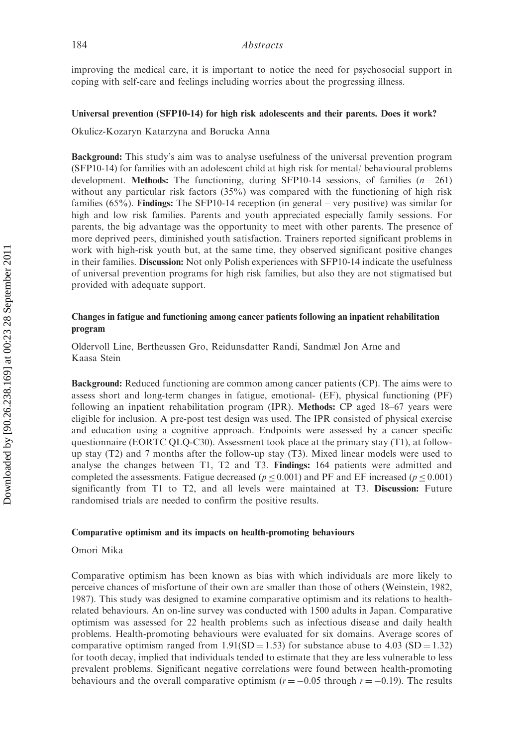improving the medical care, it is important to notice the need for psychosocial support in coping with self-care and feelings including worries about the progressing illness.

## Universal prevention (SFP10-14) for high risk adolescents and their parents. Does it work?

Okulicz-Kozaryn Katarzyna and Borucka Anna

Background: This study's aim was to analyse usefulness of the universal prevention program (SFP10-14) for families with an adolescent child at high risk for mental/ behavioural problems development. Methods: The functioning, during SFP10-14 sessions, of families  $(n = 261)$ without any particular risk factors (35%) was compared with the functioning of high risk families (65%). Findings: The SFP10-14 reception (in general – very positive) was similar for high and low risk families. Parents and youth appreciated especially family sessions. For parents, the big advantage was the opportunity to meet with other parents. The presence of more deprived peers, diminished youth satisfaction. Trainers reported significant problems in work with high-risk youth but, at the same time, they observed significant positive changes in their families. Discussion: Not only Polish experiences with SFP10-14 indicate the usefulness of universal prevention programs for high risk families, but also they are not stigmatised but provided with adequate support.

## Changes in fatigue and functioning among cancer patients following an inpatient rehabilitation program

Oldervoll Line, Bertheussen Gro, Reidunsdatter Randi, Sandmæl Jon Arne and Kaasa Stein

Background: Reduced functioning are common among cancer patients (CP). The aims were to assess short and long-term changes in fatigue, emotional- (EF), physical functioning (PF) following an inpatient rehabilitation program (IPR). Methods: CP aged 18–67 years were eligible for inclusion. A pre-post test design was used. The IPR consisted of physical exercise and education using a cognitive approach. Endpoints were assessed by a cancer specific questionnaire (EORTC QLQ-C30). Assessment took place at the primary stay (T1), at followup stay (T2) and 7 months after the follow-up stay (T3). Mixed linear models were used to analyse the changes between T1, T2 and T3. Findings: 164 patients were admitted and completed the assessments. Fatigue decreased ( $p \le 0.001$ ) and PF and EF increased ( $p \le 0.001$ ) significantly from T1 to T2, and all levels were maintained at T3. Discussion: Future randomised trials are needed to confirm the positive results.

#### Comparative optimism and its impacts on health-promoting behaviours

#### Omori Mika

Comparative optimism has been known as bias with which individuals are more likely to perceive chances of misfortune of their own are smaller than those of others (Weinstein, 1982, 1987). This study was designed to examine comparative optimism and its relations to healthrelated behaviours. An on-line survey was conducted with 1500 adults in Japan. Comparative optimism was assessed for 22 health problems such as infectious disease and daily health problems. Health-promoting behaviours were evaluated for six domains. Average scores of comparative optimism ranged from  $1.91(SD = 1.53)$  for substance abuse to 4.03 (SD = 1.32) for tooth decay, implied that individuals tended to estimate that they are less vulnerable to less prevalent problems. Significant negative correlations were found between health-promoting behaviours and the overall comparative optimism  $(r = -0.05$  through  $r = -0.19$ ). The results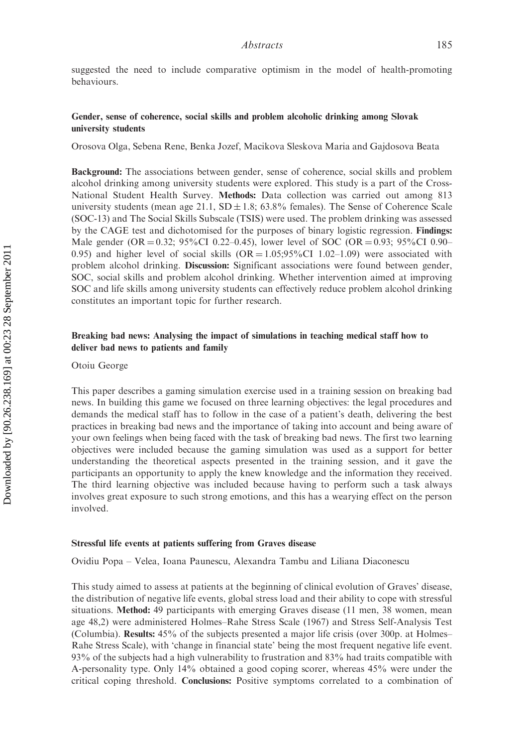suggested the need to include comparative optimism in the model of health-promoting behaviours.

## Gender, sense of coherence, social skills and problem alcoholic drinking among Slovak university students

Orosova Olga, Sebena Rene, Benka Jozef, Macikova Sleskova Maria and Gajdosova Beata

Background: The associations between gender, sense of coherence, social skills and problem alcohol drinking among university students were explored. This study is a part of the Cross-National Student Health Survey. Methods: Data collection was carried out among 813 university students (mean age  $21.1$ ,  $SD \pm 1.8$ ; 63.8% females). The Sense of Coherence Scale (SOC-13) and The Social Skills Subscale (TSIS) were used. The problem drinking was assessed by the CAGE test and dichotomised for the purposes of binary logistic regression. Findings: Male gender (OR = 0.32; 95%CI 0.22–0.45), lower level of SOC (OR = 0.93; 95%CI 0.90– 0.95) and higher level of social skills  $(OR = 1.05; 95\% \text{ CI} 1.02-1.09)$  were associated with problem alcohol drinking. Discussion: Significant associations were found between gender, SOC, social skills and problem alcohol drinking. Whether intervention aimed at improving SOC and life skills among university students can effectively reduce problem alcohol drinking constitutes an important topic for further research.

# Breaking bad news: Analysing the impact of simulations in teaching medical staff how to deliver bad news to patients and family

## Otoiu George

This paper describes a gaming simulation exercise used in a training session on breaking bad news. In building this game we focused on three learning objectives: the legal procedures and demands the medical staff has to follow in the case of a patient's death, delivering the best practices in breaking bad news and the importance of taking into account and being aware of your own feelings when being faced with the task of breaking bad news. The first two learning objectives were included because the gaming simulation was used as a support for better understanding the theoretical aspects presented in the training session, and it gave the participants an opportunity to apply the knew knowledge and the information they received. The third learning objective was included because having to perform such a task always involves great exposure to such strong emotions, and this has a wearying effect on the person involved.

#### Stressful life events at patients suffering from Graves disease

Ovidiu Popa – Velea, Ioana Paunescu, Alexandra Tambu and Liliana Diaconescu

This study aimed to assess at patients at the beginning of clinical evolution of Graves' disease, the distribution of negative life events, global stress load and their ability to cope with stressful situations. Method: 49 participants with emerging Graves disease (11 men, 38 women, mean age 48,2) were administered Holmes–Rahe Stress Scale (1967) and Stress Self-Analysis Test (Columbia). Results: 45% of the subjects presented a major life crisis (over 300p. at Holmes– Rahe Stress Scale), with 'change in financial state' being the most frequent negative life event. 93% of the subjects had a high vulnerability to frustration and 83% had traits compatible with A-personality type. Only 14% obtained a good coping scorer, whereas 45% were under the critical coping threshold. Conclusions: Positive symptoms correlated to a combination of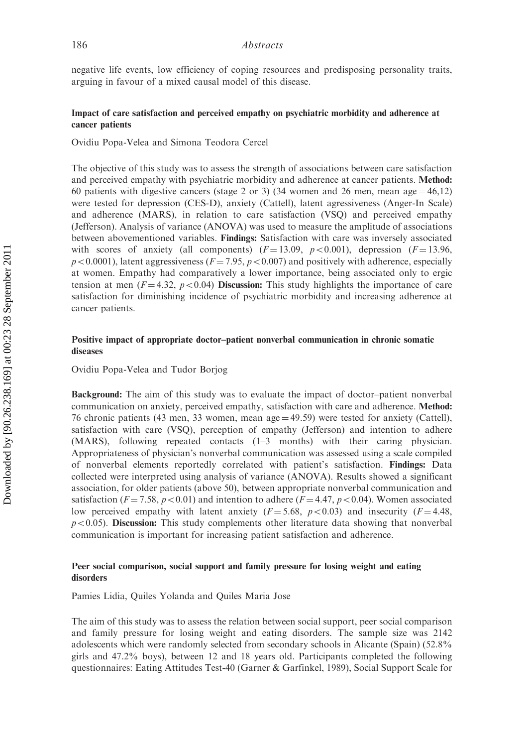negative life events, low efficiency of coping resources and predisposing personality traits, arguing in favour of a mixed causal model of this disease.

# Impact of care satisfaction and perceived empathy on psychiatric morbidity and adherence at cancer patients

Ovidiu Popa-Velea and Simona Teodora Cercel

The objective of this study was to assess the strength of associations between care satisfaction and perceived empathy with psychiatric morbidity and adherence at cancer patients. Method: 60 patients with digestive cancers (stage 2 or 3) (34 women and 26 men, mean age  $=$  46,12) were tested for depression (CES-D), anxiety (Cattell), latent agressiveness (Anger-In Scale) and adherence (MARS), in relation to care satisfaction (VSQ) and perceived empathy (Jefferson). Analysis of variance (ANOVA) was used to measure the amplitude of associations between abovementioned variables. Findings: Satisfaction with care was inversely associated with scores of anxiety (all components)  $(F = 13.09, p < 0.001)$ , depression  $(F = 13.96,$  $p<0.0001$ ), latent aggressiveness ( $F = 7.95$ ,  $p<0.007$ ) and positively with adherence, especially at women. Empathy had comparatively a lower importance, being associated only to ergic tension at men  $(F = 4.32, p < 0.04)$  Discussion: This study highlights the importance of care satisfaction for diminishing incidence of psychiatric morbidity and increasing adherence at cancer patients.

## Positive impact of appropriate doctor–patient nonverbal communication in chronic somatic diseases

Ovidiu Popa-Velea and Tudor Borjog

Background: The aim of this study was to evaluate the impact of doctor–patient nonverbal communication on anxiety, perceived empathy, satisfaction with care and adherence. Method: 76 chronic patients (43 men, 33 women, mean age  $=$  49.59) were tested for anxiety (Cattell), satisfaction with care (VSQ), perception of empathy (Jefferson) and intention to adhere (MARS), following repeated contacts (1–3 months) with their caring physician. Appropriateness of physician's nonverbal communication was assessed using a scale compiled of nonverbal elements reportedly correlated with patient's satisfaction. Findings: Data collected were interpreted using analysis of variance (ANOVA). Results showed a significant association, for older patients (above 50), between appropriate nonverbal communication and satisfaction ( $F = 7.58$ ,  $p < 0.01$ ) and intention to adhere ( $F = 4.47$ ,  $p < 0.04$ ). Women associated low perceived empathy with latent anxiety  $(F = 5.68, p < 0.03)$  and insecurity  $(F = 4.48,$  $p<0.05$ ). Discussion: This study complements other literature data showing that nonverbal communication is important for increasing patient satisfaction and adherence.

### Peer social comparison, social support and family pressure for losing weight and eating disorders

Pamies Lidia, Quiles Yolanda and Quiles Maria Jose

The aim of this study was to assess the relation between social support, peer social comparison and family pressure for losing weight and eating disorders. The sample size was 2142 adolescents which were randomly selected from secondary schools in Alicante (Spain) (52.8% girls and 47.2% boys), between 12 and 18 years old. Participants completed the following questionnaires: Eating Attitudes Test-40 (Garner & Garfinkel, 1989), Social Support Scale for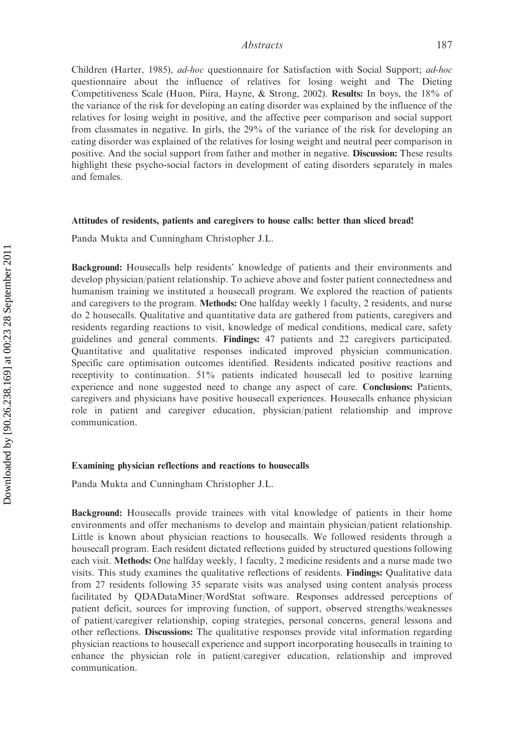Children (Harter, 1985), ad-hoc questionnaire for Satisfaction with Social Support; ad-hoc questionnaire about the influence of relatives for losing weight and The Dieting Competitiveness Scale (Huon, Piira, Hayne, & Strong, 2002). Results: In boys, the 18% of the variance of the risk for developing an eating disorder was explained by the influence of the relatives for losing weight in positive, and the affective peer comparison and social support from classmates in negative. In girls, the 29% of the variance of the risk for developing an eating disorder was explained of the relatives for losing weight and neutral peer comparison in positive. And the social support from father and mother in negative. Discussion: These results highlight these psycho-social factors in development of eating disorders separately in males and females.

### Attitudes of residents, patients and caregivers to house calls: better than sliced bread!

Panda Mukta and Cunningham Christopher J.L.

Background: Housecalls help residents' knowledge of patients and their environments and develop physician/patient relationship. To achieve above and foster patient connectedness and humanism training we instituted a housecall program. We explored the reaction of patients and caregivers to the program. Methods: One halfday weekly 1 faculty, 2 residents, and nurse do 2 housecalls. Qualitative and quantitative data are gathered from patients, caregivers and residents regarding reactions to visit, knowledge of medical conditions, medical care, safety guidelines and general comments. Findings: 47 patients and 22 caregivers participated. Quantitative and qualitative responses indicated improved physician communication. Specific care optimisation outcomes identified. Residents indicated positive reactions and receptivity to continuation. 51% patients indicated housecall led to positive learning experience and none suggested need to change any aspect of care. Conclusions: Patients, caregivers and physicians have positive housecall experiences. Housecalls enhance physician role in patient and caregiver education, physician/patient relationship and improve communication.

### Examining physician reflections and reactions to housecalls

Panda Mukta and Cunningham Christopher J.L.

Background: Housecalls provide trainees with vital knowledge of patients in their home environments and offer mechanisms to develop and maintain physician/patient relationship. Little is known about physician reactions to housecalls. We followed residents through a housecall program. Each resident dictated reflections guided by structured questions following each visit. Methods: One halfday weekly, 1 faculty, 2 medicine residents and a nurse made two visits. This study examines the qualitative reflections of residents. Findings: Qualitative data from 27 residents following 35 separate visits was analysed using content analysis process facilitated by QDADataMiner/WordStat software. Responses addressed perceptions of patient deficit, sources for improving function, of support, observed strengths/weaknesses of patient/caregiver relationship, coping strategies, personal concerns, general lessons and other reflections. Discussions: The qualitative responses provide vital information regarding physician reactions to housecall experience and support incorporating housecalls in training to enhance the physician role in patient/caregiver education, relationship and improved communication.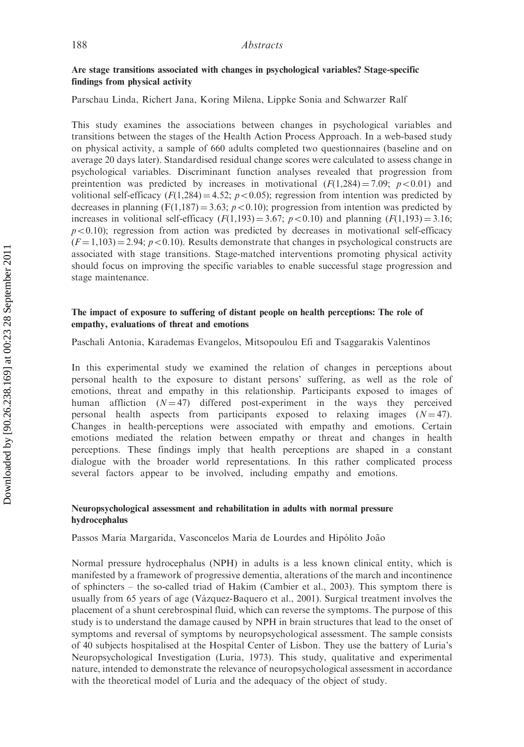# Are stage transitions associated with changes in psychological variables? Stage-specific findings from physical activity

Parschau Linda, Richert Jana, Koring Milena, Lippke Sonia and Schwarzer Ralf

This study examines the associations between changes in psychological variables and transitions between the stages of the Health Action Process Approach. In a web-based study on physical activity, a sample of 660 adults completed two questionnaires (baseline and on average 20 days later). Standardised residual change scores were calculated to assess change in psychological variables. Discriminant function analyses revealed that progression from preintention was predicted by increases in motivational  $(F(1,284) = 7.09; p<0.01)$  and volitional self-efficacy  $(F(1,284) = 4.52; p < 0.05)$ ; regression from intention was predicted by decreases in planning (F(1,187) = 3.63;  $p < 0.10$ ); progression from intention was predicted by increases in volitional self-efficacy  $(F(1,193) = 3.67; p < 0.10)$  and planning  $(F(1,193) = 3.16;$  $p<0.10$ ); regression from action was predicted by decreases in motivational self-efficacy  $(F = 1,103) = 2.94$ ;  $p < 0.10$ ). Results demonstrate that changes in psychological constructs are associated with stage transitions. Stage-matched interventions promoting physical activity should focus on improving the specific variables to enable successful stage progression and stage maintenance.

# The impact of exposure to suffering of distant people on health perceptions: The role of empathy, evaluations of threat and emotions

Paschali Antonia, Karademas Evangelos, Mitsopoulou Efi and Tsaggarakis Valentinos

In this experimental study we examined the relation of changes in perceptions about personal health to the exposure to distant persons' suffering, as well as the role of emotions, threat and empathy in this relationship. Participants exposed to images of human affliction  $(N=47)$  differed post-experiment in the ways they perceived personal health aspects from participants exposed to relaxing images  $(N = 47)$ . Changes in health-perceptions were associated with empathy and emotions. Certain emotions mediated the relation between empathy or threat and changes in health perceptions. These findings imply that health perceptions are shaped in a constant dialogue with the broader world representations. In this rather complicated process several factors appear to be involved, including empathy and emotions.

## Neuropsychological assessment and rehabilitation in adults with normal pressure hydrocephalus

Passos Maria Margarida, Vasconcelos Maria de Lourdes and Hipólito João

Normal pressure hydrocephalus (NPH) in adults is a less known clinical entity, which is manifested by a framework of progressive dementia, alterations of the march and incontinence of sphincters – the so-called triad of Hakim (Cambier et al., 2003). This symptom there is usually from 65 years of age (Vázquez-Baquero et al., 2001). Surgical treatment involves the placement of a shunt cerebrospinal fluid, which can reverse the symptoms. The purpose of this study is to understand the damage caused by NPH in brain structures that lead to the onset of symptoms and reversal of symptoms by neuropsychological assessment. The sample consists of 40 subjects hospitalised at the Hospital Center of Lisbon. They use the battery of Luria's Neuropsychological Investigation (Luria, 1973). This study, qualitative and experimental nature, intended to demonstrate the relevance of neuropsychological assessment in accordance with the theoretical model of Luria and the adequacy of the object of study.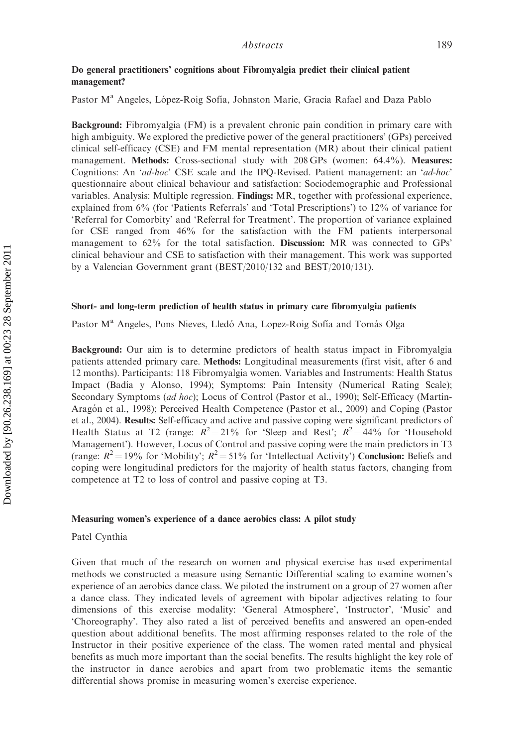# Do general practitioners' cognitions about Fibromyalgia predict their clinical patient management?

Pastor M<sup>a</sup> Angeles, López-Roig Sofía, Johnston Marie, Gracia Rafael and Daza Pablo

Background: Fibromyalgia (FM) is a prevalent chronic pain condition in primary care with high ambiguity. We explored the predictive power of the general practitioners' (GPs) perceived clinical self-efficacy (CSE) and FM mental representation (MR) about their clinical patient management. Methods: Cross-sectional study with 208 GPs (women: 64.4%). Measures: Cognitions: An 'ad-hoc' CSE scale and the IPQ-Revised. Patient management: an 'ad-hoc' questionnaire about clinical behaviour and satisfaction: Sociodemographic and Professional variables. Analysis: Multiple regression. Findings: MR, together with professional experience, explained from 6% (for 'Patients Referrals' and 'Total Prescriptions') to 12% of variance for 'Referral for Comorbity' and 'Referral for Treatment'. The proportion of variance explained for CSE ranged from 46% for the satisfaction with the FM patients interpersonal management to 62% for the total satisfaction. Discussion: MR was connected to GPs' clinical behaviour and CSE to satisfaction with their management. This work was supported by a Valencian Government grant (BEST/2010/132 and BEST/2010/131).

#### Short- and long-term prediction of health status in primary care fibromyalgia patients

Pastor M<sup>a</sup> Angeles, Pons Nieves, Lledó Ana, Lopez-Roig Sofía and Tomás Olga

Background: Our aim is to determine predictors of health status impact in Fibromyalgia patients attended primary care. Methods: Longitudinal measurements (first visit, after 6 and 12 months). Participants: 118 Fibromyalgia women. Variables and Instruments: Health Status Impact (Badía y Alonso, 1994); Symptoms: Pain Intensity (Numerical Rating Scale); Secondary Symptoms (ad hoc); Locus of Control (Pastor et al., 1990); Self-Efficacy (Martín-Aragón et al., 1998); Perceived Health Competence (Pastor et al., 2009) and Coping (Pastor et al., 2004). Results: Self-efficacy and active and passive coping were significant predictors of Health Status at T2 (range:  $R^2 = 21\%$  for 'Sleep and Rest';  $R^2 = 44\%$  for 'Household Management'). However, Locus of Control and passive coping were the main predictors in T3 (range:  $R^2 = 19\%$  for 'Mobility';  $R^2 = 51\%$  for 'Intellectual Activity') Conclusion: Beliefs and coping were longitudinal predictors for the majority of health status factors, changing from competence at T2 to loss of control and passive coping at T3.

#### Measuring women's experience of a dance aerobics class: A pilot study

### Patel Cynthia

Given that much of the research on women and physical exercise has used experimental methods we constructed a measure using Semantic Differential scaling to examine women's experience of an aerobics dance class. We piloted the instrument on a group of 27 women after a dance class. They indicated levels of agreement with bipolar adjectives relating to four dimensions of this exercise modality: 'General Atmosphere', 'Instructor', 'Music' and 'Choreography'. They also rated a list of perceived benefits and answered an open-ended question about additional benefits. The most affirming responses related to the role of the Instructor in their positive experience of the class. The women rated mental and physical benefits as much more important than the social benefits. The results highlight the key role of the instructor in dance aerobics and apart from two problematic items the semantic differential shows promise in measuring women's exercise experience.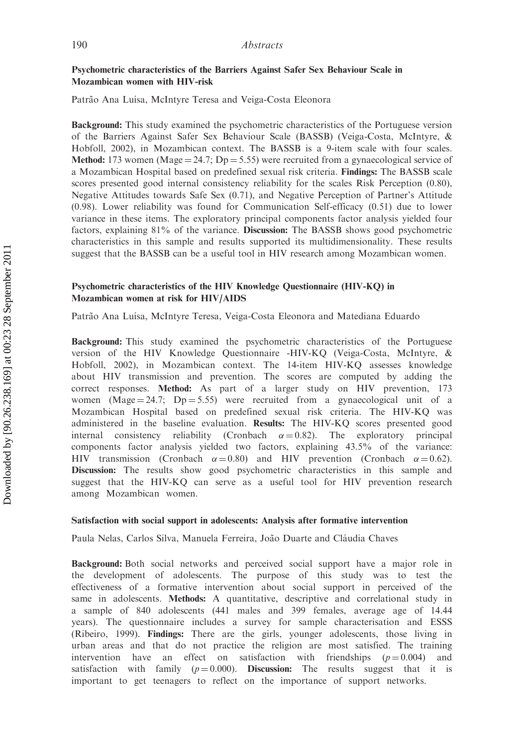### Psychometric characteristics of the Barriers Against Safer Sex Behaviour Scale in Mozambican women with HIV-risk

Patrão Ana Luísa, McIntyre Teresa and Veiga-Costa Eleonora

Background: This study examined the psychometric characteristics of the Portuguese version of the Barriers Against Safer Sex Behaviour Scale (BASSB) (Veiga-Costa, McIntyre, & Hobfoll, 2002), in Mozambican context. The BASSB is a 9-item scale with four scales. **Method:** 173 women (Mage = 24.7;  $Dp = 5.55$ ) were recruited from a gynaecological service of a Mozambican Hospital based on predefined sexual risk criteria. Findings: The BASSB scale scores presented good internal consistency reliability for the scales Risk Perception (0.80), Negative Attitudes towards Safe Sex (0.71), and Negative Perception of Partner's Attitude (0.98). Lower reliability was found for Communication Self-efficacy (0.51) due to lower variance in these items. The exploratory principal components factor analysis yielded four factors, explaining 81% of the variance. Discussion: The BASSB shows good psychometric characteristics in this sample and results supported its multidimensionality. These results suggest that the BASSB can be a useful tool in HIV research among Mozambican women.

## Psychometric characteristics of the HIV Knowledge Questionnaire (HIV-KQ) in Mozambican women at risk for HIV/AIDS

Patrão Ana Luísa, McIntyre Teresa, Veiga-Costa Eleonora and Matediana Eduardo

Background: This study examined the psychometric characteristics of the Portuguese version of the HIV Knowledge Questionnaire -HIV-KQ (Veiga-Costa, McIntyre, & Hobfoll, 2002), in Mozambican context. The 14-item HIV-KQ assesses knowledge about HIV transmission and prevention. The scores are computed by adding the correct responses. Method: As part of a larger study on HIV prevention, 173 women (Mage = 24.7; Dp = 5.55) were recruited from a gynaecological unit of a Mozambican Hospital based on predefined sexual risk criteria. The HIV-KQ was administered in the baseline evaluation. Results: The HIV-KQ scores presented good internal consistency reliability (Cronbach  $\alpha = 0.82$ ). The exploratory principal components factor analysis yielded two factors, explaining 43.5% of the variance: HIV transmission (Cronbach  $\alpha = 0.80$ ) and HIV prevention (Cronbach  $\alpha = 0.62$ ). Discussion: The results show good psychometric characteristics in this sample and suggest that the HIV-KQ can serve as a useful tool for HIV prevention research among Mozambican women.

### Satisfaction with social support in adolescents: Analysis after formative intervention

Paula Nelas, Carlos Silva, Manuela Ferreira, João Duarte and Cláudia Chaves

Background: Both social networks and perceived social support have a major role in the development of adolescents. The purpose of this study was to test the effectiveness of a formative intervention about social support in perceived of the same in adolescents. Methods: A quantitative, descriptive and correlational study in a sample of 840 adolescents (441 males and 399 females, average age of 14.44 years). The questionnaire includes a survey for sample characterisation and ESSS (Ribeiro, 1999). Findings: There are the girls, younger adolescents, those living in urban areas and that do not practice the religion are most satisfied. The training intervention have an effect on satisfaction with friendships  $(p=0.004)$  and satisfaction with family  $(p=0.000)$ . **Discussion:** The results suggest that it important to get teenagers to reflect on the importance of support networks.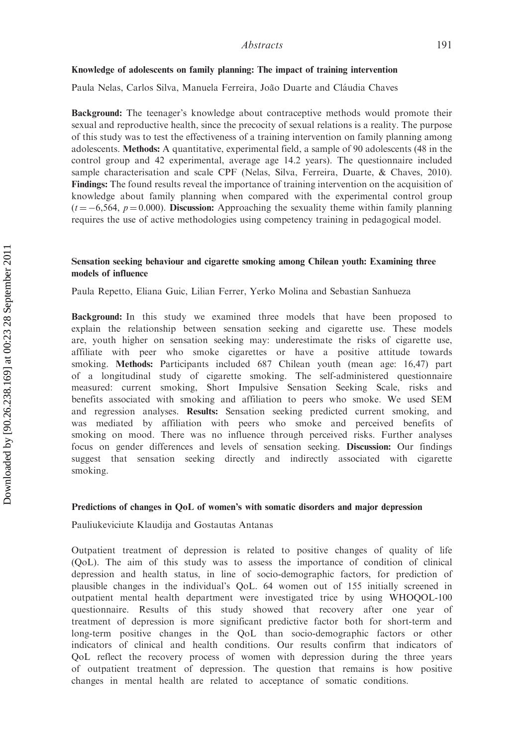### Knowledge of adolescents on family planning: The impact of training intervention

Paula Nelas, Carlos Silva, Manuela Ferreira, João Duarte and Cláudia Chaves

Background: The teenager's knowledge about contraceptive methods would promote their sexual and reproductive health, since the precocity of sexual relations is a reality. The purpose of this study was to test the effectiveness of a training intervention on family planning among adolescents. Methods: A quantitative, experimental field, a sample of 90 adolescents (48 in the control group and 42 experimental, average age 14.2 years). The questionnaire included sample characterisation and scale CPF (Nelas, Silva, Ferreira, Duarte, & Chaves, 2010). Findings: The found results reveal the importance of training intervention on the acquisition of knowledge about family planning when compared with the experimental control group  $(t = -6.564, p = 0.000)$ . Discussion: Approaching the sexuality theme within family planning requires the use of active methodologies using competency training in pedagogical model.

### Sensation seeking behaviour and cigarette smoking among Chilean youth: Examining three models of influence

Paula Repetto, Eliana Guic, Lilian Ferrer, Yerko Molina and Sebastian Sanhueza

Background: In this study we examined three models that have been proposed to explain the relationship between sensation seeking and cigarette use. These models are, youth higher on sensation seeking may: underestimate the risks of cigarette use, affiliate with peer who smoke cigarettes or have a positive attitude towards smoking. Methods: Participants included 687 Chilean youth (mean age: 16,47) part of a longitudinal study of cigarette smoking. The self-administered questionnaire measured: current smoking, Short Impulsive Sensation Seeking Scale, risks and benefits associated with smoking and affiliation to peers who smoke. We used SEM and regression analyses. Results: Sensation seeking predicted current smoking, and was mediated by affiliation with peers who smoke and perceived benefits of smoking on mood. There was no influence through perceived risks. Further analyses focus on gender differences and levels of sensation seeking. Discussion: Our findings suggest that sensation seeking directly and indirectly associated with cigarette smoking.

#### Predictions of changes in QoL of women's with somatic disorders and major depression

Pauliukeviciute Klaudija and Gostautas Antanas

Outpatient treatment of depression is related to positive changes of quality of life (QoL). The aim of this study was to assess the importance of condition of clinical depression and health status, in line of socio-demographic factors, for prediction of plausible changes in the individual's QoL. 64 women out of 155 initially screened in outpatient mental health department were investigated trice by using WHOQOL-100 questionnaire. Results of this study showed that recovery after one year of treatment of depression is more significant predictive factor both for short-term and long-term positive changes in the QoL than socio-demographic factors or other indicators of clinical and health conditions. Our results confirm that indicators of QoL reflect the recovery process of women with depression during the three years of outpatient treatment of depression. The question that remains is how positive changes in mental health are related to acceptance of somatic conditions.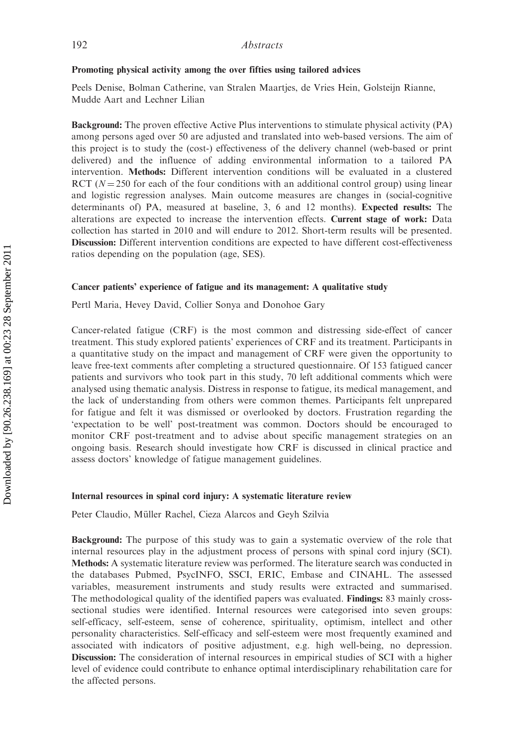## Promoting physical activity among the over fifties using tailored advices

Peels Denise, Bolman Catherine, van Stralen Maartjes, de Vries Hein, Golsteijn Rianne, Mudde Aart and Lechner Lilian

Background: The proven effective Active Plus interventions to stimulate physical activity (PA) among persons aged over 50 are adjusted and translated into web-based versions. The aim of this project is to study the (cost-) effectiveness of the delivery channel (web-based or print delivered) and the influence of adding environmental information to a tailored PA intervention. Methods: Different intervention conditions will be evaluated in a clustered RCT ( $N = 250$  for each of the four conditions with an additional control group) using linear and logistic regression analyses. Main outcome measures are changes in (social-cognitive determinants of) PA, measured at baseline, 3, 6 and 12 months). Expected results: The alterations are expected to increase the intervention effects. Current stage of work: Data collection has started in 2010 and will endure to 2012. Short-term results will be presented. Discussion: Different intervention conditions are expected to have different cost-effectiveness ratios depending on the population (age, SES).

## Cancer patients' experience of fatigue and its management: A qualitative study

Pertl Maria, Hevey David, Collier Sonya and Donohoe Gary

Cancer-related fatigue (CRF) is the most common and distressing side-effect of cancer treatment. This study explored patients' experiences of CRF and its treatment. Participants in a quantitative study on the impact and management of CRF were given the opportunity to leave free-text comments after completing a structured questionnaire. Of 153 fatigued cancer patients and survivors who took part in this study, 70 left additional comments which were analysed using thematic analysis. Distress in response to fatigue, its medical management, and the lack of understanding from others were common themes. Participants felt unprepared for fatigue and felt it was dismissed or overlooked by doctors. Frustration regarding the 'expectation to be well' post-treatment was common. Doctors should be encouraged to monitor CRF post-treatment and to advise about specific management strategies on an ongoing basis. Research should investigate how CRF is discussed in clinical practice and assess doctors' knowledge of fatigue management guidelines.

### Internal resources in spinal cord injury: A systematic literature review

Peter Claudio, Müller Rachel, Cieza Alarcos and Geyh Szilvia

Background: The purpose of this study was to gain a systematic overview of the role that internal resources play in the adjustment process of persons with spinal cord injury (SCI). Methods: A systematic literature review was performed. The literature search was conducted in the databases Pubmed, PsycINFO, SSCI, ERIC, Embase and CINAHL. The assessed variables, measurement instruments and study results were extracted and summarised. The methodological quality of the identified papers was evaluated. Findings: 83 mainly crosssectional studies were identified. Internal resources were categorised into seven groups: self-efficacy, self-esteem, sense of coherence, spirituality, optimism, intellect and other personality characteristics. Self-efficacy and self-esteem were most frequently examined and associated with indicators of positive adjustment, e.g. high well-being, no depression. Discussion: The consideration of internal resources in empirical studies of SCI with a higher level of evidence could contribute to enhance optimal interdisciplinary rehabilitation care for the affected persons.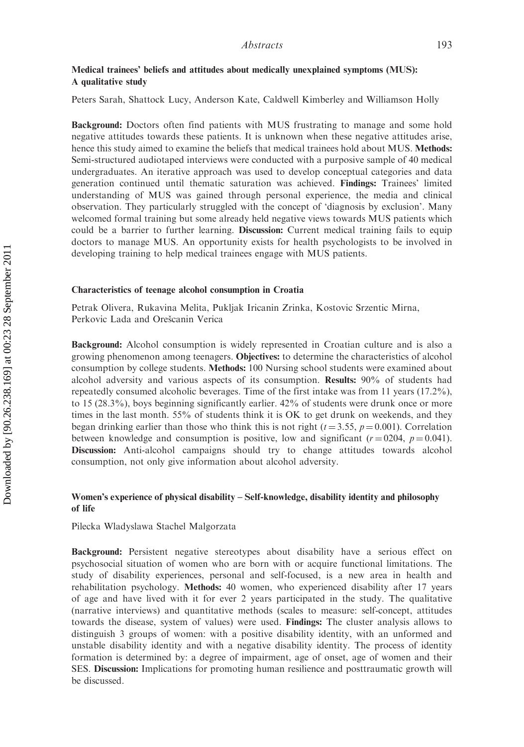# Medical trainees' beliefs and attitudes about medically unexplained symptoms (MUS): A qualitative study

Peters Sarah, Shattock Lucy, Anderson Kate, Caldwell Kimberley and Williamson Holly

Background: Doctors often find patients with MUS frustrating to manage and some hold negative attitudes towards these patients. It is unknown when these negative attitudes arise, hence this study aimed to examine the beliefs that medical trainees hold about MUS. Methods: Semi-structured audiotaped interviews were conducted with a purposive sample of 40 medical undergraduates. An iterative approach was used to develop conceptual categories and data generation continued until thematic saturation was achieved. Findings: Trainees' limited understanding of MUS was gained through personal experience, the media and clinical observation. They particularly struggled with the concept of 'diagnosis by exclusion'. Many welcomed formal training but some already held negative views towards MUS patients which could be a barrier to further learning. Discussion: Current medical training fails to equip doctors to manage MUS. An opportunity exists for health psychologists to be involved in developing training to help medical trainees engage with MUS patients.

# Characteristics of teenage alcohol consumption in Croatia

Petrak Olivera, Rukavina Melita, Pukljak Iricanin Zrinka, Kostovic Srzentic Mirna, Perkovic Lada and Orešcanin Verica

Background: Alcohol consumption is widely represented in Croatian culture and is also a growing phenomenon among teenagers. Objectives: to determine the characteristics of alcohol consumption by college students. Methods: 100 Nursing school students were examined about alcohol adversity and various aspects of its consumption. Results: 90% of students had repeatedly consumed alcoholic beverages. Time of the first intake was from 11 years  $(17.2\%)$ , to 15 (28.3%), boys beginning significantly earlier. 42% of students were drunk once or more times in the last month. 55% of students think it is OK to get drunk on weekends, and they began drinking earlier than those who think this is not right ( $t = 3.55$ ,  $p = 0.001$ ). Correlation between knowledge and consumption is positive, low and significant  $(r = 0.04, p = 0.041)$ . Discussion: Anti-alcohol campaigns should try to change attitudes towards alcohol consumption, not only give information about alcohol adversity.

### Women's experience of physical disability – Self-knowledge, disability identity and philosophy of life

Pilecka Wladyslawa Stachel Malgorzata

Background: Persistent negative stereotypes about disability have a serious effect on psychosocial situation of women who are born with or acquire functional limitations. The study of disability experiences, personal and self-focused, is a new area in health and rehabilitation psychology. Methods: 40 women, who experienced disability after 17 years of age and have lived with it for ever 2 years participated in the study. The qualitative (narrative interviews) and quantitative methods (scales to measure: self-concept, attitudes towards the disease, system of values) were used. Findings: The cluster analysis allows to distinguish 3 groups of women: with a positive disability identity, with an unformed and unstable disability identity and with a negative disability identity. The process of identity formation is determined by: a degree of impairment, age of onset, age of women and their SES. Discussion: Implications for promoting human resilience and posttraumatic growth will be discussed.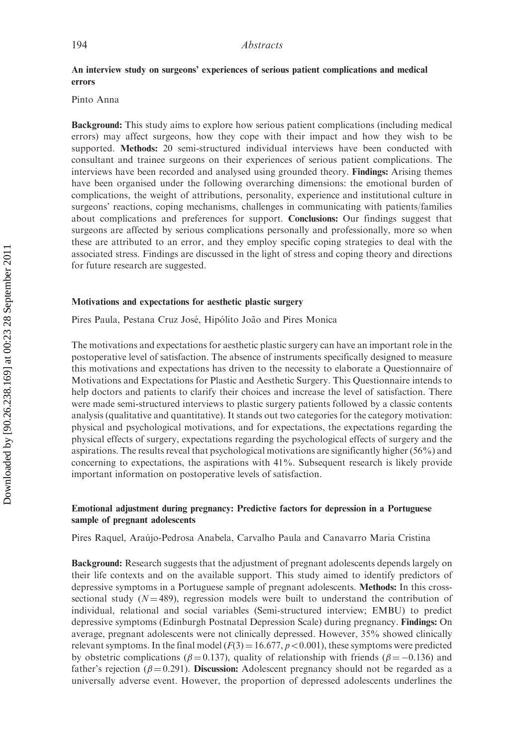# An interview study on surgeons' experiences of serious patient complications and medical errors

Pinto Anna

Background: This study aims to explore how serious patient complications (including medical errors) may affect surgeons, how they cope with their impact and how they wish to be supported. Methods: 20 semi-structured individual interviews have been conducted with consultant and trainee surgeons on their experiences of serious patient complications. The interviews have been recorded and analysed using grounded theory. Findings: Arising themes have been organised under the following overarching dimensions: the emotional burden of complications, the weight of attributions, personality, experience and institutional culture in surgeons' reactions, coping mechanisms, challenges in communicating with patients/families about complications and preferences for support. Conclusions: Our findings suggest that surgeons are affected by serious complications personally and professionally, more so when these are attributed to an error, and they employ specific coping strategies to deal with the associated stress. Findings are discussed in the light of stress and coping theory and directions for future research are suggested.

### Motivations and expectations for aesthetic plastic surgery

Pires Paula, Pestana Cruz José, Hipólito João and Pires Monica

The motivations and expectations for aesthetic plastic surgery can have an important role in the postoperative level of satisfaction. The absence of instruments specifically designed to measure this motivations and expectations has driven to the necessity to elaborate a Questionnaire of Motivations and Expectations for Plastic and Aesthetic Surgery. This Questionnaire intends to help doctors and patients to clarify their choices and increase the level of satisfaction. There were made semi-structured interviews to plastic surgery patients followed by a classic contents analysis (qualitative and quantitative). It stands out two categories for the category motivation: physical and psychological motivations, and for expectations, the expectations regarding the physical effects of surgery, expectations regarding the psychological effects of surgery and the aspirations. The results reveal that psychological motivations are significantly higher (56%) and concerning to expectations, the aspirations with 41%. Subsequent research is likely provide important information on postoperative levels of satisfaction.

## Emotional adjustment during pregnancy: Predictive factors for depression in a Portuguese sample of pregnant adolescents

Pires Raquel, Arau´jo-Pedrosa Anabela, Carvalho Paula and Canavarro Maria Cristina

Background: Research suggests that the adjustment of pregnant adolescents depends largely on their life contexts and on the available support. This study aimed to identify predictors of depressive symptoms in a Portuguese sample of pregnant adolescents. Methods: In this crosssectional study ( $N = 489$ ), regression models were built to understand the contribution of individual, relational and social variables (Semi-structured interview; EMBU) to predict depressive symptoms (Edinburgh Postnatal Depression Scale) during pregnancy. Findings: On average, pregnant adolescents were not clinically depressed. However, 35% showed clinically relevant symptoms. In the final model  $(F(3) = 16.677, p < 0.001)$ , these symptoms were predicted by obstetric complications ( $\beta = 0.137$ ), quality of relationship with friends ( $\beta = -0.136$ ) and father's rejection ( $\beta = 0.291$ ). Discussion: Adolescent pregnancy should not be regarded as a universally adverse event. However, the proportion of depressed adolescents underlines the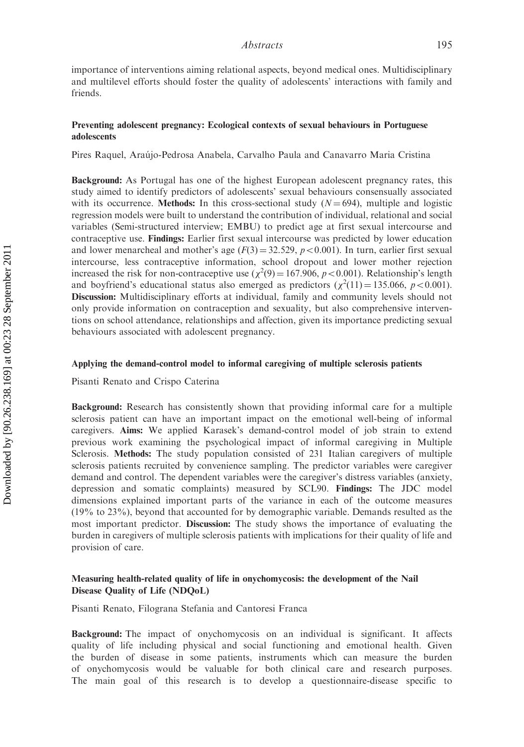importance of interventions aiming relational aspects, beyond medical ones. Multidisciplinary and multilevel efforts should foster the quality of adolescents' interactions with family and friends.

### Preventing adolescent pregnancy: Ecological contexts of sexual behaviours in Portuguese adolescents

Pires Raquel, Arau´jo-Pedrosa Anabela, Carvalho Paula and Canavarro Maria Cristina

Background: As Portugal has one of the highest European adolescent pregnancy rates, this study aimed to identify predictors of adolescents' sexual behaviours consensually associated with its occurrence. Methods: In this cross-sectional study  $(N = 694)$ , multiple and logistic regression models were built to understand the contribution of individual, relational and social variables (Semi-structured interview; EMBU) to predict age at first sexual intercourse and contraceptive use. Findings: Earlier first sexual intercourse was predicted by lower education and lower menarcheal and mother's age  $(F(3) = 32.529, p < 0.001)$ . In turn, earlier first sexual intercourse, less contraceptive information, school dropout and lower mother rejection increased the risk for non-contraceptive use  $(\chi^2(9) = 167.906, p < 0.001)$ . Relationship's length and boyfriend's educational status also emerged as predictors  $(\chi^2(11) = 135.066, p < 0.001)$ . Discussion: Multidisciplinary efforts at individual, family and community levels should not only provide information on contraception and sexuality, but also comprehensive interventions on school attendance, relationships and affection, given its importance predicting sexual behaviours associated with adolescent pregnancy.

#### Applying the demand-control model to informal caregiving of multiple sclerosis patients

Pisanti Renato and Crispo Caterina

Background: Research has consistently shown that providing informal care for a multiple sclerosis patient can have an important impact on the emotional well-being of informal caregivers. Aims: We applied Karasek's demand-control model of job strain to extend previous work examining the psychological impact of informal caregiving in Multiple Sclerosis. Methods: The study population consisted of 231 Italian caregivers of multiple sclerosis patients recruited by convenience sampling. The predictor variables were caregiver demand and control. The dependent variables were the caregiver's distress variables (anxiety, depression and somatic complaints) measured by SCL90. Findings: The JDC model dimensions explained important parts of the variance in each of the outcome measures (19% to 23%), beyond that accounted for by demographic variable. Demands resulted as the most important predictor. Discussion: The study shows the importance of evaluating the burden in caregivers of multiple sclerosis patients with implications for their quality of life and provision of care.

# Measuring health-related quality of life in onychomycosis: the development of the Nail Disease Quality of Life (NDQoL)

Pisanti Renato, Filograna Stefania and Cantoresi Franca

Background: The impact of onychomycosis on an individual is significant. It affects quality of life including physical and social functioning and emotional health. Given the burden of disease in some patients, instruments which can measure the burden of onychomycosis would be valuable for both clinical care and research purposes. The main goal of this research is to develop a questionnaire-disease specific to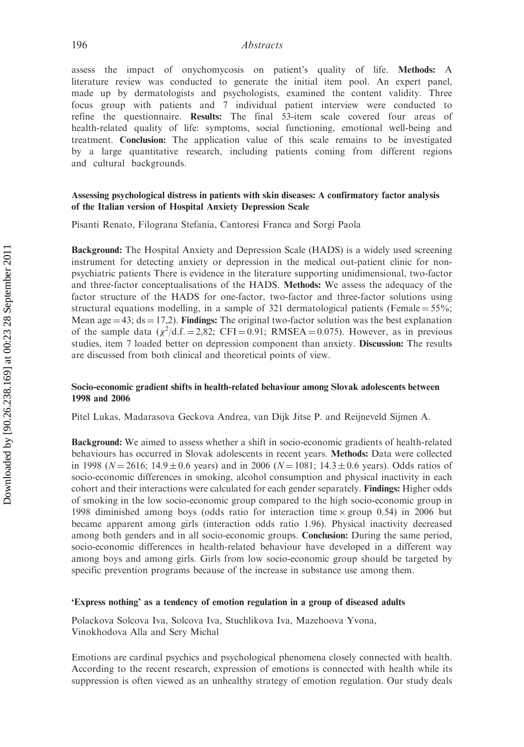assess the impact of onychomycosis on patient's quality of life. Methods: A literature review was conducted to generate the initial item pool. An expert panel, made up by dermatologists and psychologists, examined the content validity. Three focus group with patients and 7 individual patient interview were conducted to refine the questionnaire. Results: The final 53-item scale covered four areas of health-related quality of life: symptoms, social functioning, emotional well-being and treatment. Conclusion: The application value of this scale remains to be investigated by a large quantitative research, including patients coming from different regions and cultural backgrounds.

# Assessing psychological distress in patients with skin diseases: A confirmatory factor analysis of the Italian version of Hospital Anxiety Depression Scale

Pisanti Renato, Filograna Stefania, Cantoresi Franca and Sorgi Paola

Background: The Hospital Anxiety and Depression Scale (HADS) is a widely used screening instrument for detecting anxiety or depression in the medical out-patient clinic for nonpsychiatric patients There is evidence in the literature supporting unidimensional, two-factor and three-factor conceptualisations of the HADS. Methods: We assess the adequacy of the factor structure of the HADS for one-factor, two-factor and three-factor solutions using structural equations modelling, in a sample of 321 dermatological patients (Female =  $55\%$ ; Mean age = 43; ds = 17,2). Findings: The original two-factor solution was the best explanation of the sample data  $(\chi^2/d.f. = 2.82; CFI = 0.91; RMSEA = 0.075)$ . However, as in previous studies, item 7 loaded better on depression component than anxiety. Discussion: The results are discussed from both clinical and theoretical points of view.

# Socio-economic gradient shifts in health-related behaviour among Slovak adolescents between 1998 and 2006

Pitel Lukas, Madarasova Geckova Andrea, van Dijk Jitse P. and Reijneveld Sijmen A.

Background: We aimed to assess whether a shift in socio-economic gradients of health-related behaviours has occurred in Slovak adolescents in recent years. Methods: Data were collected in 1998 ( $N = 2616$ ; 14.9  $\pm$  0.6 years) and in 2006 ( $N = 1081$ ; 14.3  $\pm$  0.6 years). Odds ratios of socio-economic differences in smoking, alcohol consumption and physical inactivity in each cohort and their interactions were calculated for each gender separately. Findings: Higher odds of smoking in the low socio-economic group compared to the high socio-economic group in 1998 diminished among boys (odds ratio for interaction time  $\times$  group 0.54) in 2006 but became apparent among girls (interaction odds ratio 1.96). Physical inactivity decreased among both genders and in all socio-economic groups. Conclusion: During the same period, socio-economic differences in health-related behaviour have developed in a different way among boys and among girls. Girls from low socio-economic group should be targeted by specific prevention programs because of the increase in substance use among them.

### 'Express nothing' as a tendency of emotion regulation in a group of diseased adults

Polackova Solcova Iva, Solcova Iva, Stuchlikova Iva, Mazehoova Yvona, Vinokhodova Alla and Sery Michal

Emotions are cardinal psychics and psychological phenomena closely connected with health. According to the recent research, expression of emotions is connected with health while its suppression is often viewed as an unhealthy strategy of emotion regulation. Our study deals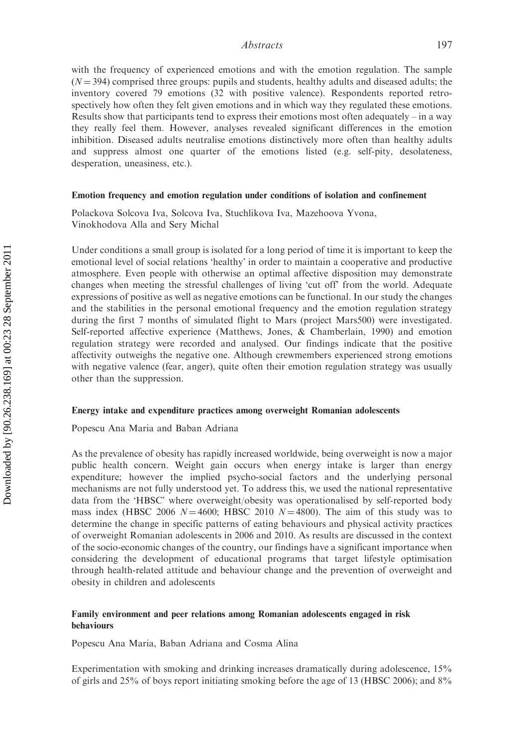with the frequency of experienced emotions and with the emotion regulation. The sample  $(N = 394)$  comprised three groups: pupils and students, healthy adults and diseased adults; the inventory covered 79 emotions (32 with positive valence). Respondents reported retrospectively how often they felt given emotions and in which way they regulated these emotions. Results show that participants tend to express their emotions most often adequately – in a way they really feel them. However, analyses revealed significant differences in the emotion inhibition. Diseased adults neutralise emotions distinctively more often than healthy adults and suppress almost one quarter of the emotions listed (e.g. self-pity, desolateness, desperation, uneasiness, etc.).

# Emotion frequency and emotion regulation under conditions of isolation and confinement

Polackova Solcova Iva, Solcova Iva, Stuchlikova Iva, Mazehoova Yvona, Vinokhodova Alla and Sery Michal

Under conditions a small group is isolated for a long period of time it is important to keep the emotional level of social relations 'healthy' in order to maintain a cooperative and productive atmosphere. Even people with otherwise an optimal affective disposition may demonstrate changes when meeting the stressful challenges of living 'cut off' from the world. Adequate expressions of positive as well as negative emotions can be functional. In our study the changes and the stabilities in the personal emotional frequency and the emotion regulation strategy during the first 7 months of simulated flight to Mars (project Mars500) were investigated. Self-reported affective experience (Matthews, Jones, & Chamberlain, 1990) and emotion regulation strategy were recorded and analysed. Our findings indicate that the positive affectivity outweighs the negative one. Although crewmembers experienced strong emotions with negative valence (fear, anger), quite often their emotion regulation strategy was usually other than the suppression.

#### Energy intake and expenditure practices among overweight Romanian adolescents

Popescu Ana Maria and Baban Adriana

As the prevalence of obesity has rapidly increased worldwide, being overweight is now a major public health concern. Weight gain occurs when energy intake is larger than energy expenditure; however the implied psycho-social factors and the underlying personal mechanisms are not fully understood yet. To address this, we used the national representative data from the 'HBSC' where overweight/obesity was operationalised by self-reported body mass index (HBSC 2006  $N = 4600$ ; HBSC 2010  $N = 4800$ ). The aim of this study was to determine the change in specific patterns of eating behaviours and physical activity practices of overweight Romanian adolescents in 2006 and 2010. As results are discussed in the context of the socio-economic changes of the country, our findings have a significant importance when considering the development of educational programs that target lifestyle optimisation through health-related attitude and behaviour change and the prevention of overweight and obesity in children and adolescents

## Family environment and peer relations among Romanian adolescents engaged in risk behaviours

Popescu Ana Maria, Baban Adriana and Cosma Alina

Experimentation with smoking and drinking increases dramatically during adolescence, 15% of girls and 25% of boys report initiating smoking before the age of 13 (HBSC 2006); and 8%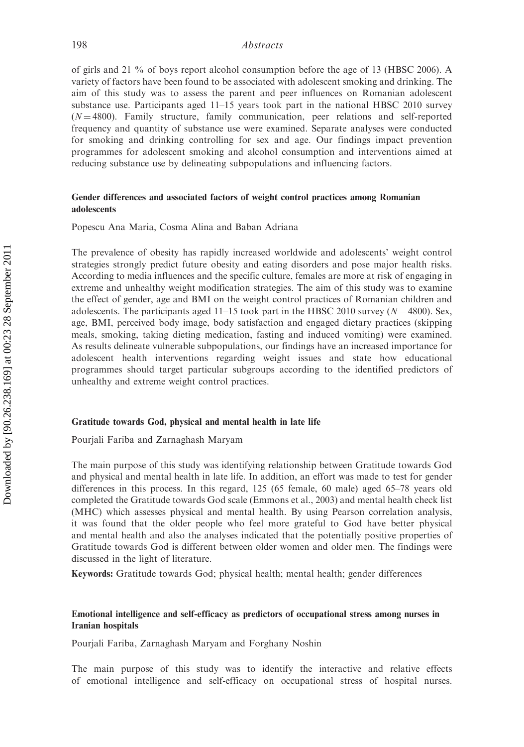of girls and 21 % of boys report alcohol consumption before the age of 13 (HBSC 2006). A variety of factors have been found to be associated with adolescent smoking and drinking. The aim of this study was to assess the parent and peer influences on Romanian adolescent substance use. Participants aged 11–15 years took part in the national HBSC 2010 survey  $(N = 4800)$ . Family structure, family communication, peer relations and self-reported frequency and quantity of substance use were examined. Separate analyses were conducted for smoking and drinking controlling for sex and age. Our findings impact prevention programmes for adolescent smoking and alcohol consumption and interventions aimed at reducing substance use by delineating subpopulations and influencing factors.

# Gender differences and associated factors of weight control practices among Romanian adolescents

Popescu Ana Maria, Cosma Alina and Baban Adriana

The prevalence of obesity has rapidly increased worldwide and adolescents' weight control strategies strongly predict future obesity and eating disorders and pose major health risks. According to media influences and the specific culture, females are more at risk of engaging in extreme and unhealthy weight modification strategies. The aim of this study was to examine the effect of gender, age and BMI on the weight control practices of Romanian children and adolescents. The participants aged 11–15 took part in the HBSC 2010 survey ( $N = 4800$ ). Sex, age, BMI, perceived body image, body satisfaction and engaged dietary practices (skipping meals, smoking, taking dieting medication, fasting and induced vomiting) were examined. As results delineate vulnerable subpopulations, our findings have an increased importance for adolescent health interventions regarding weight issues and state how educational programmes should target particular subgroups according to the identified predictors of unhealthy and extreme weight control practices.

#### Gratitude towards God, physical and mental health in late life

Pourjali Fariba and Zarnaghash Maryam

The main purpose of this study was identifying relationship between Gratitude towards God and physical and mental health in late life. In addition, an effort was made to test for gender differences in this process. In this regard, 125 (65 female, 60 male) aged 65–78 years old completed the Gratitude towards God scale (Emmons et al., 2003) and mental health check list (MHC) which assesses physical and mental health. By using Pearson correlation analysis, it was found that the older people who feel more grateful to God have better physical and mental health and also the analyses indicated that the potentially positive properties of Gratitude towards God is different between older women and older men. The findings were discussed in the light of literature.

Keywords: Gratitude towards God; physical health; mental health; gender differences

# Emotional intelligence and self-efficacy as predictors of occupational stress among nurses in Iranian hospitals

Pourjali Fariba, Zarnaghash Maryam and Forghany Noshin

The main purpose of this study was to identify the interactive and relative effects of emotional intelligence and self-efficacy on occupational stress of hospital nurses.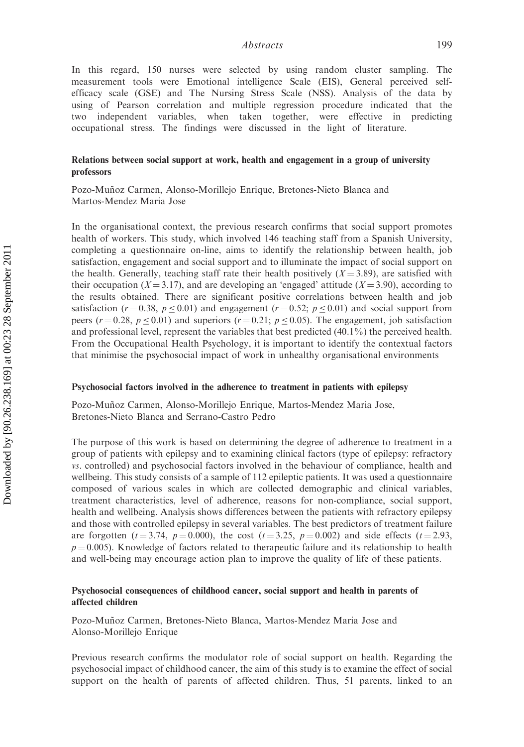In this regard, 150 nurses were selected by using random cluster sampling. The measurement tools were Emotional intelligence Scale (EIS), General perceived selfefficacy scale (GSE) and The Nursing Stress Scale (NSS). Analysis of the data by using of Pearson correlation and multiple regression procedure indicated that the two independent variables, when taken together, were effective in predicting occupational stress. The findings were discussed in the light of literature.

# Relations between social support at work, health and engagement in a group of university professors

Pozo-Muñoz Carmen, Alonso-Morillejo Enrique, Bretones-Nieto Blanca and Martos-Mendez Maria Jose

In the organisational context, the previous research confirms that social support promotes health of workers. This study, which involved 146 teaching staff from a Spanish University, completing a questionnaire on-line, aims to identify the relationship between health, job satisfaction, engagement and social support and to illuminate the impact of social support on the health. Generally, teaching staff rate their health positively  $(X = 3.89)$ , are satisfied with their occupation ( $X = 3.17$ ), and are developing an 'engaged' attitude ( $X = 3.90$ ), according to the results obtained. There are significant positive correlations between health and job satisfaction ( $r = 0.38$ ,  $p \le 0.01$ ) and engagement ( $r = 0.52$ ;  $p \le 0.01$ ) and social support from peers ( $r = 0.28$ ,  $p \le 0.01$ ) and superiors ( $r = 0.21$ ;  $p \le 0.05$ ). The engagement, job satisfaction and professional level, represent the variables that best predicted (40.1%) the perceived health. From the Occupational Health Psychology, it is important to identify the contextual factors that minimise the psychosocial impact of work in unhealthy organisational environments

#### Psychosocial factors involved in the adherence to treatment in patients with epilepsy

Pozo-Muñoz Carmen, Alonso-Morillejo Enrique, Martos-Mendez Maria Jose, Bretones-Nieto Blanca and Serrano-Castro Pedro

The purpose of this work is based on determining the degree of adherence to treatment in a group of patients with epilepsy and to examining clinical factors (type of epilepsy: refractory vs. controlled) and psychosocial factors involved in the behaviour of compliance, health and wellbeing. This study consists of a sample of 112 epileptic patients. It was used a questionnaire composed of various scales in which are collected demographic and clinical variables, treatment characteristics, level of adherence, reasons for non-compliance, social support, health and wellbeing. Analysis shows differences between the patients with refractory epilepsy and those with controlled epilepsy in several variables. The best predictors of treatment failure are forgotten (t=3.74, p=0.000), the cost (t=3.25, p=0.002) and side effects (t=2.93,  $p = 0.005$ ). Knowledge of factors related to therapeutic failure and its relationship to health and well-being may encourage action plan to improve the quality of life of these patients.

## Psychosocial consequences of childhood cancer, social support and health in parents of affected children

Pozo-Muñoz Carmen, Bretones-Nieto Blanca, Martos-Mendez Maria Jose and Alonso-Morillejo Enrique

Previous research confirms the modulator role of social support on health. Regarding the psychosocial impact of childhood cancer, the aim of this study is to examine the effect of social support on the health of parents of affected children. Thus, 51 parents, linked to an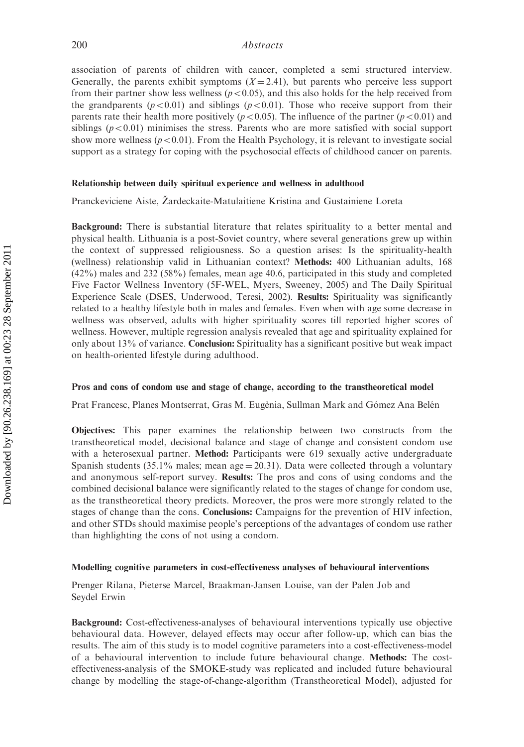association of parents of children with cancer, completed a semi structured interview. Generally, the parents exhibit symptoms  $(X = 2.41)$ , but parents who perceive less support from their partner show less wellness ( $p<0.05$ ), and this also holds for the help received from the grandparents ( $p<0.01$ ) and siblings ( $p<0.01$ ). Those who receive support from their parents rate their health more positively ( $p<0.05$ ). The influence of the partner ( $p<0.01$ ) and siblings  $(p<0.01)$  minimises the stress. Parents who are more satisfied with social support show more wellness ( $p<0.01$ ). From the Health Psychology, it is relevant to investigate social support as a strategy for coping with the psychosocial effects of childhood cancer on parents.

### Relationship between daily spiritual experience and wellness in adulthood

Pranckeviciene Aiste, Žardeckaite-Matulaitiene Kristina and Gustainiene Loreta

Background: There is substantial literature that relates spirituality to a better mental and physical health. Lithuania is a post-Soviet country, where several generations grew up within the context of suppressed religiousness. So a question arises: Is the spirituality-health (wellness) relationship valid in Lithuanian context? Methods: 400 Lithuanian adults, 168 (42%) males and 232 (58%) females, mean age 40.6, participated in this study and completed Five Factor Wellness Inventory (5F-WEL, Myers, Sweeney, 2005) and The Daily Spiritual Experience Scale (DSES, Underwood, Teresi, 2002). Results: Spirituality was significantly related to a healthy lifestyle both in males and females. Even when with age some decrease in wellness was observed, adults with higher spirituality scores till reported higher scores of wellness. However, multiple regression analysis revealed that age and spirituality explained for only about 13% of variance. Conclusion: Spirituality has a significant positive but weak impact on health-oriented lifestyle during adulthood.

#### Pros and cons of condom use and stage of change, according to the transtheoretical model

Prat Francesc, Planes Montserrat, Gras M. Eugènia, Sullman Mark and Gómez Ana Belén

Objectives: This paper examines the relationship between two constructs from the transtheoretical model, decisional balance and stage of change and consistent condom use with a heterosexual partner. Method: Participants were 619 sexually active undergraduate Spanish students (35.1% males; mean age  $=$  20.31). Data were collected through a voluntary and anonymous self-report survey. Results: The pros and cons of using condoms and the combined decisional balance were significantly related to the stages of change for condom use, as the transtheoretical theory predicts. Moreover, the pros were more strongly related to the stages of change than the cons. Conclusions: Campaigns for the prevention of HIV infection, and other STDs should maximise people's perceptions of the advantages of condom use rather than highlighting the cons of not using a condom.

#### Modelling cognitive parameters in cost-effectiveness analyses of behavioural interventions

Prenger Rilana, Pieterse Marcel, Braakman-Jansen Louise, van der Palen Job and Seydel Erwin

Background: Cost-effectiveness-analyses of behavioural interventions typically use objective behavioural data. However, delayed effects may occur after follow-up, which can bias the results. The aim of this study is to model cognitive parameters into a cost-effectiveness-model of a behavioural intervention to include future behavioural change. Methods: The costeffectiveness-analysis of the SMOKE-study was replicated and included future behavioural change by modelling the stage-of-change-algorithm (Transtheoretical Model), adjusted for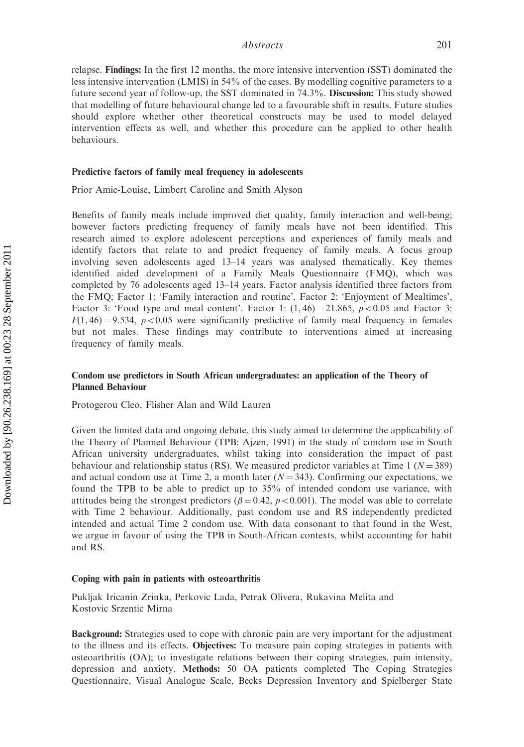relapse. Findings: In the first 12 months, the more intensive intervention (SST) dominated the less intensive intervention (LMIS) in 54% of the cases. By modelling cognitive parameters to a future second year of follow-up, the SST dominated in 74.3%. Discussion: This study showed that modelling of future behavioural change led to a favourable shift in results. Future studies should explore whether other theoretical constructs may be used to model delayed intervention effects as well, and whether this procedure can be applied to other health behaviours.

### Predictive factors of family meal frequency in adolescents

Prior Amie-Louise, Limbert Caroline and Smith Alyson

Benefits of family meals include improved diet quality, family interaction and well-being; however factors predicting frequency of family meals have not been identified. This research aimed to explore adolescent perceptions and experiences of family meals and identify factors that relate to and predict frequency of family meals. A focus group involving seven adolescents aged 13–14 years was analysed thematically. Key themes identified aided development of a Family Meals Questionnaire (FMQ), which was completed by 76 adolescents aged 13–14 years. Factor analysis identified three factors from the FMQ; Factor 1: 'Family interaction and routine', Factor 2: 'Enjoyment of Mealtimes', Factor 3: 'Food type and meal content'. Factor 1:  $(1, 46) = 21.865$ ,  $p < 0.05$  and Factor 3:  $F(1, 46) = 9.534$ ,  $p < 0.05$  were significantly predictive of family meal frequency in females but not males. These findings may contribute to interventions aimed at increasing frequency of family meals.

## Condom use predictors in South African undergraduates: an application of the Theory of Planned Behaviour

Protogerou Cleo, Flisher Alan and Wild Lauren

Given the limited data and ongoing debate, this study aimed to determine the applicability of the Theory of Planned Behaviour (TPB: Ajzen, 1991) in the study of condom use in South African university undergraduates, whilst taking into consideration the impact of past behaviour and relationship status (RS). We measured predictor variables at Time 1 ( $N = 389$ ) and actual condom use at Time 2, a month later  $(N = 343)$ . Confirming our expectations, we found the TPB to be able to predict up to 35% of intended condom use variance, with attitudes being the strongest predictors  $(\beta = 0.42, p < 0.001)$ . The model was able to correlate with Time 2 behaviour. Additionally, past condom use and RS independently predicted intended and actual Time 2 condom use. With data consonant to that found in the West, we argue in favour of using the TPB in South-African contexts, whilst accounting for habit and RS.

#### Coping with pain in patients with osteoarthritis

Pukljak Iricanin Zrinka, Perkovic Lada, Petrak Olivera, Rukavina Melita and Kostovic Srzentic Mirna

Background: Strategies used to cope with chronic pain are very important for the adjustment to the illness and its effects. Objectives: To measure pain coping strategies in patients with osteoarthritis (OA); to investigate relations between their coping strategies, pain intensity, depression and anxiety. Methods: 50 OA patients completed The Coping Strategies Questionnaire, Visual Analogue Scale, Becks Depression Inventory and Spielberger State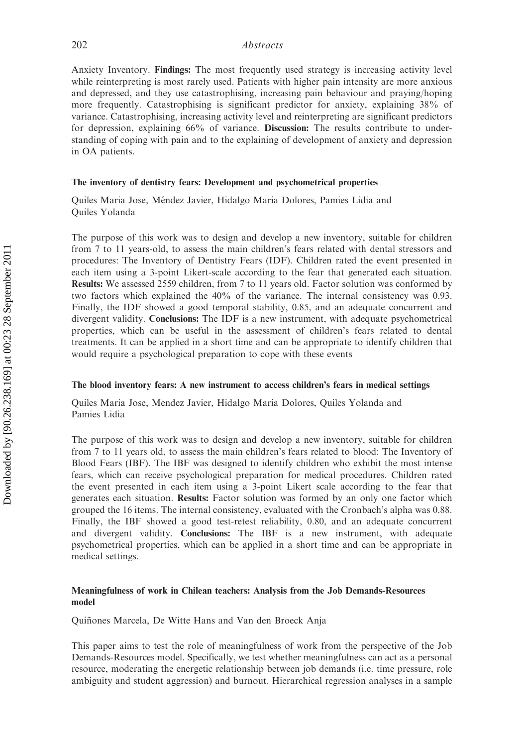Anxiety Inventory. Findings: The most frequently used strategy is increasing activity level while reinterpreting is most rarely used. Patients with higher pain intensity are more anxious and depressed, and they use catastrophising, increasing pain behaviour and praying/hoping more frequently. Catastrophising is significant predictor for anxiety, explaining 38% of variance. Catastrophising, increasing activity level and reinterpreting are significant predictors for depression, explaining 66% of variance. Discussion: The results contribute to understanding of coping with pain and to the explaining of development of anxiety and depression in OA patients.

### The inventory of dentistry fears: Development and psychometrical properties

Quiles Maria Jose, Méndez Javier, Hidalgo Maria Dolores, Pamies Lidia and Quiles Yolanda

The purpose of this work was to design and develop a new inventory, suitable for children from 7 to 11 years-old, to assess the main children's fears related with dental stressors and procedures: The Inventory of Dentistry Fears (IDF). Children rated the event presented in each item using a 3-point Likert-scale according to the fear that generated each situation. Results: We assessed 2559 children, from 7 to 11 years old. Factor solution was conformed by two factors which explained the 40% of the variance. The internal consistency was 0.93. Finally, the IDF showed a good temporal stability, 0.85, and an adequate concurrent and divergent validity. Conclusions: The IDF is a new instrument, with adequate psychometrical properties, which can be useful in the assessment of children's fears related to dental treatments. It can be applied in a short time and can be appropriate to identify children that would require a psychological preparation to cope with these events

### The blood inventory fears: A new instrument to access children's fears in medical settings

Quiles Maria Jose, Mendez Javier, Hidalgo Maria Dolores, Quiles Yolanda and Pamies Lidia

The purpose of this work was to design and develop a new inventory, suitable for children from 7 to 11 years old, to assess the main children's fears related to blood: The Inventory of Blood Fears (IBF). The IBF was designed to identify children who exhibit the most intense fears, which can receive psychological preparation for medical procedures. Children rated the event presented in each item using a 3-point Likert scale according to the fear that generates each situation. Results: Factor solution was formed by an only one factor which grouped the 16 items. The internal consistency, evaluated with the Cronbach's alpha was 0.88. Finally, the IBF showed a good test-retest reliability, 0.80, and an adequate concurrent and divergent validity. Conclusions: The IBF is a new instrument, with adequate psychometrical properties, which can be applied in a short time and can be appropriate in medical settings.

### Meaningfulness of work in Chilean teachers: Analysis from the Job Demands-Resources model

Quiñones Marcela, De Witte Hans and Van den Broeck Anja

This paper aims to test the role of meaningfulness of work from the perspective of the Job Demands-Resources model. Specifically, we test whether meaningfulness can act as a personal resource, moderating the energetic relationship between job demands (i.e. time pressure, role ambiguity and student aggression) and burnout. Hierarchical regression analyses in a sample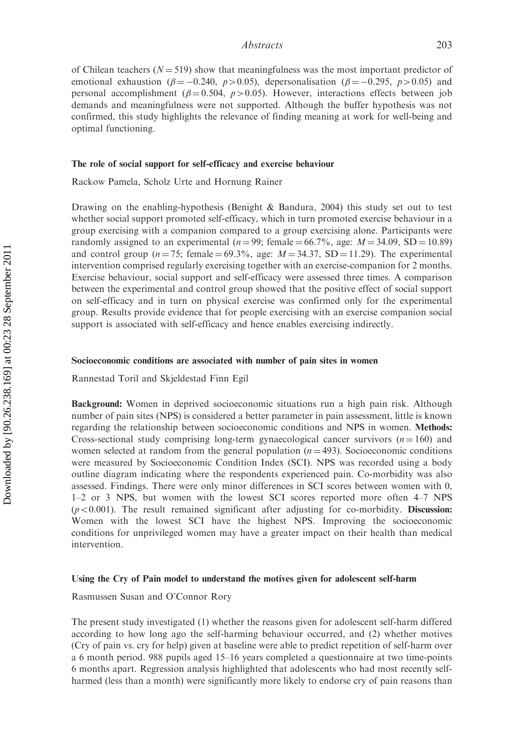of Chilean teachers ( $N = 519$ ) show that meaningfulness was the most important predictor of emotional exhaustion ( $\beta = -0.240$ ,  $p > 0.05$ ), depersonalisation ( $\beta = -0.295$ ,  $p > 0.05$ ) and personal accomplishment ( $\beta = 0.504$ ,  $p > 0.05$ ). However, interactions effects between job demands and meaningfulness were not supported. Although the buffer hypothesis was not confirmed, this study highlights the relevance of finding meaning at work for well-being and optimal functioning.

#### The role of social support for self-efficacy and exercise behaviour

Rackow Pamela, Scholz Urte and Hornung Rainer

Drawing on the enabling-hypothesis (Benight  $\&$  Bandura, 2004) this study set out to test whether social support promoted self-efficacy, which in turn promoted exercise behaviour in a group exercising with a companion compared to a group exercising alone. Participants were randomly assigned to an experimental  $(n = 99; \text{ female} = 66.7\%, \text{ age: } M = 34.09, SD = 10.89)$ and control group ( $n = 75$ ; female  $= 69.3\%$ , age:  $M = 34.37$ , SD  $= 11.29$ ). The experimental intervention comprised regularly exercising together with an exercise-companion for 2 months. Exercise behaviour, social support and self-efficacy were assessed three times. A comparison between the experimental and control group showed that the positive effect of social support on self-efficacy and in turn on physical exercise was confirmed only for the experimental group. Results provide evidence that for people exercising with an exercise companion social support is associated with self-efficacy and hence enables exercising indirectly.

#### Socioeconomic conditions are associated with number of pain sites in women

Rannestad Toril and Skjeldestad Finn Egil

Background: Women in deprived socioeconomic situations run a high pain risk. Although number of pain sites (NPS) is considered a better parameter in pain assessment, little is known regarding the relationship between socioeconomic conditions and NPS in women. Methods: Cross-sectional study comprising long-term gynaecological cancer survivors  $(n = 160)$  and women selected at random from the general population  $(n = 493)$ . Socioeconomic conditions were measured by Socioeconomic Condition Index (SCI). NPS was recorded using a body outline diagram indicating where the respondents experienced pain. Co-morbidity was also assessed. Findings. There were only minor differences in SCI scores between women with 0, 1–2 or 3 NPS, but women with the lowest SCI scores reported more often 4–7 NPS  $(p<0.001)$ . The result remained significant after adjusting for co-morbidity. Discussion: Women with the lowest SCI have the highest NPS. Improving the socioeconomic conditions for unprivileged women may have a greater impact on their health than medical intervention.

#### Using the Cry of Pain model to understand the motives given for adolescent self-harm

Rasmussen Susan and O'Connor Rory

The present study investigated (1) whether the reasons given for adolescent self-harm differed according to how long ago the self-harming behaviour occurred, and (2) whether motives (Cry of pain vs. cry for help) given at baseline were able to predict repetition of self-harm over a 6 month period. 988 pupils aged 15–16 years completed a questionnaire at two time-points 6 months apart. Regression analysis highlighted that adolescents who had most recently selfharmed (less than a month) were significantly more likely to endorse cry of pain reasons than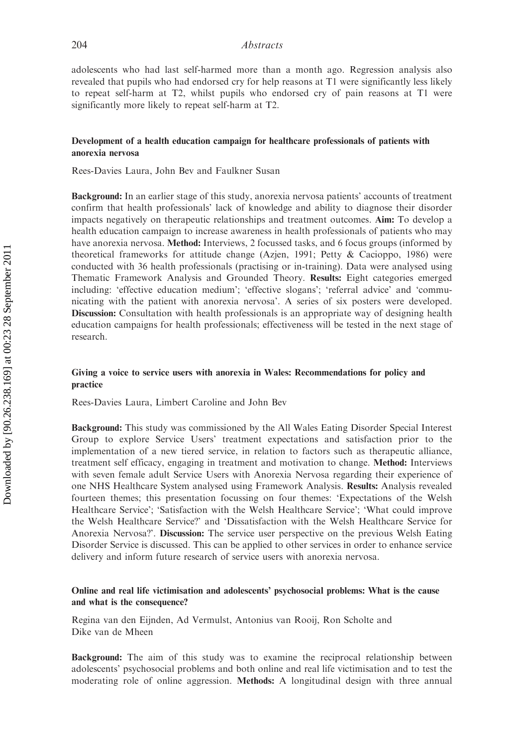adolescents who had last self-harmed more than a month ago. Regression analysis also revealed that pupils who had endorsed cry for help reasons at T1 were significantly less likely to repeat self-harm at T2, whilst pupils who endorsed cry of pain reasons at T1 were significantly more likely to repeat self-harm at T2.

## Development of a health education campaign for healthcare professionals of patients with anorexia nervosa

Rees-Davies Laura, John Bev and Faulkner Susan

Background: In an earlier stage of this study, anorexia nervosa patients' accounts of treatment confirm that health professionals' lack of knowledge and ability to diagnose their disorder impacts negatively on therapeutic relationships and treatment outcomes. Aim: To develop a health education campaign to increase awareness in health professionals of patients who may have anorexia nervosa. Method: Interviews, 2 focussed tasks, and 6 focus groups (informed by theoretical frameworks for attitude change (Azjen, 1991; Petty & Cacioppo, 1986) were conducted with 36 health professionals (practising or in-training). Data were analysed using Thematic Framework Analysis and Grounded Theory. Results: Eight categories emerged including: 'effective education medium'; 'effective slogans'; 'referral advice' and 'communicating with the patient with anorexia nervosa'. A series of six posters were developed. Discussion: Consultation with health professionals is an appropriate way of designing health education campaigns for health professionals; effectiveness will be tested in the next stage of research.

# Giving a voice to service users with anorexia in Wales: Recommendations for policy and practice

Rees-Davies Laura, Limbert Caroline and John Bev

Background: This study was commissioned by the All Wales Eating Disorder Special Interest Group to explore Service Users' treatment expectations and satisfaction prior to the implementation of a new tiered service, in relation to factors such as therapeutic alliance, treatment self efficacy, engaging in treatment and motivation to change. Method: Interviews with seven female adult Service Users with Anorexia Nervosa regarding their experience of one NHS Healthcare System analysed using Framework Analysis. Results: Analysis revealed fourteen themes; this presentation focussing on four themes: 'Expectations of the Welsh Healthcare Service'; 'Satisfaction with the Welsh Healthcare Service'; 'What could improve the Welsh Healthcare Service?' and 'Dissatisfaction with the Welsh Healthcare Service for Anorexia Nervosa?'. Discussion: The service user perspective on the previous Welsh Eating Disorder Service is discussed. This can be applied to other services in order to enhance service delivery and inform future research of service users with anorexia nervosa.

## Online and real life victimisation and adolescents' psychosocial problems: What is the cause and what is the consequence?

Regina van den Eijnden, Ad Vermulst, Antonius van Rooij, Ron Scholte and Dike van de Mheen

Background: The aim of this study was to examine the reciprocal relationship between adolescents' psychosocial problems and both online and real life victimisation and to test the moderating role of online aggression. Methods: A longitudinal design with three annual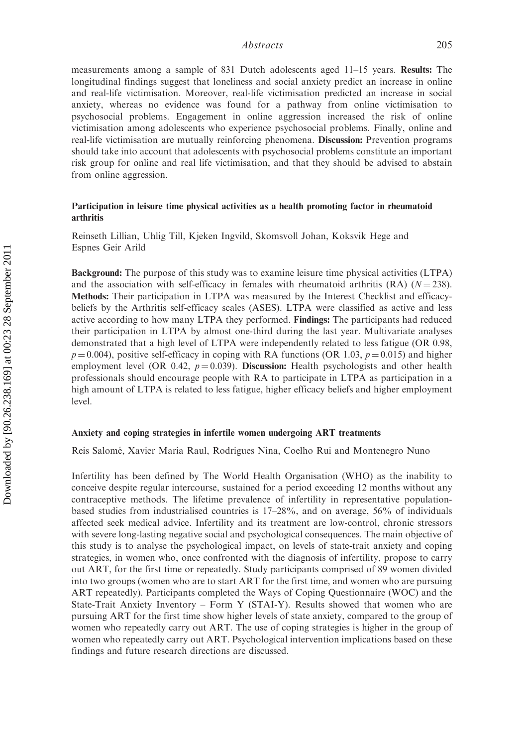measurements among a sample of 831 Dutch adolescents aged 11–15 years. Results: The longitudinal findings suggest that loneliness and social anxiety predict an increase in online and real-life victimisation. Moreover, real-life victimisation predicted an increase in social anxiety, whereas no evidence was found for a pathway from online victimisation to psychosocial problems. Engagement in online aggression increased the risk of online victimisation among adolescents who experience psychosocial problems. Finally, online and real-life victimisation are mutually reinforcing phenomena. Discussion: Prevention programs should take into account that adolescents with psychosocial problems constitute an important risk group for online and real life victimisation, and that they should be advised to abstain from online aggression.

### Participation in leisure time physical activities as a health promoting factor in rheumatoid arthritis

Reinseth Lillian, Uhlig Till, Kjeken Ingvild, Skomsvoll Johan, Koksvik Hege and Espnes Geir Arild

Background: The purpose of this study was to examine leisure time physical activities (LTPA) and the association with self-efficacy in females with rheumatoid arthritis (RA)  $(N = 238)$ . Methods: Their participation in LTPA was measured by the Interest Checklist and efficacybeliefs by the Arthritis self-efficacy scales (ASES). LTPA were classified as active and less active according to how many LTPA they performed. Findings: The participants had reduced their participation in LTPA by almost one-third during the last year. Multivariate analyses demonstrated that a high level of LTPA were independently related to less fatigue (OR 0.98,  $p = 0.004$ ), positive self-efficacy in coping with RA functions (OR 1.03,  $p = 0.015$ ) and higher employment level (OR 0.42,  $p = 0.039$ ). Discussion: Health psychologists and other health professionals should encourage people with RA to participate in LTPA as participation in a high amount of LTPA is related to less fatigue, higher efficacy beliefs and higher employment level.

### Anxiety and coping strategies in infertile women undergoing ART treatments

Reis Salome´, Xavier Maria Raul, Rodrigues Nina, Coelho Rui and Montenegro Nuno

Infertility has been defined by The World Health Organisation (WHO) as the inability to conceive despite regular intercourse, sustained for a period exceeding 12 months without any contraceptive methods. The lifetime prevalence of infertility in representative populationbased studies from industrialised countries is 17–28%, and on average, 56% of individuals affected seek medical advice. Infertility and its treatment are low-control, chronic stressors with severe long-lasting negative social and psychological consequences. The main objective of this study is to analyse the psychological impact, on levels of state-trait anxiety and coping strategies, in women who, once confronted with the diagnosis of infertility, propose to carry out ART, for the first time or repeatedly. Study participants comprised of 89 women divided into two groups (women who are to start ART for the first time, and women who are pursuing ART repeatedly). Participants completed the Ways of Coping Questionnaire (WOC) and the State-Trait Anxiety Inventory – Form Y (STAI-Y). Results showed that women who are pursuing ART for the first time show higher levels of state anxiety, compared to the group of women who repeatedly carry out ART. The use of coping strategies is higher in the group of women who repeatedly carry out ART. Psychological intervention implications based on these findings and future research directions are discussed.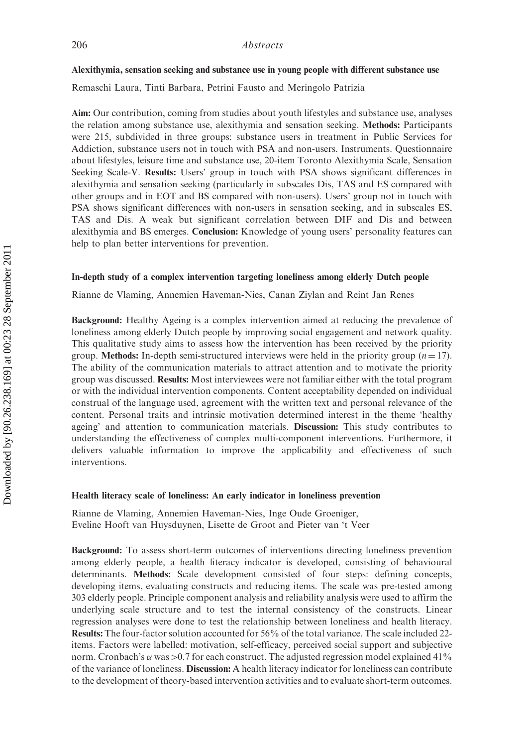## Alexithymia, sensation seeking and substance use in young people with different substance use

Remaschi Laura, Tinti Barbara, Petrini Fausto and Meringolo Patrizia

Aim: Our contribution, coming from studies about youth lifestyles and substance use, analyses the relation among substance use, alexithymia and sensation seeking. Methods: Participants were 215, subdivided in three groups: substance users in treatment in Public Services for Addiction, substance users not in touch with PSA and non-users. Instruments. Questionnaire about lifestyles, leisure time and substance use, 20-item Toronto Alexithymia Scale, Sensation Seeking Scale-V. Results: Users' group in touch with PSA shows significant differences in alexithymia and sensation seeking (particularly in subscales Dis, TAS and ES compared with other groups and in EOT and BS compared with non-users). Users' group not in touch with PSA shows significant differences with non-users in sensation seeking, and in subscales ES, TAS and Dis. A weak but significant correlation between DIF and Dis and between alexithymia and BS emerges. Conclusion: Knowledge of young users' personality features can help to plan better interventions for prevention.

### In-depth study of a complex intervention targeting loneliness among elderly Dutch people

Rianne de Vlaming, Annemien Haveman-Nies, Canan Ziylan and Reint Jan Renes

Background: Healthy Ageing is a complex intervention aimed at reducing the prevalence of loneliness among elderly Dutch people by improving social engagement and network quality. This qualitative study aims to assess how the intervention has been received by the priority group. **Methods:** In-depth semi-structured interviews were held in the priority group  $(n = 17)$ . The ability of the communication materials to attract attention and to motivate the priority group was discussed. Results: Most interviewees were not familiar either with the total program or with the individual intervention components. Content acceptability depended on individual construal of the language used, agreement with the written text and personal relevance of the content. Personal traits and intrinsic motivation determined interest in the theme 'healthy ageing' and attention to communication materials. Discussion: This study contributes to understanding the effectiveness of complex multi-component interventions. Furthermore, it delivers valuable information to improve the applicability and effectiveness of such interventions.

#### Health literacy scale of loneliness: An early indicator in loneliness prevention

Rianne de Vlaming, Annemien Haveman-Nies, Inge Oude Groeniger, Eveline Hooft van Huysduynen, Lisette de Groot and Pieter van 't Veer

Background: To assess short-term outcomes of interventions directing loneliness prevention among elderly people, a health literacy indicator is developed, consisting of behavioural determinants. Methods: Scale development consisted of four steps: defining concepts, developing items, evaluating constructs and reducing items. The scale was pre-tested among 303 elderly people. Principle component analysis and reliability analysis were used to affirm the underlying scale structure and to test the internal consistency of the constructs. Linear regression analyses were done to test the relationship between loneliness and health literacy. Results: The four-factor solution accounted for 56% of the total variance. The scale included 22 items. Factors were labelled: motivation, self-efficacy, perceived social support and subjective norm. Cronbach's  $\alpha$  was >0.7 for each construct. The adjusted regression model explained 41% of the variance of loneliness. Discussion: A health literacy indicator for loneliness can contribute to the development of theory-based intervention activities and to evaluate short-term outcomes.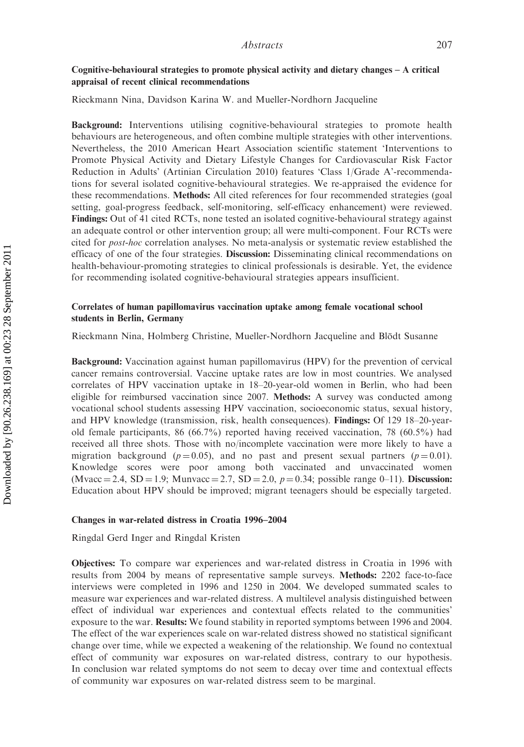# Cognitive-behavioural strategies to promote physical activity and dietary changes – A critical appraisal of recent clinical recommendations

Rieckmann Nina, Davidson Karina W. and Mueller-Nordhorn Jacqueline

Background: Interventions utilising cognitive-behavioural strategies to promote health behaviours are heterogeneous, and often combine multiple strategies with other interventions. Nevertheless, the 2010 American Heart Association scientific statement 'Interventions to Promote Physical Activity and Dietary Lifestyle Changes for Cardiovascular Risk Factor Reduction in Adults' (Artinian Circulation 2010) features 'Class 1/Grade A'-recommendations for several isolated cognitive-behavioural strategies. We re-appraised the evidence for these recommendations. Methods: All cited references for four recommended strategies (goal setting, goal-progress feedback, self-monitoring, self-efficacy enhancement) were reviewed. Findings: Out of 41 cited RCTs, none tested an isolated cognitive-behavioural strategy against an adequate control or other intervention group; all were multi-component. Four RCTs were cited for post-hoc correlation analyses. No meta-analysis or systematic review established the efficacy of one of the four strategies. Discussion: Disseminating clinical recommendations on health-behaviour-promoting strategies to clinical professionals is desirable. Yet, the evidence for recommending isolated cognitive-behavioural strategies appears insufficient.

# Correlates of human papillomavirus vaccination uptake among female vocational school students in Berlin, Germany

Rieckmann Nina, Holmberg Christine, Mueller-Nordhorn Jacqueline and Blödt Susanne

Background: Vaccination against human papillomavirus (HPV) for the prevention of cervical cancer remains controversial. Vaccine uptake rates are low in most countries. We analysed correlates of HPV vaccination uptake in 18–20-year-old women in Berlin, who had been eligible for reimbursed vaccination since 2007. Methods: A survey was conducted among vocational school students assessing HPV vaccination, socioeconomic status, sexual history, and HPV knowledge (transmission, risk, health consequences). Findings: Of 129 18–20-yearold female participants, 86 (66.7%) reported having received vaccination, 78 (60.5%) had received all three shots. Those with no/incomplete vaccination were more likely to have a migration background ( $p = 0.05$ ), and no past and present sexual partners ( $p = 0.01$ ). Knowledge scores were poor among both vaccinated and unvaccinated (Mvacc = 2.4, SD = 1.9; Munvacc = 2.7, SD = 2.0,  $p = 0.34$ ; possible range 0–11). Discussion: Education about HPV should be improved; migrant teenagers should be especially targeted.

### Changes in war-related distress in Croatia 1996–2004

Ringdal Gerd Inger and Ringdal Kristen

Objectives: To compare war experiences and war-related distress in Croatia in 1996 with results from 2004 by means of representative sample surveys. Methods: 2202 face-to-face interviews were completed in 1996 and 1250 in 2004. We developed summated scales to measure war experiences and war-related distress. A multilevel analysis distinguished between effect of individual war experiences and contextual effects related to the communities' exposure to the war. Results: We found stability in reported symptoms between 1996 and 2004. The effect of the war experiences scale on war-related distress showed no statistical significant change over time, while we expected a weakening of the relationship. We found no contextual effect of community war exposures on war-related distress, contrary to our hypothesis. In conclusion war related symptoms do not seem to decay over time and contextual effects of community war exposures on war-related distress seem to be marginal.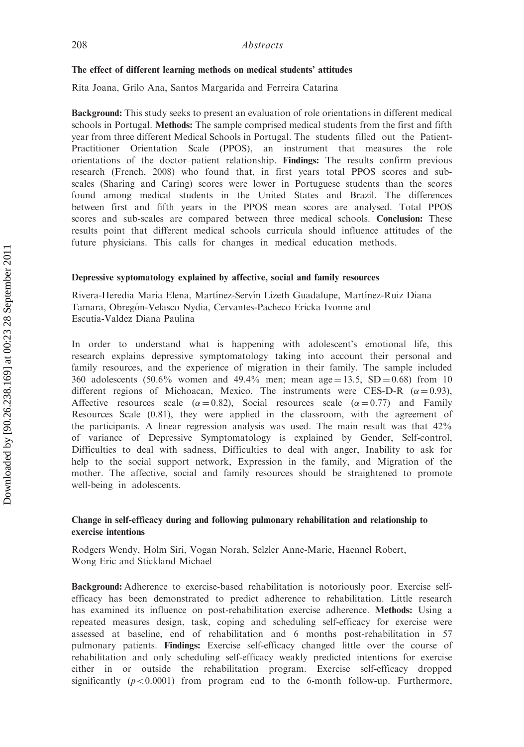#### The effect of different learning methods on medical students' attitudes

Rita Joana, Grilo Ana, Santos Margarida and Ferreira Catarina

Background: This study seeks to present an evaluation of role orientations in different medical schools in Portugal. **Methods:** The sample comprised medical students from the first and fifth year from three different Medical Schools in Portugal. The students filled out the Patient-Practitioner Orientation Scale (PPOS), an instrument that measures the role orientations of the doctor–patient relationship. Findings: The results confirm previous research (French, 2008) who found that, in first years total PPOS scores and subscales (Sharing and Caring) scores were lower in Portuguese students than the scores found among medical students in the United States and Brazil. The differences between first and fifth years in the PPOS mean scores are analysed. Total PPOS scores and sub-scales are compared between three medical schools. Conclusion: These results point that different medical schools curricula should influence attitudes of the future physicians. This calls for changes in medical education methods.

#### Depressive syptomatology explained by affective, social and family resources

Rivera-Heredia Maria Elena, Martínez-Servín Lizeth Guadalupe, Martínez-Ruiz Diana Tamara, Obregón-Velasco Nydia, Cervantes-Pacheco Ericka Ivonne and Escutia-Valdez Diana Paulina

In order to understand what is happening with adolescent's emotional life, this research explains depressive symptomatology taking into account their personal and family resources, and the experience of migration in their family. The sample included 360 adolescents (50.6% women and 49.4% men; mean age = 13.5, SD = 0.68) from 10 different regions of Michoacan, Mexico. The instruments were CES-D-R ( $\alpha$  = 0.93), Affective resources scale ( $\alpha = 0.82$ ), Social resources scale ( $\alpha = 0.77$ ) and Family Resources Scale (0.81), they were applied in the classroom, with the agreement of the participants. A linear regression analysis was used. The main result was that 42% of variance of Depressive Symptomatology is explained by Gender, Self-control, Difficulties to deal with sadness, Difficulties to deal with anger, Inability to ask for help to the social support network, Expression in the family, and Migration of the mother. The affective, social and family resources should be straightened to promote well-being in adolescents.

## Change in self-efficacy during and following pulmonary rehabilitation and relationship to exercise intentions

Rodgers Wendy, Holm Siri, Vogan Norah, Selzler Anne-Marie, Haennel Robert, Wong Eric and Stickland Michael

Background: Adherence to exercise-based rehabilitation is notoriously poor. Exercise selfefficacy has been demonstrated to predict adherence to rehabilitation. Little research has examined its influence on post-rehabilitation exercise adherence. Methods: Using a repeated measures design, task, coping and scheduling self-efficacy for exercise were assessed at baseline, end of rehabilitation and 6 months post-rehabilitation in 57 pulmonary patients. Findings: Exercise self-efficacy changed little over the course of rehabilitation and only scheduling self-efficacy weakly predicted intentions for exercise either in or outside the rehabilitation program. Exercise self-efficacy dropped significantly  $(p<0.0001)$  from program end to the 6-month follow-up. Furthermore,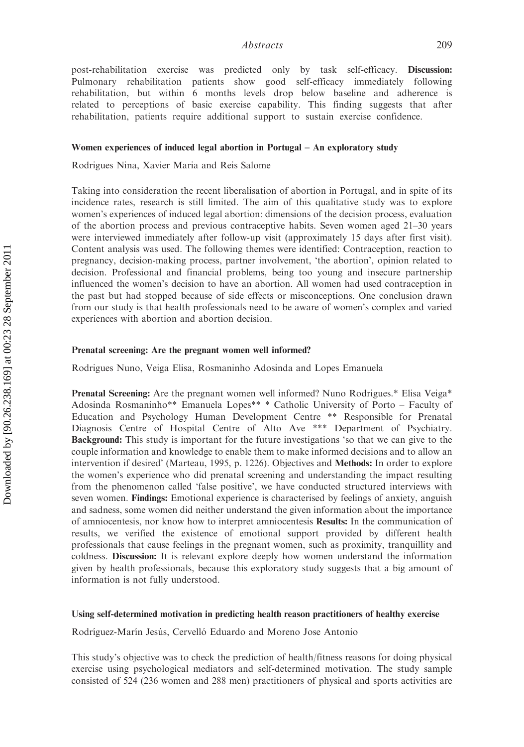post-rehabilitation exercise was predicted only by task self-efficacy. Discussion: Pulmonary rehabilitation patients show good self-efficacy immediately following rehabilitation, but within 6 months levels drop below baseline and adherence is related to perceptions of basic exercise capability. This finding suggests that after rehabilitation, patients require additional support to sustain exercise confidence.

#### Women experiences of induced legal abortion in Portugal – An exploratory study

Rodrigues Nina, Xavier Maria and Reis Salome

Taking into consideration the recent liberalisation of abortion in Portugal, and in spite of its incidence rates, research is still limited. The aim of this qualitative study was to explore women's experiences of induced legal abortion: dimensions of the decision process, evaluation of the abortion process and previous contraceptive habits. Seven women aged 21–30 years were interviewed immediately after follow-up visit (approximately 15 days after first visit). Content analysis was used. The following themes were identified: Contraception, reaction to pregnancy, decision-making process, partner involvement, 'the abortion', opinion related to decision. Professional and financial problems, being too young and insecure partnership influenced the women's decision to have an abortion. All women had used contraception in the past but had stopped because of side effects or misconceptions. One conclusion drawn from our study is that health professionals need to be aware of women's complex and varied experiences with abortion and abortion decision.

#### Prenatal screening: Are the pregnant women well informed?

Rodrigues Nuno, Veiga Elisa, Rosmaninho Adosinda and Lopes Emanuela

Prenatal Screening: Are the pregnant women well informed? Nuno Rodrigues.\* Elisa Veiga\* Adosinda Rosmaninho\*\* Emanuela Lopes\*\* \* Catholic University of Porto – Faculty of Education and Psychology Human Development Centre \*\* Responsible for Prenatal Diagnosis Centre of Hospital Centre of Alto Ave \*\*\* Department of Psychiatry. Background: This study is important for the future investigations 'so that we can give to the couple information and knowledge to enable them to make informed decisions and to allow an intervention if desired' (Marteau, 1995, p. 1226). Objectives and Methods: In order to explore the women's experience who did prenatal screening and understanding the impact resulting from the phenomenon called 'false positive', we have conducted structured interviews with seven women. Findings: Emotional experience is characterised by feelings of anxiety, anguish and sadness, some women did neither understand the given information about the importance of amniocentesis, nor know how to interpret amniocentesis Results: In the communication of results, we verified the existence of emotional support provided by different health professionals that cause feelings in the pregnant women, such as proximity, tranquillity and coldness. Discussion: It is relevant explore deeply how women understand the information given by health professionals, because this exploratory study suggests that a big amount of information is not fully understood.

#### Using self-determined motivation in predicting health reason practitioners of healthy exercise

Rodríguez-Marín Jesús, Cervelló Eduardo and Moreno Jose Antonio

This study's objective was to check the prediction of health/fitness reasons for doing physical exercise using psychological mediators and self-determined motivation. The study sample consisted of 524 (236 women and 288 men) practitioners of physical and sports activities are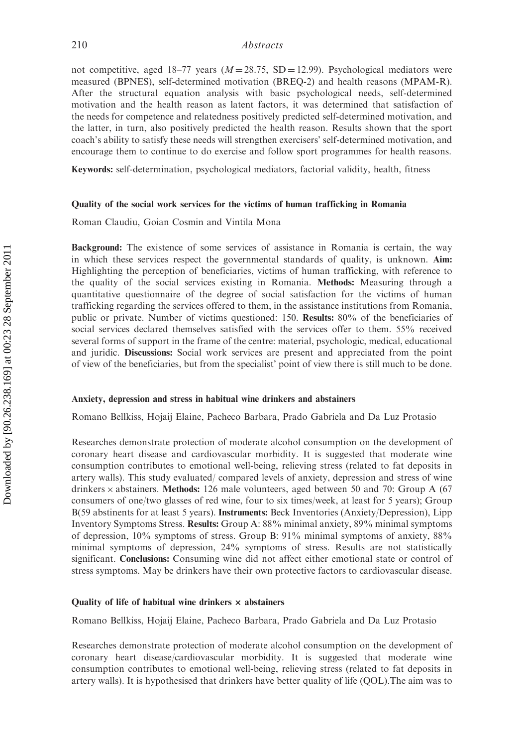not competitive, aged 18–77 years  $(M = 28.75, SD = 12.99)$ . Psychological mediators were measured (BPNES), self-determined motivation (BREQ-2) and health reasons (MPAM-R). After the structural equation analysis with basic psychological needs, self-determined motivation and the health reason as latent factors, it was determined that satisfaction of the needs for competence and relatedness positively predicted self-determined motivation, and the latter, in turn, also positively predicted the health reason. Results shown that the sport coach's ability to satisfy these needs will strengthen exercisers' self-determined motivation, and encourage them to continue to do exercise and follow sport programmes for health reasons.

Keywords: self-determination, psychological mediators, factorial validity, health, fitness

#### Quality of the social work services for the victims of human trafficking in Romania

Roman Claudiu, Goian Cosmin and Vintila Mona

Background: The existence of some services of assistance in Romania is certain, the way in which these services respect the governmental standards of quality, is unknown. Aim: Highlighting the perception of beneficiaries, victims of human trafficking, with reference to the quality of the social services existing in Romania. Methods: Measuring through a quantitative questionnaire of the degree of social satisfaction for the victims of human trafficking regarding the services offered to them, in the assistance institutions from Romania, public or private. Number of victims questioned: 150. Results: 80% of the beneficiaries of social services declared themselves satisfied with the services offer to them. 55% received several forms of support in the frame of the centre: material, psychologic, medical, educational and juridic. Discussions: Social work services are present and appreciated from the point of view of the beneficiaries, but from the specialist' point of view there is still much to be done.

### Anxiety, depression and stress in habitual wine drinkers and abstainers

Romano Bellkiss, Hojaij Elaine, Pacheco Barbara, Prado Gabriela and Da Luz Protasio

Researches demonstrate protection of moderate alcohol consumption on the development of coronary heart disease and cardiovascular morbidity. It is suggested that moderate wine consumption contributes to emotional well-being, relieving stress (related to fat deposits in artery walls). This study evaluated/ compared levels of anxiety, depression and stress of wine drinkers  $\times$  abstainers. Methods: 126 male volunteers, aged between 50 and 70: Group A (67) consumers of one/two glasses of red wine, four to six times/week, at least for 5 years); Group B(59 abstinents for at least 5 years). Instruments: Beck Inventories (Anxiety/Depression), Lipp Inventory Symptoms Stress. Results: Group A: 88% minimal anxiety, 89% minimal symptoms of depression, 10% symptoms of stress. Group B: 91% minimal symptoms of anxiety, 88% minimal symptoms of depression, 24% symptoms of stress. Results are not statistically significant. Conclusions: Consuming wine did not affect either emotional state or control of stress symptoms. May be drinkers have their own protective factors to cardiovascular disease.

### Quality of life of habitual wine drinkers  $\times$  abstainers

Romano Bellkiss, Hojaij Elaine, Pacheco Barbara, Prado Gabriela and Da Luz Protasio

Researches demonstrate protection of moderate alcohol consumption on the development of coronary heart disease/cardiovascular morbidity. It is suggested that moderate wine consumption contributes to emotional well-being, relieving stress (related to fat deposits in artery walls). It is hypothesised that drinkers have better quality of life (QOL).The aim was to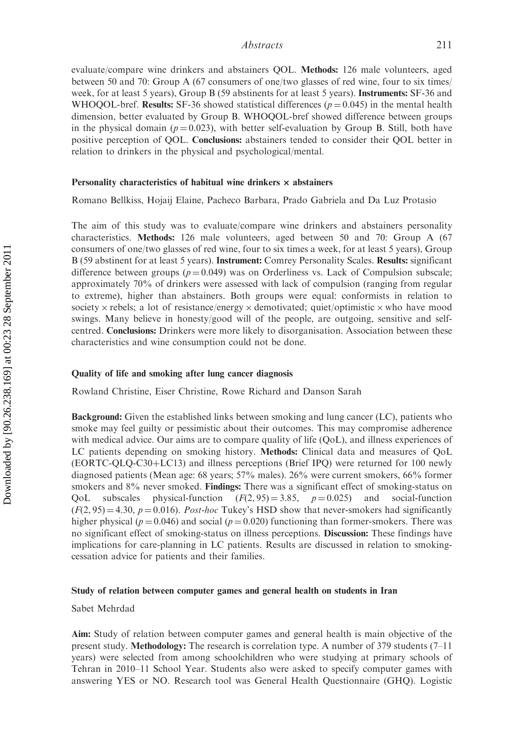evaluate/compare wine drinkers and abstainers QOL. Methods: 126 male volunteers, aged between 50 and 70: Group A (67 consumers of one/two glasses of red wine, four to six times/ week, for at least 5 years), Group B (59 abstinents for at least 5 years). Instruments: SF-36 and WHOQOL-bref. Results: SF-36 showed statistical differences ( $p = 0.045$ ) in the mental health dimension, better evaluated by Group B. WHOQOL-bref showed difference between groups in the physical domain ( $p = 0.023$ ), with better self-evaluation by Group B. Still, both have positive perception of QOL. Conclusions: abstainers tended to consider their QOL better in relation to drinkers in the physical and psychological/mental.

#### Personality characteristics of habitual wine drinkers  $\times$  abstainers

Romano Bellkiss, Hojaij Elaine, Pacheco Barbara, Prado Gabriela and Da Luz Protasio

The aim of this study was to evaluate/compare wine drinkers and abstainers personality characteristics. Methods: 126 male volunteers, aged between 50 and 70: Group A (67 consumers of one/two glasses of red wine, four to six times a week, for at least 5 years), Group B (59 abstinent for at least 5 years). Instrument: Comrey Personality Scales. Results: significant difference between groups ( $p = 0.049$ ) was on Orderliness vs. Lack of Compulsion subscale; approximately 70% of drinkers were assessed with lack of compulsion (ranging from regular to extreme), higher than abstainers. Both groups were equal: conformists in relation to society  $\times$  rebels; a lot of resistance/energy  $\times$  demotivated; quiet/optimistic  $\times$  who have mood swings. Many believe in honesty/good will of the people, are outgoing, sensitive and selfcentred. Conclusions: Drinkers were more likely to disorganisation. Association between these characteristics and wine consumption could not be done.

### Quality of life and smoking after lung cancer diagnosis

Rowland Christine, Eiser Christine, Rowe Richard and Danson Sarah

Background: Given the established links between smoking and lung cancer (LC), patients who smoke may feel guilty or pessimistic about their outcomes. This may compromise adherence with medical advice. Our aims are to compare quality of life (QoL), and illness experiences of LC patients depending on smoking history. Methods: Clinical data and measures of QoL (EORTC-QLQ-C30+LC13) and illness perceptions (Brief IPQ) were returned for 100 newly diagnosed patients (Mean age: 68 years; 57% males). 26% were current smokers, 66% former smokers and 8% never smoked. Findings: There was a significant effect of smoking-status on QoL subscales physical-function  $(F(2, 95) = 3.85, p = 0.025)$  and social-function  $(F(2, 95) = 4.30, p = 0.016)$ . *Post-hoc* Tukey's HSD show that never-smokers had significantly higher physical ( $p = 0.046$ ) and social ( $p = 0.020$ ) functioning than former-smokers. There was no significant effect of smoking-status on illness perceptions. Discussion: These findings have implications for care-planning in LC patients. Results are discussed in relation to smokingcessation advice for patients and their families.

#### Study of relation between computer games and general health on students in Iran

# Sabet Mehrdad

Aim: Study of relation between computer games and general health is main objective of the present study. Methodology: The research is correlation type. A number of 379 students (7–11 years) were selected from among schoolchildren who were studying at primary schools of Tehran in 2010–11 School Year. Students also were asked to specify computer games with answering YES or NO. Research tool was General Health Questionnaire (GHQ). Logistic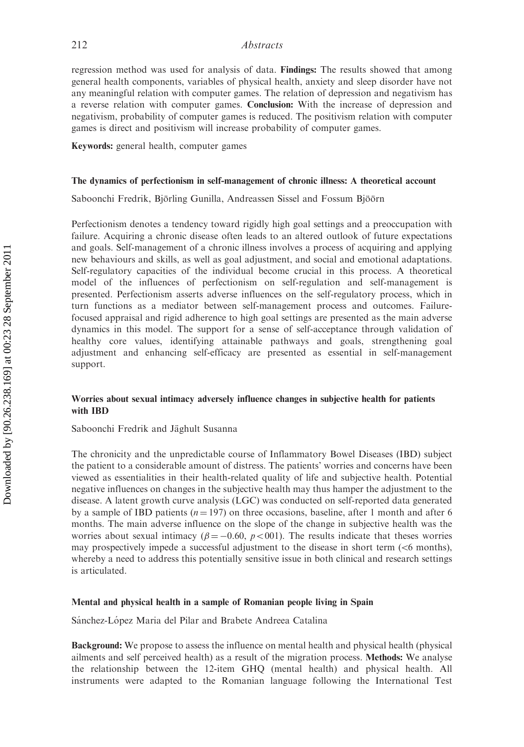regression method was used for analysis of data. Findings: The results showed that among general health components, variables of physical health, anxiety and sleep disorder have not any meaningful relation with computer games. The relation of depression and negativism has a reverse relation with computer games. Conclusion: With the increase of depression and negativism, probability of computer games is reduced. The positivism relation with computer games is direct and positivism will increase probability of computer games.

Keywords: general health, computer games

#### The dynamics of perfectionism in self-management of chronic illness: A theoretical account

Saboonchi Fredrik, Björling Gunilla, Andreassen Sissel and Fossum Bjöörn

Perfectionism denotes a tendency toward rigidly high goal settings and a preoccupation with failure. Acquiring a chronic disease often leads to an altered outlook of future expectations and goals. Self-management of a chronic illness involves a process of acquiring and applying new behaviours and skills, as well as goal adjustment, and social and emotional adaptations. Self-regulatory capacities of the individual become crucial in this process. A theoretical model of the influences of perfectionism on self-regulation and self-management is presented. Perfectionism asserts adverse influences on the self-regulatory process, which in turn functions as a mediator between self-management process and outcomes. Failurefocused appraisal and rigid adherence to high goal settings are presented as the main adverse dynamics in this model. The support for a sense of self-acceptance through validation of healthy core values, identifying attainable pathways and goals, strengthening goal adjustment and enhancing self-efficacy are presented as essential in self-management support.

## Worries about sexual intimacy adversely influence changes in subjective health for patients with IBD

Saboonchi Fredrik and Jäghult Susanna

The chronicity and the unpredictable course of Inflammatory Bowel Diseases (IBD) subject the patient to a considerable amount of distress. The patients' worries and concerns have been viewed as essentialities in their health-related quality of life and subjective health. Potential negative influences on changes in the subjective health may thus hamper the adjustment to the disease. A latent growth curve analysis (LGC) was conducted on self-reported data generated by a sample of IBD patients ( $n = 197$ ) on three occasions, baseline, after 1 month and after 6 months. The main adverse influence on the slope of the change in subjective health was the worries about sexual intimacy ( $\beta = -0.60$ ,  $p < 001$ ). The results indicate that theses worries may prospectively impede a successful adjustment to the disease in short term  $(< 6$  months), whereby a need to address this potentially sensitive issue in both clinical and research settings is articulated.

#### Mental and physical health in a sample of Romanian people living in Spain

Sánchez-López Maria del Pilar and Brabete Andreea Catalina

Background: We propose to assess the influence on mental health and physical health (physical ailments and self perceived health) as a result of the migration process. Methods: We analyse the relationship between the 12-item GHQ (mental health) and physical health. All instruments were adapted to the Romanian language following the International Test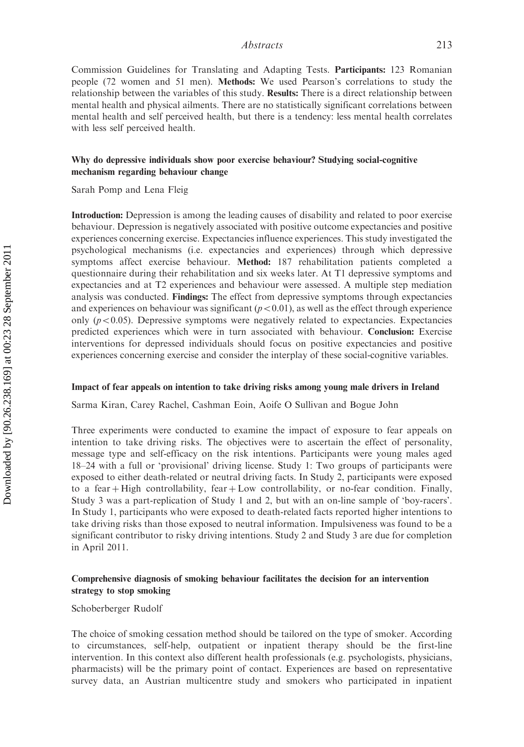Commission Guidelines for Translating and Adapting Tests. Participants: 123 Romanian people (72 women and 51 men). Methods: We used Pearson's correlations to study the relationship between the variables of this study. Results: There is a direct relationship between mental health and physical ailments. There are no statistically significant correlations between mental health and self perceived health, but there is a tendency: less mental health correlates with less self perceived health.

# Why do depressive individuals show poor exercise behaviour? Studying social-cognitive mechanism regarding behaviour change

Sarah Pomp and Lena Fleig

Introduction: Depression is among the leading causes of disability and related to poor exercise behaviour. Depression is negatively associated with positive outcome expectancies and positive experiences concerning exercise. Expectancies influence experiences. This study investigated the psychological mechanisms (i.e. expectancies and experiences) through which depressive symptoms affect exercise behaviour. Method: 187 rehabilitation patients completed a questionnaire during their rehabilitation and six weeks later. At T1 depressive symptoms and expectancies and at T2 experiences and behaviour were assessed. A multiple step mediation analysis was conducted. Findings: The effect from depressive symptoms through expectancies and experiences on behaviour was significant ( $p<0.01$ ), as well as the effect through experience only  $(p<0.05)$ . Depressive symptoms were negatively related to expectancies. Expectancies predicted experiences which were in turn associated with behaviour. Conclusion: Exercise interventions for depressed individuals should focus on positive expectancies and positive experiences concerning exercise and consider the interplay of these social-cognitive variables.

#### Impact of fear appeals on intention to take driving risks among young male drivers in Ireland

Sarma Kiran, Carey Rachel, Cashman Eoin, Aoife O Sullivan and Bogue John

Three experiments were conducted to examine the impact of exposure to fear appeals on intention to take driving risks. The objectives were to ascertain the effect of personality, message type and self-efficacy on the risk intentions. Participants were young males aged 18–24 with a full or 'provisional' driving license. Study 1: Two groups of participants were exposed to either death-related or neutral driving facts. In Study 2, participants were exposed to a fear  $\pm$  High controllability, fear  $\pm$  Low controllability, or no-fear condition. Finally, Study 3 was a part-replication of Study 1 and 2, but with an on-line sample of 'boy-racers'. In Study 1, participants who were exposed to death-related facts reported higher intentions to take driving risks than those exposed to neutral information. Impulsiveness was found to be a significant contributor to risky driving intentions. Study 2 and Study 3 are due for completion in April 2011.

## Comprehensive diagnosis of smoking behaviour facilitates the decision for an intervention strategy to stop smoking

#### Schoberberger Rudolf

The choice of smoking cessation method should be tailored on the type of smoker. According to circumstances, self-help, outpatient or inpatient therapy should be the first-line intervention. In this context also different health professionals (e.g. psychologists, physicians, pharmacists) will be the primary point of contact. Experiences are based on representative survey data, an Austrian multicentre study and smokers who participated in inpatient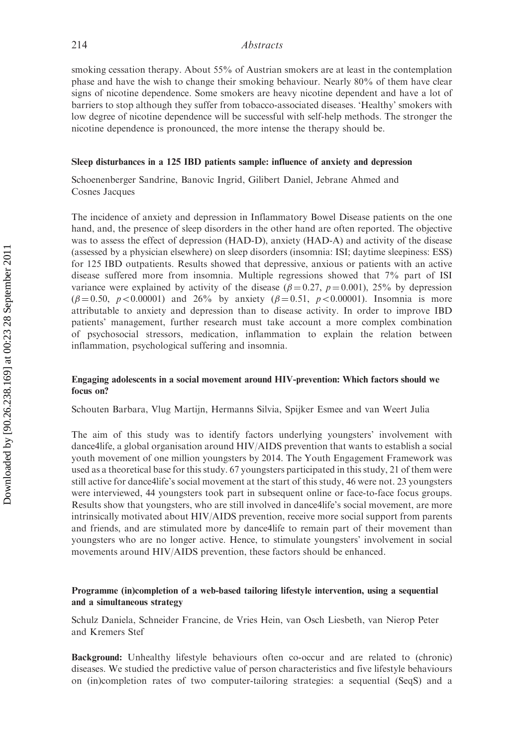smoking cessation therapy. About 55% of Austrian smokers are at least in the contemplation phase and have the wish to change their smoking behaviour. Nearly 80% of them have clear signs of nicotine dependence. Some smokers are heavy nicotine dependent and have a lot of barriers to stop although they suffer from tobacco-associated diseases. 'Healthy' smokers with low degree of nicotine dependence will be successful with self-help methods. The stronger the nicotine dependence is pronounced, the more intense the therapy should be.

### Sleep disturbances in a 125 IBD patients sample: influence of anxiety and depression

Schoenenberger Sandrine, Banovic Ingrid, Gilibert Daniel, Jebrane Ahmed and Cosnes Jacques

The incidence of anxiety and depression in Inflammatory Bowel Disease patients on the one hand, and, the presence of sleep disorders in the other hand are often reported. The objective was to assess the effect of depression (HAD-D), anxiety (HAD-A) and activity of the disease (assessed by a physician elsewhere) on sleep disorders (insomnia: ISI; daytime sleepiness: ESS) for 125 IBD outpatients. Results showed that depressive, anxious or patients with an active disease suffered more from insomnia. Multiple regressions showed that 7% part of ISI variance were explained by activity of the disease ( $\beta = 0.27$ ,  $p = 0.001$ ), 25% by depression  $(\beta = 0.50, p < 0.00001)$  and 26% by anxiety  $(\beta = 0.51, p < 0.00001)$ . Insomnia is more attributable to anxiety and depression than to disease activity. In order to improve IBD patients' management, further research must take account a more complex combination of psychosocial stressors, medication, inflammation to explain the relation between inflammation, psychological suffering and insomnia.

### Engaging adolescents in a social movement around HIV-prevention: Which factors should we focus on?

Schouten Barbara, Vlug Martijn, Hermanns Silvia, Spijker Esmee and van Weert Julia

The aim of this study was to identify factors underlying youngsters' involvement with dance4life, a global organisation around HIV/AIDS prevention that wants to establish a social youth movement of one million youngsters by 2014. The Youth Engagement Framework was used as a theoretical base for this study. 67 youngsters participated in this study, 21 of them were still active for dance4life's social movement at the start of this study, 46 were not. 23 youngsters were interviewed, 44 youngsters took part in subsequent online or face-to-face focus groups. Results show that youngsters, who are still involved in dance4life's social movement, are more intrinsically motivated about HIV/AIDS prevention, receive more social support from parents and friends, and are stimulated more by dance4life to remain part of their movement than youngsters who are no longer active. Hence, to stimulate youngsters' involvement in social movements around HIV/AIDS prevention, these factors should be enhanced.

## Programme (in)completion of a web-based tailoring lifestyle intervention, using a sequential and a simultaneous strategy

Schulz Daniela, Schneider Francine, de Vries Hein, van Osch Liesbeth, van Nierop Peter and Kremers Stef

Background: Unhealthy lifestyle behaviours often co-occur and are related to (chronic) diseases. We studied the predictive value of person characteristics and five lifestyle behaviours on (in)completion rates of two computer-tailoring strategies: a sequential (SeqS) and a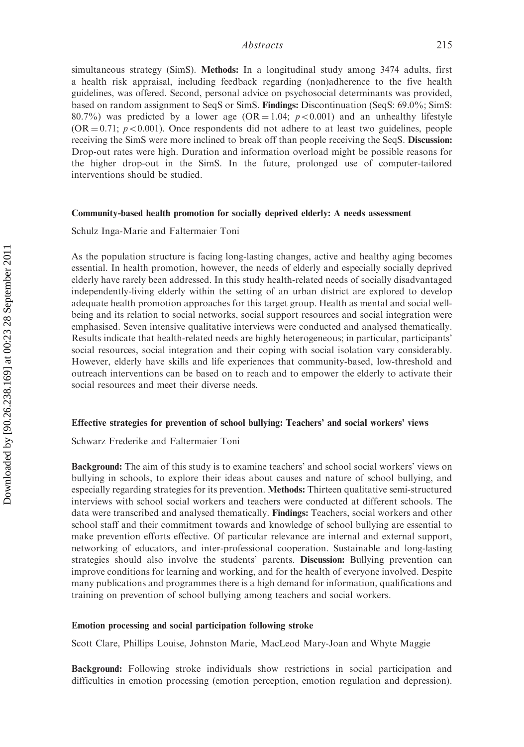simultaneous strategy (SimS). Methods: In a longitudinal study among 3474 adults, first a health risk appraisal, including feedback regarding (non)adherence to the five health guidelines, was offered. Second, personal advice on psychosocial determinants was provided, based on random assignment to SeqS or SimS. Findings: Discontinuation (SeqS: 69.0%; SimS: 80.7%) was predicted by a lower age  $(OR = 1.04; p < 0.001)$  and an unhealthy lifestyle (OR = 0.71;  $p < 0.001$ ). Once respondents did not adhere to at least two guidelines, people receiving the SimS were more inclined to break off than people receiving the SeqS. Discussion: Drop-out rates were high. Duration and information overload might be possible reasons for the higher drop-out in the SimS. In the future, prolonged use of computer-tailored interventions should be studied.

### Community-based health promotion for socially deprived elderly: A needs assessment

Schulz Inga-Marie and Faltermaier Toni

As the population structure is facing long-lasting changes, active and healthy aging becomes essential. In health promotion, however, the needs of elderly and especially socially deprived elderly have rarely been addressed. In this study health-related needs of socially disadvantaged independently-living elderly within the setting of an urban district are explored to develop adequate health promotion approaches for this target group. Health as mental and social wellbeing and its relation to social networks, social support resources and social integration were emphasised. Seven intensive qualitative interviews were conducted and analysed thematically. Results indicate that health-related needs are highly heterogeneous; in particular, participants' social resources, social integration and their coping with social isolation vary considerably. However, elderly have skills and life experiences that community-based, low-threshold and outreach interventions can be based on to reach and to empower the elderly to activate their social resources and meet their diverse needs.

### Effective strategies for prevention of school bullying: Teachers' and social workers' views

Schwarz Frederike and Faltermaier Toni

Background: The aim of this study is to examine teachers' and school social workers' views on bullying in schools, to explore their ideas about causes and nature of school bullying, and especially regarding strategies for its prevention. Methods: Thirteen qualitative semi-structured interviews with school social workers and teachers were conducted at different schools. The data were transcribed and analysed thematically. Findings: Teachers, social workers and other school staff and their commitment towards and knowledge of school bullying are essential to make prevention efforts effective. Of particular relevance are internal and external support, networking of educators, and inter-professional cooperation. Sustainable and long-lasting strategies should also involve the students' parents. Discussion: Bullying prevention can improve conditions for learning and working, and for the health of everyone involved. Despite many publications and programmes there is a high demand for information, qualifications and training on prevention of school bullying among teachers and social workers.

### Emotion processing and social participation following stroke

Scott Clare, Phillips Louise, Johnston Marie, MacLeod Mary-Joan and Whyte Maggie

Background: Following stroke individuals show restrictions in social participation and difficulties in emotion processing (emotion perception, emotion regulation and depression).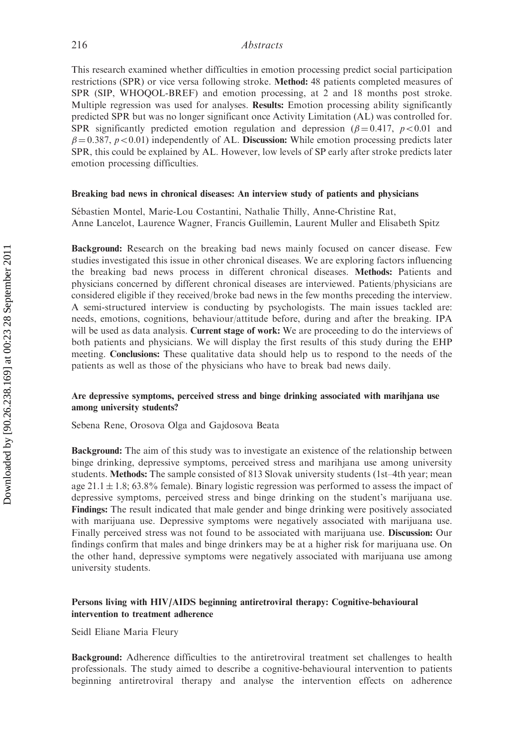This research examined whether difficulties in emotion processing predict social participation restrictions (SPR) or vice versa following stroke. Method: 48 patients completed measures of SPR (SIP, WHOQOL-BREF) and emotion processing, at 2 and 18 months post stroke. Multiple regression was used for analyses. Results: Emotion processing ability significantly predicted SPR but was no longer significant once Activity Limitation (AL) was controlled for. SPR significantly predicted emotion regulation and depression  $(\beta = 0.417, p < 0.01$  and  $\beta$  = 0.387, p < 0.01) independently of AL. Discussion: While emotion processing predicts later SPR, this could be explained by AL. However, low levels of SP early after stroke predicts later emotion processing difficulties.

#### Breaking bad news in chronical diseases: An interview study of patients and physicians

Sébastien Montel, Marie-Lou Costantini, Nathalie Thilly, Anne-Christine Rat, Anne Lancelot, Laurence Wagner, Francis Guillemin, Laurent Muller and Elisabeth Spitz

Background: Research on the breaking bad news mainly focused on cancer disease. Few studies investigated this issue in other chronical diseases. We are exploring factors influencing the breaking bad news process in different chronical diseases. Methods: Patients and physicians concerned by different chronical diseases are interviewed. Patients/physicians are considered eligible if they received/broke bad news in the few months preceding the interview. A semi-structured interview is conducting by psychologists. The main issues tackled are: needs, emotions, cognitions, behaviour/attitude before, during and after the breaking. IPA will be used as data analysis. Current stage of work: We are proceeding to do the interviews of both patients and physicians. We will display the first results of this study during the EHP meeting. Conclusions: These qualitative data should help us to respond to the needs of the patients as well as those of the physicians who have to break bad news daily.

# Are depressive symptoms, perceived stress and binge drinking associated with marihjana use among university students?

Sebena Rene, Orosova Olga and Gajdosova Beata

Background: The aim of this study was to investigate an existence of the relationship between binge drinking, depressive symptoms, perceived stress and marihjana use among university students. Methods: The sample consisted of 813 Slovak university students (1st–4th year; mean age  $21.1 \pm 1.8$ ; 63.8% female). Binary logistic regression was performed to assess the impact of depressive symptoms, perceived stress and binge drinking on the student's marijuana use. Findings: The result indicated that male gender and binge drinking were positively associated with marijuana use. Depressive symptoms were negatively associated with marijuana use. Finally perceived stress was not found to be associated with marijuana use. Discussion: Our findings confirm that males and binge drinkers may be at a higher risk for marijuana use. On the other hand, depressive symptoms were negatively associated with marijuana use among university students.

# Persons living with HIV/AIDS beginning antiretroviral therapy: Cognitive-behavioural intervention to treatment adherence

Seidl Eliane Maria Fleury

Background: Adherence difficulties to the antiretroviral treatment set challenges to health professionals. The study aimed to describe a cognitive-behavioural intervention to patients beginning antiretroviral therapy and analyse the intervention effects on adherence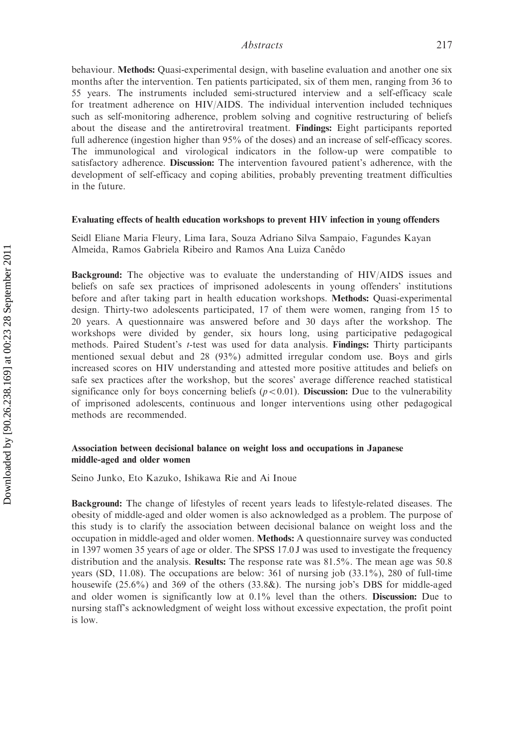behaviour. Methods: Quasi-experimental design, with baseline evaluation and another one six months after the intervention. Ten patients participated, six of them men, ranging from 36 to 55 years. The instruments included semi-structured interview and a self-efficacy scale for treatment adherence on HIV/AIDS. The individual intervention included techniques such as self-monitoring adherence, problem solving and cognitive restructuring of beliefs about the disease and the antiretroviral treatment. Findings: Eight participants reported full adherence (ingestion higher than 95% of the doses) and an increase of self-efficacy scores. The immunological and virological indicators in the follow-up were compatible to satisfactory adherence. Discussion: The intervention favoured patient's adherence, with the development of self-efficacy and coping abilities, probably preventing treatment difficulties in the future.

#### Evaluating effects of health education workshops to prevent HIV infection in young offenders

Seidl Eliane Maria Fleury, Lima Iara, Souza Adriano Silva Sampaio, Fagundes Kayan Almeida, Ramos Gabriela Ribeiro and Ramos Ana Luiza Canêdo

Background: The objective was to evaluate the understanding of HIV/AIDS issues and beliefs on safe sex practices of imprisoned adolescents in young offenders' institutions before and after taking part in health education workshops. Methods: Quasi-experimental design. Thirty-two adolescents participated, 17 of them were women, ranging from 15 to 20 years. A questionnaire was answered before and 30 days after the workshop. The workshops were divided by gender, six hours long, using participative pedagogical methods. Paired Student's t-test was used for data analysis. Findings: Thirty participants mentioned sexual debut and 28 (93%) admitted irregular condom use. Boys and girls increased scores on HIV understanding and attested more positive attitudes and beliefs on safe sex practices after the workshop, but the scores' average difference reached statistical significance only for boys concerning beliefs ( $p<0.01$ ). Discussion: Due to the vulnerability of imprisoned adolescents, continuous and longer interventions using other pedagogical methods are recommended.

# Association between decisional balance on weight loss and occupations in Japanese middle-aged and older women

Seino Junko, Eto Kazuko, Ishikawa Rie and Ai Inoue

Background: The change of lifestyles of recent years leads to lifestyle-related diseases. The obesity of middle-aged and older women is also acknowledged as a problem. The purpose of this study is to clarify the association between decisional balance on weight loss and the occupation in middle-aged and older women. Methods: A questionnaire survey was conducted in 1397 women 35 years of age or older. The SPSS 17.0 J was used to investigate the frequency distribution and the analysis. **Results:** The response rate was 81.5%. The mean age was 50.8 years (SD, 11.08). The occupations are below: 361 of nursing job (33.1%), 280 of full-time housewife (25.6%) and 369 of the others (33.8&). The nursing job's DBS for middle-aged and older women is significantly low at 0.1% level than the others. Discussion: Due to nursing staff's acknowledgment of weight loss without excessive expectation, the profit point is low.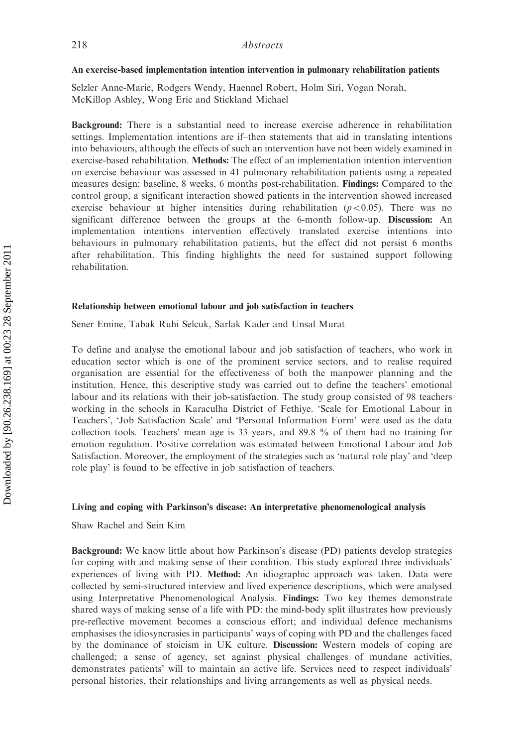# An exercise-based implementation intention intervention in pulmonary rehabilitation patients

Selzler Anne-Marie, Rodgers Wendy, Haennel Robert, Holm Siri, Vogan Norah, McKillop Ashley, Wong Eric and Stickland Michael

Background: There is a substantial need to increase exercise adherence in rehabilitation settings. Implementation intentions are if–then statements that aid in translating intentions into behaviours, although the effects of such an intervention have not been widely examined in exercise-based rehabilitation. Methods: The effect of an implementation intention intervention on exercise behaviour was assessed in 41 pulmonary rehabilitation patients using a repeated measures design: baseline, 8 weeks, 6 months post-rehabilitation. Findings: Compared to the control group, a significant interaction showed patients in the intervention showed increased exercise behaviour at higher intensities during rehabilitation  $(p<0.05)$ . There was no significant difference between the groups at the 6-month follow-up. Discussion: An implementation intentions intervention effectively translated exercise intentions into behaviours in pulmonary rehabilitation patients, but the effect did not persist 6 months after rehabilitation. This finding highlights the need for sustained support following rehabilitation.

# Relationship between emotional labour and job satisfaction in teachers

Sener Emine, Tabak Ruhi Selcuk, Sarlak Kader and Unsal Murat

To define and analyse the emotional labour and job satisfaction of teachers, who work in education sector which is one of the prominent service sectors, and to realise required organisation are essential for the effectiveness of both the manpower planning and the institution. Hence, this descriptive study was carried out to define the teachers' emotional labour and its relations with their job-satisfaction. The study group consisted of 98 teachers working in the schools in Karaculha District of Fethiye. 'Scale for Emotional Labour in Teachers', 'Job Satisfaction Scale' and 'Personal Information Form' were used as the data collection tools. Teachers' mean age is 33 years, and 89.8 % of them had no training for emotion regulation. Positive correlation was estimated between Emotional Labour and Job Satisfaction. Moreover, the employment of the strategies such as 'natural role play' and 'deep role play' is found to be effective in job satisfaction of teachers.

# Living and coping with Parkinson's disease: An interpretative phenomenological analysis

Shaw Rachel and Sein Kim

Background: We know little about how Parkinson's disease (PD) patients develop strategies for coping with and making sense of their condition. This study explored three individuals' experiences of living with PD. Method: An idiographic approach was taken. Data were collected by semi-structured interview and lived experience descriptions, which were analysed using Interpretative Phenomenological Analysis. Findings: Two key themes demonstrate shared ways of making sense of a life with PD: the mind-body split illustrates how previously pre-reflective movement becomes a conscious effort; and individual defence mechanisms emphasises the idiosyncrasies in participants' ways of coping with PD and the challenges faced by the dominance of stoicism in UK culture. Discussion: Western models of coping are challenged; a sense of agency, set against physical challenges of mundane activities, demonstrates patients' will to maintain an active life. Services need to respect individuals' personal histories, their relationships and living arrangements as well as physical needs.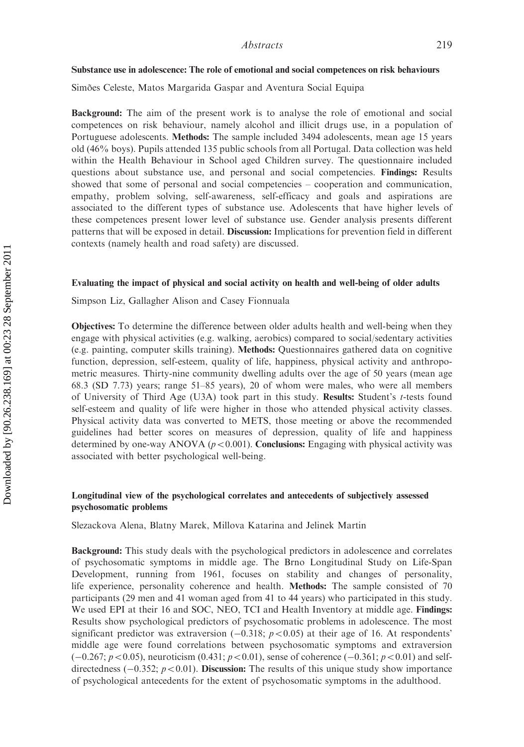### Substance use in adolescence: The role of emotional and social competences on risk behaviours

Simões Celeste, Matos Margarida Gaspar and Aventura Social Equipa

Background: The aim of the present work is to analyse the role of emotional and social competences on risk behaviour, namely alcohol and illicit drugs use, in a population of Portuguese adolescents. Methods: The sample included 3494 adolescents, mean age 15 years old (46% boys). Pupils attended 135 public schools from all Portugal. Data collection was held within the Health Behaviour in School aged Children survey. The questionnaire included questions about substance use, and personal and social competencies. Findings: Results showed that some of personal and social competencies – cooperation and communication, empathy, problem solving, self-awareness, self-efficacy and goals and aspirations are associated to the different types of substance use. Adolescents that have higher levels of these competences present lower level of substance use. Gender analysis presents different patterns that will be exposed in detail. Discussion: Implications for prevention field in different contexts (namely health and road safety) are discussed.

#### Evaluating the impact of physical and social activity on health and well-being of older adults

Simpson Liz, Gallagher Alison and Casey Fionnuala

Objectives: To determine the difference between older adults health and well-being when they engage with physical activities (e.g. walking, aerobics) compared to social/sedentary activities (e.g. painting, computer skills training). Methods: Questionnaires gathered data on cognitive function, depression, self-esteem, quality of life, happiness, physical activity and anthropometric measures. Thirty-nine community dwelling adults over the age of 50 years (mean age 68.3 (SD 7.73) years; range 51–85 years), 20 of whom were males, who were all members of University of Third Age (U3A) took part in this study. Results: Student's t-tests found self-esteem and quality of life were higher in those who attended physical activity classes. Physical activity data was converted to METS, those meeting or above the recommended guidelines had better scores on measures of depression, quality of life and happiness determined by one-way ANOVA ( $p<0.001$ ). Conclusions: Engaging with physical activity was associated with better psychological well-being.

# Longitudinal view of the psychological correlates and antecedents of subjectively assessed psychosomatic problems

Slezackova Alena, Blatny Marek, Millova Katarina and Jelinek Martin

Background: This study deals with the psychological predictors in adolescence and correlates of psychosomatic symptoms in middle age. The Brno Longitudinal Study on Life-Span Development, running from 1961, focuses on stability and changes of personality, life experience, personality coherence and health. Methods: The sample consisted of 70 participants (29 men and 41 woman aged from 41 to 44 years) who participated in this study. We used EPI at their 16 and SOC, NEO, TCI and Health Inventory at middle age. Findings: Results show psychological predictors of psychosomatic problems in adolescence. The most significant predictor was extraversion  $(-0.318; p<0.05)$  at their age of 16. At respondents' middle age were found correlations between psychosomatic symptoms and extraversion  $(-0.267; p<0.05)$ , neuroticism  $(0.431; p<0.01)$ , sense of coherence  $(-0.361; p<0.01)$  and selfdirectedness  $(-0.352; p<0.01)$ . Discussion: The results of this unique study show importance of psychological antecedents for the extent of psychosomatic symptoms in the adulthood.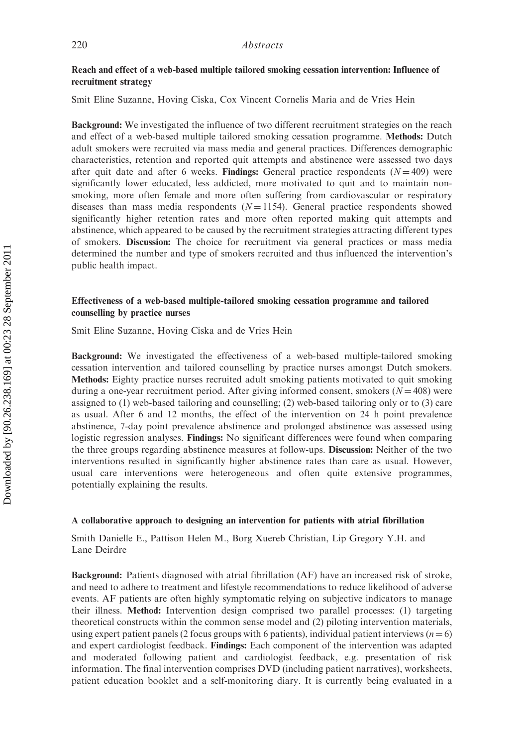# Reach and effect of a web-based multiple tailored smoking cessation intervention: Influence of recruitment strategy

Smit Eline Suzanne, Hoving Ciska, Cox Vincent Cornelis Maria and de Vries Hein

Background: We investigated the influence of two different recruitment strategies on the reach and effect of a web-based multiple tailored smoking cessation programme. Methods: Dutch adult smokers were recruited via mass media and general practices. Differences demographic characteristics, retention and reported quit attempts and abstinence were assessed two days after quit date and after 6 weeks. Findings: General practice respondents  $(N = 409)$  were significantly lower educated, less addicted, more motivated to quit and to maintain nonsmoking, more often female and more often suffering from cardiovascular or respiratory diseases than mass media respondents  $(N = 1154)$ . General practice respondents showed significantly higher retention rates and more often reported making quit attempts and abstinence, which appeared to be caused by the recruitment strategies attracting different types of smokers. Discussion: The choice for recruitment via general practices or mass media determined the number and type of smokers recruited and thus influenced the intervention's public health impact.

# Effectiveness of a web-based multiple-tailored smoking cessation programme and tailored counselling by practice nurses

Smit Eline Suzanne, Hoving Ciska and de Vries Hein

Background: We investigated the effectiveness of a web-based multiple-tailored smoking cessation intervention and tailored counselling by practice nurses amongst Dutch smokers. Methods: Eighty practice nurses recruited adult smoking patients motivated to quit smoking during a one-year recruitment period. After giving informed consent, smokers  $(N = 408)$  were assigned to (1) web-based tailoring and counselling; (2) web-based tailoring only or to (3) care as usual. After 6 and 12 months, the effect of the intervention on 24 h point prevalence abstinence, 7-day point prevalence abstinence and prolonged abstinence was assessed using logistic regression analyses. Findings: No significant differences were found when comparing the three groups regarding abstinence measures at follow-ups. Discussion: Neither of the two interventions resulted in significantly higher abstinence rates than care as usual. However, usual care interventions were heterogeneous and often quite extensive programmes, potentially explaining the results.

#### A collaborative approach to designing an intervention for patients with atrial fibrillation

Smith Danielle E., Pattison Helen M., Borg Xuereb Christian, Lip Gregory Y.H. and Lane Deirdre

Background: Patients diagnosed with atrial fibrillation (AF) have an increased risk of stroke, and need to adhere to treatment and lifestyle recommendations to reduce likelihood of adverse events. AF patients are often highly symptomatic relying on subjective indicators to manage their illness. Method: Intervention design comprised two parallel processes: (1) targeting theoretical constructs within the common sense model and (2) piloting intervention materials, using expert patient panels (2 focus groups with 6 patients), individual patient interviews ( $n = 6$ ) and expert cardiologist feedback. Findings: Each component of the intervention was adapted and moderated following patient and cardiologist feedback, e.g. presentation of risk information. The final intervention comprises DVD (including patient narratives), worksheets, patient education booklet and a self-monitoring diary. It is currently being evaluated in a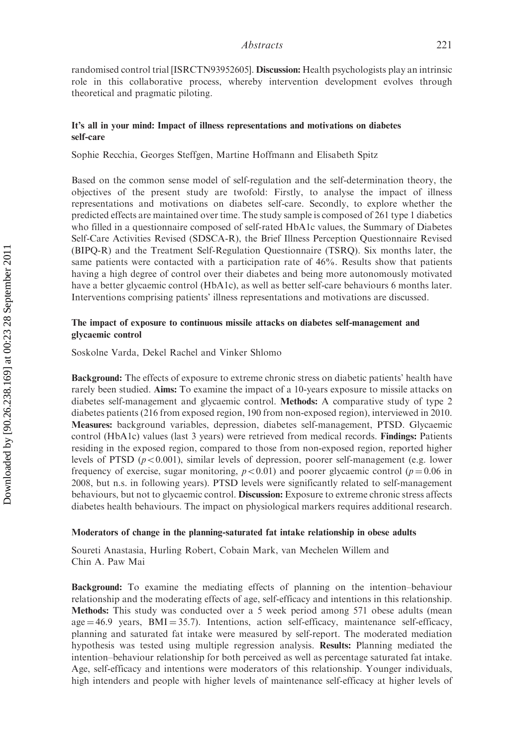randomised control trial [ISRCTN93952605]. Discussion: Health psychologists play an intrinsic role in this collaborative process, whereby intervention development evolves through theoretical and pragmatic piloting.

## It's all in your mind: Impact of illness representations and motivations on diabetes self-care

Sophie Recchia, Georges Steffgen, Martine Hoffmann and Elisabeth Spitz

Based on the common sense model of self-regulation and the self-determination theory, the objectives of the present study are twofold: Firstly, to analyse the impact of illness representations and motivations on diabetes self-care. Secondly, to explore whether the predicted effects are maintained over time. The study sample is composed of 261 type 1 diabetics who filled in a questionnaire composed of self-rated HbA1c values, the Summary of Diabetes Self-Care Activities Revised (SDSCA-R), the Brief Illness Perception Questionnaire Revised (BIPQ-R) and the Treatment Self-Regulation Questionnaire (TSRQ). Six months later, the same patients were contacted with a participation rate of 46%. Results show that patients having a high degree of control over their diabetes and being more autonomously motivated have a better glycaemic control (HbA1c), as well as better self-care behaviours 6 months later. Interventions comprising patients' illness representations and motivations are discussed.

## The impact of exposure to continuous missile attacks on diabetes self-management and glycaemic control

Soskolne Varda, Dekel Rachel and Vinker Shlomo

Background: The effects of exposure to extreme chronic stress on diabetic patients' health have rarely been studied. Aims: To examine the impact of a 10-years exposure to missile attacks on diabetes self-management and glycaemic control. Methods: A comparative study of type 2 diabetes patients (216 from exposed region, 190 from non-exposed region), interviewed in 2010. Measures: background variables, depression, diabetes self-management, PTSD. Glycaemic control (HbA1c) values (last 3 years) were retrieved from medical records. Findings: Patients residing in the exposed region, compared to those from non-exposed region, reported higher levels of PTSD ( $p<0.001$ ), similar levels of depression, poorer self-management (e.g. lower frequency of exercise, sugar monitoring,  $p<0.01$ ) and poorer glycaemic control ( $p=0.06$  in 2008, but n.s. in following years). PTSD levels were significantly related to self-management behaviours, but not to glycaemic control. **Discussion:** Exposure to extreme chronic stress affects diabetes health behaviours. The impact on physiological markers requires additional research.

### Moderators of change in the planning-saturated fat intake relationship in obese adults

Soureti Anastasia, Hurling Robert, Cobain Mark, van Mechelen Willem and Chin A. Paw Mai

Background: To examine the mediating effects of planning on the intention–behaviour relationship and the moderating effects of age, self-efficacy and intentions in this relationship. Methods: This study was conducted over a 5 week period among 571 obese adults (mean  $age = 46.9$  years,  $BMI = 35.7)$ . Intentions, action self-efficacy, maintenance self-efficacy, planning and saturated fat intake were measured by self-report. The moderated mediation hypothesis was tested using multiple regression analysis. Results: Planning mediated the intention–behaviour relationship for both perceived as well as percentage saturated fat intake. Age, self-efficacy and intentions were moderators of this relationship. Younger individuals, high intenders and people with higher levels of maintenance self-efficacy at higher levels of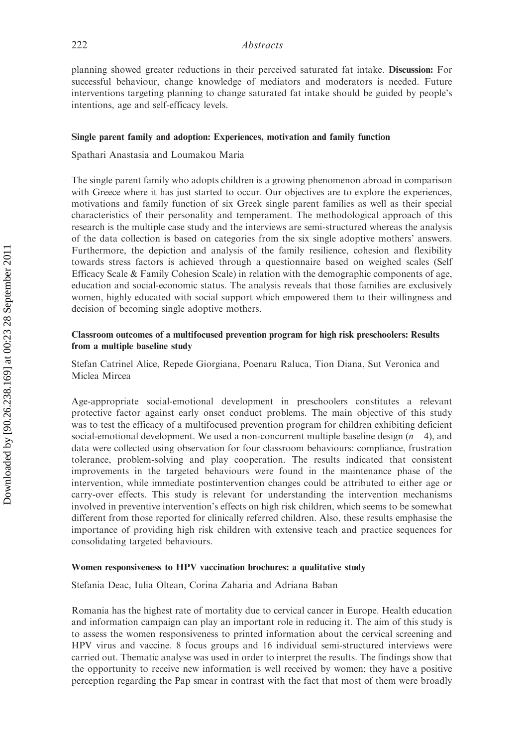planning showed greater reductions in their perceived saturated fat intake. Discussion: For successful behaviour, change knowledge of mediators and moderators is needed. Future interventions targeting planning to change saturated fat intake should be guided by people's intentions, age and self-efficacy levels.

#### Single parent family and adoption: Experiences, motivation and family function

Spathari Anastasia and Loumakou Maria

The single parent family who adopts children is a growing phenomenon abroad in comparison with Greece where it has just started to occur. Our objectives are to explore the experiences, motivations and family function of six Greek single parent families as well as their special characteristics of their personality and temperament. The methodological approach of this research is the multiple case study and the interviews are semi-structured whereas the analysis of the data collection is based on categories from the six single adoptive mothers' answers. Furthermore, the depiction and analysis of the family resilience, cohesion and flexibility towards stress factors is achieved through a questionnaire based on weighed scales (Self Efficacy Scale & Family Cohesion Scale) in relation with the demographic components of age, education and social-economic status. The analysis reveals that those families are exclusively women, highly educated with social support which empowered them to their willingness and decision of becoming single adoptive mothers.

# Classroom outcomes of a multifocused prevention program for high risk preschoolers: Results from a multiple baseline study

Stefan Catrinel Alice, Repede Giorgiana, Poenaru Raluca, Tion Diana, Sut Veronica and Miclea Mircea

Age-appropriate social-emotional development in preschoolers constitutes a relevant protective factor against early onset conduct problems. The main objective of this study was to test the efficacy of a multifocused prevention program for children exhibiting deficient social-emotional development. We used a non-concurrent multiple baseline design  $(n = 4)$ , and data were collected using observation for four classroom behaviours: compliance, frustration tolerance, problem-solving and play cooperation. The results indicated that consistent improvements in the targeted behaviours were found in the maintenance phase of the intervention, while immediate postintervention changes could be attributed to either age or carry-over effects. This study is relevant for understanding the intervention mechanisms involved in preventive intervention's effects on high risk children, which seems to be somewhat different from those reported for clinically referred children. Also, these results emphasise the importance of providing high risk children with extensive teach and practice sequences for consolidating targeted behaviours.

#### Women responsiveness to HPV vaccination brochures: a qualitative study

Stefania Deac, Iulia Oltean, Corina Zaharia and Adriana Baban

Romania has the highest rate of mortality due to cervical cancer in Europe. Health education and information campaign can play an important role in reducing it. The aim of this study is to assess the women responsiveness to printed information about the cervical screening and HPV virus and vaccine. 8 focus groups and 16 individual semi-structured interviews were carried out. Thematic analyse was used in order to interpret the results. The findings show that the opportunity to receive new information is well received by women; they have a positive perception regarding the Pap smear in contrast with the fact that most of them were broadly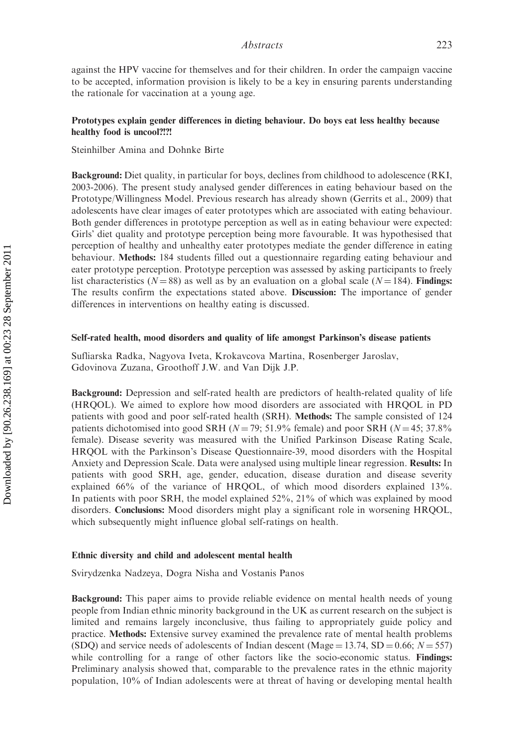against the HPV vaccine for themselves and for their children. In order the campaign vaccine to be accepted, information provision is likely to be a key in ensuring parents understanding the rationale for vaccination at a young age.

# Prototypes explain gender differences in dieting behaviour. Do boys eat less healthy because healthy food is uncool?!?!

Steinhilber Amina and Dohnke Birte

Background: Diet quality, in particular for boys, declines from childhood to adolescence (RKI, 2003-2006). The present study analysed gender differences in eating behaviour based on the Prototype/Willingness Model. Previous research has already shown (Gerrits et al., 2009) that adolescents have clear images of eater prototypes which are associated with eating behaviour. Both gender differences in prototype perception as well as in eating behaviour were expected: Girls' diet quality and prototype perception being more favourable. It was hypothesised that perception of healthy and unhealthy eater prototypes mediate the gender difference in eating behaviour. Methods: 184 students filled out a questionnaire regarding eating behaviour and eater prototype perception. Prototype perception was assessed by asking participants to freely list characteristics ( $N = 88$ ) as well as by an evaluation on a global scale ( $N = 184$ ). Findings: The results confirm the expectations stated above. Discussion: The importance of gender differences in interventions on healthy eating is discussed.

### Self-rated health, mood disorders and quality of life amongst Parkinson's disease patients

Sufliarska Radka, Nagyova Iveta, Krokavcova Martina, Rosenberger Jaroslav, Gdovinova Zuzana, Groothoff J.W. and Van Dijk J.P.

Background: Depression and self-rated health are predictors of health-related quality of life (HRQOL). We aimed to explore how mood disorders are associated with HRQOL in PD patients with good and poor self-rated health (SRH). Methods: The sample consisted of 124 patients dichotomised into good SRH ( $N = 79$ ; 51.9% female) and poor SRH ( $N = 45$ ; 37.8% female). Disease severity was measured with the Unified Parkinson Disease Rating Scale, HRQOL with the Parkinson's Disease Questionnaire-39, mood disorders with the Hospital Anxiety and Depression Scale. Data were analysed using multiple linear regression. Results: In patients with good SRH, age, gender, education, disease duration and disease severity explained 66% of the variance of HRQOL, of which mood disorders explained 13%. In patients with poor SRH, the model explained 52%, 21% of which was explained by mood disorders. Conclusions: Mood disorders might play a significant role in worsening HRQOL, which subsequently might influence global self-ratings on health.

#### Ethnic diversity and child and adolescent mental health

Svirydzenka Nadzeya, Dogra Nisha and Vostanis Panos

Background: This paper aims to provide reliable evidence on mental health needs of young people from Indian ethnic minority background in the UK as current research on the subject is limited and remains largely inconclusive, thus failing to appropriately guide policy and practice. Methods: Extensive survey examined the prevalence rate of mental health problems (SDQ) and service needs of adolescents of Indian descent (Mage =  $13.74$ , SD =  $0.66$ ; N =  $557$ ) while controlling for a range of other factors like the socio-economic status. Findings: Preliminary analysis showed that, comparable to the prevalence rates in the ethnic majority population, 10% of Indian adolescents were at threat of having or developing mental health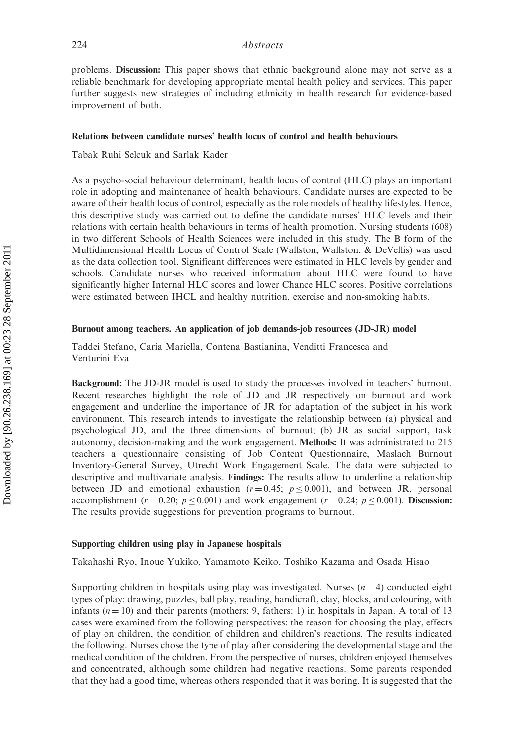problems. Discussion: This paper shows that ethnic background alone may not serve as a reliable benchmark for developing appropriate mental health policy and services. This paper further suggests new strategies of including ethnicity in health research for evidence-based improvement of both.

#### Relations between candidate nurses' health locus of control and health behaviours

Tabak Ruhi Selcuk and Sarlak Kader

As a psycho-social behaviour determinant, health locus of control (HLC) plays an important role in adopting and maintenance of health behaviours. Candidate nurses are expected to be aware of their health locus of control, especially as the role models of healthy lifestyles. Hence, this descriptive study was carried out to define the candidate nurses' HLC levels and their relations with certain health behaviours in terms of health promotion. Nursing students (608) in two different Schools of Health Sciences were included in this study. The B form of the Multidimensional Health Locus of Control Scale (Wallston, Wallston, & DeVellis) was used as the data collection tool. Significant differences were estimated in HLC levels by gender and schools. Candidate nurses who received information about HLC were found to have significantly higher Internal HLC scores and lower Chance HLC scores. Positive correlations were estimated between IHCL and healthy nutrition, exercise and non-smoking habits.

#### Burnout among teachers. An application of job demands-job resources (JD-JR) model

Taddei Stefano, Caria Mariella, Contena Bastianina, Venditti Francesca and Venturini Eva

Background: The JD-JR model is used to study the processes involved in teachers' burnout. Recent researches highlight the role of JD and JR respectively on burnout and work engagement and underline the importance of JR for adaptation of the subject in his work environment. This research intends to investigate the relationship between (a) physical and psychological JD, and the three dimensions of burnout; (b) JR as social support, task autonomy, decision-making and the work engagement. Methods: It was administrated to 215 teachers a questionnaire consisting of Job Content Questionnaire, Maslach Burnout Inventory-General Survey, Utrecht Work Engagement Scale. The data were subjected to descriptive and multivariate analysis. Findings: The results allow to underline a relationship between JD and emotional exhaustion ( $r = 0.45$ ;  $p \le 0.001$ ), and between JR, personal accomplishment ( $r = 0.20$ ;  $p \le 0.001$ ) and work engagement ( $r = 0.24$ ;  $p \le 0.001$ ). Discussion: The results provide suggestions for prevention programs to burnout.

#### Supporting children using play in Japanese hospitals

Takahashi Ryo, Inoue Yukiko, Yamamoto Keiko, Toshiko Kazama and Osada Hisao

Supporting children in hospitals using play was investigated. Nurses  $(n = 4)$  conducted eight types of play: drawing, puzzles, ball play, reading, handicraft, clay, blocks, and colouring, with infants ( $n = 10$ ) and their parents (mothers: 9, fathers: 1) in hospitals in Japan. A total of 13 cases were examined from the following perspectives: the reason for choosing the play, effects of play on children, the condition of children and children's reactions. The results indicated the following. Nurses chose the type of play after considering the developmental stage and the medical condition of the children. From the perspective of nurses, children enjoyed themselves and concentrated, although some children had negative reactions. Some parents responded that they had a good time, whereas others responded that it was boring. It is suggested that the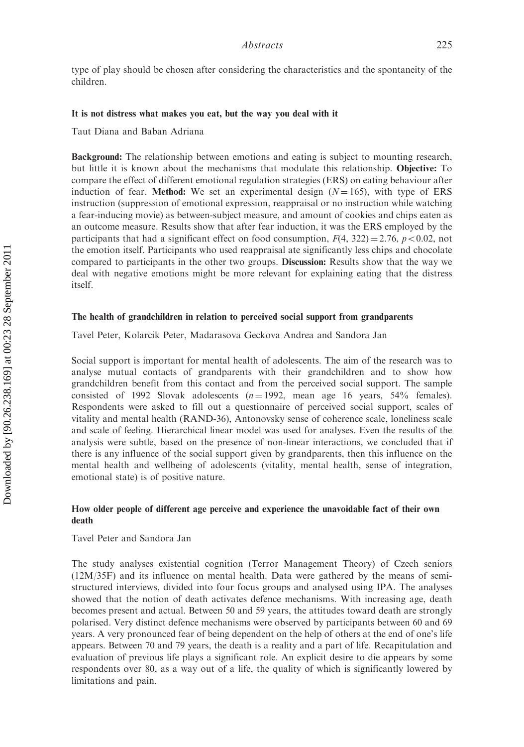type of play should be chosen after considering the characteristics and the spontaneity of the children.

### It is not distress what makes you eat, but the way you deal with it

Taut Diana and Baban Adriana

Background: The relationship between emotions and eating is subject to mounting research, but little it is known about the mechanisms that modulate this relationship. Objective: To compare the effect of different emotional regulation strategies (ERS) on eating behaviour after induction of fear. Method: We set an experimental design  $(N = 165)$ , with type of ERS instruction (suppression of emotional expression, reappraisal or no instruction while watching a fear-inducing movie) as between-subject measure, and amount of cookies and chips eaten as an outcome measure. Results show that after fear induction, it was the ERS employed by the participants that had a significant effect on food consumption,  $F(4, 322) = 2.76$ ,  $p < 0.02$ , not the emotion itself. Participants who used reappraisal ate significantly less chips and chocolate compared to participants in the other two groups. Discussion: Results show that the way we deal with negative emotions might be more relevant for explaining eating that the distress itself.

#### The health of grandchildren in relation to perceived social support from grandparents

Tavel Peter, Kolarcik Peter, Madarasova Geckova Andrea and Sandora Jan

Social support is important for mental health of adolescents. The aim of the research was to analyse mutual contacts of grandparents with their grandchildren and to show how grandchildren benefit from this contact and from the perceived social support. The sample consisted of 1992 Slovak adolescents  $(n = 1992, \text{ mean age } 16 \text{ years}, 54\% \text{ females}).$ Respondents were asked to fill out a questionnaire of perceived social support, scales of vitality and mental health (RAND-36), Antonovsky sense of coherence scale, loneliness scale and scale of feeling. Hierarchical linear model was used for analyses. Even the results of the analysis were subtle, based on the presence of non-linear interactions, we concluded that if there is any influence of the social support given by grandparents, then this influence on the mental health and wellbeing of adolescents (vitality, mental health, sense of integration, emotional state) is of positive nature.

# How older people of different age perceive and experience the unavoidable fact of their own death

# Tavel Peter and Sandora Jan

The study analyses existential cognition (Terror Management Theory) of Czech seniors (12M/35F) and its influence on mental health. Data were gathered by the means of semistructured interviews, divided into four focus groups and analysed using IPA. The analyses showed that the notion of death activates defence mechanisms. With increasing age, death becomes present and actual. Between 50 and 59 years, the attitudes toward death are strongly polarised. Very distinct defence mechanisms were observed by participants between 60 and 69 years. A very pronounced fear of being dependent on the help of others at the end of one's life appears. Between 70 and 79 years, the death is a reality and a part of life. Recapitulation and evaluation of previous life plays a significant role. An explicit desire to die appears by some respondents over 80, as a way out of a life, the quality of which is significantly lowered by limitations and pain.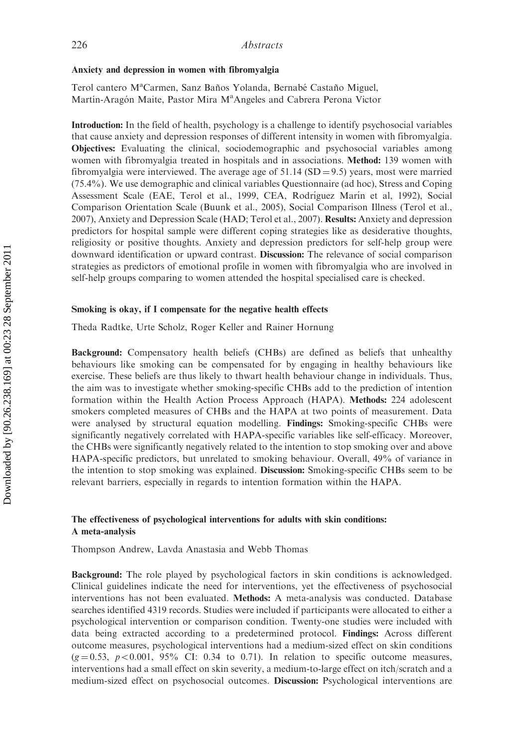# Anxiety and depression in women with fibromyalgia

Terol cantero M<sup>a</sup>Carmen, Sanz Baños Yolanda, Bernabé Castaño Miguel, Martín-Aragón Maite, Pastor Mira M<sup>a</sup>Angeles and Cabrera Perona Victor

Introduction: In the field of health, psychology is a challenge to identify psychosocial variables that cause anxiety and depression responses of different intensity in women with fibromyalgia. Objectives: Evaluating the clinical, sociodemographic and psychosocial variables among women with fibromyalgia treated in hospitals and in associations. Method: 139 women with fibromyalgia were interviewed. The average age of  $51.14$  (SD = 9.5) years, most were married (75.4%). We use demographic and clinical variables Questionnaire (ad hoc), Stress and Coping Assessment Scale (EAE, Terol et al., 1999, CEA, Rodríguez Marín et al, 1992), Social Comparison Orientation Scale (Buunk et al., 2005), Social Comparison Illness (Terol et al., 2007), Anxiety and Depression Scale (HAD; Terol et al., 2007). Results: Anxiety and depression predictors for hospital sample were different coping strategies like as desiderative thoughts, religiosity or positive thoughts. Anxiety and depression predictors for self-help group were downward identification or upward contrast. Discussion: The relevance of social comparison strategies as predictors of emotional profile in women with fibromyalgia who are involved in self-help groups comparing to women attended the hospital specialised care is checked.

# Smoking is okay, if I compensate for the negative health effects

Theda Radtke, Urte Scholz, Roger Keller and Rainer Hornung

Background: Compensatory health beliefs (CHBs) are defined as beliefs that unhealthy behaviours like smoking can be compensated for by engaging in healthy behaviours like exercise. These beliefs are thus likely to thwart health behaviour change in individuals. Thus, the aim was to investigate whether smoking-specific CHBs add to the prediction of intention formation within the Health Action Process Approach (HAPA). Methods: 224 adolescent smokers completed measures of CHBs and the HAPA at two points of measurement. Data were analysed by structural equation modelling. Findings: Smoking-specific CHBs were significantly negatively correlated with HAPA-specific variables like self-efficacy. Moreover, the CHBs were significantly negatively related to the intention to stop smoking over and above HAPA-specific predictors, but unrelated to smoking behaviour. Overall, 49% of variance in the intention to stop smoking was explained. Discussion: Smoking-specific CHBs seem to be relevant barriers, especially in regards to intention formation within the HAPA.

# The effectiveness of psychological interventions for adults with skin conditions: A meta-analysis

Thompson Andrew, Lavda Anastasia and Webb Thomas

Background: The role played by psychological factors in skin conditions is acknowledged. Clinical guidelines indicate the need for interventions, yet the effectiveness of psychosocial interventions has not been evaluated. Methods: A meta-analysis was conducted. Database searches identified 4319 records. Studies were included if participants were allocated to either a psychological intervention or comparison condition. Twenty-one studies were included with data being extracted according to a predetermined protocol. Findings: Across different outcome measures, psychological interventions had a medium-sized effect on skin conditions  $(g=0.53, p<0.001, 95%$  CI: 0.34 to 0.71). In relation to specific outcome measures, interventions had a small effect on skin severity, a medium-to-large effect on itch/scratch and a medium-sized effect on psychosocial outcomes. Discussion: Psychological interventions are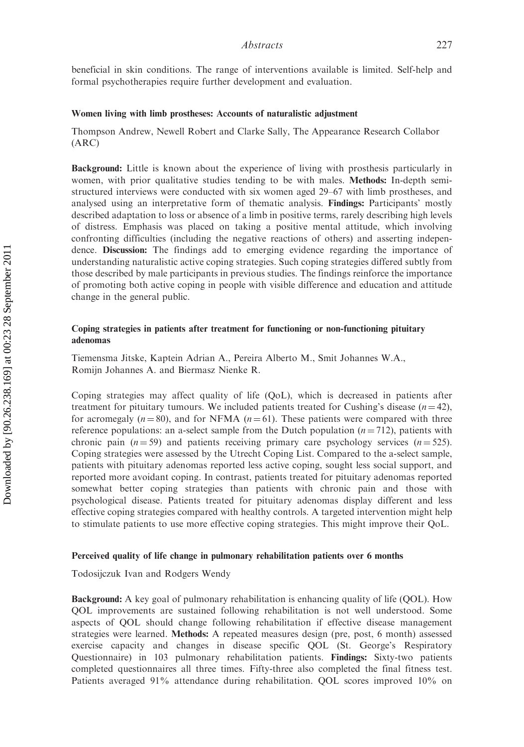beneficial in skin conditions. The range of interventions available is limited. Self-help and formal psychotherapies require further development and evaluation.

#### Women living with limb prostheses: Accounts of naturalistic adjustment

Thompson Andrew, Newell Robert and Clarke Sally, The Appearance Research Collabor (ARC)

Background: Little is known about the experience of living with prosthesis particularly in women, with prior qualitative studies tending to be with males. Methods: In-depth semistructured interviews were conducted with six women aged 29–67 with limb prostheses, and analysed using an interpretative form of thematic analysis. Findings: Participants' mostly described adaptation to loss or absence of a limb in positive terms, rarely describing high levels of distress. Emphasis was placed on taking a positive mental attitude, which involving confronting difficulties (including the negative reactions of others) and asserting independence. Discussion: The findings add to emerging evidence regarding the importance of understanding naturalistic active coping strategies. Such coping strategies differed subtly from those described by male participants in previous studies. The findings reinforce the importance of promoting both active coping in people with visible difference and education and attitude change in the general public.

## Coping strategies in patients after treatment for functioning or non-functioning pituitary adenomas

Tiemensma Jitske, Kaptein Adrian A., Pereira Alberto M., Smit Johannes W.A., Romijn Johannes A. and Biermasz Nienke R.

Coping strategies may affect quality of life (QoL), which is decreased in patients after treatment for pituitary tumours. We included patients treated for Cushing's disease  $(n = 42)$ , for acromegaly  $(n = 80)$ , and for NFMA  $(n = 61)$ . These patients were compared with three reference populations: an a-select sample from the Dutch population  $(n = 712)$ , patients with chronic pain  $(n = 59)$  and patients receiving primary care psychology services  $(n = 525)$ . Coping strategies were assessed by the Utrecht Coping List. Compared to the a-select sample, patients with pituitary adenomas reported less active coping, sought less social support, and reported more avoidant coping. In contrast, patients treated for pituitary adenomas reported somewhat better coping strategies than patients with chronic pain and those with psychological disease. Patients treated for pituitary adenomas display different and less effective coping strategies compared with healthy controls. A targeted intervention might help to stimulate patients to use more effective coping strategies. This might improve their QoL.

### Perceived quality of life change in pulmonary rehabilitation patients over 6 months

Todosijczuk Ivan and Rodgers Wendy

Background: A key goal of pulmonary rehabilitation is enhancing quality of life (QOL). How QOL improvements are sustained following rehabilitation is not well understood. Some aspects of QOL should change following rehabilitation if effective disease management strategies were learned. Methods: A repeated measures design (pre, post, 6 month) assessed exercise capacity and changes in disease specific QOL (St. George's Respiratory Questionnaire) in 103 pulmonary rehabilitation patients. Findings: Sixty-two patients completed questionnaires all three times. Fifty-three also completed the final fitness test. Patients averaged 91% attendance during rehabilitation. QOL scores improved 10% on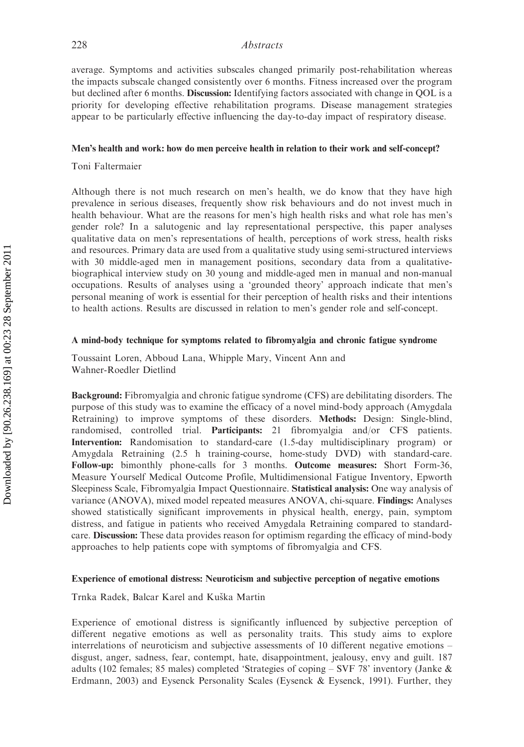average. Symptoms and activities subscales changed primarily post-rehabilitation whereas the impacts subscale changed consistently over 6 months. Fitness increased over the program but declined after 6 months. Discussion: Identifying factors associated with change in QOL is a priority for developing effective rehabilitation programs. Disease management strategies appear to be particularly effective influencing the day-to-day impact of respiratory disease.

#### Men's health and work: how do men perceive health in relation to their work and self-concept?

## Toni Faltermaier

Although there is not much research on men's health, we do know that they have high prevalence in serious diseases, frequently show risk behaviours and do not invest much in health behaviour. What are the reasons for men's high health risks and what role has men's gender role? In a salutogenic and lay representational perspective, this paper analyses qualitative data on men's representations of health, perceptions of work stress, health risks and resources. Primary data are used from a qualitative study using semi-structured interviews with 30 middle-aged men in management positions, secondary data from a qualitativebiographical interview study on 30 young and middle-aged men in manual and non-manual occupations. Results of analyses using a 'grounded theory' approach indicate that men's personal meaning of work is essential for their perception of health risks and their intentions to health actions. Results are discussed in relation to men's gender role and self-concept.

### A mind-body technique for symptoms related to fibromyalgia and chronic fatigue syndrome

Toussaint Loren, Abboud Lana, Whipple Mary, Vincent Ann and Wahner-Roedler Dietlind

Background: Fibromyalgia and chronic fatigue syndrome (CFS) are debilitating disorders. The purpose of this study was to examine the efficacy of a novel mind-body approach (Amygdala Retraining) to improve symptoms of these disorders. Methods: Design: Single-blind, randomised, controlled trial. **Participants:** 21 fibromyalgia and/or CFS patients. Intervention: Randomisation to standard-care (1.5-day multidisciplinary program) or Amygdala Retraining (2.5 h training-course, home-study DVD) with standard-care. Follow-up: bimonthly phone-calls for 3 months. Outcome measures: Short Form-36, Measure Yourself Medical Outcome Profile, Multidimensional Fatigue Inventory, Epworth Sleepiness Scale, Fibromyalgia Impact Questionnaire. Statistical analysis: One way analysis of variance (ANOVA), mixed model repeated measures ANOVA, chi-square. Findings: Analyses showed statistically significant improvements in physical health, energy, pain, symptom distress, and fatigue in patients who received Amygdala Retraining compared to standardcare. Discussion: These data provides reason for optimism regarding the efficacy of mind-body approaches to help patients cope with symptoms of fibromyalgia and CFS.

# Experience of emotional distress: Neuroticism and subjective perception of negative emotions

Trnka Radek, Balcar Karel and Kuška Martin

Experience of emotional distress is significantly influenced by subjective perception of different negative emotions as well as personality traits. This study aims to explore interrelations of neuroticism and subjective assessments of 10 different negative emotions – disgust, anger, sadness, fear, contempt, hate, disappointment, jealousy, envy and guilt. 187 adults (102 females; 85 males) completed 'Strategies of coping – SVF 78' inventory (Janke  $\&$ Erdmann, 2003) and Eysenck Personality Scales (Eysenck & Eysenck, 1991). Further, they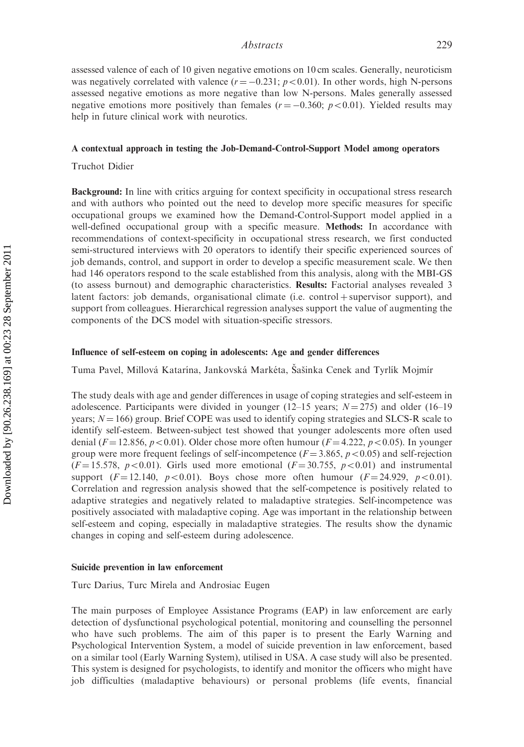assessed valence of each of 10 given negative emotions on 10 cm scales. Generally, neuroticism was negatively correlated with valence  $(r = -0.231; p < 0.01)$ . In other words, high N-persons assessed negative emotions as more negative than low N-persons. Males generally assessed negative emotions more positively than females  $(r = -0.360; p < 0.01)$ . Yielded results may help in future clinical work with neurotics.

#### A contextual approach in testing the Job-Demand-Control-Support Model among operators

### Truchot Didier

Background: In line with critics arguing for context specificity in occupational stress research and with authors who pointed out the need to develop more specific measures for specific occupational groups we examined how the Demand-Control-Support model applied in a well-defined occupational group with a specific measure. Methods: In accordance with recommendations of context-specificity in occupational stress research, we first conducted semi-structured interviews with 20 operators to identify their specific experienced sources of job demands, control, and support in order to develop a specific measurement scale. We then had 146 operators respond to the scale established from this analysis, along with the MBI-GS (to assess burnout) and demographic characteristics. Results: Factorial analyses revealed 3 latent factors: job demands, organisational climate (i.e. control + supervisor support), and support from colleagues. Hierarchical regression analyses support the value of augmenting the components of the DCS model with situation-specific stressors.

# Influence of self-esteem on coping in adolescents: Age and gender differences

Tuma Pavel, Millová Katarína, Jankovská Markéta, Šašinka Cenek and Tyrlík Mojmír

The study deals with age and gender differences in usage of coping strategies and self-esteem in adolescence. Participants were divided in younger (12–15 years;  $N = 275$ ) and older (16–19 years;  $N = 166$ ) group. Brief COPE was used to identify coping strategies and SLCS-R scale to identify self-esteem. Between-subject test showed that younger adolescents more often used denial ( $F = 12.856$ ,  $p < 0.01$ ). Older chose more often humour ( $F = 4.222$ ,  $p < 0.05$ ). In younger group were more frequent feelings of self-incompetence ( $F = 3.865$ ,  $p < 0.05$ ) and self-rejection  $(F = 15.578, p < 0.01)$ . Girls used more emotional  $(F = 30.755, p < 0.01)$  and instrumental support  $(F = 12.140, p < 0.01)$ . Boys chose more often humour  $(F = 24.929, p < 0.01)$ . Correlation and regression analysis showed that the self-competence is positively related to adaptive strategies and negatively related to maladaptive strategies. Self-incompetence was positively associated with maladaptive coping. Age was important in the relationship between self-esteem and coping, especially in maladaptive strategies. The results show the dynamic changes in coping and self-esteem during adolescence.

#### Suicide prevention in law enforcement

Turc Darius, Turc Mirela and Androsiac Eugen

The main purposes of Employee Assistance Programs (EAP) in law enforcement are early detection of dysfunctional psychological potential, monitoring and counselling the personnel who have such problems. The aim of this paper is to present the Early Warning and Psychological Intervention System, a model of suicide prevention in law enforcement, based on a similar tool (Early Warning System), utilised in USA. A case study will also be presented. This system is designed for psychologists, to identify and monitor the officers who might have job difficulties (maladaptive behaviours) or personal problems (life events, financial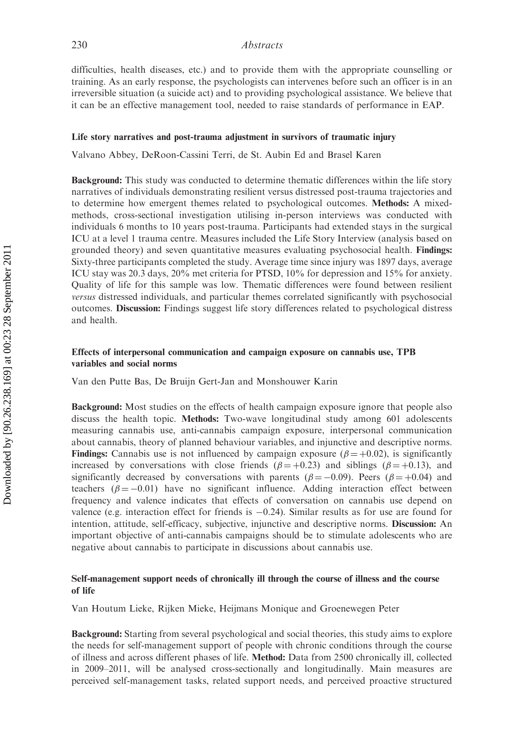difficulties, health diseases, etc.) and to provide them with the appropriate counselling or training. As an early response, the psychologists can intervenes before such an officer is in an irreversible situation (a suicide act) and to providing psychological assistance. We believe that it can be an effective management tool, needed to raise standards of performance in EAP.

#### Life story narratives and post-trauma adjustment in survivors of traumatic injury

Valvano Abbey, DeRoon-Cassini Terri, de St. Aubin Ed and Brasel Karen

Background: This study was conducted to determine thematic differences within the life story narratives of individuals demonstrating resilient versus distressed post-trauma trajectories and to determine how emergent themes related to psychological outcomes. Methods: A mixedmethods, cross-sectional investigation utilising in-person interviews was conducted with individuals 6 months to 10 years post-trauma. Participants had extended stays in the surgical ICU at a level 1 trauma centre. Measures included the Life Story Interview (analysis based on grounded theory) and seven quantitative measures evaluating psychosocial health. Findings: Sixty-three participants completed the study. Average time since injury was 1897 days, average ICU stay was 20.3 days, 20% met criteria for PTSD, 10% for depression and 15% for anxiety. Quality of life for this sample was low. Thematic differences were found between resilient versus distressed individuals, and particular themes correlated significantly with psychosocial outcomes. Discussion: Findings suggest life story differences related to psychological distress and health.

# Effects of interpersonal communication and campaign exposure on cannabis use, TPB variables and social norms

Van den Putte Bas, De Bruijn Gert-Jan and Monshouwer Karin

Background: Most studies on the effects of health campaign exposure ignore that people also discuss the health topic. Methods: Two-wave longitudinal study among 601 adolescents measuring cannabis use, anti-cannabis campaign exposure, interpersonal communication about cannabis, theory of planned behaviour variables, and injunctive and descriptive norms. **Findings:** Cannabis use is not influenced by campaign exposure ( $\beta = +0.02$ ), is significantly increased by conversations with close friends ( $\beta = +0.23$ ) and siblings ( $\beta = +0.13$ ), and significantly decreased by conversations with parents ( $\beta = -0.09$ ). Peers ( $\beta = +0.04$ ) and teachers  $(\beta = -0.01)$  have no significant influence. Adding interaction effect between frequency and valence indicates that effects of conversation on cannabis use depend on valence (e.g. interaction effect for friends is -0.24). Similar results as for use are found for intention, attitude, self-efficacy, subjective, injunctive and descriptive norms. Discussion: An important objective of anti-cannabis campaigns should be to stimulate adolescents who are negative about cannabis to participate in discussions about cannabis use.

# Self-management support needs of chronically ill through the course of illness and the course of life

Van Houtum Lieke, Rijken Mieke, Heijmans Monique and Groenewegen Peter

Background: Starting from several psychological and social theories, this study aims to explore the needs for self-management support of people with chronic conditions through the course of illness and across different phases of life. Method: Data from 2500 chronically ill, collected in 2009–2011, will be analysed cross-sectionally and longitudinally. Main measures are perceived self-management tasks, related support needs, and perceived proactive structured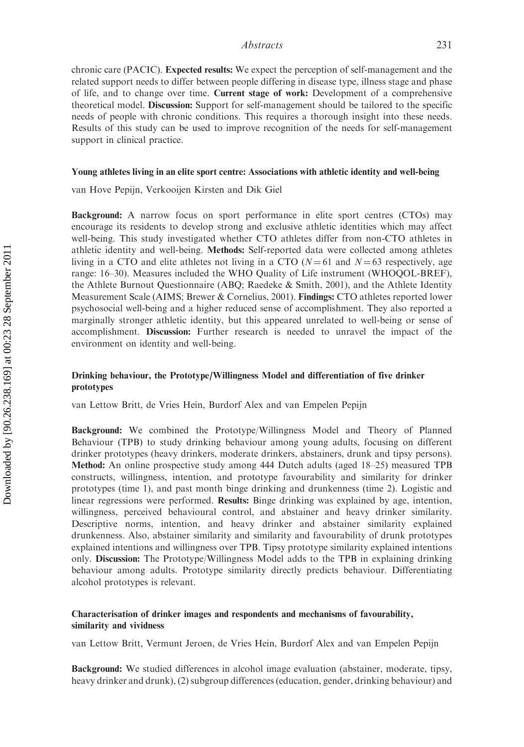chronic care (PACIC). Expected results: We expect the perception of self-management and the related support needs to differ between people differing in disease type, illness stage and phase of life, and to change over time. Current stage of work: Development of a comprehensive theoretical model. Discussion: Support for self-management should be tailored to the specific needs of people with chronic conditions. This requires a thorough insight into these needs. Results of this study can be used to improve recognition of the needs for self-management support in clinical practice.

#### Young athletes living in an elite sport centre: Associations with athletic identity and well-being

van Hove Pepijn, Verkooijen Kirsten and Dik Giel

Background: A narrow focus on sport performance in elite sport centres (CTOs) may encourage its residents to develop strong and exclusive athletic identities which may affect well-being. This study investigated whether CTO athletes differ from non-CTO athletes in athletic identity and well-being. Methods: Self-reported data were collected among athletes living in a CTO and elite athletes not living in a CTO  $(N=61)$  and  $N=63$  respectively, age range: 16–30). Measures included the WHO Quality of Life instrument (WHOQOL-BREF), the Athlete Burnout Questionnaire (ABQ; Raedeke & Smith, 2001), and the Athlete Identity Measurement Scale (AIMS; Brewer & Cornelius, 2001). Findings: CTO athletes reported lower psychosocial well-being and a higher reduced sense of accomplishment. They also reported a marginally stronger athletic identity, but this appeared unrelated to well-being or sense of accomplishment. Discussion: Further research is needed to unravel the impact of the environment on identity and well-being.

# Drinking behaviour, the Prototype/Willingness Model and differentiation of five drinker prototypes

van Lettow Britt, de Vries Hein, Burdorf Alex and van Empelen Pepijn

Background: We combined the Prototype/Willingness Model and Theory of Planned Behaviour (TPB) to study drinking behaviour among young adults, focusing on different drinker prototypes (heavy drinkers, moderate drinkers, abstainers, drunk and tipsy persons). Method: An online prospective study among 444 Dutch adults (aged 18–25) measured TPB constructs, willingness, intention, and prototype favourability and similarity for drinker prototypes (time 1), and past month binge drinking and drunkenness (time 2). Logistic and linear regressions were performed. Results: Binge drinking was explained by age, intention, willingness, perceived behavioural control, and abstainer and heavy drinker similarity. Descriptive norms, intention, and heavy drinker and abstainer similarity explained drunkenness. Also, abstainer similarity and similarity and favourability of drunk prototypes explained intentions and willingness over TPB. Tipsy prototype similarity explained intentions only. Discussion: The Prototype/Willingness Model adds to the TPB in explaining drinking behaviour among adults. Prototype similarity directly predicts behaviour. Differentiating alcohol prototypes is relevant.

# Characterisation of drinker images and respondents and mechanisms of favourability, similarity and vividness

van Lettow Britt, Vermunt Jeroen, de Vries Hein, Burdorf Alex and van Empelen Pepijn

Background: We studied differences in alcohol image evaluation (abstainer, moderate, tipsy, heavy drinker and drunk), (2) subgroup differences (education, gender, drinking behaviour) and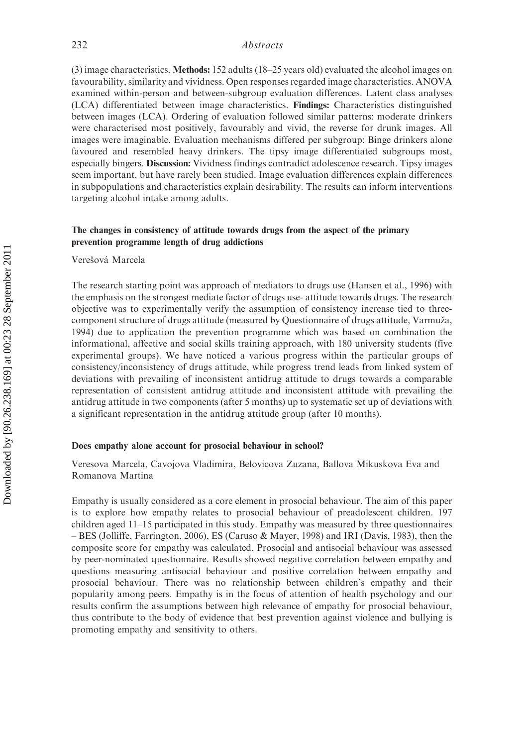(3) image characteristics. Methods: 152 adults (18–25 years old) evaluated the alcohol images on favourability, similarity and vividness. Open responses regarded image characteristics. ANOVA examined within-person and between-subgroup evaluation differences. Latent class analyses (LCA) differentiated between image characteristics. Findings: Characteristics distinguished between images (LCA). Ordering of evaluation followed similar patterns: moderate drinkers were characterised most positively, favourably and vivid, the reverse for drunk images. All images were imaginable. Evaluation mechanisms differed per subgroup: Binge drinkers alone favoured and resembled heavy drinkers. The tipsy image differentiated subgroups most, especially bingers. Discussion: Vividness findings contradict adolescence research. Tipsy images seem important, but have rarely been studied. Image evaluation differences explain differences in subpopulations and characteristics explain desirability. The results can inform interventions targeting alcohol intake among adults.

# The changes in consistency of attitude towards drugs from the aspect of the primary prevention programme length of drug addictions

#### Verešová Marcela

The research starting point was approach of mediators to drugs use (Hansen et al., 1996) with the emphasis on the strongest mediate factor of drugs use- attitude towards drugs. The research objective was to experimentally verify the assumption of consistency increase tied to threecomponent structure of drugs attitude (measured by Questionnaire of drugs attitude, Varmuža, 1994) due to application the prevention programme which was based on combination the informational, affective and social skills training approach, with 180 university students (five experimental groups). We have noticed a various progress within the particular groups of consistency/inconsistency of drugs attitude, while progress trend leads from linked system of deviations with prevailing of inconsistent antidrug attitude to drugs towards a comparable representation of consistent antidrug attitude and inconsistent attitude with prevailing the antidrug attitude in two components (after 5 months) up to systematic set up of deviations with a significant representation in the antidrug attitude group (after 10 months).

# Does empathy alone account for prosocial behaviour in school?

Veresova Marcela, Cavojova Vladimira, Belovicova Zuzana, Ballova Mikuskova Eva and Romanova Martina

Empathy is usually considered as a core element in prosocial behaviour. The aim of this paper is to explore how empathy relates to prosocial behaviour of preadolescent children. 197 children aged 11–15 participated in this study. Empathy was measured by three questionnaires – BES (Jolliffe, Farrington, 2006), ES (Caruso & Mayer, 1998) and IRI (Davis, 1983), then the composite score for empathy was calculated. Prosocial and antisocial behaviour was assessed by peer-nominated questionnaire. Results showed negative correlation between empathy and questions measuring antisocial behaviour and positive correlation between empathy and prosocial behaviour. There was no relationship between children's empathy and their popularity among peers. Empathy is in the focus of attention of health psychology and our results confirm the assumptions between high relevance of empathy for prosocial behaviour, thus contribute to the body of evidence that best prevention against violence and bullying is promoting empathy and sensitivity to others.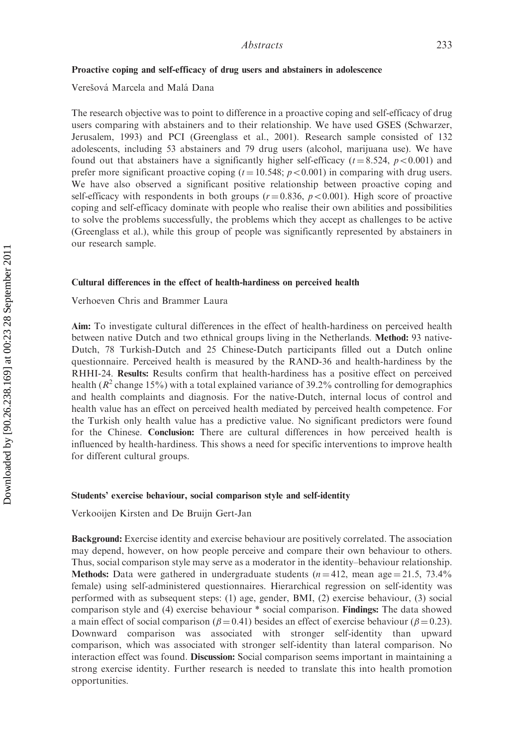# Proactive coping and self-efficacy of drug users and abstainers in adolescence

Verešová Marcela and Malá Dana

The research objective was to point to difference in a proactive coping and self-efficacy of drug users comparing with abstainers and to their relationship. We have used GSES (Schwarzer, Jerusalem, 1993) and PCI (Greenglass et al., 2001). Research sample consisted of 132 adolescents, including 53 abstainers and 79 drug users (alcohol, marijuana use). We have found out that abstainers have a significantly higher self-efficacy ( $t = 8.524$ ,  $p < 0.001$ ) and prefer more significant proactive coping  $(t = 10.548; p < 0.001)$  in comparing with drug users. We have also observed a significant positive relationship between proactive coping and self-efficacy with respondents in both groups ( $r = 0.836$ ,  $p < 0.001$ ). High score of proactive coping and self-efficacy dominate with people who realise their own abilities and possibilities to solve the problems successfully, the problems which they accept as challenges to be active (Greenglass et al.), while this group of people was significantly represented by abstainers in our research sample.

#### Cultural differences in the effect of health-hardiness on perceived health

Verhoeven Chris and Brammer Laura

Aim: To investigate cultural differences in the effect of health-hardiness on perceived health between native Dutch and two ethnical groups living in the Netherlands. Method: 93 native-Dutch, 78 Turkish-Dutch and 25 Chinese-Dutch participants filled out a Dutch online questionnaire. Perceived health is measured by the RAND-36 and health-hardiness by the RHHI-24. Results: Results confirm that health-hardiness has a positive effect on perceived health ( $R^2$  change 15%) with a total explained variance of 39.2% controlling for demographics and health complaints and diagnosis. For the native-Dutch, internal locus of control and health value has an effect on perceived health mediated by perceived health competence. For the Turkish only health value has a predictive value. No significant predictors were found for the Chinese. Conclusion: There are cultural differences in how perceived health is influenced by health-hardiness. This shows a need for specific interventions to improve health for different cultural groups.

#### Students' exercise behaviour, social comparison style and self-identity

Verkooijen Kirsten and De Bruijn Gert-Jan

Background: Exercise identity and exercise behaviour are positively correlated. The association may depend, however, on how people perceive and compare their own behaviour to others. Thus, social comparison style may serve as a moderator in the identity–behaviour relationship. **Methods:** Data were gathered in undergraduate students  $(n=412, \text{ mean age} = 21.5, 73.4\%$ female) using self-administered questionnaires. Hierarchical regression on self-identity was performed with as subsequent steps: (1) age, gender, BMI, (2) exercise behaviour, (3) social comparison style and (4) exercise behaviour \* social comparison. Findings: The data showed a main effect of social comparison ( $\beta$  = 0.41) besides an effect of exercise behaviour ( $\beta$  = 0.23). Downward comparison was associated with stronger self-identity than upward comparison, which was associated with stronger self-identity than lateral comparison. No interaction effect was found. Discussion: Social comparison seems important in maintaining a strong exercise identity. Further research is needed to translate this into health promotion opportunities.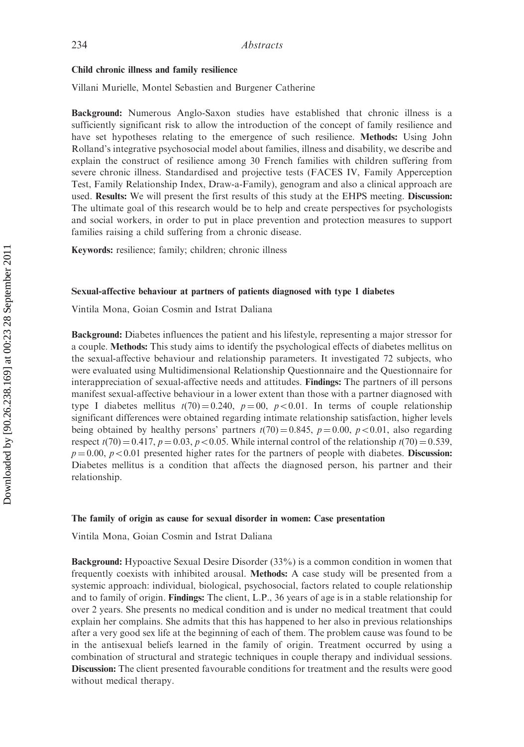# Child chronic illness and family resilience

Villani Murielle, Montel Sebastien and Burgener Catherine

Background: Numerous Anglo-Saxon studies have established that chronic illness is a sufficiently significant risk to allow the introduction of the concept of family resilience and have set hypotheses relating to the emergence of such resilience. Methods: Using John Rolland's integrative psychosocial model about families, illness and disability, we describe and explain the construct of resilience among 30 French families with children suffering from severe chronic illness. Standardised and projective tests (FACES IV, Family Apperception Test, Family Relationship Index, Draw-a-Family), genogram and also a clinical approach are used. Results: We will present the first results of this study at the EHPS meeting. Discussion: The ultimate goal of this research would be to help and create perspectives for psychologists and social workers, in order to put in place prevention and protection measures to support families raising a child suffering from a chronic disease.

Keywords: resilience; family; children; chronic illness

### Sexual-affective behaviour at partners of patients diagnosed with type 1 diabetes

Vintila Mona, Goian Cosmin and Istrat Daliana

Background: Diabetes influences the patient and his lifestyle, representing a major stressor for a couple. Methods: This study aims to identify the psychological effects of diabetes mellitus on the sexual-affective behaviour and relationship parameters. It investigated 72 subjects, who were evaluated using Multidimensional Relationship Questionnaire and the Questionnaire for interappreciation of sexual-affective needs and attitudes. Findings: The partners of ill persons manifest sexual-affective behaviour in a lower extent than those with a partner diagnosed with type I diabetes mellitus  $t(70) = 0.240$ ,  $p = 00$ ,  $p < 0.01$ . In terms of couple relationship significant differences were obtained regarding intimate relationship satisfaction, higher levels being obtained by healthy persons' partners  $t(70) = 0.845$ ,  $p = 0.00$ ,  $p < 0.01$ , also regarding respect  $t(70) = 0.417$ ,  $p = 0.03$ ,  $p < 0.05$ . While internal control of the relationship  $t(70) = 0.539$ ,  $p = 0.00$ ,  $p < 0.01$  presented higher rates for the partners of people with diabetes. Discussion: Diabetes mellitus is a condition that affects the diagnosed person, his partner and their relationship.

#### The family of origin as cause for sexual disorder in women: Case presentation

Vintila Mona, Goian Cosmin and Istrat Daliana

Background: Hypoactive Sexual Desire Disorder (33%) is a common condition in women that frequently coexists with inhibited arousal. Methods: A case study will be presented from a systemic approach: individual, biological, psychosocial, factors related to couple relationship and to family of origin. Findings: The client, L.P., 36 years of age is in a stable relationship for over 2 years. She presents no medical condition and is under no medical treatment that could explain her complains. She admits that this has happened to her also in previous relationships after a very good sex life at the beginning of each of them. The problem cause was found to be in the antisexual beliefs learned in the family of origin. Treatment occurred by using a combination of structural and strategic techniques in couple therapy and individual sessions. Discussion: The client presented favourable conditions for treatment and the results were good without medical therapy.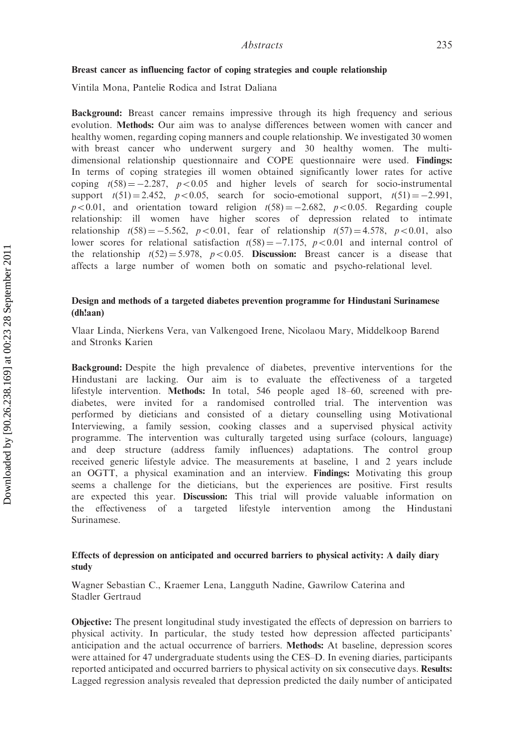#### Breast cancer as influencing factor of coping strategies and couple relationship

Vintila Mona, Pantelie Rodica and Istrat Daliana

Background: Breast cancer remains impressive through its high frequency and serious evolution. Methods: Our aim was to analyse differences between women with cancer and healthy women, regarding coping manners and couple relationship. We investigated 30 women with breast cancer who underwent surgery and 30 healthy women. The multidimensional relationship questionnaire and COPE questionnaire were used. Findings: In terms of coping strategies ill women obtained significantly lower rates for active coping  $t(58) = -2.287$ ,  $p < 0.05$  and higher levels of search for socio-instrumental support  $t(51)=2.452$ ,  $p<0.05$ , search for socio-emotional support,  $t(51) = -2.991$ ,  $p<0.01$ , and orientation toward religion  $t(58) = -2.682$ ,  $p<0.05$ . Regarding couple relationship: ill women have higher scores of depression related to intimate relationship  $t(58) = -5.562$ ,  $p < 0.01$ , fear of relationship  $t(57) = 4.578$ ,  $p < 0.01$ , also lower scores for relational satisfaction  $t(58) = -7.175$ ,  $p < 0.01$  and internal control of the relationship  $t(52) = 5.978$ ,  $p < 0.05$ . Discussion: Breast cancer is a disease that affects a large number of women both on somatic and psycho-relational level.

# Design and methods of a targeted diabetes prevention programme for Hindustani Surinamese (dh!aan)

Vlaar Linda, Nierkens Vera, van Valkengoed Irene, Nicolaou Mary, Middelkoop Barend and Stronks Karien

Background: Despite the high prevalence of diabetes, preventive interventions for the Hindustani are lacking. Our aim is to evaluate the effectiveness of a targeted lifestyle intervention. Methods: In total, 546 people aged 18–60, screened with prediabetes, were invited for a randomised controlled trial. The intervention performed by dieticians and consisted of a dietary counselling using Motivational Interviewing, a family session, cooking classes and a supervised physical activity programme. The intervention was culturally targeted using surface (colours, language) and deep structure (address family influences) adaptations. The control group received generic lifestyle advice. The measurements at baseline, 1 and 2 years include an OGTT, a physical examination and an interview. Findings: Motivating this group seems a challenge for the dieticians, but the experiences are positive. First results are expected this year. Discussion: This trial will provide valuable information on the effectiveness of a targeted lifestyle intervention among the Hindustani Surinamese.

# Effects of depression on anticipated and occurred barriers to physical activity: A daily diary study

Wagner Sebastian C., Kraemer Lena, Langguth Nadine, Gawrilow Caterina and Stadler Gertraud

Objective: The present longitudinal study investigated the effects of depression on barriers to physical activity. In particular, the study tested how depression affected participants' anticipation and the actual occurrence of barriers. Methods: At baseline, depression scores were attained for 47 undergraduate students using the CES–D. In evening diaries, participants reported anticipated and occurred barriers to physical activity on six consecutive days. **Results:** Lagged regression analysis revealed that depression predicted the daily number of anticipated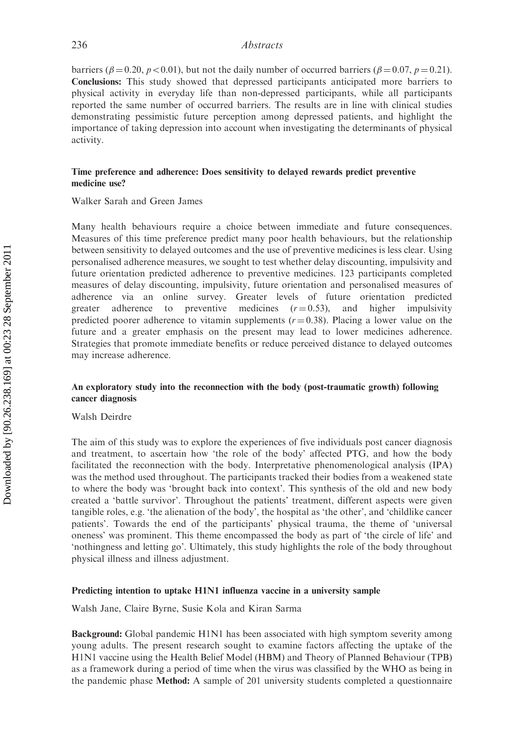barriers ( $\beta = 0.20$ ,  $p < 0.01$ ), but not the daily number of occurred barriers ( $\beta = 0.07$ ,  $p = 0.21$ ). Conclusions: This study showed that depressed participants anticipated more barriers to physical activity in everyday life than non-depressed participants, while all participants reported the same number of occurred barriers. The results are in line with clinical studies demonstrating pessimistic future perception among depressed patients, and highlight the importance of taking depression into account when investigating the determinants of physical activity.

# Time preference and adherence: Does sensitivity to delayed rewards predict preventive medicine use?

Walker Sarah and Green James

Many health behaviours require a choice between immediate and future consequences. Measures of this time preference predict many poor health behaviours, but the relationship between sensitivity to delayed outcomes and the use of preventive medicines is less clear. Using personalised adherence measures, we sought to test whether delay discounting, impulsivity and future orientation predicted adherence to preventive medicines. 123 participants completed measures of delay discounting, impulsivity, future orientation and personalised measures of adherence via an online survey. Greater levels of future orientation predicted greater adherence to preventive medicines  $(r=0.53)$ , and higher impulsivity predicted poorer adherence to vitamin supplements  $(r = 0.38)$ . Placing a lower value on the future and a greater emphasis on the present may lead to lower medicines adherence. Strategies that promote immediate benefits or reduce perceived distance to delayed outcomes may increase adherence.

# An exploratory study into the reconnection with the body (post-traumatic growth) following cancer diagnosis

### Walsh Deirdre

The aim of this study was to explore the experiences of five individuals post cancer diagnosis and treatment, to ascertain how 'the role of the body' affected PTG, and how the body facilitated the reconnection with the body. Interpretative phenomenological analysis (IPA) was the method used throughout. The participants tracked their bodies from a weakened state to where the body was 'brought back into context'. This synthesis of the old and new body created a 'battle survivor'. Throughout the patients' treatment, different aspects were given tangible roles, e.g. 'the alienation of the body', the hospital as 'the other', and 'childlike cancer patients'. Towards the end of the participants' physical trauma, the theme of 'universal oneness' was prominent. This theme encompassed the body as part of 'the circle of life' and 'nothingness and letting go'. Ultimately, this study highlights the role of the body throughout physical illness and illness adjustment.

### Predicting intention to uptake H1N1 influenza vaccine in a university sample

Walsh Jane, Claire Byrne, Susie Kola and Kiran Sarma

Background: Global pandemic H1N1 has been associated with high symptom severity among young adults. The present research sought to examine factors affecting the uptake of the H1N1 vaccine using the Health Belief Model (HBM) and Theory of Planned Behaviour (TPB) as a framework during a period of time when the virus was classified by the WHO as being in the pandemic phase Method: A sample of 201 university students completed a questionnaire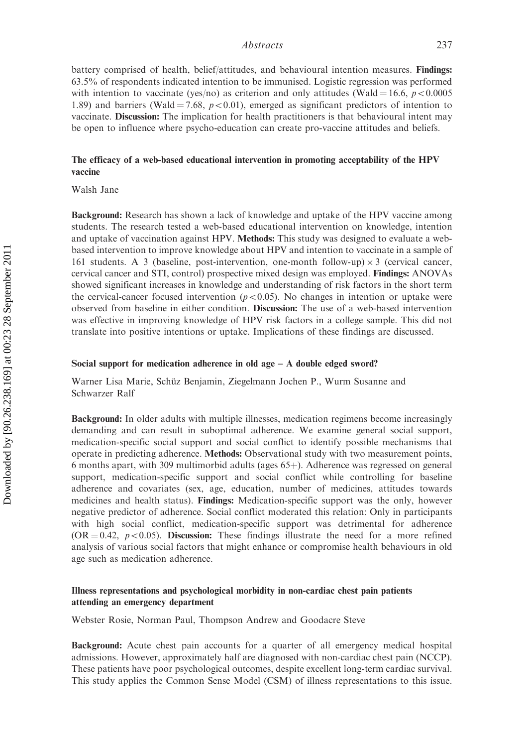battery comprised of health, belief/attitudes, and behavioural intention measures. Findings: 63.5% of respondents indicated intention to be immunised. Logistic regression was performed with intention to vaccinate (yes/no) as criterion and only attitudes (Wald = 16.6,  $p < 0.0005$ 1.89) and barriers (Wald = 7.68,  $p < 0.01$ ), emerged as significant predictors of intention to vaccinate. Discussion: The implication for health practitioners is that behavioural intent may be open to influence where psycho-education can create pro-vaccine attitudes and beliefs.

# The efficacy of a web-based educational intervention in promoting acceptability of the HPV vaccine

Walsh Jane

Background: Research has shown a lack of knowledge and uptake of the HPV vaccine among students. The research tested a web-based educational intervention on knowledge, intention and uptake of vaccination against HPV. Methods: This study was designed to evaluate a webbased intervention to improve knowledge about HPV and intention to vaccinate in a sample of 161 students. A 3 (baseline, post-intervention, one-month follow-up)  $\times$  3 (cervical cancer, cervical cancer and STI, control) prospective mixed design was employed. Findings: ANOVAs showed significant increases in knowledge and understanding of risk factors in the short term the cervical-cancer focused intervention ( $p<0.05$ ). No changes in intention or uptake were observed from baseline in either condition. Discussion: The use of a web-based intervention was effective in improving knowledge of HPV risk factors in a college sample. This did not translate into positive intentions or uptake. Implications of these findings are discussed.

#### Social support for medication adherence in old age – A double edged sword?

Warner Lisa Marie, Schüz Benjamin, Ziegelmann Jochen P., Wurm Susanne and Schwarzer Ralf

Background: In older adults with multiple illnesses, medication regimens become increasingly demanding and can result in suboptimal adherence. We examine general social support, medication-specific social support and social conflict to identify possible mechanisms that operate in predicting adherence. Methods: Observational study with two measurement points, 6 months apart, with 309 multimorbid adults (ages  $65+$ ). Adherence was regressed on general support, medication-specific support and social conflict while controlling for baseline adherence and covariates (sex, age, education, number of medicines, attitudes towards medicines and health status). Findings: Medication-specific support was the only, however negative predictor of adherence. Social conflict moderated this relation: Only in participants with high social conflict, medication-specific support was detrimental for adherence  $(OR = 0.42, p < 0.05)$ . Discussion: These findings illustrate the need for a more refined analysis of various social factors that might enhance or compromise health behaviours in old age such as medication adherence.

## Illness representations and psychological morbidity in non-cardiac chest pain patients attending an emergency department

Webster Rosie, Norman Paul, Thompson Andrew and Goodacre Steve

Background: Acute chest pain accounts for a quarter of all emergency medical hospital admissions. However, approximately half are diagnosed with non-cardiac chest pain (NCCP). These patients have poor psychological outcomes, despite excellent long-term cardiac survival. This study applies the Common Sense Model (CSM) of illness representations to this issue.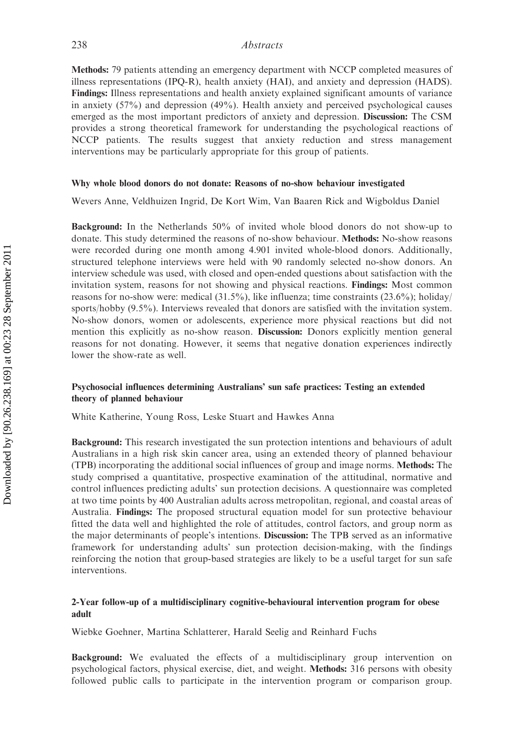Methods: 79 patients attending an emergency department with NCCP completed measures of illness representations (IPQ-R), health anxiety (HAI), and anxiety and depression (HADS). Findings: Illness representations and health anxiety explained significant amounts of variance in anxiety (57%) and depression (49%). Health anxiety and perceived psychological causes emerged as the most important predictors of anxiety and depression. Discussion: The CSM provides a strong theoretical framework for understanding the psychological reactions of NCCP patients. The results suggest that anxiety reduction and stress management interventions may be particularly appropriate for this group of patients.

#### Why whole blood donors do not donate: Reasons of no-show behaviour investigated

Wevers Anne, Veldhuizen Ingrid, De Kort Wim, Van Baaren Rick and Wigboldus Daniel

Background: In the Netherlands 50% of invited whole blood donors do not show-up to donate. This study determined the reasons of no-show behaviour. Methods: No-show reasons were recorded during one month among 4.901 invited whole-blood donors. Additionally, structured telephone interviews were held with 90 randomly selected no-show donors. An interview schedule was used, with closed and open-ended questions about satisfaction with the invitation system, reasons for not showing and physical reactions. Findings: Most common reasons for no-show were: medical  $(31.5\%)$ , like influenza; time constraints  $(23.6\%)$ ; holiday/ sports/hobby (9.5%). Interviews revealed that donors are satisfied with the invitation system. No-show donors, women or adolescents, experience more physical reactions but did not mention this explicitly as no-show reason. Discussion: Donors explicitly mention general reasons for not donating. However, it seems that negative donation experiences indirectly lower the show-rate as well.

# Psychosocial influences determining Australians' sun safe practices: Testing an extended theory of planned behaviour

White Katherine, Young Ross, Leske Stuart and Hawkes Anna

Background: This research investigated the sun protection intentions and behaviours of adult Australians in a high risk skin cancer area, using an extended theory of planned behaviour (TPB) incorporating the additional social influences of group and image norms. Methods: The study comprised a quantitative, prospective examination of the attitudinal, normative and control influences predicting adults' sun protection decisions. A questionnaire was completed at two time points by 400 Australian adults across metropolitan, regional, and coastal areas of Australia. Findings: The proposed structural equation model for sun protective behaviour fitted the data well and highlighted the role of attitudes, control factors, and group norm as the major determinants of people's intentions. Discussion: The TPB served as an informative framework for understanding adults' sun protection decision-making, with the findings reinforcing the notion that group-based strategies are likely to be a useful target for sun safe interventions.

# 2-Year follow-up of a multidisciplinary cognitive-behavioural intervention program for obese adult

Wiebke Goehner, Martina Schlatterer, Harald Seelig and Reinhard Fuchs

Background: We evaluated the effects of a multidisciplinary group intervention on psychological factors, physical exercise, diet, and weight. Methods: 316 persons with obesity followed public calls to participate in the intervention program or comparison group.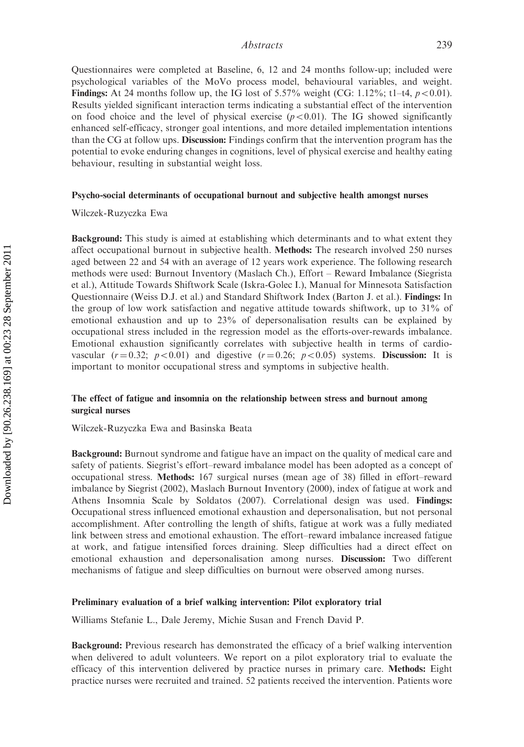Questionnaires were completed at Baseline, 6, 12 and 24 months follow-up; included were psychological variables of the MoVo process model, behavioural variables, and weight. Findings: At 24 months follow up, the IG lost of 5.57% weight (CG: 1.12%; t1-t4,  $p < 0.01$ ). Results yielded significant interaction terms indicating a substantial effect of the intervention on food choice and the level of physical exercise  $(p<0.01)$ . The IG showed significantly enhanced self-efficacy, stronger goal intentions, and more detailed implementation intentions than the CG at follow ups. Discussion: Findings confirm that the intervention program has the potential to evoke enduring changes in cognitions, level of physical exercise and healthy eating behaviour, resulting in substantial weight loss.

# Psycho-social determinants of occupational burnout and subjective health amongst nurses

#### Wilczek-Ruzyczka Ewa

Background: This study is aimed at establishing which determinants and to what extent they affect occupational burnout in subjective health. Methods: The research involved 250 nurses aged between 22 and 54 with an average of 12 years work experience. The following research methods were used: Burnout Inventory (Maslach Ch.), Effort – Reward Imbalance (Siegrista et al.), Attitude Towards Shiftwork Scale (Iskra-Golec I.), Manual for Minnesota Satisfaction Questionnaire (Weiss D.J. et al.) and Standard Shiftwork Index (Barton J. et al.). Findings: In the group of low work satisfaction and negative attitude towards shiftwork, up to 31% of emotional exhaustion and up to 23% of depersonalisation results can be explained by occupational stress included in the regression model as the efforts-over-rewards imbalance. Emotional exhaustion significantly correlates with subjective health in terms of cardiovascular  $(r=0.32; p<0.01)$  and digestive  $(r=0.26; p<0.05)$  systems. Discussion: It is important to monitor occupational stress and symptoms in subjective health.

# The effect of fatigue and insomnia on the relationship between stress and burnout among surgical nurses

Wilczek-Ruzyczka Ewa and Basinska Beata

Background: Burnout syndrome and fatigue have an impact on the quality of medical care and safety of patients. Siegrist's effort–reward imbalance model has been adopted as a concept of occupational stress. Methods: 167 surgical nurses (mean age of 38) filled in effort–reward imbalance by Siegrist (2002), Maslach Burnout Inventory (2000), index of fatigue at work and Athens Insomnia Scale by Soldatos (2007). Correlational design was used. Findings: Occupational stress influenced emotional exhaustion and depersonalisation, but not personal accomplishment. After controlling the length of shifts, fatigue at work was a fully mediated link between stress and emotional exhaustion. The effort–reward imbalance increased fatigue at work, and fatigue intensified forces draining. Sleep difficulties had a direct effect on emotional exhaustion and depersonalisation among nurses. Discussion: Two different mechanisms of fatigue and sleep difficulties on burnout were observed among nurses.

#### Preliminary evaluation of a brief walking intervention: Pilot exploratory trial

Williams Stefanie L., Dale Jeremy, Michie Susan and French David P.

Background: Previous research has demonstrated the efficacy of a brief walking intervention when delivered to adult volunteers. We report on a pilot exploratory trial to evaluate the efficacy of this intervention delivered by practice nurses in primary care. Methods: Eight practice nurses were recruited and trained. 52 patients received the intervention. Patients wore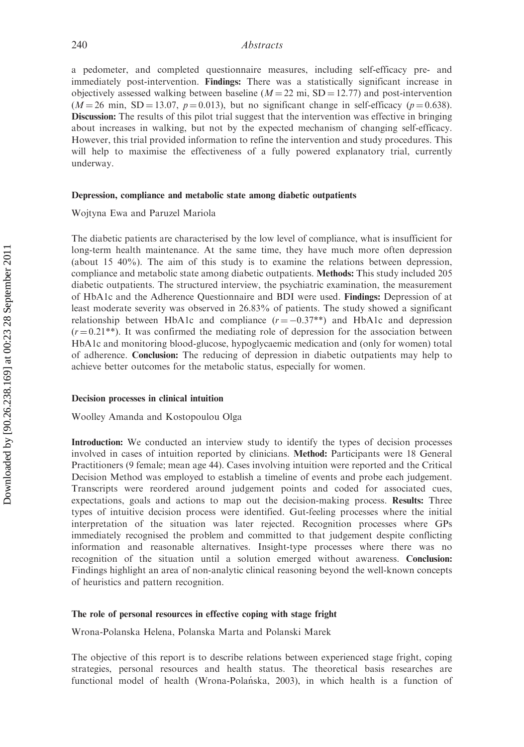a pedometer, and completed questionnaire measures, including self-efficacy pre- and immediately post-intervention. Findings: There was a statistically significant increase in objectively assessed walking between baseline ( $M = 22$  mi, SD = 12.77) and post-intervention  $(M=26 \text{ min}, SD=13.07, p=0.013)$ , but no significant change in self-efficacy (p=0.638). Discussion: The results of this pilot trial suggest that the intervention was effective in bringing about increases in walking, but not by the expected mechanism of changing self-efficacy. However, this trial provided information to refine the intervention and study procedures. This will help to maximise the effectiveness of a fully powered explanatory trial, currently underway.

#### Depression, compliance and metabolic state among diabetic outpatients

Wojtyna Ewa and Paruzel Mariola

The diabetic patients are characterised by the low level of compliance, what is insufficient for long-term health maintenance. At the same time, they have much more often depression (about 15 40%). The aim of this study is to examine the relations between depression, compliance and metabolic state among diabetic outpatients. Methods: This study included 205 diabetic outpatients. The structured interview, the psychiatric examination, the measurement of HbA1c and the Adherence Questionnaire and BDI were used. Findings: Depression of at least moderate severity was observed in 26.83% of patients. The study showed a significant relationship between HbA1c and compliance  $(r = -0.37^{**})$  and HbA1c and depression  $(r=0.21^{**})$ . It was confirmed the mediating role of depression for the association between HbA1c and monitoring blood-glucose, hypoglycaemic medication and (only for women) total of adherence. Conclusion: The reducing of depression in diabetic outpatients may help to achieve better outcomes for the metabolic status, especially for women.

#### Decision processes in clinical intuition

Woolley Amanda and Kostopoulou Olga

Introduction: We conducted an interview study to identify the types of decision processes involved in cases of intuition reported by clinicians. Method: Participants were 18 General Practitioners (9 female; mean age 44). Cases involving intuition were reported and the Critical Decision Method was employed to establish a timeline of events and probe each judgement. Transcripts were reordered around judgement points and coded for associated cues, expectations, goals and actions to map out the decision-making process. Results: Three types of intuitive decision process were identified. Gut-feeling processes where the initial interpretation of the situation was later rejected. Recognition processes where GPs immediately recognised the problem and committed to that judgement despite conflicting information and reasonable alternatives. Insight-type processes where there was no recognition of the situation until a solution emerged without awareness. Conclusion: Findings highlight an area of non-analytic clinical reasoning beyond the well-known concepts of heuristics and pattern recognition.

#### The role of personal resources in effective coping with stage fright

Wrona-Polanska Helena, Polanska Marta and Polanski Marek

The objective of this report is to describe relations between experienced stage fright, coping strategies, personal resources and health status. The theoretical basis researches are functional model of health (Wrona-Polan´ska, 2003), in which health is a function of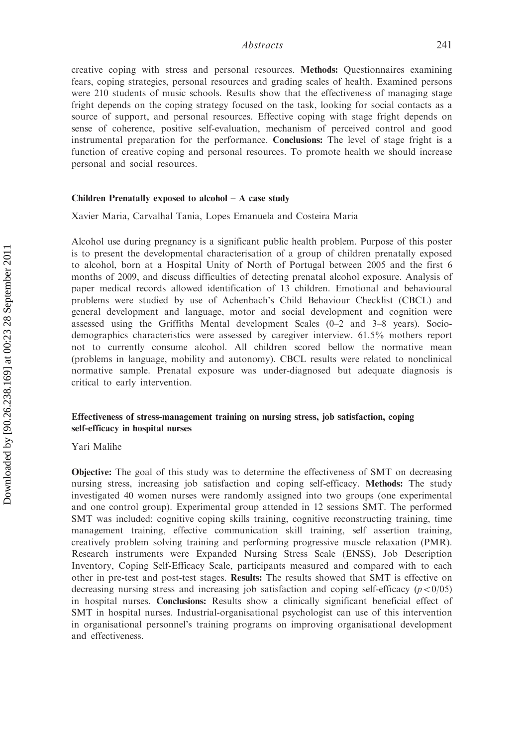creative coping with stress and personal resources. Methods: Questionnaires examining fears, coping strategies, personal resources and grading scales of health. Examined persons were 210 students of music schools. Results show that the effectiveness of managing stage fright depends on the coping strategy focused on the task, looking for social contacts as a source of support, and personal resources. Effective coping with stage fright depends on sense of coherence, positive self-evaluation, mechanism of perceived control and good instrumental preparation for the performance. Conclusions: The level of stage fright is a function of creative coping and personal resources. To promote health we should increase personal and social resources.

### Children Prenatally exposed to alcohol – A case study

### Xavier Maria, Carvalhal Tania, Lopes Emanuela and Costeira Maria

Alcohol use during pregnancy is a significant public health problem. Purpose of this poster is to present the developmental characterisation of a group of children prenatally exposed to alcohol, born at a Hospital Unity of North of Portugal between 2005 and the first 6 months of 2009, and discuss difficulties of detecting prenatal alcohol exposure. Analysis of paper medical records allowed identification of 13 children. Emotional and behavioural problems were studied by use of Achenbach's Child Behaviour Checklist (CBCL) and general development and language, motor and social development and cognition were assessed using the Griffiths Mental development Scales (0–2 and 3–8 years). Sociodemographics characteristics were assessed by caregiver interview. 61.5% mothers report not to currently consume alcohol. All children scored bellow the normative mean (problems in language, mobility and autonomy). CBCL results were related to nonclinical normative sample. Prenatal exposure was under-diagnosed but adequate diagnosis is critical to early intervention.

## Effectiveness of stress-management training on nursing stress, job satisfaction, coping self-efficacy in hospital nurses

### Yari Malihe

Objective: The goal of this study was to determine the effectiveness of SMT on decreasing nursing stress, increasing job satisfaction and coping self-efficacy. Methods: The study investigated 40 women nurses were randomly assigned into two groups (one experimental and one control group). Experimental group attended in 12 sessions SMT. The performed SMT was included: cognitive coping skills training, cognitive reconstructing training, time management training, effective communication skill training, self assertion training, creatively problem solving training and performing progressive muscle relaxation (PMR). Research instruments were Expanded Nursing Stress Scale (ENSS), Job Description Inventory, Coping Self-Efficacy Scale, participants measured and compared with to each other in pre-test and post-test stages. Results: The results showed that SMT is effective on decreasing nursing stress and increasing job satisfaction and coping self-efficacy  $(p<0/05)$ in hospital nurses. Conclusions: Results show a clinically significant beneficial effect of SMT in hospital nurses. Industrial-organisational psychologist can use of this intervention in organisational personnel's training programs on improving organisational development and effectiveness.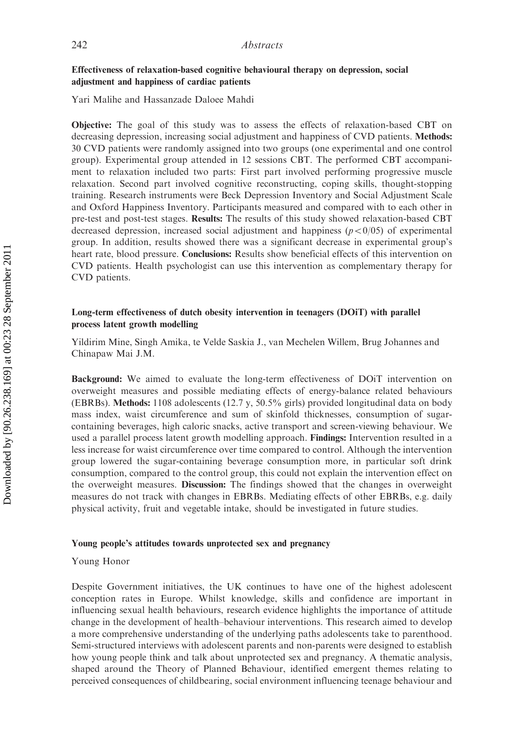# Effectiveness of relaxation-based cognitive behavioural therapy on depression, social adjustment and happiness of cardiac patients

Yari Malihe and Hassanzade Daloee Mahdi

Objective: The goal of this study was to assess the effects of relaxation-based CBT on decreasing depression, increasing social adjustment and happiness of CVD patients. Methods: 30 CVD patients were randomly assigned into two groups (one experimental and one control group). Experimental group attended in 12 sessions CBT. The performed CBT accompaniment to relaxation included two parts: First part involved performing progressive muscle relaxation. Second part involved cognitive reconstructing, coping skills, thought-stopping training. Research instruments were Beck Depression Inventory and Social Adjustment Scale and Oxford Happiness Inventory. Participants measured and compared with to each other in pre-test and post-test stages. Results: The results of this study showed relaxation-based CBT decreased depression, increased social adjustment and happiness ( $p<0/05$ ) of experimental group. In addition, results showed there was a significant decrease in experimental group's heart rate, blood pressure. Conclusions: Results show beneficial effects of this intervention on CVD patients. Health psychologist can use this intervention as complementary therapy for CVD patients.

# Long-term effectiveness of dutch obesity intervention in teenagers (DOiT) with parallel process latent growth modelling

Yildirim Mine, Singh Amika, te Velde Saskia J., van Mechelen Willem, Brug Johannes and Chinapaw Mai J.M.

Background: We aimed to evaluate the long-term effectiveness of DOiT intervention on overweight measures and possible mediating effects of energy-balance related behaviours (EBRBs). Methods: 1108 adolescents (12.7 y, 50.5% girls) provided longitudinal data on body mass index, waist circumference and sum of skinfold thicknesses, consumption of sugarcontaining beverages, high caloric snacks, active transport and screen-viewing behaviour. We used a parallel process latent growth modelling approach. Findings: Intervention resulted in a less increase for waist circumference over time compared to control. Although the intervention group lowered the sugar-containing beverage consumption more, in particular soft drink consumption, compared to the control group, this could not explain the intervention effect on the overweight measures. Discussion: The findings showed that the changes in overweight measures do not track with changes in EBRBs. Mediating effects of other EBRBs, e.g. daily physical activity, fruit and vegetable intake, should be investigated in future studies.

### Young people's attitudes towards unprotected sex and pregnancy

### Young Honor

Despite Government initiatives, the UK continues to have one of the highest adolescent conception rates in Europe. Whilst knowledge, skills and confidence are important in influencing sexual health behaviours, research evidence highlights the importance of attitude change in the development of health–behaviour interventions. This research aimed to develop a more comprehensive understanding of the underlying paths adolescents take to parenthood. Semi-structured interviews with adolescent parents and non-parents were designed to establish how young people think and talk about unprotected sex and pregnancy. A thematic analysis, shaped around the Theory of Planned Behaviour, identified emergent themes relating to perceived consequences of childbearing, social environment influencing teenage behaviour and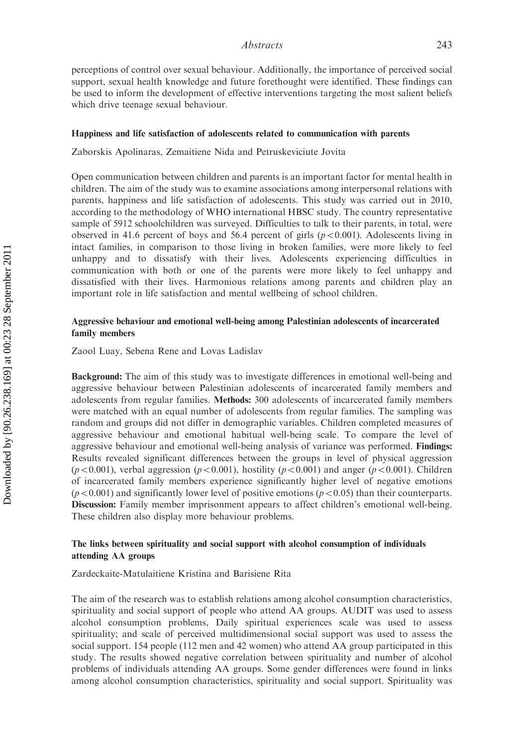perceptions of control over sexual behaviour. Additionally, the importance of perceived social support, sexual health knowledge and future forethought were identified. These findings can be used to inform the development of effective interventions targeting the most salient beliefs which drive teenage sexual behaviour.

#### Happiness and life satisfaction of adolescents related to communication with parents

Zaborskis Apolinaras, Zemaitiene Nida and Petruskeviciute Jovita

Open communication between children and parents is an important factor for mental health in children. The aim of the study was to examine associations among interpersonal relations with parents, happiness and life satisfaction of adolescents. This study was carried out in 2010, according to the methodology of WHO international HBSC study. The country representative sample of 5912 schoolchildren was surveyed. Difficulties to talk to their parents, in total, were observed in 41.6 percent of boys and 56.4 percent of girls ( $p<0.001$ ). Adolescents living in intact families, in comparison to those living in broken families, were more likely to feel unhappy and to dissatisfy with their lives. Adolescents experiencing difficulties in communication with both or one of the parents were more likely to feel unhappy and dissatisfied with their lives. Harmonious relations among parents and children play an important role in life satisfaction and mental wellbeing of school children.

## Aggressive behaviour and emotional well-being among Palestinian adolescents of incarcerated family members

Zaool Luay, Sebena Rene and Lovas Ladislav

Background: The aim of this study was to investigate differences in emotional well-being and aggressive behaviour between Palestinian adolescents of incarcerated family members and adolescents from regular families. Methods: 300 adolescents of incarcerated family members were matched with an equal number of adolescents from regular families. The sampling was random and groups did not differ in demographic variables. Children completed measures of aggressive behaviour and emotional habitual well-being scale. To compare the level of aggressive behaviour and emotional well-being analysis of variance was performed. Findings: Results revealed significant differences between the groups in level of physical aggression  $(p<0.001)$ , verbal aggression  $(p<0.001)$ , hostility  $(p<0.001)$  and anger  $(p<0.001)$ . Children of incarcerated family members experience significantly higher level of negative emotions  $(p<0.001)$  and significantly lower level of positive emotions ( $p<0.05$ ) than their counterparts. Discussion: Family member imprisonment appears to affect children's emotional well-being. These children also display more behaviour problems.

# The links between spirituality and social support with alcohol consumption of individuals attending AA groups

Zardeckaite-Matulaitiene Kristina and Barisiene Rita

The aim of the research was to establish relations among alcohol consumption characteristics, spirituality and social support of people who attend AA groups. AUDIT was used to assess alcohol consumption problems, Daily spiritual experiences scale was used to assess spirituality; and scale of perceived multidimensional social support was used to assess the social support. 154 people (112 men and 42 women) who attend AA group participated in this study. The results showed negative correlation between spirituality and number of alcohol problems of individuals attending AA groups. Some gender differences were found in links among alcohol consumption characteristics, spirituality and social support. Spirituality was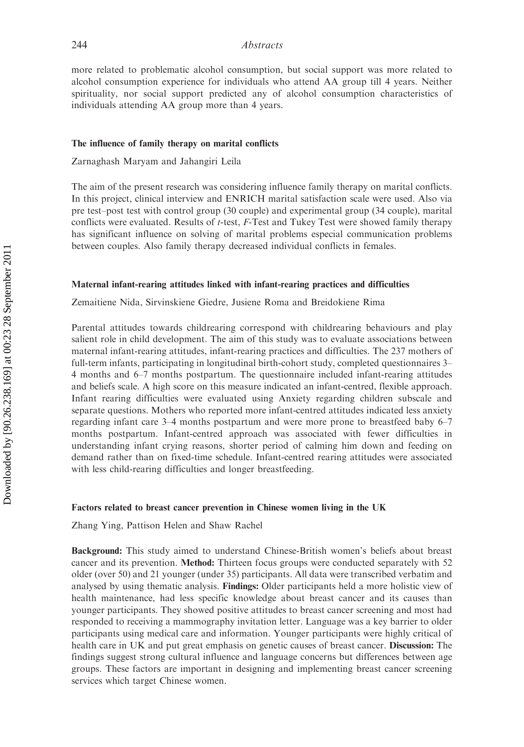more related to problematic alcohol consumption, but social support was more related to alcohol consumption experience for individuals who attend AA group till 4 years. Neither spirituality, nor social support predicted any of alcohol consumption characteristics of individuals attending AA group more than 4 years.

#### The influence of family therapy on marital conflicts

Zarnaghash Maryam and Jahangiri Leila

The aim of the present research was considering influence family therapy on marital conflicts. In this project, clinical interview and ENRICH marital satisfaction scale were used. Also via pre test–post test with control group (30 couple) and experimental group (34 couple), marital conflicts were evaluated. Results of  $t$ -test,  $F$ -Test and Tukey Test were showed family therapy has significant influence on solving of marital problems especial communication problems between couples. Also family therapy decreased individual conflicts in females.

### Maternal infant-rearing attitudes linked with infant-rearing practices and difficulties

Zemaitiene Nida, Sirvinskiene Giedre, Jusiene Roma and Breidokiene Rima

Parental attitudes towards childrearing correspond with childrearing behaviours and play salient role in child development. The aim of this study was to evaluate associations between maternal infant-rearing attitudes, infant-rearing practices and difficulties. The 237 mothers of full-term infants, participating in longitudinal birth-cohort study, completed questionnaires 3– 4 months and 6–7 months postpartum. The questionnaire included infant-rearing attitudes and beliefs scale. A high score on this measure indicated an infant-centred, flexible approach. Infant rearing difficulties were evaluated using Anxiety regarding children subscale and separate questions. Mothers who reported more infant-centred attitudes indicated less anxiety regarding infant care 3–4 months postpartum and were more prone to breastfeed baby 6–7 months postpartum. Infant-centred approach was associated with fewer difficulties in understanding infant crying reasons, shorter period of calming him down and feeding on demand rather than on fixed-time schedule. Infant-centred rearing attitudes were associated with less child-rearing difficulties and longer breastfeeding.

#### Factors related to breast cancer prevention in Chinese women living in the UK

Zhang Ying, Pattison Helen and Shaw Rachel

Background: This study aimed to understand Chinese-British women's beliefs about breast cancer and its prevention. Method: Thirteen focus groups were conducted separately with 52 older (over 50) and 21 younger (under 35) participants. All data were transcribed verbatim and analysed by using thematic analysis. Findings: Older participants held a more holistic view of health maintenance, had less specific knowledge about breast cancer and its causes than younger participants. They showed positive attitudes to breast cancer screening and most had responded to receiving a mammography invitation letter. Language was a key barrier to older participants using medical care and information. Younger participants were highly critical of health care in UK and put great emphasis on genetic causes of breast cancer. Discussion: The findings suggest strong cultural influence and language concerns but differences between age groups. These factors are important in designing and implementing breast cancer screening services which target Chinese women.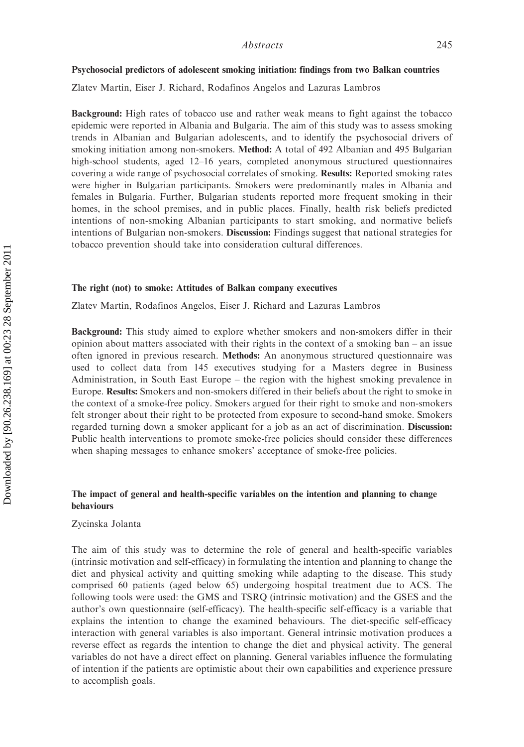Zlatev Martin, Eiser J. Richard, Rodafinos Angelos and Lazuras Lambros

Background: High rates of tobacco use and rather weak means to fight against the tobacco epidemic were reported in Albania and Bulgaria. The aim of this study was to assess smoking trends in Albanian and Bulgarian adolescents, and to identify the psychosocial drivers of smoking initiation among non-smokers. Method: A total of 492 Albanian and 495 Bulgarian high-school students, aged 12–16 years, completed anonymous structured questionnaires covering a wide range of psychosocial correlates of smoking. Results: Reported smoking rates were higher in Bulgarian participants. Smokers were predominantly males in Albania and females in Bulgaria. Further, Bulgarian students reported more frequent smoking in their homes, in the school premises, and in public places. Finally, health risk beliefs predicted intentions of non-smoking Albanian participants to start smoking, and normative beliefs intentions of Bulgarian non-smokers. Discussion: Findings suggest that national strategies for tobacco prevention should take into consideration cultural differences.

#### The right (not) to smoke: Attitudes of Balkan company executives

Zlatev Martin, Rodafinos Angelos, Eiser J. Richard and Lazuras Lambros

Background: This study aimed to explore whether smokers and non-smokers differ in their opinion about matters associated with their rights in the context of a smoking ban – an issue often ignored in previous research. Methods: An anonymous structured questionnaire was used to collect data from 145 executives studying for a Masters degree in Business Administration, in South East Europe – the region with the highest smoking prevalence in Europe. Results: Smokers and non-smokers differed in their beliefs about the right to smoke in the context of a smoke-free policy. Smokers argued for their right to smoke and non-smokers felt stronger about their right to be protected from exposure to second-hand smoke. Smokers regarded turning down a smoker applicant for a job as an act of discrimination. Discussion: Public health interventions to promote smoke-free policies should consider these differences when shaping messages to enhance smokers' acceptance of smoke-free policies.

# The impact of general and health-specific variables on the intention and planning to change behaviours

#### Zycinska Jolanta

The aim of this study was to determine the role of general and health-specific variables (intrinsic motivation and self-efficacy) in formulating the intention and planning to change the diet and physical activity and quitting smoking while adapting to the disease. This study comprised 60 patients (aged below 65) undergoing hospital treatment due to ACS. The following tools were used: the GMS and TSRQ (intrinsic motivation) and the GSES and the author's own questionnaire (self-efficacy). The health-specific self-efficacy is a variable that explains the intention to change the examined behaviours. The diet-specific self-efficacy interaction with general variables is also important. General intrinsic motivation produces a reverse effect as regards the intention to change the diet and physical activity. The general variables do not have a direct effect on planning. General variables influence the formulating of intention if the patients are optimistic about their own capabilities and experience pressure to accomplish goals.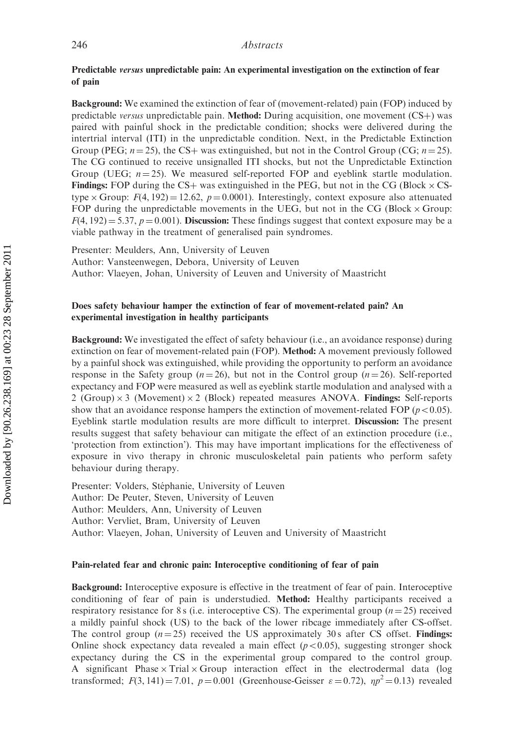### Predictable versus unpredictable pain: An experimental investigation on the extinction of fear of pain

Background: We examined the extinction of fear of (movement-related) pain (FOP) induced by predictable versus unpredictable pain. Method: During acquisition, one movement  $(CS+)$  was paired with painful shock in the predictable condition; shocks were delivered during the intertrial interval (ITI) in the unpredictable condition. Next, in the Predictable Extinction Group (PEG;  $n = 25$ ), the CS+ was extinguished, but not in the Control Group (CG;  $n = 25$ ). The CG continued to receive unsignalled ITI shocks, but not the Unpredictable Extinction Group (UEG;  $n = 25$ ). We measured self-reported FOP and eyeblink startle modulation. Findings: FOP during the CS+ was extinguished in the PEG, but not in the CG (Block  $\times$  CStype  $\times$  Group:  $F(4, 192) = 12.62$ ,  $p = 0.0001$ ). Interestingly, context exposure also attenuated FOP during the unpredictable movements in the UEG, but not in the CG (Block  $\times$  Group:  $F(4, 192) = 5.37$ ,  $p = 0.001$ . Discussion: These findings suggest that context exposure may be a viable pathway in the treatment of generalised pain syndromes.

Presenter: Meulders, Ann, University of Leuven Author: Vansteenwegen, Debora, University of Leuven Author: Vlaeyen, Johan, University of Leuven and University of Maastricht

# Does safety behaviour hamper the extinction of fear of movement-related pain? An experimental investigation in healthy participants

Background: We investigated the effect of safety behaviour (i.e., an avoidance response) during extinction on fear of movement-related pain (FOP). Method: A movement previously followed by a painful shock was extinguished, while providing the opportunity to perform an avoidance response in the Safety group ( $n = 26$ ), but not in the Control group ( $n = 26$ ). Self-reported expectancy and FOP were measured as well as eyeblink startle modulation and analysed with a 2 (Group)  $\times$  3 (Movement)  $\times$  2 (Block) repeated measures ANOVA. Findings: Self-reports show that an avoidance response hampers the extinction of movement-related FOP ( $p<0.05$ ). Eyeblink startle modulation results are more difficult to interpret. Discussion: The present results suggest that safety behaviour can mitigate the effect of an extinction procedure (i.e., 'protection from extinction'). This may have important implications for the effectiveness of exposure in vivo therapy in chronic musculoskeletal pain patients who perform safety behaviour during therapy.

Presenter: Volders, Stéphanie, University of Leuven Author: De Peuter, Steven, University of Leuven Author: Meulders, Ann, University of Leuven Author: Vervliet, Bram, University of Leuven Author: Vlaeyen, Johan, University of Leuven and University of Maastricht

### Pain-related fear and chronic pain: Interoceptive conditioning of fear of pain

Background: Interoceptive exposure is effective in the treatment of fear of pain. Interoceptive conditioning of fear of pain is understudied. Method: Healthy participants received a respiratory resistance for 8 s (i.e. interoceptive CS). The experimental group  $(n = 25)$  received a mildly painful shock (US) to the back of the lower ribcage immediately after CS-offset. The control group  $(n=25)$  received the US approximately 30s after CS offset. Findings: Online shock expectancy data revealed a main effect  $(p<0.05)$ , suggesting stronger shock expectancy during the CS in the experimental group compared to the control group. A significant Phase  $\times$  Trial  $\times$  Group interaction effect in the electrodermal data (log transformed;  $F(3, 141) = 7.01$ ,  $p = 0.001$  (Greenhouse-Geisser  $\varepsilon = 0.72$ ),  $np^2 = 0.13$ ) revealed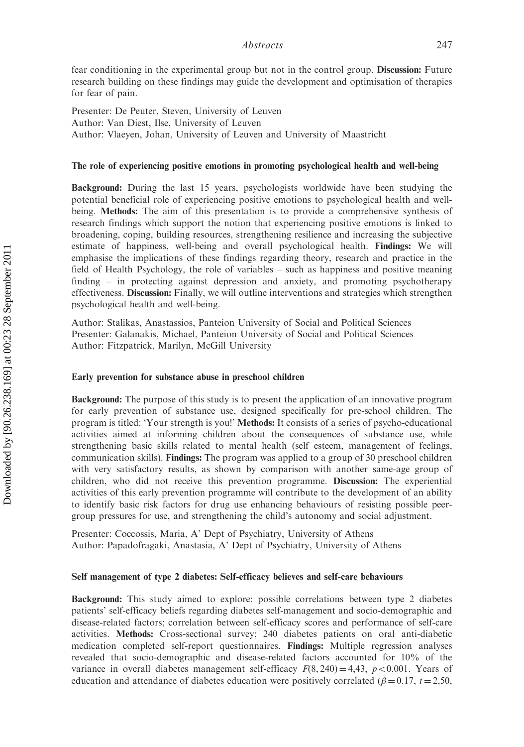fear conditioning in the experimental group but not in the control group. Discussion: Future research building on these findings may guide the development and optimisation of therapies for fear of pain.

Presenter: De Peuter, Steven, University of Leuven Author: Van Diest, Ilse, University of Leuven Author: Vlaeyen, Johan, University of Leuven and University of Maastricht

### The role of experiencing positive emotions in promoting psychological health and well-being

Background: During the last 15 years, psychologists worldwide have been studying the potential beneficial role of experiencing positive emotions to psychological health and wellbeing. Methods: The aim of this presentation is to provide a comprehensive synthesis of research findings which support the notion that experiencing positive emotions is linked to broadening, coping, building resources, strengthening resilience and increasing the subjective estimate of happiness, well-being and overall psychological health. Findings: We will emphasise the implications of these findings regarding theory, research and practice in the field of Health Psychology, the role of variables – such as happiness and positive meaning finding – in protecting against depression and anxiety, and promoting psychotherapy effectiveness. Discussion: Finally, we will outline interventions and strategies which strengthen psychological health and well-being.

Author: Stalikas, Anastassios, Panteion University of Social and Political Sciences Presenter: Galanakis, Michael, Panteion University of Social and Political Sciences Author: Fitzpatrick, Marilyn, McGill University

### Early prevention for substance abuse in preschool children

Background: The purpose of this study is to present the application of an innovative program for early prevention of substance use, designed specifically for pre-school children. The program is titled: 'Your strength is you!' Methods: It consists of a series of psycho-educational activities aimed at informing children about the consequences of substance use, while strengthening basic skills related to mental health (self esteem, management of feelings, communication skills). Findings: The program was applied to a group of 30 preschool children with very satisfactory results, as shown by comparison with another same-age group of children, who did not receive this prevention programme. Discussion: The experiential activities of this early prevention programme will contribute to the development of an ability to identify basic risk factors for drug use enhancing behaviours of resisting possible peergroup pressures for use, and strengthening the child's autonomy and social adjustment.

Presenter: Coccossis, Maria, A' Dept of Psychiatry, University of Athens Author: Papadofragaki, Anastasia, A' Dept of Psychiatry, University of Athens

#### Self management of type 2 diabetes: Self-efficacy believes and self-care behaviours

Background: This study aimed to explore: possible correlations between type 2 diabetes patients' self-efficacy beliefs regarding diabetes self-management and socio-demographic and disease-related factors; correlation between self-efficacy scores and performance of self-care activities. Methods: Cross-sectional survey; 240 diabetes patients on oral anti-diabetic medication completed self-report questionnaires. Findings: Multiple regression analyses revealed that socio-demographic and disease-related factors accounted for 10% of the variance in overall diabetes management self-efficacy  $F(8, 240) = 4,43$ ,  $p < 0.001$ . Years of education and attendance of diabetes education were positively correlated ( $\beta = 0.17$ ,  $t = 2,50$ ,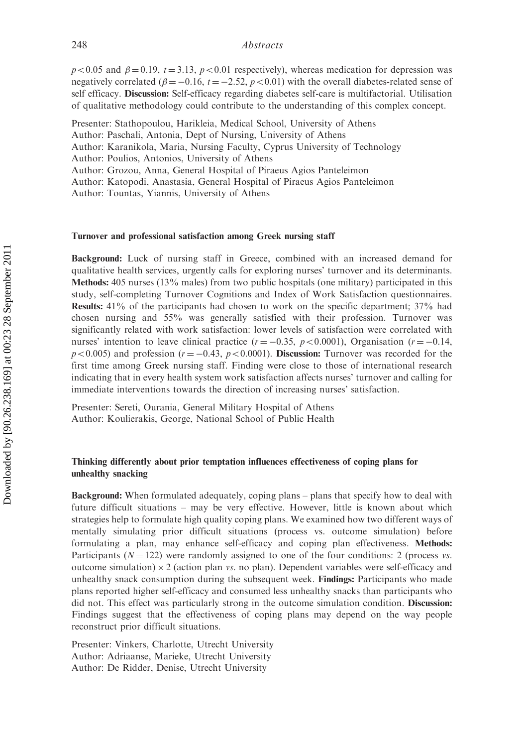$p<0.05$  and  $\beta=0.19$ ,  $t = 3.13$ ,  $p<0.01$  respectively), whereas medication for depression was negatively correlated ( $\beta = -0.16$ ,  $t = -2.52$ ,  $p < 0.01$ ) with the overall diabetes-related sense of self efficacy. Discussion: Self-efficacy regarding diabetes self-care is multifactorial. Utilisation of qualitative methodology could contribute to the understanding of this complex concept.

Presenter: Stathopoulou, Harikleia, Medical School, University of Athens Author: Paschali, Antonia, Dept of Nursing, University of Athens Author: Karanikola, Maria, Nursing Faculty, Cyprus University of Technology Author: Poulios, Antonios, University of Athens Author: Grozou, Anna, General Hospital of Piraeus Agios Panteleimon Author: Katopodi, Anastasia, General Hospital of Piraeus Agios Panteleimon Author: Tountas, Yiannis, University of Athens

#### Turnover and professional satisfaction among Greek nursing staff

Background: Luck of nursing staff in Greece, combined with an increased demand for qualitative health services, urgently calls for exploring nurses' turnover and its determinants. Methods: 405 nurses (13% males) from two public hospitals (one military) participated in this study, self-completing Turnover Cognitions and Index of Work Satisfaction questionnaires. Results: 41% of the participants had chosen to work on the specific department; 37% had chosen nursing and 55% was generally satisfied with their profession. Turnover was significantly related with work satisfaction: lower levels of satisfaction were correlated with nurses' intention to leave clinical practice  $(r = -0.35, p < 0.0001)$ , Organisation  $(r = -0.14,$  $p<0.005$ ) and profession ( $r = -0.43$ ,  $p<0.0001$ ). Discussion: Turnover was recorded for the first time among Greek nursing staff. Finding were close to those of international research indicating that in every health system work satisfaction affects nurses' turnover and calling for immediate interventions towards the direction of increasing nurses' satisfaction.

Presenter: Sereti, Ourania, General Military Hospital of Athens Author: Koulierakis, George, National School of Public Health

# Thinking differently about prior temptation influences effectiveness of coping plans for unhealthy snacking

Background: When formulated adequately, coping plans – plans that specify how to deal with future difficult situations – may be very effective. However, little is known about which strategies help to formulate high quality coping plans. We examined how two different ways of mentally simulating prior difficult situations (process vs. outcome simulation) before formulating a plan, may enhance self-efficacy and coping plan effectiveness. Methods: Participants ( $N = 122$ ) were randomly assigned to one of the four conditions: 2 (process vs. outcome simulation)  $\times$  2 (action plan *vs.* no plan). Dependent variables were self-efficacy and unhealthy snack consumption during the subsequent week. Findings: Participants who made plans reported higher self-efficacy and consumed less unhealthy snacks than participants who did not. This effect was particularly strong in the outcome simulation condition. Discussion: Findings suggest that the effectiveness of coping plans may depend on the way people reconstruct prior difficult situations.

Presenter: Vinkers, Charlotte, Utrecht University Author: Adriaanse, Marieke, Utrecht University Author: De Ridder, Denise, Utrecht University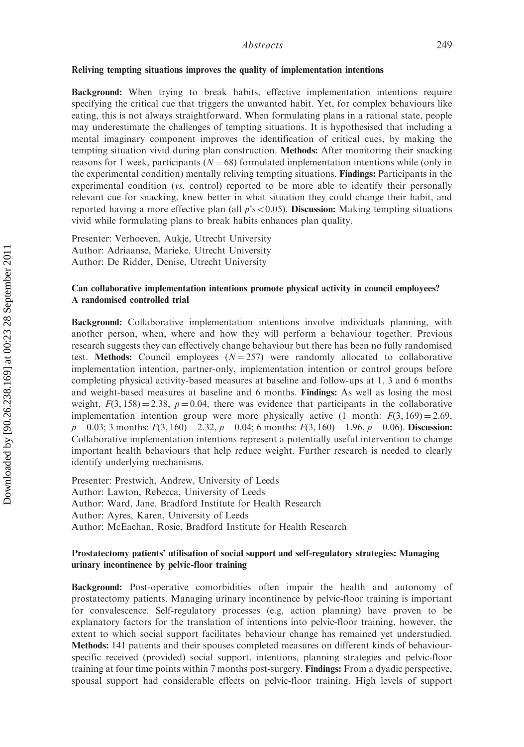## Reliving tempting situations improves the quality of implementation intentions

Background: When trying to break habits, effective implementation intentions require specifying the critical cue that triggers the unwanted habit. Yet, for complex behaviours like eating, this is not always straightforward. When formulating plans in a rational state, people may underestimate the challenges of tempting situations. It is hypothesised that including a mental imaginary component improves the identification of critical cues, by making the tempting situation vivid during plan construction. Methods: After monitoring their snacking reasons for 1 week, participants ( $N = 68$ ) formulated implementation intentions while (only in the experimental condition) mentally reliving tempting situations. Findings: Participants in the experimental condition (vs. control) reported to be more able to identify their personally relevant cue for snacking, knew better in what situation they could change their habit, and reported having a more effective plan (all  $p's < 0.05$ ). Discussion: Making tempting situations vivid while formulating plans to break habits enhances plan quality.

Presenter: Verhoeven, Aukje, Utrecht University Author: Adriaanse, Marieke, Utrecht University Author: De Ridder, Denise, Utrecht University

# Can collaborative implementation intentions promote physical activity in council employees? A randomised controlled trial

Background: Collaborative implementation intentions involve individuals planning, with another person, when, where and how they will perform a behaviour together. Previous research suggests they can effectively change behaviour but there has been no fully randomised test. Methods: Council employees  $(N = 257)$  were randomly allocated to collaborative implementation intention, partner-only, implementation intention or control groups before completing physical activity-based measures at baseline and follow-ups at 1, 3 and 6 months and weight-based measures at baseline and 6 months. Findings: As well as losing the most weight,  $F(3, 158) = 2.38$ ,  $p = 0.04$ , there was evidence that participants in the collaborative implementation intention group were more physically active (1 month:  $F(3, 169) = 2.69$ ,  $p = 0.03$ ; 3 months:  $F(3, 160) = 2.32$ ,  $p = 0.04$ ; 6 months:  $F(3, 160) = 1.96$ ,  $p = 0.06$ ). Discussion: Collaborative implementation intentions represent a potentially useful intervention to change important health behaviours that help reduce weight. Further research is needed to clearly identify underlying mechanisms.

Presenter: Prestwich, Andrew, University of Leeds Author: Lawton, Rebecca, University of Leeds Author: Ward, Jane, Bradford Institute for Health Research Author: Ayres, Karen, University of Leeds Author: McEachan, Rosie, Bradford Institute for Health Research

# Prostatectomy patients' utilisation of social support and self-regulatory strategies: Managing urinary incontinence by pelvic-floor training

Background: Post-operative comorbidities often impair the health and autonomy of prostatectomy patients. Managing urinary incontinence by pelvic-floor training is important for convalescence. Self-regulatory processes (e.g. action planning) have proven to be explanatory factors for the translation of intentions into pelvic-floor training, however, the extent to which social support facilitates behaviour change has remained yet understudied. Methods: 141 patients and their spouses completed measures on different kinds of behaviourspecific received (provided) social support, intentions, planning strategies and pelvic-floor training at four time points within 7 months post-surgery. Findings: From a dyadic perspective, spousal support had considerable effects on pelvic-floor training. High levels of support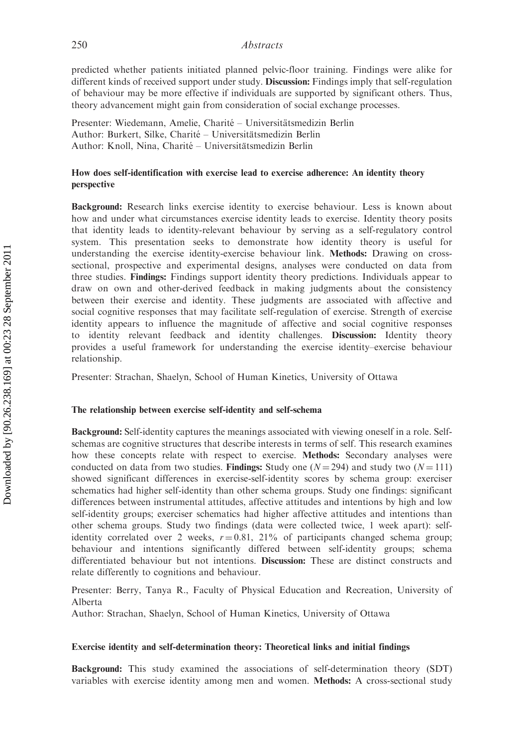predicted whether patients initiated planned pelvic-floor training. Findings were alike for different kinds of received support under study. Discussion: Findings imply that self-regulation of behaviour may be more effective if individuals are supported by significant others. Thus, theory advancement might gain from consideration of social exchange processes.

Presenter: Wiedemann, Amelie, Charité – Universitätsmedizin Berlin Author: Burkert, Silke, Charité – Universitätsmedizin Berlin Author: Knoll, Nina, Charité – Universitätsmedizin Berlin

# How does self-identification with exercise lead to exercise adherence: An identity theory perspective

Background: Research links exercise identity to exercise behaviour. Less is known about how and under what circumstances exercise identity leads to exercise. Identity theory posits that identity leads to identity-relevant behaviour by serving as a self-regulatory control system. This presentation seeks to demonstrate how identity theory is useful for understanding the exercise identity-exercise behaviour link. Methods: Drawing on crosssectional, prospective and experimental designs, analyses were conducted on data from three studies. Findings: Findings support identity theory predictions. Individuals appear to draw on own and other-derived feedback in making judgments about the consistency between their exercise and identity. These judgments are associated with affective and social cognitive responses that may facilitate self-regulation of exercise. Strength of exercise identity appears to influence the magnitude of affective and social cognitive responses to identity relevant feedback and identity challenges. Discussion: Identity theory provides a useful framework for understanding the exercise identity–exercise behaviour relationship.

Presenter: Strachan, Shaelyn, School of Human Kinetics, University of Ottawa

### The relationship between exercise self-identity and self-schema

Background: Self-identity captures the meanings associated with viewing oneself in a role. Selfschemas are cognitive structures that describe interests in terms of self. This research examines how these concepts relate with respect to exercise. Methods: Secondary analyses were conducted on data from two studies. Findings: Study one ( $N = 294$ ) and study two ( $N = 111$ ) showed significant differences in exercise-self-identity scores by schema group: exerciser schematics had higher self-identity than other schema groups. Study one findings: significant differences between instrumental attitudes, affective attitudes and intentions by high and low self-identity groups; exerciser schematics had higher affective attitudes and intentions than other schema groups. Study two findings (data were collected twice, 1 week apart): selfidentity correlated over 2 weeks,  $r = 0.81, 21\%$  of participants changed schema group; behaviour and intentions significantly differed between self-identity groups; schema differentiated behaviour but not intentions. Discussion: These are distinct constructs and relate differently to cognitions and behaviour.

Presenter: Berry, Tanya R., Faculty of Physical Education and Recreation, University of Alberta

Author: Strachan, Shaelyn, School of Human Kinetics, University of Ottawa

# Exercise identity and self-determination theory: Theoretical links and initial findings

Background: This study examined the associations of self-determination theory (SDT) variables with exercise identity among men and women. Methods: A cross-sectional study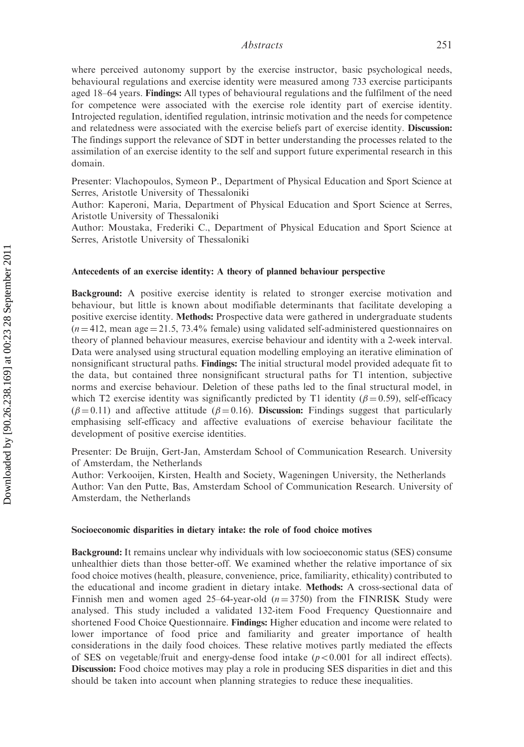where perceived autonomy support by the exercise instructor, basic psychological needs, behavioural regulations and exercise identity were measured among 733 exercise participants aged 18–64 years. Findings: All types of behavioural regulations and the fulfilment of the need for competence were associated with the exercise role identity part of exercise identity. Introjected regulation, identified regulation, intrinsic motivation and the needs for competence and relatedness were associated with the exercise beliefs part of exercise identity. Discussion: The findings support the relevance of SDT in better understanding the processes related to the assimilation of an exercise identity to the self and support future experimental research in this domain.

Presenter: Vlachopoulos, Symeon P., Department of Physical Education and Sport Science at Serres, Aristotle University of Thessaloniki

Author: Kaperoni, Maria, Department of Physical Education and Sport Science at Serres, Aristotle University of Thessaloniki

Author: Moustaka, Frederiki C., Department of Physical Education and Sport Science at Serres, Aristotle University of Thessaloniki

#### Antecedents of an exercise identity: A theory of planned behaviour perspective

Background: A positive exercise identity is related to stronger exercise motivation and behaviour, but little is known about modifiable determinants that facilitate developing a positive exercise identity. Methods: Prospective data were gathered in undergraduate students  $(n = 412, \text{ mean age} = 21.5, 73.4\% \text{ female})$  using validated self-administered questionnaires on theory of planned behaviour measures, exercise behaviour and identity with a 2-week interval. Data were analysed using structural equation modelling employing an iterative elimination of nonsignificant structural paths. Findings: The initial structural model provided adequate fit to the data, but contained three nonsignificant structural paths for T1 intention, subjective norms and exercise behaviour. Deletion of these paths led to the final structural model, in which T2 exercise identity was significantly predicted by T1 identity ( $\beta = 0.59$ ), self-efficacy  $(\beta = 0.11)$  and affective attitude ( $\beta = 0.16$ ). Discussion: Findings suggest that particularly emphasising self-efficacy and affective evaluations of exercise behaviour facilitate the development of positive exercise identities.

Presenter: De Bruijn, Gert-Jan, Amsterdam School of Communication Research. University of Amsterdam, the Netherlands

Author: Verkooijen, Kirsten, Health and Society, Wageningen University, the Netherlands Author: Van den Putte, Bas, Amsterdam School of Communication Research. University of Amsterdam, the Netherlands

#### Socioeconomic disparities in dietary intake: the role of food choice motives

Background: It remains unclear why individuals with low socioeconomic status (SES) consume unhealthier diets than those better-off. We examined whether the relative importance of six food choice motives (health, pleasure, convenience, price, familiarity, ethicality) contributed to the educational and income gradient in dietary intake. Methods: A cross-sectional data of Finnish men and women aged 25–64-year-old  $(n=3750)$  from the FINRISK Study were analysed. This study included a validated 132-item Food Frequency Questionnaire and shortened Food Choice Questionnaire. Findings: Higher education and income were related to lower importance of food price and familiarity and greater importance of health considerations in the daily food choices. These relative motives partly mediated the effects of SES on vegetable/fruit and energy-dense food intake  $(p<0.001$  for all indirect effects). Discussion: Food choice motives may play a role in producing SES disparities in diet and this should be taken into account when planning strategies to reduce these inequalities.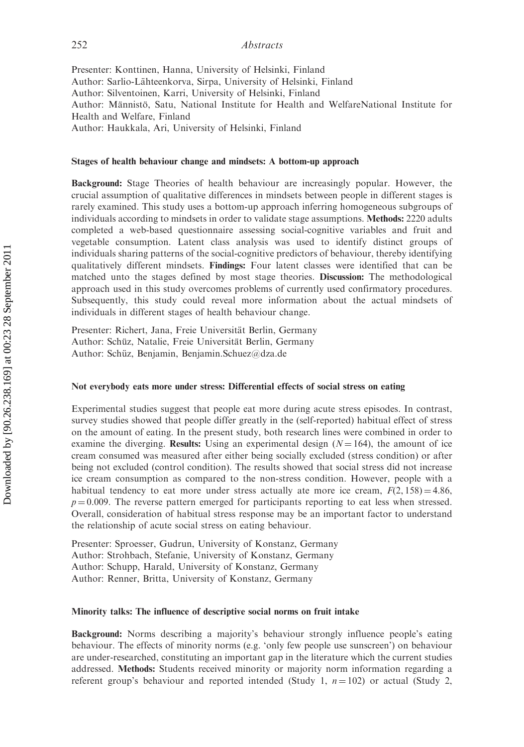## 252 Abstracts

Presenter: Konttinen, Hanna, University of Helsinki, Finland Author: Sarlio-Lähteenkorva, Sirpa, University of Helsinki, Finland Author: Silventoinen, Karri, University of Helsinki, Finland Author: Männistö, Satu, National Institute for Health and WelfareNational Institute for Health and Welfare, Finland Author: Haukkala, Ari, University of Helsinki, Finland

## Stages of health behaviour change and mindsets: A bottom-up approach

Background: Stage Theories of health behaviour are increasingly popular. However, the crucial assumption of qualitative differences in mindsets between people in different stages is rarely examined. This study uses a bottom-up approach inferring homogeneous subgroups of individuals according to mindsets in order to validate stage assumptions. Methods: 2220 adults completed a web-based questionnaire assessing social-cognitive variables and fruit and vegetable consumption. Latent class analysis was used to identify distinct groups of individuals sharing patterns of the social-cognitive predictors of behaviour, thereby identifying qualitatively different mindsets. Findings: Four latent classes were identified that can be matched unto the stages defined by most stage theories. Discussion: The methodological approach used in this study overcomes problems of currently used confirmatory procedures. Subsequently, this study could reveal more information about the actual mindsets of individuals in different stages of health behaviour change.

Presenter: Richert, Jana, Freie Universität Berlin, Germany Author: Schüz, Natalie, Freie Universität Berlin, Germany Author: Schüz, Benjamin, Benjamin.Schuez@dza.de

## Not everybody eats more under stress: Differential effects of social stress on eating

Experimental studies suggest that people eat more during acute stress episodes. In contrast, survey studies showed that people differ greatly in the (self-reported) habitual effect of stress on the amount of eating. In the present study, both research lines were combined in order to examine the diverging. Results: Using an experimental design  $(N = 164)$ , the amount of ice cream consumed was measured after either being socially excluded (stress condition) or after being not excluded (control condition). The results showed that social stress did not increase ice cream consumption as compared to the non-stress condition. However, people with a habitual tendency to eat more under stress actually ate more ice cream,  $F(2, 158) = 4.86$ ,  $p = 0.009$ . The reverse pattern emerged for participants reporting to eat less when stressed. Overall, consideration of habitual stress response may be an important factor to understand the relationship of acute social stress on eating behaviour.

Presenter: Sproesser, Gudrun, University of Konstanz, Germany Author: Strohbach, Stefanie, University of Konstanz, Germany Author: Schupp, Harald, University of Konstanz, Germany Author: Renner, Britta, University of Konstanz, Germany

## Minority talks: The influence of descriptive social norms on fruit intake

Background: Norms describing a majority's behaviour strongly influence people's eating behaviour. The effects of minority norms (e.g. 'only few people use sunscreen') on behaviour are under-researched, constituting an important gap in the literature which the current studies addressed. Methods: Students received minority or majority norm information regarding a referent group's behaviour and reported intended (Study 1,  $n = 102$ ) or actual (Study 2,